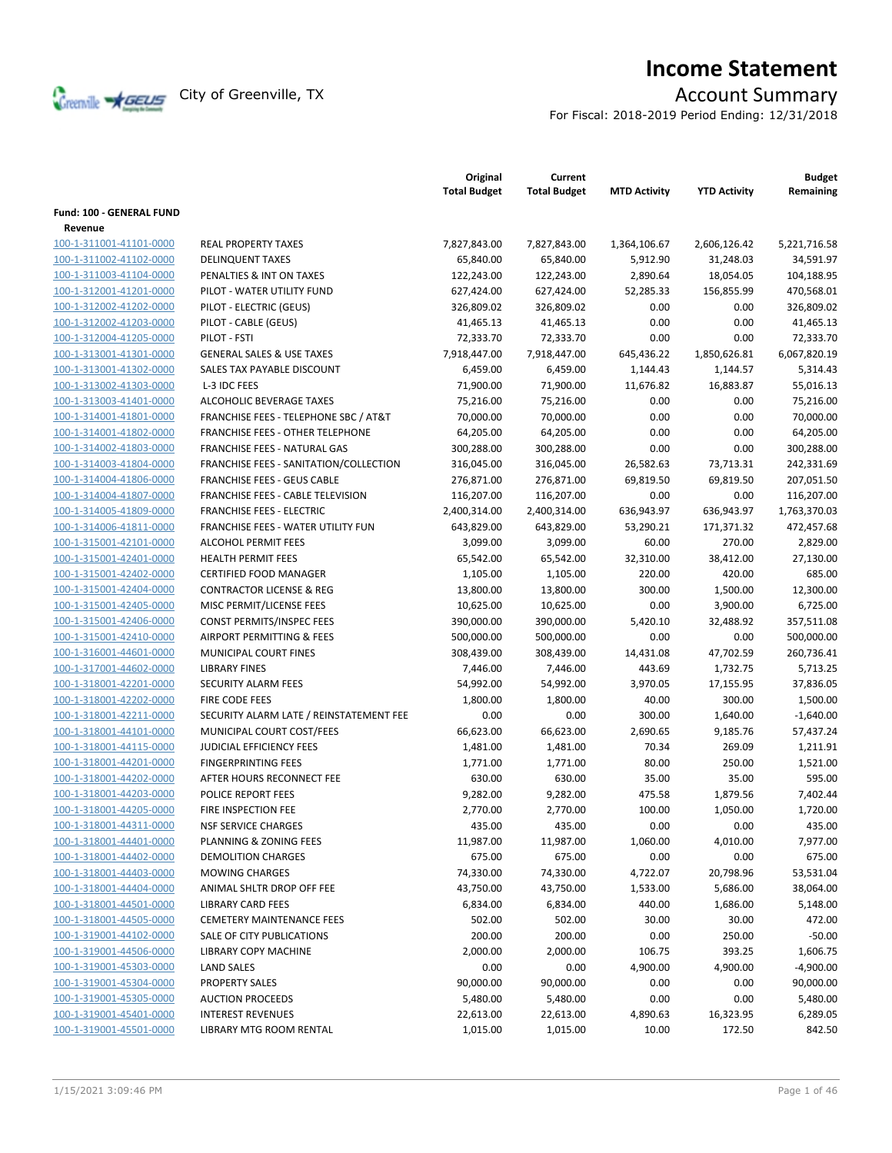

# **Income Statement**

For Fiscal: 2018-2019 Period Ending: 12/31/2018

|                          |                                         | Original<br><b>Total Budget</b> | Current<br><b>Total Budget</b> | <b>MTD Activity</b> | <b>YTD Activity</b> | <b>Budget</b><br>Remaining |
|--------------------------|-----------------------------------------|---------------------------------|--------------------------------|---------------------|---------------------|----------------------------|
| Fund: 100 - GENERAL FUND |                                         |                                 |                                |                     |                     |                            |
| Revenue                  |                                         |                                 |                                |                     |                     |                            |
| 100-1-311001-41101-0000  | <b>REAL PROPERTY TAXES</b>              | 7,827,843.00                    | 7,827,843.00                   | 1,364,106.67        | 2,606,126.42        | 5.221.716.58               |
| 100-1-311002-41102-0000  | <b>DELINQUENT TAXES</b>                 | 65,840.00                       | 65,840.00                      | 5,912.90            | 31,248.03           | 34,591.97                  |
| 100-1-311003-41104-0000  | PENALTIES & INT ON TAXES                | 122,243.00                      | 122,243.00                     | 2,890.64            | 18,054.05           | 104,188.95                 |
| 100-1-312001-41201-0000  | PILOT - WATER UTILITY FUND              | 627,424.00                      | 627,424.00                     | 52,285.33           | 156,855.99          | 470,568.01                 |
| 100-1-312002-41202-0000  | PILOT - ELECTRIC (GEUS)                 | 326,809.02                      | 326,809.02                     | 0.00                | 0.00                | 326,809.02                 |
| 100-1-312002-41203-0000  | PILOT - CABLE (GEUS)                    | 41,465.13                       | 41,465.13                      | 0.00                | 0.00                | 41,465.13                  |
| 100-1-312004-41205-0000  | PILOT - FSTI                            | 72,333.70                       | 72,333.70                      | 0.00                | 0.00                | 72,333.70                  |
| 100-1-313001-41301-0000  | <b>GENERAL SALES &amp; USE TAXES</b>    | 7,918,447.00                    | 7,918,447.00                   | 645,436.22          | 1,850,626.81        | 6,067,820.19               |
| 100-1-313001-41302-0000  | SALES TAX PAYABLE DISCOUNT              | 6,459.00                        | 6,459.00                       | 1,144.43            | 1,144.57            | 5,314.43                   |
| 100-1-313002-41303-0000  | L-3 IDC FEES                            | 71,900.00                       | 71,900.00                      | 11,676.82           | 16,883.87           | 55,016.13                  |
| 100-1-313003-41401-0000  | ALCOHOLIC BEVERAGE TAXES                | 75,216.00                       | 75,216.00                      | 0.00                | 0.00                | 75,216.00                  |
| 100-1-314001-41801-0000  | FRANCHISE FEES - TELEPHONE SBC / AT&T   | 70,000.00                       | 70,000.00                      | 0.00                | 0.00                | 70,000.00                  |
| 100-1-314001-41802-0000  | <b>FRANCHISE FEES - OTHER TELEPHONE</b> | 64,205.00                       | 64,205.00                      | 0.00                | 0.00                | 64,205.00                  |
| 100-1-314002-41803-0000  | <b>FRANCHISE FEES - NATURAL GAS</b>     | 300,288.00                      | 300,288.00                     | 0.00                | 0.00                | 300,288.00                 |
| 100-1-314003-41804-0000  | FRANCHISE FEES - SANITATION/COLLECTION  | 316,045.00                      | 316,045.00                     | 26,582.63           | 73,713.31           | 242,331.69                 |
| 100-1-314004-41806-0000  | <b>FRANCHISE FEES - GEUS CABLE</b>      | 276,871.00                      | 276,871.00                     | 69,819.50           | 69,819.50           | 207,051.50                 |
| 100-1-314004-41807-0000  | FRANCHISE FEES - CABLE TELEVISION       | 116,207.00                      | 116,207.00                     | 0.00                | 0.00                | 116,207.00                 |
| 100-1-314005-41809-0000  | <b>FRANCHISE FEES - ELECTRIC</b>        | 2,400,314.00                    | 2,400,314.00                   | 636,943.97          | 636,943.97          | 1,763,370.03               |
| 100-1-314006-41811-0000  | FRANCHISE FEES - WATER UTILITY FUN      | 643,829.00                      | 643,829.00                     | 53,290.21           | 171,371.32          | 472,457.68                 |
| 100-1-315001-42101-0000  | <b>ALCOHOL PERMIT FEES</b>              | 3,099.00                        | 3,099.00                       | 60.00               | 270.00              | 2,829.00                   |
| 100-1-315001-42401-0000  | <b>HEALTH PERMIT FEES</b>               | 65,542.00                       | 65,542.00                      | 32,310.00           | 38,412.00           | 27,130.00                  |
| 100-1-315001-42402-0000  | <b>CERTIFIED FOOD MANAGER</b>           | 1,105.00                        | 1,105.00                       | 220.00              | 420.00              | 685.00                     |
| 100-1-315001-42404-0000  | <b>CONTRACTOR LICENSE &amp; REG</b>     | 13,800.00                       | 13,800.00                      | 300.00              | 1,500.00            | 12,300.00                  |
| 100-1-315001-42405-0000  | MISC PERMIT/LICENSE FEES                | 10,625.00                       | 10,625.00                      | 0.00                | 3,900.00            | 6,725.00                   |
| 100-1-315001-42406-0000  | CONST PERMITS/INSPEC FEES               | 390,000.00                      | 390,000.00                     | 5,420.10            | 32,488.92           | 357,511.08                 |
| 100-1-315001-42410-0000  | AIRPORT PERMITTING & FEES               | 500,000.00                      | 500,000.00                     | 0.00                | 0.00                | 500,000.00                 |
| 100-1-316001-44601-0000  | MUNICIPAL COURT FINES                   | 308,439.00                      | 308,439.00                     | 14,431.08           | 47,702.59           | 260,736.41                 |
| 100-1-317001-44602-0000  | <b>LIBRARY FINES</b>                    | 7,446.00                        | 7,446.00                       | 443.69              | 1,732.75            | 5,713.25                   |
| 100-1-318001-42201-0000  | <b>SECURITY ALARM FEES</b>              | 54,992.00                       | 54,992.00                      | 3,970.05            | 17,155.95           | 37,836.05                  |
| 100-1-318001-42202-0000  | FIRE CODE FEES                          | 1,800.00                        | 1,800.00                       | 40.00               | 300.00              | 1,500.00                   |
| 100-1-318001-42211-0000  | SECURITY ALARM LATE / REINSTATEMENT FEE | 0.00                            | 0.00                           | 300.00              | 1,640.00            | $-1,640.00$                |
| 100-1-318001-44101-0000  | MUNICIPAL COURT COST/FEES               | 66,623.00                       | 66,623.00                      | 2,690.65            | 9,185.76            | 57,437.24                  |
| 100-1-318001-44115-0000  | <b>JUDICIAL EFFICIENCY FEES</b>         | 1,481.00                        | 1,481.00                       | 70.34               | 269.09              | 1,211.91                   |
| 100-1-318001-44201-0000  | <b>FINGERPRINTING FEES</b>              | 1,771.00                        | 1,771.00                       | 80.00               | 250.00              | 1,521.00                   |
| 100-1-318001-44202-0000  | AFTER HOURS RECONNECT FEE               | 630.00                          | 630.00                         | 35.00               | 35.00               | 595.00                     |
| 100-1-318001-44203-0000  | POLICE REPORT FEES                      | 9,282.00                        | 9,282.00                       | 475.58              | 1,879.56            | 7,402.44                   |
| 100-1-318001-44205-0000  | FIRE INSPECTION FEE                     | 2,770.00                        | 2,770.00                       | 100.00              | 1,050.00            | 1,720.00                   |
| 100-1-318001-44311-0000  | <b>NSF SERVICE CHARGES</b>              | 435.00                          | 435.00                         | 0.00                | 0.00                | 435.00                     |
| 100-1-318001-44401-0000  | PLANNING & ZONING FEES                  | 11,987.00                       | 11,987.00                      | 1,060.00            | 4,010.00            | 7,977.00                   |
| 100-1-318001-44402-0000  | <b>DEMOLITION CHARGES</b>               | 675.00                          | 675.00                         | 0.00                | 0.00                | 675.00                     |
| 100-1-318001-44403-0000  | <b>MOWING CHARGES</b>                   | 74,330.00                       | 74,330.00                      | 4,722.07            | 20,798.96           | 53,531.04                  |
| 100-1-318001-44404-0000  | ANIMAL SHLTR DROP OFF FEE               | 43,750.00                       | 43,750.00                      | 1,533.00            | 5,686.00            | 38,064.00                  |
| 100-1-318001-44501-0000  | LIBRARY CARD FEES                       | 6,834.00                        | 6,834.00                       | 440.00              | 1,686.00            | 5,148.00                   |
| 100-1-318001-44505-0000  | CEMETERY MAINTENANCE FEES               | 502.00                          | 502.00                         | 30.00               | 30.00               | 472.00                     |
| 100-1-319001-44102-0000  | SALE OF CITY PUBLICATIONS               | 200.00                          | 200.00                         | 0.00                | 250.00              | $-50.00$                   |
| 100-1-319001-44506-0000  | <b>LIBRARY COPY MACHINE</b>             | 2,000.00                        | 2,000.00                       | 106.75              | 393.25              | 1,606.75                   |
| 100-1-319001-45303-0000  | <b>LAND SALES</b>                       | 0.00                            | 0.00                           | 4,900.00            | 4,900.00            | $-4,900.00$                |
| 100-1-319001-45304-0000  | <b>PROPERTY SALES</b>                   | 90,000.00                       | 90,000.00                      | 0.00                | 0.00                | 90,000.00                  |
| 100-1-319001-45305-0000  | <b>AUCTION PROCEEDS</b>                 | 5,480.00                        | 5,480.00                       | 0.00                | 0.00                | 5,480.00                   |
| 100-1-319001-45401-0000  | <b>INTEREST REVENUES</b>                | 22,613.00                       | 22,613.00                      | 4,890.63            | 16,323.95           | 6,289.05                   |
| 100-1-319001-45501-0000  | LIBRARY MTG ROOM RENTAL                 | 1,015.00                        | 1,015.00                       | 10.00               | 172.50              | 842.50                     |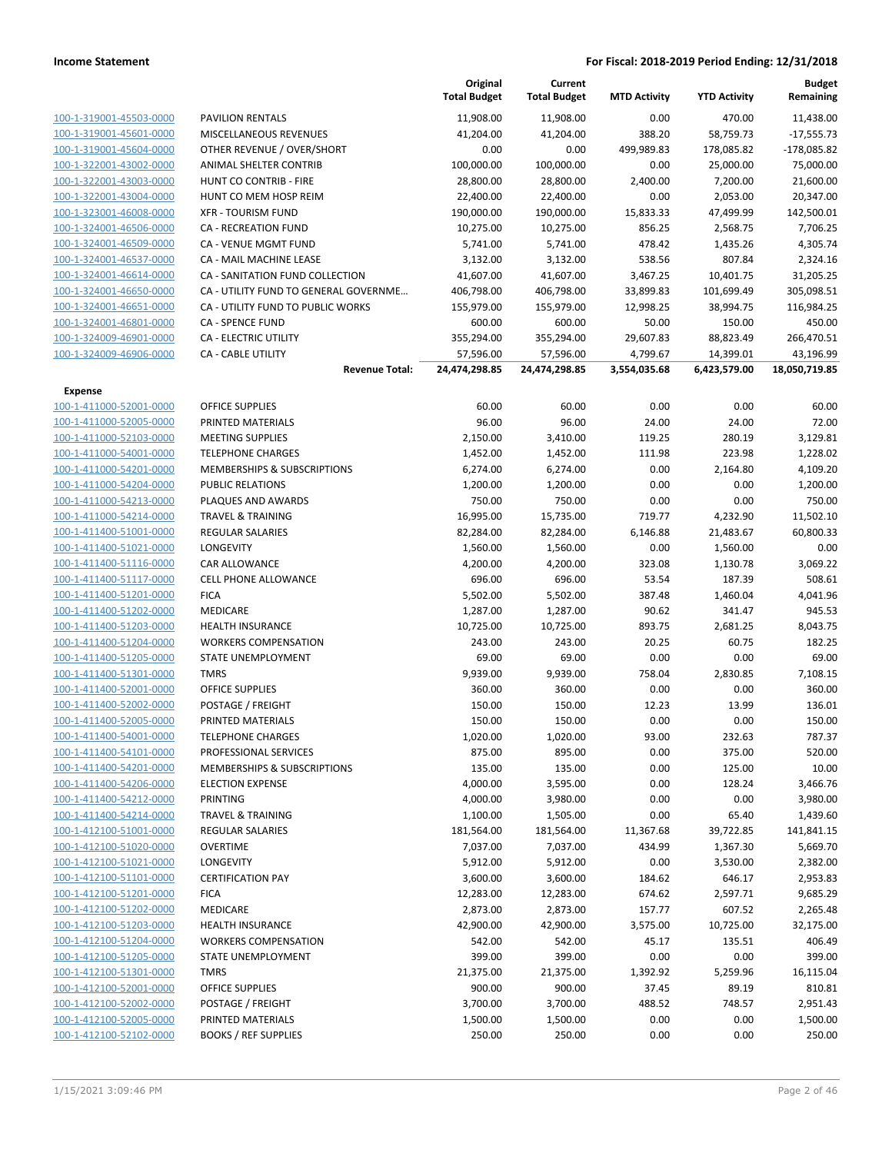|                                                    |                                             | Original<br><b>Total Budget</b> | Current<br><b>Total Budget</b> | <b>MTD Activity</b> | <b>YTD Activity</b> | <b>Budget</b><br>Remaining |
|----------------------------------------------------|---------------------------------------------|---------------------------------|--------------------------------|---------------------|---------------------|----------------------------|
| 100-1-319001-45503-0000                            | <b>PAVILION RENTALS</b>                     | 11,908.00                       | 11,908.00                      | 0.00                | 470.00              | 11,438.00                  |
| 100-1-319001-45601-0000                            | MISCELLANEOUS REVENUES                      | 41,204.00                       | 41,204.00                      | 388.20              | 58,759.73           | $-17,555.73$               |
| 100-1-319001-45604-0000                            | OTHER REVENUE / OVER/SHORT                  | 0.00                            | 0.00                           | 499,989.83          | 178,085.82          | $-178,085.82$              |
| 100-1-322001-43002-0000                            | ANIMAL SHELTER CONTRIB                      | 100,000.00                      | 100,000.00                     | 0.00                | 25,000.00           | 75,000.00                  |
| 100-1-322001-43003-0000                            | <b>HUNT CO CONTRIB - FIRE</b>               | 28,800.00                       | 28,800.00                      | 2,400.00            | 7,200.00            | 21,600.00                  |
| 100-1-322001-43004-0000                            | HUNT CO MEM HOSP REIM                       | 22,400.00                       | 22,400.00                      | 0.00                | 2,053.00            | 20,347.00                  |
| 100-1-323001-46008-0000                            | <b>XFR - TOURISM FUND</b>                   | 190,000.00                      | 190,000.00                     | 15,833.33           | 47,499.99           | 142,500.01                 |
| 100-1-324001-46506-0000                            | <b>CA - RECREATION FUND</b>                 | 10,275.00                       | 10,275.00                      | 856.25              | 2,568.75            | 7,706.25                   |
| 100-1-324001-46509-0000                            | CA - VENUE MGMT FUND                        | 5,741.00                        | 5,741.00                       | 478.42              | 1,435.26            | 4,305.74                   |
| 100-1-324001-46537-0000                            | CA - MAIL MACHINE LEASE                     | 3,132.00                        | 3,132.00                       | 538.56              | 807.84              | 2,324.16                   |
| 100-1-324001-46614-0000                            | CA - SANITATION FUND COLLECTION             | 41,607.00                       | 41,607.00                      | 3,467.25            | 10,401.75           | 31,205.25                  |
| 100-1-324001-46650-0000                            | CA - UTILITY FUND TO GENERAL GOVERNME       | 406,798.00                      | 406,798.00                     | 33,899.83           | 101,699.49          | 305,098.51                 |
| 100-1-324001-46651-0000                            | CA - UTILITY FUND TO PUBLIC WORKS           | 155,979.00                      | 155,979.00                     | 12,998.25           | 38,994.75           | 116,984.25                 |
| 100-1-324001-46801-0000                            | <b>CA - SPENCE FUND</b>                     | 600.00                          | 600.00                         | 50.00               | 150.00              | 450.00                     |
| 100-1-324009-46901-0000                            | CA - ELECTRIC UTILITY                       | 355,294.00                      | 355,294.00                     | 29,607.83           | 88,823.49           | 266,470.51                 |
| 100-1-324009-46906-0000                            | <b>CA - CABLE UTILITY</b>                   | 57,596.00                       | 57,596.00                      | 4,799.67            | 14,399.01           | 43,196.99                  |
|                                                    | <b>Revenue Total:</b>                       | 24,474,298.85                   | 24,474,298.85                  | 3,554,035.68        | 6,423,579.00        | 18,050,719.85              |
| Expense                                            |                                             |                                 |                                |                     |                     |                            |
| 100-1-411000-52001-0000                            | <b>OFFICE SUPPLIES</b>                      | 60.00                           | 60.00                          | 0.00                | 0.00                | 60.00                      |
| 100-1-411000-52005-0000                            | PRINTED MATERIALS                           | 96.00                           | 96.00                          | 24.00               | 24.00               | 72.00                      |
| 100-1-411000-52103-0000                            | <b>MEETING SUPPLIES</b>                     | 2,150.00                        | 3,410.00                       | 119.25              | 280.19              | 3,129.81                   |
| 100-1-411000-54001-0000                            | <b>TELEPHONE CHARGES</b>                    | 1,452.00                        | 1,452.00                       | 111.98              | 223.98              | 1,228.02                   |
| 100-1-411000-54201-0000                            | MEMBERSHIPS & SUBSCRIPTIONS                 | 6,274.00                        | 6,274.00                       | 0.00                | 2,164.80            | 4,109.20                   |
| 100-1-411000-54204-0000                            | <b>PUBLIC RELATIONS</b>                     | 1,200.00                        | 1,200.00                       | 0.00                | 0.00                | 1,200.00                   |
| 100-1-411000-54213-0000                            | PLAQUES AND AWARDS                          | 750.00                          | 750.00                         | 0.00                | 0.00                | 750.00                     |
| 100-1-411000-54214-0000                            | <b>TRAVEL &amp; TRAINING</b>                | 16,995.00                       | 15,735.00                      | 719.77              | 4,232.90            | 11,502.10                  |
| 100-1-411400-51001-0000                            | <b>REGULAR SALARIES</b>                     | 82,284.00                       | 82,284.00                      | 6,146.88            | 21,483.67           | 60,800.33                  |
| 100-1-411400-51021-0000                            | LONGEVITY                                   | 1,560.00                        | 1,560.00                       | 0.00                | 1,560.00            | 0.00                       |
| 100-1-411400-51116-0000                            | CAR ALLOWANCE                               | 4,200.00                        | 4,200.00                       | 323.08              | 1,130.78            | 3,069.22                   |
| 100-1-411400-51117-0000                            | <b>CELL PHONE ALLOWANCE</b>                 | 696.00                          | 696.00                         | 53.54               | 187.39              | 508.61                     |
| 100-1-411400-51201-0000                            | <b>FICA</b>                                 | 5,502.00                        | 5,502.00                       | 387.48              | 1,460.04            | 4,041.96                   |
| 100-1-411400-51202-0000                            | MEDICARE                                    | 1,287.00                        | 1,287.00                       | 90.62               | 341.47              | 945.53                     |
| 100-1-411400-51203-0000                            | <b>HEALTH INSURANCE</b>                     | 10,725.00                       | 10,725.00                      | 893.75              | 2,681.25            | 8,043.75                   |
| 100-1-411400-51204-0000                            | <b>WORKERS COMPENSATION</b>                 | 243.00                          | 243.00                         | 20.25               | 60.75               | 182.25                     |
| 100-1-411400-51205-0000                            | STATE UNEMPLOYMENT                          | 69.00                           | 69.00                          | 0.00                | 0.00                | 69.00                      |
| 100-1-411400-51301-0000                            | <b>TMRS</b>                                 | 9,939.00                        | 9,939.00                       | 758.04              | 2,830.85            | 7,108.15                   |
| 100-1-411400-52001-0000<br>100-1-411400-52002-0000 | <b>OFFICE SUPPLIES</b><br>POSTAGE / FREIGHT | 360.00<br>150.00                | 360.00<br>150.00               | 0.00<br>12.23       | 0.00<br>13.99       | 360.00<br>136.01           |
| 100-1-411400-52005-0000                            | PRINTED MATERIALS                           | 150.00                          | 150.00                         | 0.00                | 0.00                | 150.00                     |
| 100-1-411400-54001-0000                            | <b>TELEPHONE CHARGES</b>                    | 1,020.00                        | 1,020.00                       | 93.00               | 232.63              | 787.37                     |
| 100-1-411400-54101-0000                            | PROFESSIONAL SERVICES                       | 875.00                          | 895.00                         | 0.00                | 375.00              | 520.00                     |
| 100-1-411400-54201-0000                            | MEMBERSHIPS & SUBSCRIPTIONS                 | 135.00                          | 135.00                         | 0.00                | 125.00              | 10.00                      |
| 100-1-411400-54206-0000                            | <b>ELECTION EXPENSE</b>                     | 4,000.00                        | 3,595.00                       | 0.00                | 128.24              | 3,466.76                   |
| 100-1-411400-54212-0000                            | PRINTING                                    | 4,000.00                        | 3,980.00                       | 0.00                | 0.00                | 3,980.00                   |
| 100-1-411400-54214-0000                            | <b>TRAVEL &amp; TRAINING</b>                | 1,100.00                        | 1,505.00                       | 0.00                | 65.40               | 1,439.60                   |
| 100-1-412100-51001-0000                            | <b>REGULAR SALARIES</b>                     | 181,564.00                      | 181,564.00                     | 11,367.68           | 39,722.85           | 141,841.15                 |
| 100-1-412100-51020-0000                            | <b>OVERTIME</b>                             | 7,037.00                        | 7,037.00                       | 434.99              | 1,367.30            | 5,669.70                   |
| 100-1-412100-51021-0000                            | <b>LONGEVITY</b>                            | 5,912.00                        | 5,912.00                       | 0.00                | 3,530.00            | 2,382.00                   |
| 100-1-412100-51101-0000                            | <b>CERTIFICATION PAY</b>                    | 3,600.00                        | 3,600.00                       | 184.62              | 646.17              | 2,953.83                   |
| 100-1-412100-51201-0000                            | <b>FICA</b>                                 | 12,283.00                       | 12,283.00                      | 674.62              | 2,597.71            | 9,685.29                   |
| 100-1-412100-51202-0000                            | MEDICARE                                    | 2,873.00                        | 2,873.00                       | 157.77              | 607.52              | 2,265.48                   |
| 100-1-412100-51203-0000                            | <b>HEALTH INSURANCE</b>                     | 42,900.00                       | 42,900.00                      | 3,575.00            | 10,725.00           | 32,175.00                  |
| 100-1-412100-51204-0000                            | <b>WORKERS COMPENSATION</b>                 | 542.00                          | 542.00                         | 45.17               | 135.51              | 406.49                     |
| 100-1-412100-51205-0000                            | STATE UNEMPLOYMENT                          | 399.00                          | 399.00                         | 0.00                | 0.00                | 399.00                     |
| 100-1-412100-51301-0000                            | <b>TMRS</b>                                 | 21,375.00                       | 21,375.00                      | 1,392.92            | 5,259.96            | 16,115.04                  |
| 100-1-412100-52001-0000                            | <b>OFFICE SUPPLIES</b>                      | 900.00                          | 900.00                         | 37.45               | 89.19               | 810.81                     |
| 100-1-412100-52002-0000                            | POSTAGE / FREIGHT                           | 3,700.00                        | 3,700.00                       | 488.52              | 748.57              | 2,951.43                   |
| 100-1-412100-52005-0000                            | PRINTED MATERIALS                           | 1,500.00                        | 1,500.00                       | 0.00                | 0.00                | 1,500.00                   |
| 100-1-412100-52102-0000                            | <b>BOOKS / REF SUPPLIES</b>                 | 250.00                          | 250.00                         | 0.00                | 0.00                | 250.00                     |
|                                                    |                                             |                                 |                                |                     |                     |                            |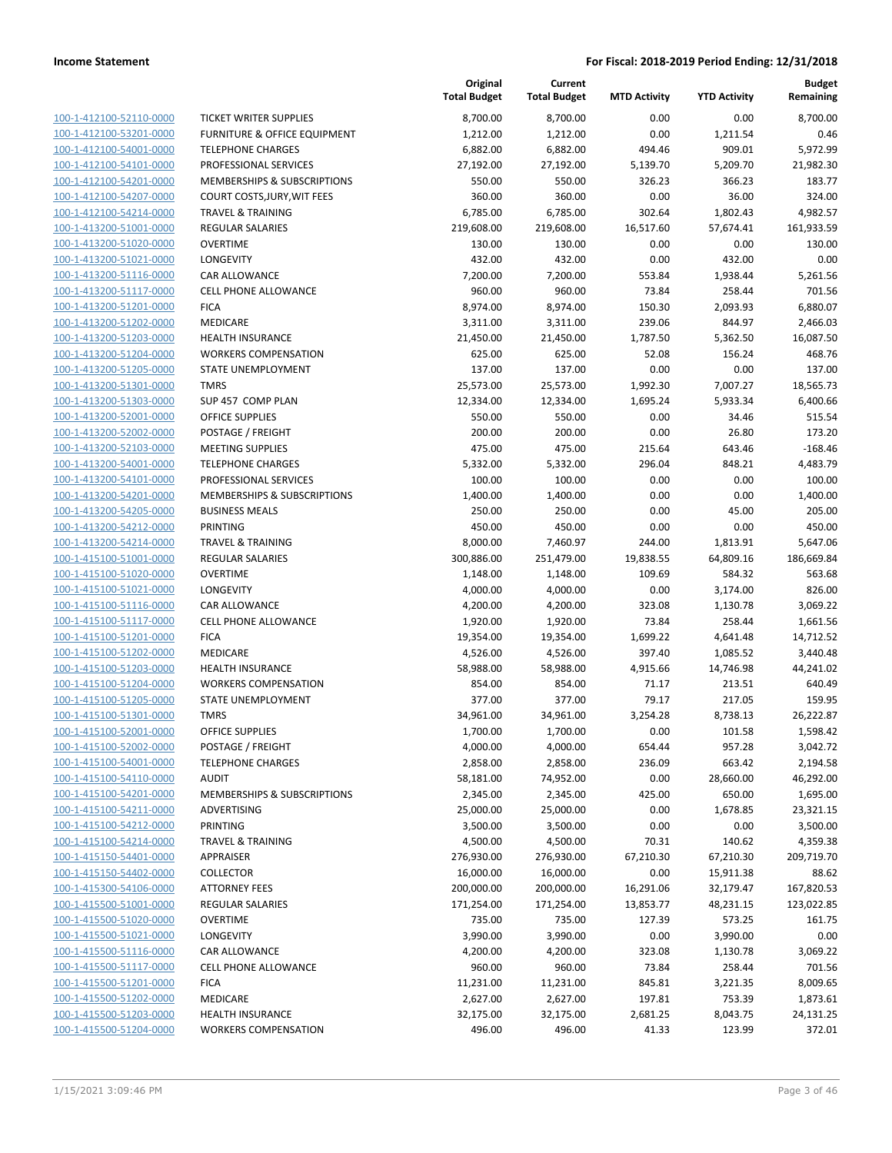|                                                    |                                        | Original<br><b>Total Budget</b> | Current<br><b>Total Budget</b> | <b>MTD Activity</b> | <b>YTD Activity</b> | <b>Budget</b><br>Remaining |
|----------------------------------------------------|----------------------------------------|---------------------------------|--------------------------------|---------------------|---------------------|----------------------------|
| 100-1-412100-52110-0000                            | TICKET WRITER SUPPLIES                 | 8,700.00                        | 8,700.00                       | 0.00                | 0.00                | 8.700.00                   |
| 100-1-412100-53201-0000                            | FURNITURE & OFFICE EQUIPMENT           | 1,212.00                        | 1,212.00                       | 0.00                | 1,211.54            | 0.46                       |
| 100-1-412100-54001-0000                            | <b>TELEPHONE CHARGES</b>               | 6,882.00                        | 6,882.00                       | 494.46              | 909.01              | 5,972.99                   |
| 100-1-412100-54101-0000                            | PROFESSIONAL SERVICES                  | 27,192.00                       | 27,192.00                      | 5,139.70            | 5,209.70            | 21,982.30                  |
| 100-1-412100-54201-0000                            | <b>MEMBERSHIPS &amp; SUBSCRIPTIONS</b> | 550.00                          | 550.00                         | 326.23              | 366.23              | 183.77                     |
| 100-1-412100-54207-0000                            | COURT COSTS, JURY, WIT FEES            | 360.00                          | 360.00                         | 0.00                | 36.00               | 324.00                     |
| 100-1-412100-54214-0000                            | <b>TRAVEL &amp; TRAINING</b>           | 6,785.00                        | 6,785.00                       | 302.64              | 1,802.43            | 4,982.57                   |
| 100-1-413200-51001-0000                            | <b>REGULAR SALARIES</b>                | 219,608.00                      | 219,608.00                     | 16,517.60           | 57,674.41           | 161,933.59                 |
| 100-1-413200-51020-0000                            | <b>OVERTIME</b>                        | 130.00                          | 130.00                         | 0.00                | 0.00                | 130.00                     |
| 100-1-413200-51021-0000                            | LONGEVITY                              | 432.00                          | 432.00                         | 0.00                | 432.00              | 0.00                       |
| 100-1-413200-51116-0000                            | <b>CAR ALLOWANCE</b>                   | 7,200.00                        | 7,200.00                       | 553.84              | 1,938.44            | 5,261.56                   |
| 100-1-413200-51117-0000                            | <b>CELL PHONE ALLOWANCE</b>            | 960.00                          | 960.00                         | 73.84               | 258.44              | 701.56                     |
| 100-1-413200-51201-0000                            | <b>FICA</b>                            | 8,974.00                        | 8,974.00                       | 150.30              | 2,093.93            | 6,880.07                   |
| 100-1-413200-51202-0000                            | MEDICARE                               | 3,311.00                        | 3,311.00                       | 239.06              | 844.97              | 2,466.03                   |
| 100-1-413200-51203-0000                            | <b>HEALTH INSURANCE</b>                | 21,450.00                       | 21,450.00                      | 1,787.50            | 5,362.50            | 16,087.50                  |
| 100-1-413200-51204-0000                            | <b>WORKERS COMPENSATION</b>            | 625.00                          | 625.00                         | 52.08               | 156.24              | 468.76                     |
| 100-1-413200-51205-0000                            | STATE UNEMPLOYMENT                     | 137.00                          | 137.00                         | 0.00                | 0.00                | 137.00                     |
| 100-1-413200-51301-0000                            | <b>TMRS</b>                            | 25,573.00                       | 25,573.00                      | 1,992.30            | 7,007.27            | 18,565.73                  |
| 100-1-413200-51303-0000                            | SUP 457 COMP PLAN                      | 12,334.00                       | 12,334.00                      | 1,695.24            | 5,933.34            | 6,400.66                   |
| 100-1-413200-52001-0000                            | <b>OFFICE SUPPLIES</b>                 | 550.00                          | 550.00                         | 0.00                | 34.46               | 515.54                     |
| 100-1-413200-52002-0000                            | POSTAGE / FREIGHT                      | 200.00                          | 200.00                         | 0.00                | 26.80               | 173.20                     |
| 100-1-413200-52103-0000                            | <b>MEETING SUPPLIES</b>                | 475.00                          | 475.00                         | 215.64              | 643.46              | $-168.46$                  |
| 100-1-413200-54001-0000                            | <b>TELEPHONE CHARGES</b>               | 5,332.00                        | 5,332.00                       | 296.04              | 848.21              | 4,483.79                   |
| 100-1-413200-54101-0000                            | PROFESSIONAL SERVICES                  | 100.00                          | 100.00                         | 0.00                | 0.00                | 100.00                     |
| 100-1-413200-54201-0000                            | <b>MEMBERSHIPS &amp; SUBSCRIPTIONS</b> | 1,400.00                        | 1,400.00                       | 0.00                | 0.00                | 1,400.00                   |
| 100-1-413200-54205-0000                            | <b>BUSINESS MEALS</b>                  | 250.00                          | 250.00                         | 0.00                | 45.00               | 205.00                     |
| 100-1-413200-54212-0000                            | <b>PRINTING</b>                        | 450.00                          | 450.00                         | 0.00                | 0.00                | 450.00                     |
| 100-1-413200-54214-0000                            | <b>TRAVEL &amp; TRAINING</b>           | 8,000.00                        | 7,460.97                       | 244.00              | 1,813.91            | 5,647.06                   |
| 100-1-415100-51001-0000                            | <b>REGULAR SALARIES</b>                | 300,886.00                      | 251,479.00                     | 19,838.55           | 64,809.16           | 186,669.84                 |
| 100-1-415100-51020-0000                            | <b>OVERTIME</b>                        | 1,148.00                        | 1,148.00                       | 109.69              | 584.32              | 563.68                     |
| 100-1-415100-51021-0000                            | LONGEVITY                              | 4,000.00                        | 4,000.00                       | 0.00                | 3,174.00            | 826.00                     |
| 100-1-415100-51116-0000                            | CAR ALLOWANCE                          | 4,200.00                        | 4,200.00                       | 323.08              | 1,130.78            | 3,069.22                   |
| 100-1-415100-51117-0000                            | <b>CELL PHONE ALLOWANCE</b>            | 1,920.00                        | 1,920.00                       | 73.84               | 258.44              | 1,661.56                   |
| 100-1-415100-51201-0000                            | <b>FICA</b>                            | 19,354.00                       | 19,354.00                      | 1,699.22            | 4,641.48            | 14,712.52                  |
| 100-1-415100-51202-0000                            | <b>MEDICARE</b>                        | 4,526.00                        | 4,526.00                       | 397.40              | 1,085.52            | 3,440.48                   |
| 100-1-415100-51203-0000<br>100-1-415100-51204-0000 | <b>HEALTH INSURANCE</b>                | 58,988.00                       | 58,988.00                      | 4,915.66            | 14,746.98           | 44,241.02                  |
|                                                    | <b>WORKERS COMPENSATION</b>            | 854.00<br>377.00                | 854.00                         | 71.17               | 213.51              | 640.49<br>159.95           |
| 100-1-415100-51205-0000<br>100-1-415100-51301-0000 | STATE UNEMPLOYMENT                     |                                 | 377.00                         | 79.17               | 217.05              |                            |
| 100-1-415100-52001-0000                            | <b>TMRS</b><br><b>OFFICE SUPPLIES</b>  | 34,961.00<br>1,700.00           | 34,961.00<br>1,700.00          | 3,254.28<br>0.00    | 8,738.13<br>101.58  | 26,222.87<br>1,598.42      |
| 100-1-415100-52002-0000                            | POSTAGE / FREIGHT                      | 4,000.00                        | 4,000.00                       | 654.44              | 957.28              | 3,042.72                   |
| 100-1-415100-54001-0000                            | <b>TELEPHONE CHARGES</b>               | 2,858.00                        | 2,858.00                       | 236.09              | 663.42              | 2,194.58                   |
| 100-1-415100-54110-0000                            | <b>AUDIT</b>                           | 58,181.00                       | 74,952.00                      | 0.00                | 28,660.00           | 46,292.00                  |
| 100-1-415100-54201-0000                            | MEMBERSHIPS & SUBSCRIPTIONS            | 2,345.00                        | 2,345.00                       | 425.00              | 650.00              | 1,695.00                   |
| 100-1-415100-54211-0000                            | ADVERTISING                            | 25,000.00                       | 25,000.00                      | 0.00                | 1,678.85            | 23,321.15                  |
| 100-1-415100-54212-0000                            | <b>PRINTING</b>                        | 3,500.00                        | 3,500.00                       | 0.00                | 0.00                | 3,500.00                   |
| 100-1-415100-54214-0000                            | <b>TRAVEL &amp; TRAINING</b>           | 4,500.00                        | 4,500.00                       | 70.31               | 140.62              | 4,359.38                   |
| 100-1-415150-54401-0000                            | APPRAISER                              | 276,930.00                      | 276,930.00                     | 67,210.30           | 67,210.30           | 209,719.70                 |
| 100-1-415150-54402-0000                            | <b>COLLECTOR</b>                       | 16,000.00                       | 16,000.00                      | 0.00                | 15,911.38           | 88.62                      |
| 100-1-415300-54106-0000                            | <b>ATTORNEY FEES</b>                   | 200,000.00                      | 200,000.00                     | 16,291.06           | 32,179.47           | 167,820.53                 |
| 100-1-415500-51001-0000                            | REGULAR SALARIES                       | 171,254.00                      | 171,254.00                     | 13,853.77           | 48,231.15           | 123,022.85                 |
| 100-1-415500-51020-0000                            | <b>OVERTIME</b>                        | 735.00                          | 735.00                         | 127.39              | 573.25              | 161.75                     |
| 100-1-415500-51021-0000                            | LONGEVITY                              | 3,990.00                        | 3,990.00                       | 0.00                | 3,990.00            | 0.00                       |
| 100-1-415500-51116-0000                            | CAR ALLOWANCE                          | 4,200.00                        | 4,200.00                       | 323.08              | 1,130.78            | 3,069.22                   |
| 100-1-415500-51117-0000                            | <b>CELL PHONE ALLOWANCE</b>            | 960.00                          | 960.00                         | 73.84               | 258.44              | 701.56                     |
| 100-1-415500-51201-0000                            | <b>FICA</b>                            | 11,231.00                       | 11,231.00                      | 845.81              | 3,221.35            | 8,009.65                   |
| 100-1-415500-51202-0000                            | MEDICARE                               | 2,627.00                        | 2,627.00                       | 197.81              | 753.39              | 1,873.61                   |
| 100-1-415500-51203-0000                            | <b>HEALTH INSURANCE</b>                | 32,175.00                       | 32,175.00                      | 2,681.25            | 8,043.75            | 24,131.25                  |
| 100-1-415500-51204-0000                            | <b>WORKERS COMPENSATION</b>            | 496.00                          | 496.00                         | 41.33               | 123.99              | 372.01                     |
|                                                    |                                        |                                 |                                |                     |                     |                            |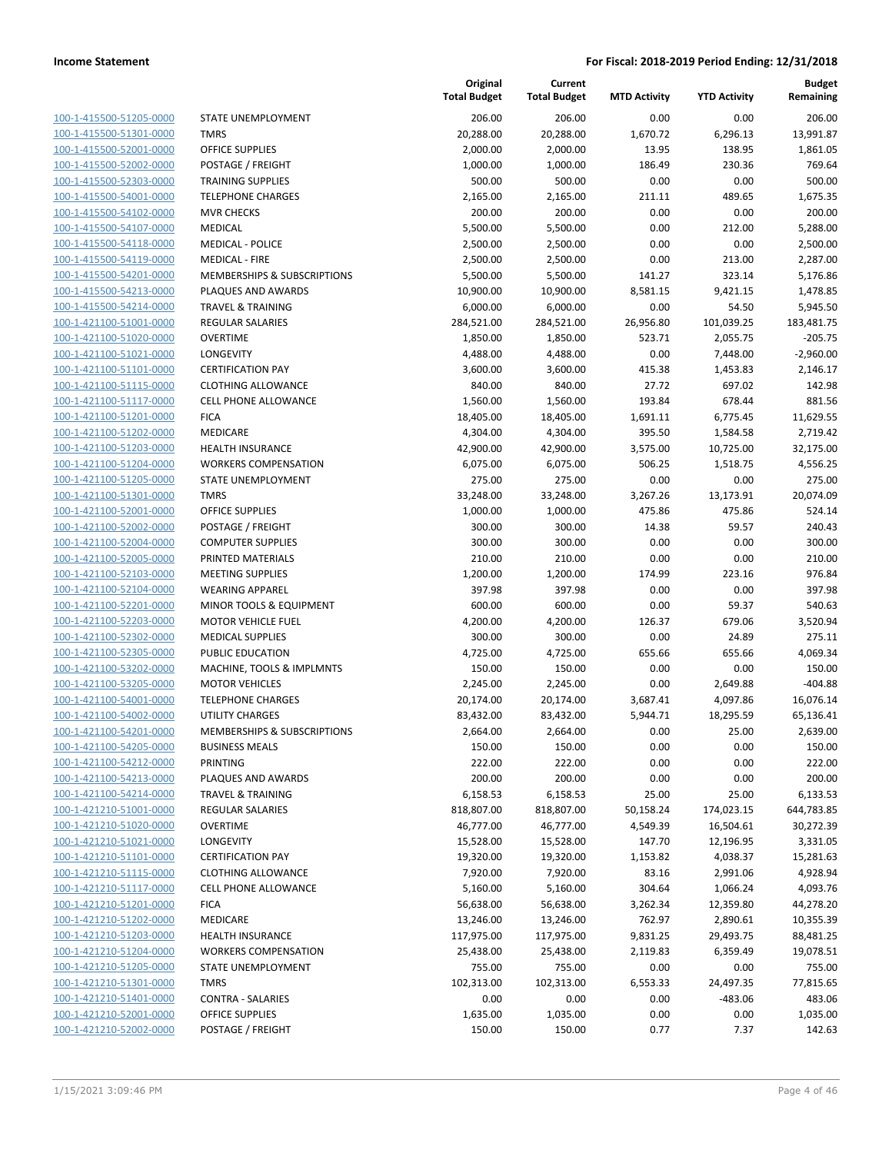| 100-1-415500-51205-0000                            |
|----------------------------------------------------|
| 100-1-415500-51301-0000                            |
| 100-1-415500-52001-0000                            |
| 100-1-415500-52002-0000                            |
| 100-1-415500-52303-0000                            |
| 100-1-415500-54001-0000                            |
| 100-1-415500-54102-0000                            |
| 100-1-415500-54107-0000                            |
| 100-1-415500-54118-0000                            |
| 100-1-415500-54119-0000                            |
| 100-1-415500-54201-0000                            |
| 100-1-415500-54213-0000                            |
| 100-1-415500-54214-0000                            |
| 100-1-421100-51001-0000                            |
| 100-1-421100-51020-0000                            |
| 100-1-421100-51021-0000                            |
| 100-1-421100-51101-0000                            |
| 100-1-421100-51115-0000                            |
| 100-1-421100-51117-0000                            |
| 100-1-421100-51201-0000                            |
| 100-1-421100-51202-0000                            |
| 100-1-421100-51203-0000                            |
| <u>100-1-421100-51204-0000</u>                     |
| 100-1-421100-51205-0000                            |
| 100-1-421100-51301-0000                            |
| 100-1-421100-52001-0000                            |
| 100-1-421100-52002-0000                            |
| 100-1-421100-52004-0000                            |
| 100-1-421100-52005-0000                            |
| 100-1-421100-52103-0000                            |
| 100-1-421100-52104-0000                            |
| 100-1-421100-52201-0000                            |
| <u>100-1-421100-52203-0000</u>                     |
| 100-1-421100-52302-0000                            |
| 100-1-421100-52305-0000                            |
| 100-1-421100-53202-0000                            |
| 100-1-421100-53205-0000                            |
| 100-1-421100-54001-0000                            |
| 100-1-421100-54002-0000                            |
| 100-1-421100-54201-0000                            |
| 100-1-421100-54205-0000                            |
| 100-1-421100-54212-0000                            |
| <u>100-1-421100-54213-0000</u>                     |
| 100-1-421100-54214-0000                            |
| 100-1-421210-51001-0000<br>100-1-421210-51020-0000 |
|                                                    |
| 100-1-421210-51021-0000                            |
| <u>100-1-421210-51101-0000</u>                     |
| 100-1-421210-51115-0000<br>100-1-421210-51117-0000 |
| 100-1-421210-51201-0000                            |
| 100-1-421210-51202-0000                            |
| <u>100-1-421210-51203-0000</u>                     |
| 100-1-421210-51204-0000                            |
| 1-421210-51205-0000<br>100-                        |
| 100-1-421210-51301-0000                            |
| <u>100-1-421210-51401-0000</u>                     |
| <u>100-1-421210-52001-0000</u>                     |
| <u>100-1-421210-52002-0000</u>                     |
|                                                    |

|                         |                              | Original<br><b>Total Budget</b> | Current<br><b>Total Budget</b> | <b>MTD Activity</b> | <b>YTD Activity</b> | <b>Budget</b><br>Remaining |
|-------------------------|------------------------------|---------------------------------|--------------------------------|---------------------|---------------------|----------------------------|
| 100-1-415500-51205-0000 | <b>STATE UNEMPLOYMENT</b>    | 206.00                          | 206.00                         | 0.00                | 0.00                | 206.00                     |
| 100-1-415500-51301-0000 | <b>TMRS</b>                  | 20,288.00                       | 20,288.00                      | 1,670.72            | 6,296.13            | 13,991.87                  |
| 100-1-415500-52001-0000 | <b>OFFICE SUPPLIES</b>       | 2,000.00                        | 2,000.00                       | 13.95               | 138.95              | 1,861.05                   |
| 100-1-415500-52002-0000 | POSTAGE / FREIGHT            | 1,000.00                        | 1,000.00                       | 186.49              | 230.36              | 769.64                     |
| 100-1-415500-52303-0000 | <b>TRAINING SUPPLIES</b>     | 500.00                          | 500.00                         | 0.00                | 0.00                | 500.00                     |
| 100-1-415500-54001-0000 | <b>TELEPHONE CHARGES</b>     | 2,165.00                        | 2,165.00                       | 211.11              | 489.65              | 1,675.35                   |
| 100-1-415500-54102-0000 | <b>MVR CHECKS</b>            | 200.00                          | 200.00                         | 0.00                | 0.00                | 200.00                     |
| 100-1-415500-54107-0000 | <b>MEDICAL</b>               | 5,500.00                        | 5,500.00                       | 0.00                | 212.00              | 5,288.00                   |
| 100-1-415500-54118-0000 | <b>MEDICAL - POLICE</b>      | 2,500.00                        | 2,500.00                       | 0.00                | 0.00                | 2,500.00                   |
| 100-1-415500-54119-0000 | <b>MEDICAL - FIRE</b>        | 2,500.00                        | 2,500.00                       | 0.00                | 213.00              | 2,287.00                   |
| 100-1-415500-54201-0000 | MEMBERSHIPS & SUBSCRIPTIONS  | 5,500.00                        | 5,500.00                       | 141.27              | 323.14              | 5,176.86                   |
| 100-1-415500-54213-0000 | PLAQUES AND AWARDS           | 10,900.00                       | 10,900.00                      | 8,581.15            | 9,421.15            | 1,478.85                   |
| 100-1-415500-54214-0000 | <b>TRAVEL &amp; TRAINING</b> | 6,000.00                        | 6,000.00                       | 0.00                | 54.50               | 5,945.50                   |
| 100-1-421100-51001-0000 | <b>REGULAR SALARIES</b>      | 284,521.00                      | 284,521.00                     | 26,956.80           | 101,039.25          | 183,481.75                 |
| 100-1-421100-51020-0000 | <b>OVERTIME</b>              | 1,850.00                        | 1,850.00                       | 523.71              | 2,055.75            | $-205.75$                  |
| 100-1-421100-51021-0000 | LONGEVITY                    | 4,488.00                        | 4,488.00                       | 0.00                | 7,448.00            | $-2,960.00$                |
| 100-1-421100-51101-0000 | <b>CERTIFICATION PAY</b>     | 3,600.00                        | 3,600.00                       | 415.38              | 1,453.83            | 2,146.17                   |
| 100-1-421100-51115-0000 | <b>CLOTHING ALLOWANCE</b>    | 840.00                          | 840.00                         | 27.72               | 697.02              | 142.98                     |
| 100-1-421100-51117-0000 | <b>CELL PHONE ALLOWANCE</b>  | 1,560.00                        | 1,560.00                       | 193.84              | 678.44              | 881.56                     |
| 100-1-421100-51201-0000 | <b>FICA</b>                  | 18,405.00                       | 18,405.00                      | 1,691.11            | 6,775.45            | 11,629.55                  |
| 100-1-421100-51202-0000 | MEDICARE                     | 4,304.00                        | 4,304.00                       | 395.50              | 1,584.58            | 2,719.42                   |
| 100-1-421100-51203-0000 | <b>HEALTH INSURANCE</b>      | 42,900.00                       | 42,900.00                      | 3,575.00            | 10,725.00           | 32,175.00                  |
| 100-1-421100-51204-0000 | <b>WORKERS COMPENSATION</b>  | 6,075.00                        | 6,075.00                       | 506.25              | 1,518.75            | 4,556.25                   |
| 100-1-421100-51205-0000 | STATE UNEMPLOYMENT           | 275.00                          | 275.00                         | 0.00                | 0.00                | 275.00                     |
| 100-1-421100-51301-0000 | <b>TMRS</b>                  | 33,248.00                       | 33,248.00                      | 3,267.26            | 13,173.91           | 20,074.09                  |
| 100-1-421100-52001-0000 | <b>OFFICE SUPPLIES</b>       | 1,000.00                        | 1,000.00                       | 475.86              | 475.86              | 524.14                     |
| 100-1-421100-52002-0000 | POSTAGE / FREIGHT            | 300.00                          | 300.00                         | 14.38               | 59.57               | 240.43                     |
| 100-1-421100-52004-0000 | <b>COMPUTER SUPPLIES</b>     | 300.00                          | 300.00                         | 0.00                | 0.00                | 300.00                     |
| 100-1-421100-52005-0000 | PRINTED MATERIALS            | 210.00                          | 210.00                         | 0.00                | 0.00                | 210.00                     |
| 100-1-421100-52103-0000 | <b>MEETING SUPPLIES</b>      | 1,200.00                        | 1,200.00                       | 174.99              | 223.16              | 976.84                     |
| 100-1-421100-52104-0000 | <b>WEARING APPAREL</b>       | 397.98                          | 397.98                         | 0.00                | 0.00                | 397.98                     |
| 100-1-421100-52201-0000 | MINOR TOOLS & EQUIPMENT      | 600.00                          | 600.00                         | 0.00                | 59.37               | 540.63                     |
| 100-1-421100-52203-0000 | <b>MOTOR VEHICLE FUEL</b>    | 4,200.00                        | 4,200.00                       | 126.37              | 679.06              | 3,520.94                   |
| 100-1-421100-52302-0000 | <b>MEDICAL SUPPLIES</b>      | 300.00                          | 300.00                         | 0.00                | 24.89               | 275.11                     |
| 100-1-421100-52305-0000 | PUBLIC EDUCATION             | 4,725.00                        | 4,725.00                       | 655.66              | 655.66              | 4,069.34                   |
| 100-1-421100-53202-0000 | MACHINE, TOOLS & IMPLMNTS    | 150.00                          | 150.00                         | 0.00                | 0.00                | 150.00                     |
| 100-1-421100-53205-0000 | <b>MOTOR VEHICLES</b>        | 2,245.00                        | 2,245.00                       | 0.00                | 2,649.88            | $-404.88$                  |
| 100-1-421100-54001-0000 | <b>TELEPHONE CHARGES</b>     | 20,174.00                       | 20,174.00                      | 3,687.41            | 4,097.86            | 16,076.14                  |
| 100-1-421100-54002-0000 | UTILITY CHARGES              | 83,432.00                       | 83,432.00                      | 5,944.71            | 18,295.59           | 65,136.41                  |
| 100-1-421100-54201-0000 | MEMBERSHIPS & SUBSCRIPTIONS  | 2,664.00                        | 2,664.00                       | 0.00                | 25.00               | 2,639.00                   |
| 100-1-421100-54205-0000 | <b>BUSINESS MEALS</b>        | 150.00                          | 150.00                         | 0.00                | 0.00                | 150.00                     |
| 100-1-421100-54212-0000 | <b>PRINTING</b>              | 222.00                          | 222.00                         | 0.00                | 0.00                | 222.00                     |
| 100-1-421100-54213-0000 | PLAQUES AND AWARDS           | 200.00                          | 200.00                         | 0.00                | 0.00                | 200.00                     |
| 100-1-421100-54214-0000 | <b>TRAVEL &amp; TRAINING</b> | 6,158.53                        | 6,158.53                       | 25.00               | 25.00               | 6,133.53                   |
| 100-1-421210-51001-0000 | REGULAR SALARIES             | 818,807.00                      | 818,807.00                     | 50,158.24           | 174,023.15          | 644,783.85                 |
| 100-1-421210-51020-0000 | <b>OVERTIME</b>              | 46,777.00                       | 46,777.00                      | 4,549.39            | 16,504.61           | 30,272.39                  |
| 100-1-421210-51021-0000 | LONGEVITY                    | 15,528.00                       | 15,528.00                      | 147.70              | 12,196.95           | 3,331.05                   |
| 100-1-421210-51101-0000 | <b>CERTIFICATION PAY</b>     | 19,320.00                       | 19,320.00                      | 1,153.82            | 4,038.37            | 15,281.63                  |
| 100-1-421210-51115-0000 | <b>CLOTHING ALLOWANCE</b>    | 7,920.00                        | 7,920.00                       | 83.16               | 2,991.06            | 4,928.94                   |
| 100-1-421210-51117-0000 | <b>CELL PHONE ALLOWANCE</b>  | 5,160.00                        | 5,160.00                       | 304.64              | 1,066.24            | 4,093.76                   |
| 100-1-421210-51201-0000 | <b>FICA</b>                  | 56,638.00                       | 56,638.00                      | 3,262.34            | 12,359.80           | 44,278.20                  |
| 100-1-421210-51202-0000 | MEDICARE                     | 13,246.00                       | 13,246.00                      | 762.97              | 2,890.61            | 10,355.39                  |
| 100-1-421210-51203-0000 | <b>HEALTH INSURANCE</b>      | 117,975.00                      | 117,975.00                     | 9,831.25            | 29,493.75           | 88,481.25                  |
| 100-1-421210-51204-0000 | <b>WORKERS COMPENSATION</b>  | 25,438.00                       | 25,438.00                      | 2,119.83            | 6,359.49            | 19,078.51                  |
| 100-1-421210-51205-0000 | STATE UNEMPLOYMENT           | 755.00                          | 755.00                         | 0.00                | 0.00                | 755.00                     |
| 100-1-421210-51301-0000 | <b>TMRS</b>                  | 102,313.00                      | 102,313.00                     | 6,553.33            | 24,497.35           | 77,815.65                  |
| 100-1-421210-51401-0000 | <b>CONTRA - SALARIES</b>     | 0.00                            | 0.00                           | 0.00                | $-483.06$           | 483.06                     |
| 100-1-421210-52001-0000 | <b>OFFICE SUPPLIES</b>       | 1,635.00                        | 1,035.00                       | 0.00                | 0.00                | 1,035.00                   |
| 100-1-421210-52002-0000 | POSTAGE / FREIGHT            | 150.00                          | 150.00                         | 0.77                | 7.37                | 142.63                     |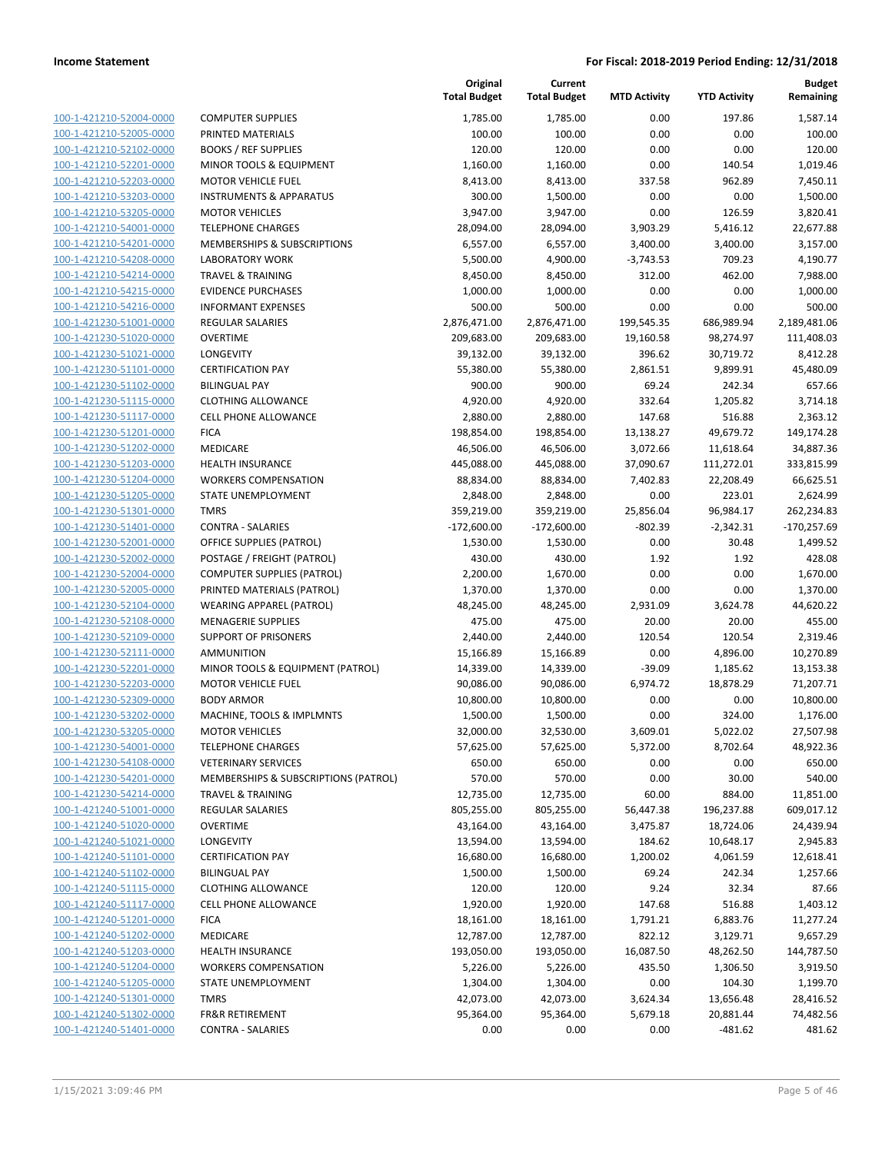| 100-1-421210-52004-0000        |
|--------------------------------|
| 100-1-421210-52005-0000        |
| 100-1-421210-52102-0000        |
| 100-1-421210-52201-0000        |
| 100-1-421210-52203-0000        |
| 100-1-421210-53203-0000        |
| 100-1-421210-53205-0000        |
| 100-1-421210-54001-0000        |
| 100-1-421210-54201-0000        |
| 100-1-421210-54208-0000        |
|                                |
| 100-1-421210-54214-0000        |
| 100-1-421210-54215-0000        |
| 100-1-421210-54216-0000        |
| 100-1-421230-51001-0000        |
| 100-1-421230-51020-0000        |
| 100-1-421230-51021-0000        |
| 100-1-421230-51101-0000        |
| 100-1-421230-51102-0000        |
| 100-1-421230-51115-0000        |
| 100-1-421230-51117-0000        |
| 100-1-421230-51201-0000        |
| 100-1-421230-51202-0000        |
| 100-1-421230-51203-0000        |
|                                |
| 100-1-421230-51204-0000        |
| 100-1-421230-51205-0000        |
| 100-1-421230-51301-0000        |
| 100-1-421230-51401-0000        |
| 100-1-421230-52001-0000        |
| 100-1-421230-52002-0000        |
| 100-1-421230-52004-0000        |
| 100-1-421230-52005-0000        |
| 100-1-421230-52104-0000        |
| 100-1-421230-52108-0000        |
| 100-1-421230-52109-0000        |
| 100-1-421230-52111-0000        |
| 100-1-421230-52201-0000        |
| 100-1-421230-52203-0000        |
| 100-1-421230-52309-0000        |
| 100-1-421230-53202-0000        |
| 100-1-421230-53205-0000        |
|                                |
| 100-1-421230-54001-0000        |
| 100-1-421230-54108-0000        |
| <u>100-1-421230-54201-0000</u> |
| <u>100-1-421230-54214-0000</u> |
| 100-1-421240-51001-0000        |
| 100-1-421240-51020-0000        |
| 100-1-421240-51021-0000        |
| <u>100-1-421240-51101-0000</u> |
| 100-1-421240-51102-0000        |
| 100-1-421240-51115-0000        |
| 100-1-421240-51117-0000        |
| 100-1-421240-51201-0000        |
|                                |
| 100-1-421240-51202-0000        |
| 100-1-421240-51203-0000        |
| 100-1-421240-51204-0000        |
| 100-1-421240-51205-0000        |
| 100-1-421240-51301-0000        |
|                                |
| 100-1-421240-51302-0000        |

|                                                    |                                                  | Original<br><b>Total Budget</b> | Current<br><b>Total Budget</b> | <b>MTD Activity</b> | <b>YTD Activity</b>  | <b>Budget</b><br>Remaining |
|----------------------------------------------------|--------------------------------------------------|---------------------------------|--------------------------------|---------------------|----------------------|----------------------------|
| 100-1-421210-52004-0000                            | <b>COMPUTER SUPPLIES</b>                         | 1,785.00                        | 1,785.00                       | 0.00                | 197.86               | 1,587.14                   |
| 100-1-421210-52005-0000                            | PRINTED MATERIALS                                | 100.00                          | 100.00                         | 0.00                | 0.00                 | 100.00                     |
| 100-1-421210-52102-0000                            | <b>BOOKS / REF SUPPLIES</b>                      | 120.00                          | 120.00                         | 0.00                | 0.00                 | 120.00                     |
| 100-1-421210-52201-0000                            | MINOR TOOLS & EQUIPMENT                          | 1,160.00                        | 1,160.00                       | 0.00                | 140.54               | 1,019.46                   |
| 100-1-421210-52203-0000                            | <b>MOTOR VEHICLE FUEL</b>                        | 8,413.00                        | 8,413.00                       | 337.58              | 962.89               | 7,450.11                   |
| 100-1-421210-53203-0000                            | <b>INSTRUMENTS &amp; APPARATUS</b>               | 300.00                          | 1,500.00                       | 0.00                | 0.00                 | 1,500.00                   |
| 100-1-421210-53205-0000                            | <b>MOTOR VEHICLES</b>                            | 3,947.00                        | 3,947.00                       | 0.00                | 126.59               | 3,820.41                   |
| 100-1-421210-54001-0000                            | <b>TELEPHONE CHARGES</b>                         | 28,094.00                       | 28,094.00                      | 3,903.29            | 5,416.12             | 22,677.88                  |
| 100-1-421210-54201-0000                            | MEMBERSHIPS & SUBSCRIPTIONS                      | 6,557.00                        | 6,557.00                       | 3,400.00            | 3,400.00             | 3,157.00                   |
| 100-1-421210-54208-0000                            | <b>LABORATORY WORK</b>                           | 5,500.00                        | 4,900.00                       | $-3,743.53$         | 709.23               | 4,190.77                   |
| 100-1-421210-54214-0000                            | <b>TRAVEL &amp; TRAINING</b>                     | 8,450.00                        | 8,450.00                       | 312.00              | 462.00               | 7,988.00                   |
| 100-1-421210-54215-0000                            | <b>EVIDENCE PURCHASES</b>                        | 1,000.00                        | 1,000.00                       | 0.00                | 0.00                 | 1,000.00                   |
| 100-1-421210-54216-0000                            | <b>INFORMANT EXPENSES</b>                        | 500.00                          | 500.00                         | 0.00                | 0.00                 | 500.00                     |
| 100-1-421230-51001-0000                            | REGULAR SALARIES                                 | 2,876,471.00                    | 2,876,471.00                   | 199,545.35          | 686,989.94           | 2,189,481.06               |
| 100-1-421230-51020-0000                            | <b>OVERTIME</b>                                  | 209,683.00                      | 209,683.00                     | 19,160.58           | 98,274.97            | 111,408.03                 |
| 100-1-421230-51021-0000                            | LONGEVITY                                        | 39,132.00                       | 39,132.00                      | 396.62              | 30,719.72            | 8,412.28                   |
| 100-1-421230-51101-0000                            | <b>CERTIFICATION PAY</b>                         | 55,380.00                       | 55,380.00                      | 2,861.51            | 9,899.91             | 45,480.09                  |
| 100-1-421230-51102-0000                            | <b>BILINGUAL PAY</b>                             | 900.00                          | 900.00                         | 69.24               | 242.34               | 657.66                     |
| 100-1-421230-51115-0000                            | <b>CLOTHING ALLOWANCE</b>                        | 4,920.00                        | 4,920.00                       | 332.64              | 1,205.82             | 3,714.18                   |
| 100-1-421230-51117-0000                            | CELL PHONE ALLOWANCE                             | 2,880.00                        | 2,880.00                       | 147.68              | 516.88               | 2,363.12                   |
| 100-1-421230-51201-0000                            | <b>FICA</b>                                      | 198,854.00                      | 198,854.00                     | 13,138.27           | 49,679.72            | 149,174.28                 |
| 100-1-421230-51202-0000                            | MEDICARE                                         | 46,506.00                       | 46,506.00                      | 3,072.66            | 11,618.64            | 34,887.36                  |
| 100-1-421230-51203-0000                            | <b>HEALTH INSURANCE</b>                          | 445,088.00                      | 445,088.00                     | 37,090.67           | 111,272.01           | 333,815.99                 |
| 100-1-421230-51204-0000                            | <b>WORKERS COMPENSATION</b>                      | 88,834.00                       | 88,834.00                      | 7,402.83            | 22,208.49            | 66,625.51                  |
| 100-1-421230-51205-0000                            | STATE UNEMPLOYMENT                               | 2,848.00                        | 2,848.00                       | 0.00                | 223.01               | 2,624.99                   |
| 100-1-421230-51301-0000                            | <b>TMRS</b>                                      | 359,219.00                      | 359,219.00                     | 25,856.04           | 96,984.17            | 262,234.83                 |
| 100-1-421230-51401-0000                            | <b>CONTRA - SALARIES</b>                         | $-172,600.00$                   | $-172,600.00$                  | $-802.39$           | $-2,342.31$          | $-170,257.69$              |
| 100-1-421230-52001-0000                            | <b>OFFICE SUPPLIES (PATROL)</b>                  | 1,530.00                        | 1,530.00                       | 0.00                | 30.48                | 1,499.52                   |
| 100-1-421230-52002-0000                            | POSTAGE / FREIGHT (PATROL)                       | 430.00                          | 430.00                         | 1.92                | 1.92                 | 428.08                     |
| 100-1-421230-52004-0000                            | <b>COMPUTER SUPPLIES (PATROL)</b>                | 2,200.00                        | 1,670.00                       | 0.00                | 0.00                 | 1,670.00                   |
| 100-1-421230-52005-0000                            | PRINTED MATERIALS (PATROL)                       | 1,370.00                        | 1,370.00                       | 0.00                | 0.00                 | 1,370.00                   |
| 100-1-421230-52104-0000                            | <b>WEARING APPAREL (PATROL)</b>                  | 48,245.00                       | 48,245.00                      | 2,931.09            | 3,624.78             | 44,620.22                  |
| 100-1-421230-52108-0000                            | <b>MENAGERIE SUPPLIES</b>                        | 475.00                          | 475.00                         | 20.00               | 20.00                | 455.00                     |
| 100-1-421230-52109-0000                            | <b>SUPPORT OF PRISONERS</b>                      | 2,440.00                        | 2,440.00                       | 120.54              | 120.54               | 2,319.46                   |
| 100-1-421230-52111-0000                            | <b>AMMUNITION</b>                                | 15,166.89                       | 15,166.89                      | 0.00                | 4,896.00             | 10,270.89                  |
| 100-1-421230-52201-0000                            | MINOR TOOLS & EQUIPMENT (PATROL)                 | 14,339.00                       | 14,339.00                      | $-39.09$            | 1,185.62             | 13,153.38                  |
| 100-1-421230-52203-0000                            | <b>MOTOR VEHICLE FUEL</b>                        | 90,086.00                       | 90,086.00                      | 6,974.72            | 18,878.29            | 71,207.71                  |
| 100-1-421230-52309-0000                            | <b>BODY ARMOR</b>                                | 10,800.00                       | 10,800.00                      | 0.00                | 0.00                 | 10,800.00                  |
| 100-1-421230-53202-0000                            | MACHINE, TOOLS & IMPLMNTS                        | 1,500.00                        | 1,500.00                       | 0.00                | 324.00               | 1,176.00                   |
| 100-1-421230-53205-0000                            | <b>MOTOR VEHICLES</b>                            | 32,000.00                       | 32,530.00                      | 3,609.01            | 5,022.02             | 27,507.98                  |
| 100-1-421230-54001-0000<br>100-1-421230-54108-0000 | <b>TELEPHONE CHARGES</b>                         | 57,625.00                       | 57,625.00                      | 5,372.00            | 8,702.64             | 48,922.36                  |
| 100-1-421230-54201-0000                            | <b>VETERINARY SERVICES</b>                       | 650.00                          | 650.00                         | 0.00                | 0.00                 | 650.00                     |
| 100-1-421230-54214-0000                            | MEMBERSHIPS & SUBSCRIPTIONS (PATROL)             | 570.00                          | 570.00                         | 0.00                | 30.00                | 540.00<br>11,851.00        |
| 100-1-421240-51001-0000                            | <b>TRAVEL &amp; TRAINING</b><br>REGULAR SALARIES | 12,735.00<br>805,255.00         | 12,735.00<br>805,255.00        | 60.00<br>56,447.38  | 884.00<br>196,237.88 | 609,017.12                 |
| 100-1-421240-51020-0000                            | <b>OVERTIME</b>                                  | 43,164.00                       | 43,164.00                      | 3,475.87            | 18,724.06            | 24,439.94                  |
| 100-1-421240-51021-0000                            | LONGEVITY                                        | 13,594.00                       | 13,594.00                      | 184.62              | 10,648.17            | 2,945.83                   |
| 100-1-421240-51101-0000                            | <b>CERTIFICATION PAY</b>                         | 16,680.00                       | 16,680.00                      | 1,200.02            | 4,061.59             | 12,618.41                  |
| 100-1-421240-51102-0000                            | <b>BILINGUAL PAY</b>                             | 1,500.00                        | 1,500.00                       | 69.24               | 242.34               | 1,257.66                   |
| 100-1-421240-51115-0000                            | <b>CLOTHING ALLOWANCE</b>                        | 120.00                          | 120.00                         | 9.24                | 32.34                | 87.66                      |
| 100-1-421240-51117-0000                            | <b>CELL PHONE ALLOWANCE</b>                      | 1,920.00                        | 1,920.00                       | 147.68              | 516.88               | 1,403.12                   |
| 100-1-421240-51201-0000                            | <b>FICA</b>                                      | 18,161.00                       | 18,161.00                      | 1,791.21            | 6,883.76             | 11,277.24                  |
| 100-1-421240-51202-0000                            | MEDICARE                                         | 12,787.00                       | 12,787.00                      | 822.12              | 3,129.71             | 9,657.29                   |
| 100-1-421240-51203-0000                            | <b>HEALTH INSURANCE</b>                          | 193,050.00                      | 193,050.00                     | 16,087.50           | 48,262.50            | 144,787.50                 |
| 100-1-421240-51204-0000                            | <b>WORKERS COMPENSATION</b>                      | 5,226.00                        | 5,226.00                       | 435.50              | 1,306.50             | 3,919.50                   |
| 100-1-421240-51205-0000                            | STATE UNEMPLOYMENT                               | 1,304.00                        | 1,304.00                       | 0.00                | 104.30               | 1,199.70                   |
| 100-1-421240-51301-0000                            | <b>TMRS</b>                                      | 42,073.00                       | 42,073.00                      | 3,624.34            | 13,656.48            | 28,416.52                  |
| 100-1-421240-51302-0000                            | <b>FR&amp;R RETIREMENT</b>                       | 95,364.00                       | 95,364.00                      | 5,679.18            | 20,881.44            | 74,482.56                  |
| 100-1-421240-51401-0000                            | <b>CONTRA - SALARIES</b>                         | 0.00                            | 0.00                           | 0.00                | $-481.62$            | 481.62                     |
|                                                    |                                                  |                                 |                                |                     |                      |                            |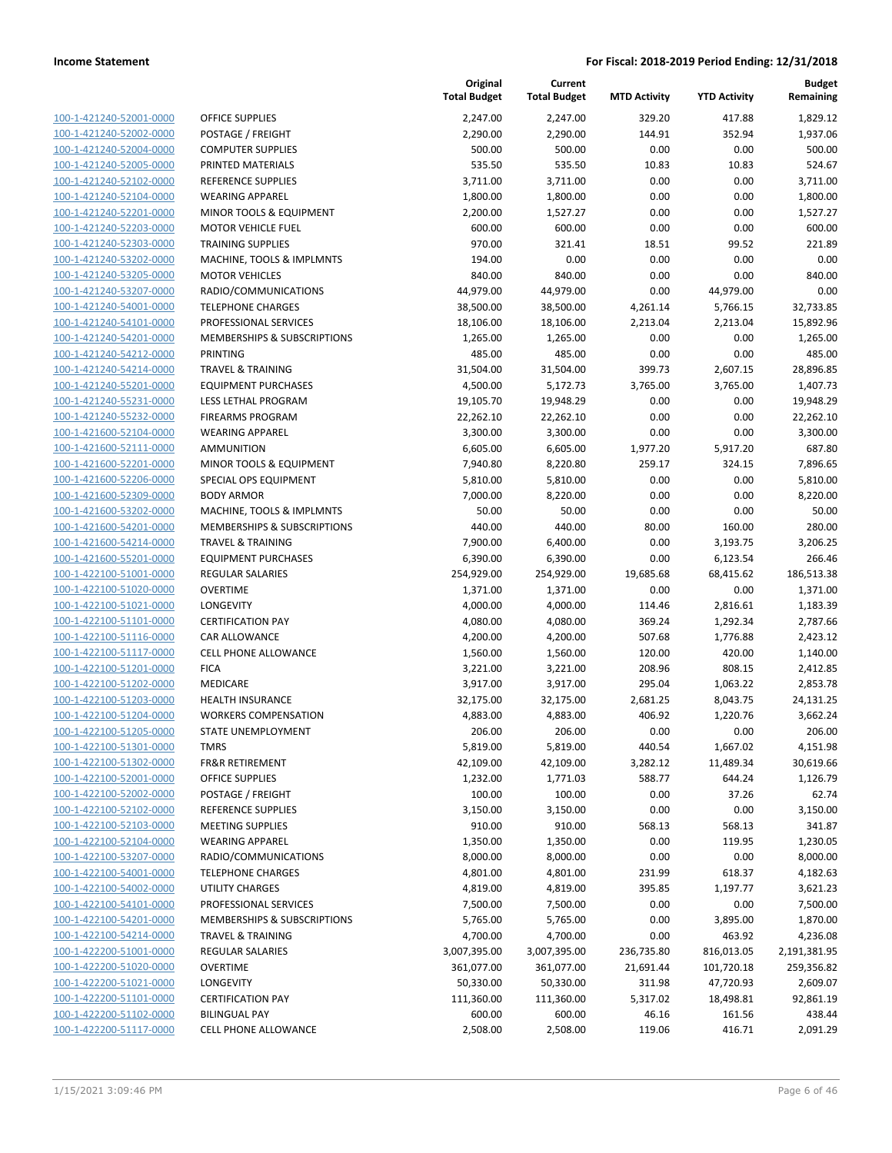| 100-1-421240-52001-0000        |
|--------------------------------|
| 100-1-421240-52002-0000        |
| 100-1-421240-52004-0000        |
| <u>100-1-421240-52005-0000</u> |
| 100-1-421240-52102-0000        |
| 100-1-421240-52104-0000        |
| 100-1-421240-52201-0000        |
| 100-1-421240-52203-0000        |
| <u>100-1-421240-52303-0000</u> |
| 100-1-421240-53202-0000        |
| 100-1-421240-53205-0000        |
| 100-1-421240-53207-0000        |
| 100-1-421240-54001-0000        |
| <u>100-1-421240-54101-0000</u> |
| 100-1-421240-54201-0000        |
| 100-1-421240-54212-0000        |
| 100-1-421240-54214-0000        |
| 100-1-421240-55201-0000        |
| 100-1-421240-55231-0000        |
| 100-1-421240-55232-0000        |
| 100-1-421600-52104-0000        |
| 100-1-421600-52111-0000        |
|                                |
| 100-1-421600-52201-0000        |
| <u>100-1-421600-52206-0000</u> |
| 100-1-421600-52309-0000        |
| 100-1-421600-53202-0000        |
| 100-1-421600-54201-0000        |
| 100-1-421600-54214-0000        |
| 100-1-421600-55201-0000        |
| 100-1-422100-51001-0000        |
| 100-1-422100-51020-0000        |
| 100-1-422100-51021-0000        |
| 100-1-422100-51101-0000        |
| <u>100-1-422100-51116-0000</u> |
| 100-1-422100-51117-0000        |
| 100-1-422100-51201-0000        |
| 100-1-422100-51202-0000        |
| 100-1-422100-51203-0000        |
| <u>100-1-422100-51204-0000</u> |
| 100-1-422100-51205-0000        |
| 100-1-422100-51301-0000        |
| 100-1-422100-51302-0000        |
| <u>100-1-422100-52001-0000</u> |
| 100-1-422100-52002-0000        |
| <u>100-1-422100-52102-0000</u> |
| 100-1-422100-52103-0000        |
| 100-1-422100-52104-0000        |
| <u>100-1-422100-53207-0000</u> |
| <u>100-1-422100-54001-0000</u> |
| <u>100-1-422100-54002-0000</u> |
| 100-1-422100-54101-0000        |
| 100-1-422100-54201-0000        |
| <u>100-1-422100-54214-0000</u> |
| <u>100-1-422200-51001-0000</u> |
| <u>100-1-422200-51020-0000</u> |
| 100-1-422200-51021-0000        |
| 100-1-422200-51101-0000        |
| <u>100-1-422200-51102-0000</u> |
| <u>100-1-422200-51117-0000</u> |
|                                |

|                                                    |                                                     | Original<br><b>Total Budget</b> | Current<br><b>Total Budget</b> | <b>MTD Activity</b> | <b>YTD Activity</b> | <b>Budget</b><br>Remaining |
|----------------------------------------------------|-----------------------------------------------------|---------------------------------|--------------------------------|---------------------|---------------------|----------------------------|
| 100-1-421240-52001-0000                            | <b>OFFICE SUPPLIES</b>                              | 2,247.00                        | 2,247.00                       | 329.20              | 417.88              | 1,829.12                   |
| 100-1-421240-52002-0000                            | POSTAGE / FREIGHT                                   | 2,290.00                        | 2,290.00                       | 144.91              | 352.94              | 1,937.06                   |
| 100-1-421240-52004-0000                            | <b>COMPUTER SUPPLIES</b>                            | 500.00                          | 500.00                         | 0.00                | 0.00                | 500.00                     |
| 100-1-421240-52005-0000                            | PRINTED MATERIALS                                   | 535.50                          | 535.50                         | 10.83               | 10.83               | 524.67                     |
| 100-1-421240-52102-0000                            | <b>REFERENCE SUPPLIES</b>                           | 3,711.00                        | 3,711.00                       | 0.00                | 0.00                | 3,711.00                   |
| 100-1-421240-52104-0000                            | <b>WEARING APPAREL</b>                              | 1,800.00                        | 1,800.00                       | 0.00                | 0.00                | 1,800.00                   |
| 100-1-421240-52201-0000                            | MINOR TOOLS & EQUIPMENT                             | 2,200.00                        | 1,527.27                       | 0.00                | 0.00                | 1,527.27                   |
| 100-1-421240-52203-0000                            | <b>MOTOR VEHICLE FUEL</b>                           | 600.00                          | 600.00                         | 0.00                | 0.00                | 600.00                     |
| 100-1-421240-52303-0000                            | <b>TRAINING SUPPLIES</b>                            | 970.00                          | 321.41                         | 18.51               | 99.52               | 221.89                     |
| 100-1-421240-53202-0000                            | MACHINE, TOOLS & IMPLMNTS                           | 194.00                          | 0.00                           | 0.00                | 0.00                | 0.00                       |
| 100-1-421240-53205-0000                            | <b>MOTOR VEHICLES</b>                               | 840.00                          | 840.00                         | 0.00                | 0.00                | 840.00                     |
| 100-1-421240-53207-0000                            | RADIO/COMMUNICATIONS                                | 44,979.00                       | 44,979.00                      | 0.00                | 44,979.00           | 0.00                       |
| 100-1-421240-54001-0000                            | <b>TELEPHONE CHARGES</b>                            | 38,500.00                       | 38,500.00                      | 4,261.14            | 5,766.15            | 32,733.85                  |
| 100-1-421240-54101-0000                            | PROFESSIONAL SERVICES                               | 18,106.00                       | 18,106.00                      | 2,213.04            | 2,213.04            | 15,892.96                  |
| 100-1-421240-54201-0000                            | MEMBERSHIPS & SUBSCRIPTIONS                         | 1,265.00                        | 1,265.00                       | 0.00                | 0.00                | 1,265.00                   |
| 100-1-421240-54212-0000                            | PRINTING                                            | 485.00                          | 485.00                         | 0.00                | 0.00                | 485.00                     |
| 100-1-421240-54214-0000                            | <b>TRAVEL &amp; TRAINING</b>                        | 31,504.00                       | 31,504.00                      | 399.73              | 2,607.15            | 28,896.85                  |
| 100-1-421240-55201-0000                            | <b>EQUIPMENT PURCHASES</b>                          | 4,500.00                        | 5,172.73                       | 3,765.00            | 3,765.00            | 1,407.73                   |
| 100-1-421240-55231-0000                            | LESS LETHAL PROGRAM                                 | 19,105.70                       | 19,948.29                      | 0.00                | 0.00                | 19,948.29                  |
| 100-1-421240-55232-0000                            | <b>FIREARMS PROGRAM</b>                             | 22,262.10                       | 22,262.10                      | 0.00                | 0.00                | 22,262.10                  |
| 100-1-421600-52104-0000                            | <b>WEARING APPAREL</b>                              | 3,300.00                        | 3,300.00                       | 0.00                | 0.00                | 3,300.00                   |
| 100-1-421600-52111-0000                            | <b>AMMUNITION</b>                                   | 6,605.00                        | 6,605.00                       | 1,977.20            | 5,917.20            | 687.80                     |
| 100-1-421600-52201-0000                            | MINOR TOOLS & EQUIPMENT                             | 7,940.80                        | 8,220.80                       | 259.17              | 324.15              | 7,896.65                   |
| 100-1-421600-52206-0000                            | SPECIAL OPS EQUIPMENT                               | 5,810.00                        | 5,810.00                       | 0.00                | 0.00                | 5,810.00                   |
| 100-1-421600-52309-0000                            | <b>BODY ARMOR</b>                                   | 7,000.00                        | 8,220.00                       | 0.00                | 0.00                | 8,220.00                   |
| 100-1-421600-53202-0000                            | MACHINE, TOOLS & IMPLMNTS                           | 50.00                           | 50.00                          | 0.00                | 0.00                | 50.00                      |
| 100-1-421600-54201-0000                            | MEMBERSHIPS & SUBSCRIPTIONS                         | 440.00                          | 440.00                         | 80.00               | 160.00              | 280.00                     |
| 100-1-421600-54214-0000                            | <b>TRAVEL &amp; TRAINING</b>                        | 7,900.00                        | 6,400.00                       | 0.00                | 3,193.75            | 3,206.25                   |
| 100-1-421600-55201-0000                            | <b>EQUIPMENT PURCHASES</b>                          | 6,390.00                        | 6,390.00                       | 0.00                | 6,123.54            | 266.46                     |
| 100-1-422100-51001-0000                            | <b>REGULAR SALARIES</b>                             | 254,929.00                      | 254,929.00                     | 19,685.68           | 68,415.62           | 186,513.38                 |
| 100-1-422100-51020-0000                            | <b>OVERTIME</b>                                     | 1,371.00                        | 1,371.00                       | 0.00                | 0.00                | 1,371.00                   |
| 100-1-422100-51021-0000                            | LONGEVITY                                           | 4,000.00                        | 4,000.00                       | 114.46              | 2,816.61            | 1,183.39                   |
| 100-1-422100-51101-0000<br>100-1-422100-51116-0000 | <b>CERTIFICATION PAY</b>                            | 4,080.00                        | 4,080.00                       | 369.24              | 1,292.34            | 2,787.66                   |
| 100-1-422100-51117-0000                            | <b>CAR ALLOWANCE</b><br><b>CELL PHONE ALLOWANCE</b> | 4,200.00                        | 4,200.00                       | 507.68<br>120.00    | 1,776.88<br>420.00  | 2,423.12                   |
| 100-1-422100-51201-0000                            | <b>FICA</b>                                         | 1,560.00<br>3,221.00            | 1,560.00<br>3,221.00           | 208.96              | 808.15              | 1,140.00<br>2,412.85       |
| 100-1-422100-51202-0000                            | MEDICARE                                            | 3,917.00                        | 3,917.00                       | 295.04              | 1,063.22            | 2,853.78                   |
| 100-1-422100-51203-0000                            | <b>HEALTH INSURANCE</b>                             | 32,175.00                       | 32,175.00                      | 2,681.25            | 8,043.75            | 24,131.25                  |
| 100-1-422100-51204-0000                            | <b>WORKERS COMPENSATION</b>                         | 4,883.00                        | 4,883.00                       | 406.92              | 1,220.76            | 3,662.24                   |
| 100-1-422100-51205-0000                            | STATE UNEMPLOYMENT                                  | 206.00                          | 206.00                         | 0.00                | 0.00                | 206.00                     |
| 100-1-422100-51301-0000                            | <b>TMRS</b>                                         | 5,819.00                        | 5,819.00                       | 440.54              | 1,667.02            | 4,151.98                   |
| 100-1-422100-51302-0000                            | <b>FR&amp;R RETIREMENT</b>                          | 42,109.00                       | 42,109.00                      | 3,282.12            | 11,489.34           | 30,619.66                  |
| 100-1-422100-52001-0000                            | OFFICE SUPPLIES                                     | 1,232.00                        | 1,771.03                       | 588.77              | 644.24              | 1,126.79                   |
| 100-1-422100-52002-0000                            | POSTAGE / FREIGHT                                   | 100.00                          | 100.00                         | 0.00                | 37.26               | 62.74                      |
| 100-1-422100-52102-0000                            | REFERENCE SUPPLIES                                  | 3,150.00                        | 3,150.00                       | 0.00                | 0.00                | 3,150.00                   |
| 100-1-422100-52103-0000                            | <b>MEETING SUPPLIES</b>                             | 910.00                          | 910.00                         | 568.13              | 568.13              | 341.87                     |
| 100-1-422100-52104-0000                            | <b>WEARING APPAREL</b>                              | 1,350.00                        | 1,350.00                       | 0.00                | 119.95              | 1,230.05                   |
| 100-1-422100-53207-0000                            | RADIO/COMMUNICATIONS                                | 8,000.00                        | 8,000.00                       | 0.00                | 0.00                | 8,000.00                   |
| 100-1-422100-54001-0000                            | <b>TELEPHONE CHARGES</b>                            | 4,801.00                        | 4,801.00                       | 231.99              | 618.37              | 4,182.63                   |
| 100-1-422100-54002-0000                            | UTILITY CHARGES                                     | 4,819.00                        | 4,819.00                       | 395.85              | 1,197.77            | 3,621.23                   |
| 100-1-422100-54101-0000                            | PROFESSIONAL SERVICES                               | 7,500.00                        | 7,500.00                       | 0.00                | 0.00                | 7,500.00                   |
| 100-1-422100-54201-0000                            | MEMBERSHIPS & SUBSCRIPTIONS                         | 5,765.00                        | 5,765.00                       | 0.00                | 3,895.00            | 1,870.00                   |
| 100-1-422100-54214-0000                            | <b>TRAVEL &amp; TRAINING</b>                        | 4,700.00                        | 4,700.00                       | 0.00                | 463.92              | 4,236.08                   |
| 100-1-422200-51001-0000                            | <b>REGULAR SALARIES</b>                             | 3,007,395.00                    | 3,007,395.00                   | 236,735.80          | 816,013.05          | 2,191,381.95               |
| 100-1-422200-51020-0000                            | <b>OVERTIME</b>                                     | 361,077.00                      | 361,077.00                     | 21,691.44           | 101,720.18          | 259,356.82                 |
| 100-1-422200-51021-0000                            | LONGEVITY                                           | 50,330.00                       | 50,330.00                      | 311.98              | 47,720.93           | 2,609.07                   |
| 100-1-422200-51101-0000                            | <b>CERTIFICATION PAY</b>                            | 111,360.00                      | 111,360.00                     | 5,317.02            | 18,498.81           | 92,861.19                  |
| 100-1-422200-51102-0000                            | <b>BILINGUAL PAY</b>                                | 600.00                          | 600.00                         | 46.16               | 161.56              | 438.44                     |
| 100-1-422200-51117-0000                            | CELL PHONE ALLOWANCE                                | 2,508.00                        | 2,508.00                       | 119.06              | 416.71              | 2,091.29                   |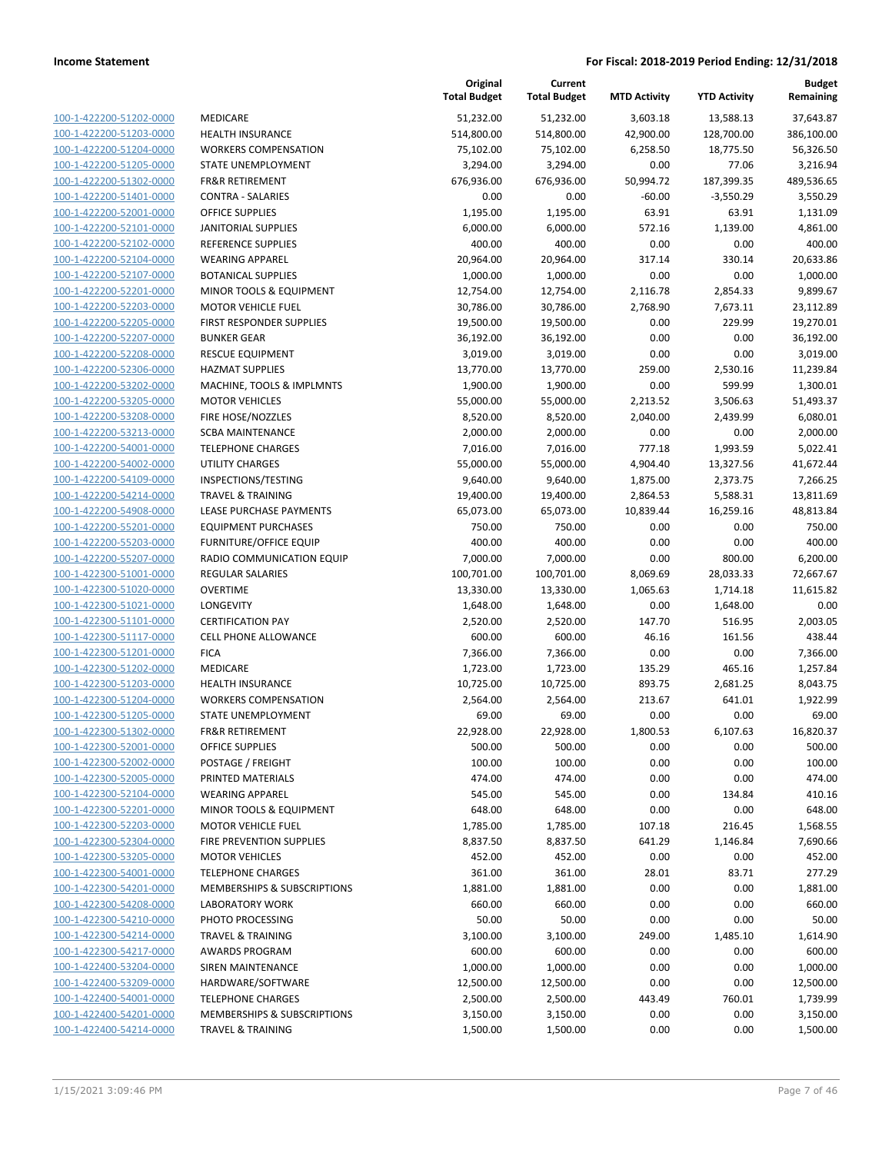|                                                    |                                                     | Original<br><b>Total Budget</b> | Current<br><b>Total Budget</b> | <b>MTD Activity</b>   | <b>YTD Activity</b>   | <b>Budget</b><br>Remaining |
|----------------------------------------------------|-----------------------------------------------------|---------------------------------|--------------------------------|-----------------------|-----------------------|----------------------------|
| 100-1-422200-51202-0000                            | MEDICARE                                            | 51,232.00                       | 51,232.00                      | 3,603.18              | 13,588.13             | 37,643.87                  |
| 100-1-422200-51203-0000                            | <b>HEALTH INSURANCE</b>                             | 514,800.00                      | 514,800.00                     | 42,900.00             | 128,700.00            | 386,100.00                 |
| 100-1-422200-51204-0000                            | <b>WORKERS COMPENSATION</b>                         | 75,102.00                       | 75,102.00                      | 6,258.50              | 18,775.50             | 56,326.50                  |
| 100-1-422200-51205-0000                            | STATE UNEMPLOYMENT                                  | 3,294.00                        | 3,294.00                       | 0.00                  | 77.06                 | 3,216.94                   |
| 100-1-422200-51302-0000                            | <b>FR&amp;R RETIREMENT</b>                          | 676,936.00                      | 676,936.00                     | 50,994.72             | 187,399.35            | 489,536.65                 |
| 100-1-422200-51401-0000                            | <b>CONTRA - SALARIES</b>                            | 0.00                            | 0.00                           | $-60.00$              | $-3,550.29$           | 3,550.29                   |
| 100-1-422200-52001-0000                            | <b>OFFICE SUPPLIES</b>                              | 1,195.00                        | 1,195.00                       | 63.91                 | 63.91                 | 1,131.09                   |
| 100-1-422200-52101-0000                            | <b>JANITORIAL SUPPLIES</b>                          | 6,000.00                        | 6,000.00                       | 572.16                | 1,139.00              | 4,861.00                   |
| 100-1-422200-52102-0000                            | <b>REFERENCE SUPPLIES</b>                           | 400.00                          | 400.00                         | 0.00                  | 0.00                  | 400.00                     |
| 100-1-422200-52104-0000                            | <b>WEARING APPAREL</b>                              | 20,964.00                       | 20,964.00                      | 317.14                | 330.14                | 20,633.86                  |
| 100-1-422200-52107-0000                            | <b>BOTANICAL SUPPLIES</b>                           | 1,000.00                        | 1,000.00                       | 0.00                  | 0.00                  | 1,000.00                   |
| 100-1-422200-52201-0000                            | MINOR TOOLS & EQUIPMENT                             | 12,754.00                       | 12,754.00                      | 2,116.78              | 2,854.33              | 9,899.67                   |
| 100-1-422200-52203-0000                            | <b>MOTOR VEHICLE FUEL</b>                           | 30,786.00                       | 30,786.00                      | 2,768.90              | 7,673.11              | 23,112.89                  |
| 100-1-422200-52205-0000                            | FIRST RESPONDER SUPPLIES                            | 19,500.00                       | 19,500.00                      | 0.00                  | 229.99                | 19,270.01                  |
| 100-1-422200-52207-0000                            | <b>BUNKER GEAR</b>                                  | 36,192.00                       | 36,192.00                      | 0.00                  | 0.00                  | 36,192.00                  |
| 100-1-422200-52208-0000                            | <b>RESCUE EQUIPMENT</b>                             | 3,019.00                        | 3,019.00                       | 0.00                  | 0.00                  | 3,019.00                   |
| 100-1-422200-52306-0000                            | <b>HAZMAT SUPPLIES</b>                              | 13,770.00                       | 13,770.00                      | 259.00                | 2,530.16              | 11,239.84                  |
| 100-1-422200-53202-0000                            | MACHINE, TOOLS & IMPLMNTS                           | 1,900.00                        | 1,900.00                       | 0.00                  | 599.99                | 1,300.01                   |
| 100-1-422200-53205-0000                            | <b>MOTOR VEHICLES</b>                               | 55,000.00                       | 55,000.00                      | 2,213.52              | 3,506.63              | 51,493.37                  |
| 100-1-422200-53208-0000                            | FIRE HOSE/NOZZLES                                   | 8,520.00                        | 8,520.00                       | 2,040.00              | 2,439.99              | 6,080.01                   |
| 100-1-422200-53213-0000                            | <b>SCBA MAINTENANCE</b>                             | 2,000.00                        | 2,000.00                       | 0.00                  | 0.00                  | 2,000.00                   |
| 100-1-422200-54001-0000                            | <b>TELEPHONE CHARGES</b><br><b>UTILITY CHARGES</b>  | 7,016.00                        | 7,016.00                       | 777.18                | 1,993.59              | 5,022.41                   |
| 100-1-422200-54002-0000<br>100-1-422200-54109-0000 |                                                     | 55,000.00                       | 55,000.00                      | 4,904.40              | 13,327.56             | 41,672.44                  |
| 100-1-422200-54214-0000                            | INSPECTIONS/TESTING<br><b>TRAVEL &amp; TRAINING</b> | 9,640.00                        | 9,640.00<br>19,400.00          | 1,875.00              | 2,373.75              | 7,266.25                   |
| 100-1-422200-54908-0000                            | LEASE PURCHASE PAYMENTS                             | 19,400.00<br>65,073.00          | 65,073.00                      | 2,864.53<br>10,839.44 | 5,588.31<br>16,259.16 | 13,811.69<br>48,813.84     |
| 100-1-422200-55201-0000                            | <b>EQUIPMENT PURCHASES</b>                          | 750.00                          | 750.00                         | 0.00                  | 0.00                  | 750.00                     |
| 100-1-422200-55203-0000                            | <b>FURNITURE/OFFICE EQUIP</b>                       | 400.00                          | 400.00                         | 0.00                  | 0.00                  | 400.00                     |
| 100-1-422200-55207-0000                            | RADIO COMMUNICATION EQUIP                           | 7,000.00                        | 7,000.00                       | 0.00                  | 800.00                | 6,200.00                   |
| 100-1-422300-51001-0000                            | <b>REGULAR SALARIES</b>                             | 100,701.00                      | 100,701.00                     | 8,069.69              | 28,033.33             | 72,667.67                  |
| 100-1-422300-51020-0000                            | <b>OVERTIME</b>                                     | 13,330.00                       | 13,330.00                      | 1,065.63              | 1,714.18              | 11,615.82                  |
| 100-1-422300-51021-0000                            | <b>LONGEVITY</b>                                    | 1,648.00                        | 1,648.00                       | 0.00                  | 1,648.00              | 0.00                       |
| 100-1-422300-51101-0000                            | <b>CERTIFICATION PAY</b>                            | 2,520.00                        | 2,520.00                       | 147.70                | 516.95                | 2,003.05                   |
| 100-1-422300-51117-0000                            | <b>CELL PHONE ALLOWANCE</b>                         | 600.00                          | 600.00                         | 46.16                 | 161.56                | 438.44                     |
| 100-1-422300-51201-0000                            | <b>FICA</b>                                         | 7,366.00                        | 7,366.00                       | 0.00                  | 0.00                  | 7,366.00                   |
| 100-1-422300-51202-0000                            | <b>MEDICARE</b>                                     | 1,723.00                        | 1,723.00                       | 135.29                | 465.16                | 1,257.84                   |
| 100-1-422300-51203-0000                            | <b>HEALTH INSURANCE</b>                             | 10,725.00                       | 10,725.00                      | 893.75                | 2,681.25              | 8,043.75                   |
| 100-1-422300-51204-0000                            | <b>WORKERS COMPENSATION</b>                         | 2,564.00                        | 2,564.00                       | 213.67                | 641.01                | 1,922.99                   |
| 100-1-422300-51205-0000                            | <b>STATE UNEMPLOYMENT</b>                           | 69.00                           | 69.00                          | 0.00                  | 0.00                  | 69.00                      |
| 100-1-422300-51302-0000                            | <b>FR&amp;R RETIREMENT</b>                          | 22,928.00                       | 22,928.00                      | 1,800.53              | 6,107.63              | 16,820.37                  |
| 100-1-422300-52001-0000                            | OFFICE SUPPLIES                                     | 500.00                          | 500.00                         | 0.00                  | 0.00                  | 500.00                     |
| 100-1-422300-52002-0000                            | POSTAGE / FREIGHT                                   | 100.00                          | 100.00                         | 0.00                  | 0.00                  | 100.00                     |
| 100-1-422300-52005-0000                            | PRINTED MATERIALS                                   | 474.00                          | 474.00                         | 0.00                  | 0.00                  | 474.00                     |
| 100-1-422300-52104-0000                            | <b>WEARING APPAREL</b>                              | 545.00                          | 545.00                         | 0.00                  | 134.84                | 410.16                     |
| 100-1-422300-52201-0000                            | MINOR TOOLS & EQUIPMENT                             | 648.00                          | 648.00                         | 0.00                  | 0.00                  | 648.00                     |
| 100-1-422300-52203-0000                            | <b>MOTOR VEHICLE FUEL</b>                           | 1,785.00                        | 1,785.00                       | 107.18                | 216.45                | 1,568.55                   |
| 100-1-422300-52304-0000                            | FIRE PREVENTION SUPPLIES                            | 8,837.50                        | 8,837.50                       | 641.29                | 1,146.84              | 7,690.66                   |
| 100-1-422300-53205-0000                            | <b>MOTOR VEHICLES</b>                               | 452.00                          | 452.00                         | 0.00                  | 0.00                  | 452.00                     |
| 100-1-422300-54001-0000                            | <b>TELEPHONE CHARGES</b>                            | 361.00                          | 361.00                         | 28.01                 | 83.71                 | 277.29                     |
| 100-1-422300-54201-0000                            | MEMBERSHIPS & SUBSCRIPTIONS                         | 1,881.00                        | 1,881.00                       | 0.00                  | 0.00                  | 1,881.00                   |
| 100-1-422300-54208-0000                            | <b>LABORATORY WORK</b>                              | 660.00                          | 660.00                         | 0.00                  | 0.00                  | 660.00                     |
| 100-1-422300-54210-0000                            | PHOTO PROCESSING                                    | 50.00                           | 50.00                          | 0.00                  | 0.00                  | 50.00                      |
| 100-1-422300-54214-0000                            | <b>TRAVEL &amp; TRAINING</b>                        | 3,100.00                        | 3,100.00                       | 249.00                | 1,485.10              | 1,614.90                   |
| 100-1-422300-54217-0000                            | <b>AWARDS PROGRAM</b>                               | 600.00                          | 600.00                         | 0.00                  | 0.00                  | 600.00                     |
| 100-1-422400-53204-0000                            | SIREN MAINTENANCE                                   | 1,000.00                        | 1,000.00                       | 0.00                  | 0.00                  | 1,000.00                   |
| 100-1-422400-53209-0000                            | HARDWARE/SOFTWARE                                   | 12,500.00                       | 12,500.00                      | 0.00                  | 0.00                  | 12,500.00                  |
| 100-1-422400-54001-0000                            | <b>TELEPHONE CHARGES</b>                            | 2,500.00                        | 2,500.00                       | 443.49                | 760.01                | 1,739.99                   |
| 100-1-422400-54201-0000                            | MEMBERSHIPS & SUBSCRIPTIONS                         | 3,150.00                        | 3,150.00                       | 0.00                  | 0.00                  | 3,150.00                   |
| 100-1-422400-54214-0000                            | <b>TRAVEL &amp; TRAINING</b>                        | 1,500.00                        | 1,500.00                       | 0.00                  | 0.00                  | 1,500.00                   |
|                                                    |                                                     |                                 |                                |                       |                       |                            |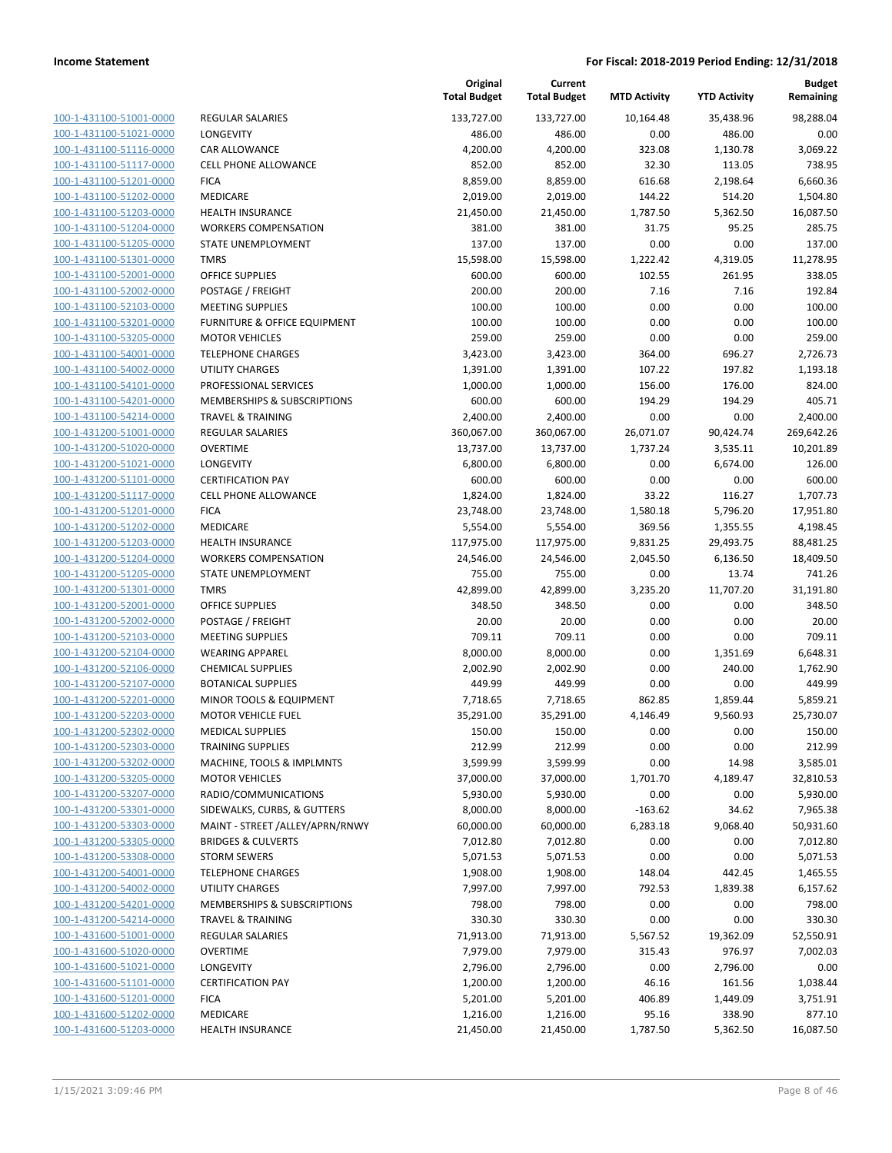| 100-1-431100-51001-0000                                          |
|------------------------------------------------------------------|
| 100-1-431100-51021-0000                                          |
| <u>100-1-431100-51116-0000</u>                                   |
| <u>100-1-431100-51117-0000</u>                                   |
| 100-1-431100-51201-0000                                          |
| -431100-51202-0000<br>$100 - 1$                                  |
| 100-1-431100-51203-0000                                          |
| 100-1-431100-51204-0000                                          |
| <u>100-1-431100-51205-0000</u>                                   |
| 100-1-431100-51301-0000                                          |
| $100 - 1$<br>-431100-52001-0000                                  |
|                                                                  |
| 100-1-431100-52002-0000                                          |
| <u>100-1-431100-52103-0000</u>                                   |
| <u>100-1-431100-53201-0000</u>                                   |
| 100-1-431100-53205-0000                                          |
| 431100-54001-0000<br>$100 - 1$                                   |
| 100-1-431100-54002-0000                                          |
| <u>100-1-431100-54101-0000</u>                                   |
| <u>100-1-431100-54201-0000</u>                                   |
| 100-1-431100-54214-0000                                          |
| 431200-51001-0000<br>$100 - 1$                                   |
| 100-1-431200-51020-0000                                          |
| <u>100-1-431200-51021-0000</u>                                   |
| <u>100-1-431200-51101-0000</u>                                   |
| 100-1-431200-51117-0000                                          |
| -431200-51201-0000<br>$100 - 1$                                  |
|                                                                  |
| 100-1-431200-51202-0000                                          |
| <u>100-1-431200-51203-0000</u>                                   |
| <u>100-1-431200-51204-0000</u>                                   |
| 100-1-431200-51205-0000                                          |
| $100 - 1$<br>-431200-51301-0000                                  |
| 100-1-431200-52001-0000                                          |
| <u>100-1-431200-52002-0000</u>                                   |
| <u>100-1-431200-52103-0000</u>                                   |
| 100-1-431200-52104-0000                                          |
| -431200-52106-0000<br>$100 - 1$                                  |
| 100-1-431200-52107-0000                                          |
| 100-1-431200-52201-0000                                          |
| <u>100-1-431200-52203-0000</u>                                   |
| 100-1-431200-52302-0000                                          |
| -431200-52303-0000<br>$100 - 1$                                  |
| <u>100-1-431200-53202-0000</u>                                   |
|                                                                  |
| <u>100-1-431200-53205-0000</u>                                   |
| 100-1-431200-53207-0000                                          |
| <u>100-1-431200-53301-0000</u>                                   |
| <u>100-1-431200-53303-0000</u>                                   |
| 100-1-431200-53305-0000                                          |
| <u>100-1-431200-53308-0000</u>                                   |
| 100-1-431200-54001-0000                                          |
| <u>100-1-431200-54002-0000</u>                                   |
| 100-1-431200-54201-0000                                          |
| 100-1-431200-54214-0000                                          |
| <u>100-1-431600-51001-0000</u>                                   |
| 100-1-431600-51020-0000                                          |
| <u>100-1-431600-51021-0000</u>                                   |
| <u>100-1-431600-51101-0000</u>                                   |
|                                                                  |
|                                                                  |
| 100-1-431600-51201-0000                                          |
| <u>100-1-431600-51202-0000</u><br><u>100-1-431600-51203-0000</u> |

|                         |                                         | Original<br><b>Total Budget</b> | Current<br><b>Total Budget</b> | <b>MTD Activity</b> | <b>YTD Activity</b> | Budget<br>Remaining |
|-------------------------|-----------------------------------------|---------------------------------|--------------------------------|---------------------|---------------------|---------------------|
| 100-1-431100-51001-0000 | <b>REGULAR SALARIES</b>                 | 133,727.00                      | 133,727.00                     | 10,164.48           | 35,438.96           | 98,288.04           |
| 100-1-431100-51021-0000 | LONGEVITY                               | 486.00                          | 486.00                         | 0.00                | 486.00              | 0.00                |
| 100-1-431100-51116-0000 | CAR ALLOWANCE                           | 4,200.00                        | 4,200.00                       | 323.08              | 1,130.78            | 3,069.22            |
| 100-1-431100-51117-0000 | <b>CELL PHONE ALLOWANCE</b>             | 852.00                          | 852.00                         | 32.30               | 113.05              | 738.95              |
| 100-1-431100-51201-0000 | <b>FICA</b>                             | 8,859.00                        | 8,859.00                       | 616.68              | 2,198.64            | 6,660.36            |
| 100-1-431100-51202-0000 | MEDICARE                                | 2,019.00                        | 2,019.00                       | 144.22              | 514.20              | 1,504.80            |
| 100-1-431100-51203-0000 | <b>HEALTH INSURANCE</b>                 | 21,450.00                       | 21,450.00                      | 1,787.50            | 5,362.50            | 16,087.50           |
| 100-1-431100-51204-0000 | <b>WORKERS COMPENSATION</b>             | 381.00                          | 381.00                         | 31.75               | 95.25               | 285.75              |
| 100-1-431100-51205-0000 | <b>STATE UNEMPLOYMENT</b>               | 137.00                          | 137.00                         | 0.00                | 0.00                | 137.00              |
| 100-1-431100-51301-0000 | <b>TMRS</b>                             | 15,598.00                       | 15,598.00                      | 1,222.42            | 4,319.05            | 11,278.95           |
| 100-1-431100-52001-0000 | <b>OFFICE SUPPLIES</b>                  | 600.00                          | 600.00                         | 102.55              | 261.95              | 338.05              |
| 100-1-431100-52002-0000 | POSTAGE / FREIGHT                       | 200.00                          | 200.00                         | 7.16                | 7.16                | 192.84              |
| 100-1-431100-52103-0000 | <b>MEETING SUPPLIES</b>                 | 100.00                          | 100.00                         | 0.00                | 0.00                | 100.00              |
| 100-1-431100-53201-0000 | <b>FURNITURE &amp; OFFICE EQUIPMENT</b> | 100.00                          | 100.00                         | 0.00                | 0.00                | 100.00              |
| 100-1-431100-53205-0000 | <b>MOTOR VEHICLES</b>                   | 259.00                          | 259.00                         | 0.00                | 0.00                | 259.00              |
| 100-1-431100-54001-0000 | <b>TELEPHONE CHARGES</b>                | 3,423.00                        | 3,423.00                       | 364.00              | 696.27              | 2,726.73            |
| 100-1-431100-54002-0000 | <b>UTILITY CHARGES</b>                  | 1,391.00                        | 1,391.00                       | 107.22              | 197.82              | 1,193.18            |
| 100-1-431100-54101-0000 | PROFESSIONAL SERVICES                   | 1,000.00                        | 1,000.00                       | 156.00              | 176.00              | 824.00              |
| 100-1-431100-54201-0000 | MEMBERSHIPS & SUBSCRIPTIONS             | 600.00                          | 600.00                         | 194.29              | 194.29              | 405.71              |
| 100-1-431100-54214-0000 | <b>TRAVEL &amp; TRAINING</b>            | 2,400.00                        | 2,400.00                       | 0.00                | 0.00                | 2,400.00            |
| 100-1-431200-51001-0000 | <b>REGULAR SALARIES</b>                 | 360,067.00                      | 360,067.00                     | 26,071.07           | 90,424.74           | 269,642.26          |
| 100-1-431200-51020-0000 | <b>OVERTIME</b>                         | 13,737.00                       | 13,737.00                      | 1,737.24            | 3,535.11            | 10,201.89           |
| 100-1-431200-51021-0000 | <b>LONGEVITY</b>                        | 6,800.00                        | 6,800.00                       | 0.00                | 6,674.00            | 126.00              |
| 100-1-431200-51101-0000 | <b>CERTIFICATION PAY</b>                | 600.00                          | 600.00                         | 0.00                | 0.00                | 600.00              |
| 100-1-431200-51117-0000 | <b>CELL PHONE ALLOWANCE</b>             | 1,824.00                        | 1,824.00                       | 33.22               | 116.27              | 1,707.73            |
| 100-1-431200-51201-0000 | <b>FICA</b>                             | 23,748.00                       | 23,748.00                      | 1,580.18            | 5,796.20            | 17,951.80           |
| 100-1-431200-51202-0000 | MEDICARE                                | 5,554.00                        | 5,554.00                       | 369.56              | 1,355.55            | 4,198.45            |
| 100-1-431200-51203-0000 | <b>HEALTH INSURANCE</b>                 | 117,975.00                      | 117,975.00                     | 9,831.25            | 29,493.75           | 88,481.25           |
| 100-1-431200-51204-0000 | <b>WORKERS COMPENSATION</b>             | 24,546.00                       | 24,546.00                      | 2,045.50            | 6,136.50            | 18,409.50           |
| 100-1-431200-51205-0000 | STATE UNEMPLOYMENT                      | 755.00                          | 755.00                         | 0.00                | 13.74               | 741.26              |
| 100-1-431200-51301-0000 | <b>TMRS</b>                             | 42,899.00                       | 42,899.00                      | 3,235.20            | 11,707.20           | 31,191.80           |
| 100-1-431200-52001-0000 | OFFICE SUPPLIES                         | 348.50                          | 348.50                         | 0.00                | 0.00                | 348.50              |
| 100-1-431200-52002-0000 | POSTAGE / FREIGHT                       | 20.00                           | 20.00                          | 0.00                | 0.00                | 20.00               |
| 100-1-431200-52103-0000 | <b>MEETING SUPPLIES</b>                 | 709.11                          | 709.11                         | 0.00                | 0.00                | 709.11              |
| 100-1-431200-52104-0000 | <b>WEARING APPAREL</b>                  | 8,000.00                        | 8,000.00                       | 0.00                | 1,351.69            | 6,648.31            |
| 100-1-431200-52106-0000 | <b>CHEMICAL SUPPLIES</b>                | 2,002.90                        | 2,002.90                       | 0.00                | 240.00              | 1,762.90            |
| 100-1-431200-52107-0000 | <b>BOTANICAL SUPPLIES</b>               | 449.99                          | 449.99                         | 0.00                | 0.00                | 449.99              |
| 100-1-431200-52201-0000 | <b>MINOR TOOLS &amp; EQUIPMENT</b>      | 7,718.65                        | 7,718.65                       | 862.85              | 1,859.44            | 5,859.21            |
| 100-1-431200-52203-0000 | <b>MOTOR VEHICLE FUEL</b>               | 35,291.00                       | 35,291.00                      | 4,146.49            | 9,560.93            | 25,730.07           |
| 100-1-431200-52302-0000 | <b>MEDICAL SUPPLIES</b>                 | 150.00                          | 150.00                         | 0.00                | 0.00                | 150.00              |
| 100-1-431200-52303-0000 | <b>TRAINING SUPPLIES</b>                | 212.99                          | 212.99                         | 0.00                | 0.00                | 212.99              |
| 100-1-431200-53202-0000 | MACHINE, TOOLS & IMPLMNTS               | 3,599.99                        | 3,599.99                       | 0.00                | 14.98               | 3,585.01            |
| 100-1-431200-53205-0000 | <b>MOTOR VEHICLES</b>                   | 37,000.00                       | 37,000.00                      | 1,701.70            | 4,189.47            | 32,810.53           |
| 100-1-431200-53207-0000 | RADIO/COMMUNICATIONS                    | 5,930.00                        | 5,930.00                       | 0.00                | 0.00                | 5,930.00            |
| 100-1-431200-53301-0000 | SIDEWALKS, CURBS, & GUTTERS             | 8,000.00                        | 8,000.00                       | $-163.62$           | 34.62               | 7,965.38            |
| 100-1-431200-53303-0000 | MAINT - STREET /ALLEY/APRN/RNWY         | 60,000.00                       | 60,000.00                      | 6,283.18            | 9,068.40            | 50,931.60           |
| 100-1-431200-53305-0000 | <b>BRIDGES &amp; CULVERTS</b>           | 7,012.80                        | 7,012.80                       | 0.00                | 0.00                | 7,012.80            |
| 100-1-431200-53308-0000 | <b>STORM SEWERS</b>                     | 5,071.53                        | 5,071.53                       | 0.00                | 0.00                | 5,071.53            |
| 100-1-431200-54001-0000 | <b>TELEPHONE CHARGES</b>                | 1,908.00                        | 1,908.00                       | 148.04              | 442.45              | 1,465.55            |
| 100-1-431200-54002-0000 | <b>UTILITY CHARGES</b>                  | 7,997.00                        | 7,997.00                       | 792.53              | 1,839.38            | 6,157.62            |
| 100-1-431200-54201-0000 | MEMBERSHIPS & SUBSCRIPTIONS             | 798.00                          | 798.00                         | 0.00                | 0.00                | 798.00              |
| 100-1-431200-54214-0000 | <b>TRAVEL &amp; TRAINING</b>            | 330.30                          | 330.30                         | 0.00                | 0.00                | 330.30              |
| 100-1-431600-51001-0000 | <b>REGULAR SALARIES</b>                 | 71,913.00                       | 71,913.00                      | 5,567.52            | 19,362.09           | 52,550.91           |
| 100-1-431600-51020-0000 | <b>OVERTIME</b>                         | 7,979.00                        | 7,979.00                       | 315.43              | 976.97              | 7,002.03            |
| 100-1-431600-51021-0000 | LONGEVITY                               | 2,796.00                        | 2,796.00                       | 0.00                | 2,796.00            | 0.00                |
| 100-1-431600-51101-0000 | <b>CERTIFICATION PAY</b>                | 1,200.00                        | 1,200.00                       | 46.16               | 161.56              | 1,038.44            |
| 100-1-431600-51201-0000 | <b>FICA</b>                             | 5,201.00                        | 5,201.00                       | 406.89              | 1,449.09            | 3,751.91            |
| 100-1-431600-51202-0000 | MEDICARE                                | 1,216.00                        | 1,216.00                       | 95.16               | 338.90              | 877.10              |
| 100-1-431600-51203-0000 | <b>HEALTH INSURANCE</b>                 | 21,450.00                       | 21,450.00                      | 1,787.50            | 5,362.50            | 16,087.50           |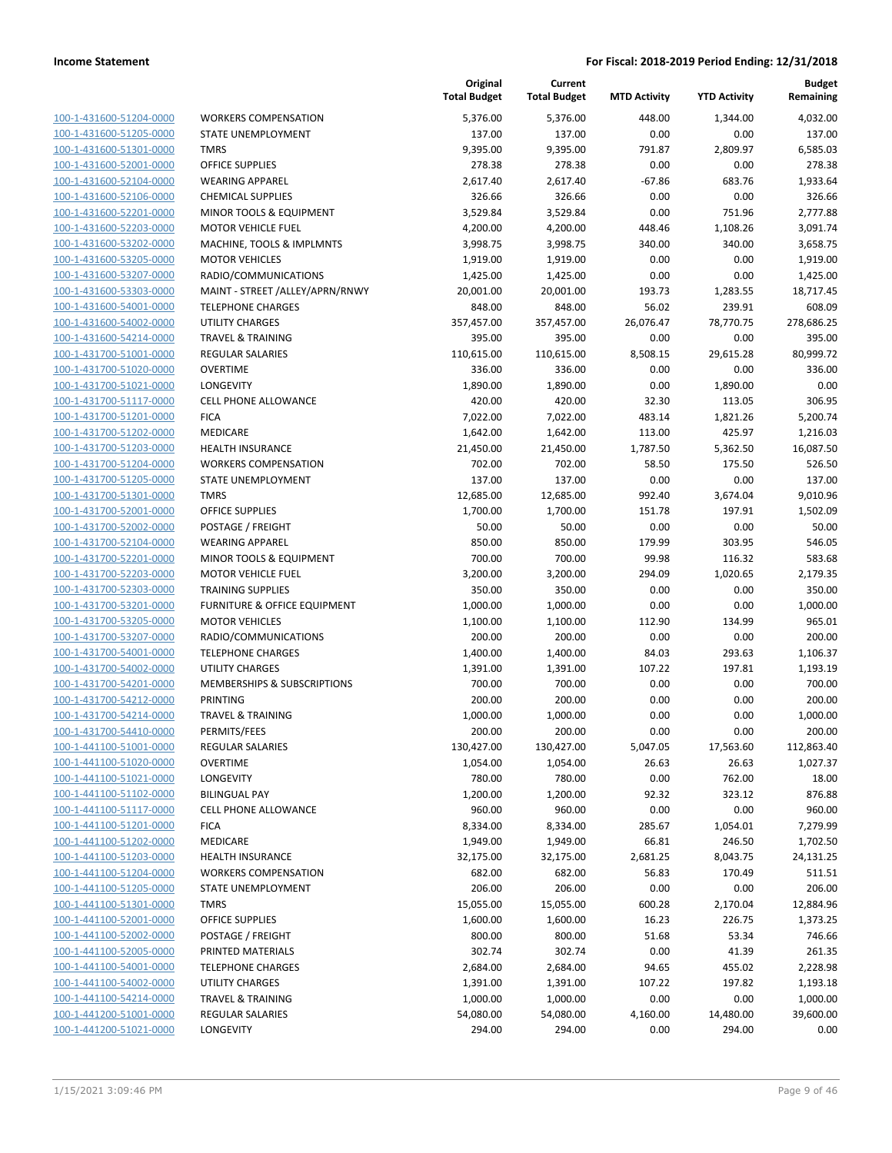| 100-1-431600-51204-0000        |
|--------------------------------|
| 100-1-431600-51205-0000        |
| 100-1-431600-51301-0000        |
| <u>100-1-431600-52001-0000</u> |
| 100-1-431600-52104-0000        |
| 100-1-431600-52106-0000        |
| 100-1-431600-52201-0000        |
| 100-1-431600-52203-0000        |
|                                |
| 100-1-431600-53202-0000        |
| 100-1-431600-53205-0000        |
| 100-1-431600-53207-0000        |
| 100-1-431600-53303-0000        |
| 100-1-431600-54001-0000        |
| 100-1-431600-54002-0000        |
| 100-1-431600-54214-0000        |
| 100-1-431700-51001-0000        |
| 100-1-431700-51020-0000        |
| 100-1-431700-51021-0000        |
| 100-1-431700-51117-0000        |
| 100-1-431700-51201-0000        |
| 100-1-431700-51202-0000        |
|                                |
| 100-1-431700-51203-0000        |
| 100-1-431700-51204-0000        |
| 100-1-431700-51205-0000        |
| 100-1-431700-51301-0000        |
| 100-1-431700-52001-0000        |
| 100-1-431700-52002-0000        |
| 100-1-431700-52104-0000        |
| 100-1-431700-52201-0000        |
| 100-1-431700-52203-0000        |
| 100-1-431700-52303-0000        |
| 100-1-431700-53201-0000        |
| 100-1-431700-53205-0000        |
| 100-1-431700-53207-0000        |
|                                |
| 100-1-431700-54001-0000        |
| 100-1-431700-54002-0000        |
| 100-1-431700-54201-0000        |
| 100-1-431700-54212-0000        |
| 100-1-431700-54214-0000        |
| 100-1-431700-54410-0000        |
| 100-1-441100-51001-0000        |
| <u>100-1-441100-51020-0000</u> |
| <u>100-1-441100-51021-0000</u> |
| <u>100-1-441100-51102-0000</u> |
| <u>100-1-441100-51117-0000</u> |
| <u>100-1-441100-51201-0000</u> |
| 100-1-441100-51202-0000        |
|                                |
| <u>100-1-441100-51203-0000</u> |
| <u>100-1-441100-51204-0000</u> |
| <u>100-1-441100-51205-0000</u> |
| 100-1-441100-51301-0000        |
| 100-1-441100-52001-0000        |
| 100-1-441100-52002-0000        |
| <u>100-1-441100-52005-0000</u> |
| <u>100-1-441100-54001-0000</u> |
| <u>100-1-441100-54002-0000</u> |
| 100-1-441100-54214-0000        |
| <u>100-1-441200-51001-0000</u> |
| <u>100-1-441200-51021-0000</u> |
|                                |

|                         |                                 | Original<br><b>Total Budget</b> | Current<br><b>Total Budget</b> | <b>MTD Activity</b> | <b>YTD Activity</b> | <b>Budget</b><br>Remaining |
|-------------------------|---------------------------------|---------------------------------|--------------------------------|---------------------|---------------------|----------------------------|
| 100-1-431600-51204-0000 | <b>WORKERS COMPENSATION</b>     | 5,376.00                        | 5,376.00                       | 448.00              | 1,344.00            | 4,032.00                   |
| 100-1-431600-51205-0000 | STATE UNEMPLOYMENT              | 137.00                          | 137.00                         | 0.00                | 0.00                | 137.00                     |
| 100-1-431600-51301-0000 | <b>TMRS</b>                     | 9,395.00                        | 9,395.00                       | 791.87              | 2,809.97            | 6,585.03                   |
| 100-1-431600-52001-0000 | <b>OFFICE SUPPLIES</b>          | 278.38                          | 278.38                         | 0.00                | 0.00                | 278.38                     |
| 100-1-431600-52104-0000 | <b>WEARING APPAREL</b>          | 2,617.40                        | 2,617.40                       | -67.86              | 683.76              | 1,933.64                   |
| 100-1-431600-52106-0000 | <b>CHEMICAL SUPPLIES</b>        | 326.66                          | 326.66                         | 0.00                | 0.00                | 326.66                     |
| 100-1-431600-52201-0000 | MINOR TOOLS & EQUIPMENT         | 3,529.84                        | 3,529.84                       | 0.00                | 751.96              | 2,777.88                   |
| 100-1-431600-52203-0000 | <b>MOTOR VEHICLE FUEL</b>       | 4,200.00                        | 4,200.00                       | 448.46              | 1,108.26            | 3,091.74                   |
| 100-1-431600-53202-0000 | MACHINE, TOOLS & IMPLMNTS       | 3,998.75                        | 3,998.75                       | 340.00              | 340.00              | 3,658.75                   |
| 100-1-431600-53205-0000 | <b>MOTOR VEHICLES</b>           | 1,919.00                        | 1,919.00                       | 0.00                | 0.00                | 1,919.00                   |
| 100-1-431600-53207-0000 | RADIO/COMMUNICATIONS            | 1,425.00                        | 1,425.00                       | 0.00                | 0.00                | 1,425.00                   |
| 100-1-431600-53303-0000 | MAINT - STREET /ALLEY/APRN/RNWY | 20,001.00                       | 20,001.00                      | 193.73              | 1,283.55            | 18,717.45                  |
| 100-1-431600-54001-0000 | <b>TELEPHONE CHARGES</b>        | 848.00                          | 848.00                         | 56.02               | 239.91              | 608.09                     |
| 100-1-431600-54002-0000 | <b>UTILITY CHARGES</b>          | 357,457.00                      | 357,457.00                     | 26,076.47           | 78,770.75           | 278,686.25                 |
| 100-1-431600-54214-0000 | <b>TRAVEL &amp; TRAINING</b>    | 395.00                          | 395.00                         | 0.00                | 0.00                | 395.00                     |
| 100-1-431700-51001-0000 | REGULAR SALARIES                | 110,615.00                      | 110,615.00                     | 8,508.15            | 29,615.28           | 80,999.72                  |
| 100-1-431700-51020-0000 | <b>OVERTIME</b>                 | 336.00                          | 336.00                         | 0.00                | 0.00                | 336.00                     |
| 100-1-431700-51021-0000 | LONGEVITY                       | 1,890.00                        | 1,890.00                       | 0.00                | 1,890.00            | 0.00                       |
| 100-1-431700-51117-0000 | <b>CELL PHONE ALLOWANCE</b>     | 420.00                          | 420.00                         | 32.30               | 113.05              | 306.95                     |
| 100-1-431700-51201-0000 | <b>FICA</b>                     | 7,022.00                        | 7,022.00                       | 483.14              | 1,821.26            | 5,200.74                   |
| 100-1-431700-51202-0000 | MEDICARE                        | 1,642.00                        | 1,642.00                       | 113.00              | 425.97              | 1,216.03                   |
| 100-1-431700-51203-0000 | <b>HEALTH INSURANCE</b>         | 21,450.00                       | 21,450.00                      | 1,787.50            | 5,362.50            | 16,087.50                  |
| 100-1-431700-51204-0000 | <b>WORKERS COMPENSATION</b>     | 702.00                          | 702.00                         | 58.50               | 175.50              | 526.50                     |
| 100-1-431700-51205-0000 | <b>STATE UNEMPLOYMENT</b>       | 137.00                          | 137.00                         | 0.00                | 0.00                | 137.00                     |
| 100-1-431700-51301-0000 | <b>TMRS</b>                     | 12,685.00                       | 12,685.00                      | 992.40              | 3,674.04            | 9,010.96                   |
| 100-1-431700-52001-0000 | <b>OFFICE SUPPLIES</b>          | 1,700.00                        | 1,700.00                       | 151.78              | 197.91              | 1,502.09                   |
| 100-1-431700-52002-0000 | POSTAGE / FREIGHT               | 50.00                           | 50.00                          | 0.00                | 0.00                | 50.00                      |
| 100-1-431700-52104-0000 | <b>WEARING APPAREL</b>          | 850.00                          | 850.00                         | 179.99              | 303.95              | 546.05                     |
| 100-1-431700-52201-0000 | MINOR TOOLS & EQUIPMENT         | 700.00                          | 700.00                         | 99.98               | 116.32              | 583.68                     |
| 100-1-431700-52203-0000 | <b>MOTOR VEHICLE FUEL</b>       | 3,200.00                        | 3,200.00                       | 294.09              | 1,020.65            | 2,179.35                   |
| 100-1-431700-52303-0000 | <b>TRAINING SUPPLIES</b>        | 350.00                          | 350.00                         | 0.00                | 0.00                | 350.00                     |
| 100-1-431700-53201-0000 | FURNITURE & OFFICE EQUIPMENT    | 1,000.00                        | 1,000.00                       | 0.00                | 0.00                | 1,000.00                   |
| 100-1-431700-53205-0000 | <b>MOTOR VEHICLES</b>           | 1,100.00                        | 1,100.00                       | 112.90              | 134.99              | 965.01                     |
| 100-1-431700-53207-0000 | RADIO/COMMUNICATIONS            | 200.00                          | 200.00                         | 0.00                | 0.00                | 200.00                     |
| 100-1-431700-54001-0000 | <b>TELEPHONE CHARGES</b>        | 1,400.00                        | 1,400.00                       | 84.03               | 293.63              | 1,106.37                   |
| 100-1-431700-54002-0000 | <b>UTILITY CHARGES</b>          | 1,391.00                        | 1,391.00                       | 107.22              | 197.81              | 1,193.19                   |
| 100-1-431700-54201-0000 | MEMBERSHIPS & SUBSCRIPTIONS     | 700.00                          | 700.00                         | 0.00                | 0.00                | 700.00                     |
| 100-1-431700-54212-0000 | PRINTING                        | 200.00                          | 200.00                         | 0.00                | 0.00                | 200.00                     |
| 100-1-431700-54214-0000 | <b>TRAVEL &amp; TRAINING</b>    | 1,000.00                        | 1,000.00                       | 0.00                | 0.00                | 1,000.00                   |
| 100-1-431700-54410-0000 | PERMITS/FEES                    | 200.00                          | 200.00                         | 0.00                | 0.00                | 200.00                     |
| 100-1-441100-51001-0000 | REGULAR SALARIES                | 130,427.00                      | 130,427.00                     | 5,047.05            | 17,563.60           | 112,863.40                 |
| 100-1-441100-51020-0000 | OVERTIME                        | 1,054.00                        | 1,054.00                       | 26.63               | 26.63               | 1,027.37                   |
| 100-1-441100-51021-0000 | LONGEVITY                       | 780.00                          | 780.00                         | 0.00                | 762.00              | 18.00                      |
| 100-1-441100-51102-0000 | <b>BILINGUAL PAY</b>            | 1,200.00                        | 1,200.00                       | 92.32               | 323.12              | 876.88                     |
| 100-1-441100-51117-0000 | <b>CELL PHONE ALLOWANCE</b>     | 960.00                          | 960.00                         | 0.00                | 0.00                | 960.00                     |
| 100-1-441100-51201-0000 | FICA                            | 8,334.00                        | 8,334.00                       | 285.67              | 1,054.01            | 7,279.99                   |
| 100-1-441100-51202-0000 | MEDICARE                        | 1,949.00                        | 1,949.00                       | 66.81               | 246.50              | 1,702.50                   |
| 100-1-441100-51203-0000 | HEALTH INSURANCE                | 32,175.00                       | 32,175.00                      | 2,681.25            | 8,043.75            | 24,131.25                  |
| 100-1-441100-51204-0000 | <b>WORKERS COMPENSATION</b>     | 682.00                          | 682.00                         | 56.83               | 170.49              | 511.51                     |
| 100-1-441100-51205-0000 | STATE UNEMPLOYMENT              | 206.00                          | 206.00                         | 0.00                | 0.00                | 206.00                     |
| 100-1-441100-51301-0000 | <b>TMRS</b>                     | 15,055.00                       | 15,055.00                      | 600.28              | 2,170.04            | 12,884.96                  |
| 100-1-441100-52001-0000 | OFFICE SUPPLIES                 | 1,600.00                        | 1,600.00                       | 16.23               | 226.75              | 1,373.25                   |
| 100-1-441100-52002-0000 | POSTAGE / FREIGHT               | 800.00                          | 800.00                         | 51.68               | 53.34               | 746.66                     |
| 100-1-441100-52005-0000 | PRINTED MATERIALS               | 302.74                          | 302.74                         | 0.00                | 41.39               | 261.35                     |
| 100-1-441100-54001-0000 | <b>TELEPHONE CHARGES</b>        | 2,684.00                        | 2,684.00                       | 94.65               | 455.02              | 2,228.98                   |
| 100-1-441100-54002-0000 | UTILITY CHARGES                 | 1,391.00                        | 1,391.00                       | 107.22              | 197.82              | 1,193.18                   |
| 100-1-441100-54214-0000 | <b>TRAVEL &amp; TRAINING</b>    | 1,000.00                        | 1,000.00                       | 0.00                | 0.00                | 1,000.00                   |
| 100-1-441200-51001-0000 | <b>REGULAR SALARIES</b>         | 54,080.00                       | 54,080.00                      | 4,160.00            | 14,480.00           | 39,600.00                  |
| 100-1-441200-51021-0000 | LONGEVITY                       | 294.00                          | 294.00                         | 0.00                | 294.00              | 0.00                       |
|                         |                                 |                                 |                                |                     |                     |                            |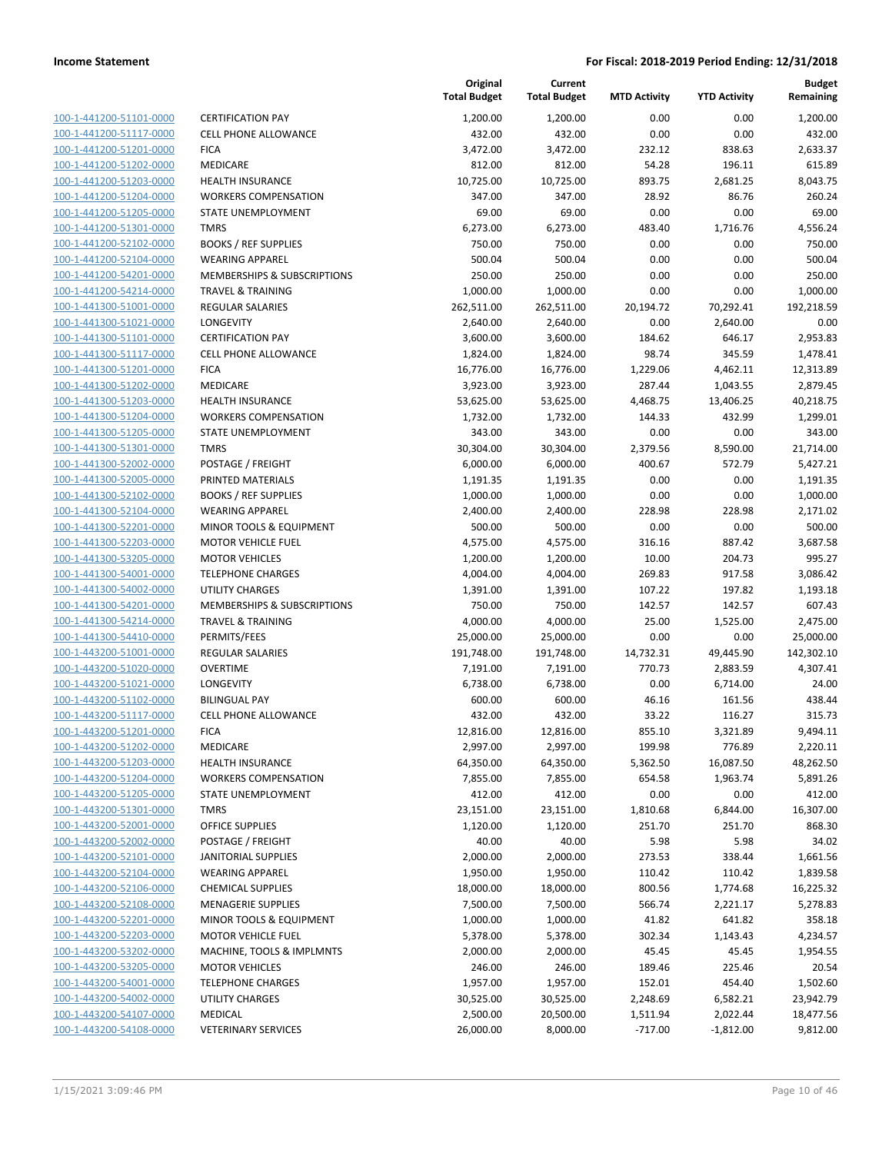| 100-1-441200-51101-0000         |
|---------------------------------|
| 100-1-441200-51117-0000         |
| 100-1-441200-51201-0000         |
| <u>100-1-441200-51202-0000</u>  |
| 100-1-441200-51203-0000         |
| -441200-51204-0000<br>$100 - 1$ |
| 100-1-441200-51205-0000         |
| 100-1-441200-51301-0000         |
| 100-1-441200-52102-0000         |
| 100-1-441200-52104-0000         |
| -441200-54201-0000<br>$100 - 1$ |
| 100-1-441200-54214-0000         |
| 100-1-441300-51001-0000         |
| <u>100-1-441300-51021-0000</u>  |
| 100-1-441300-51101-0000         |
| 441300-51117-0000<br>$100 - 1$  |
| 100-1-441300-51201-0000         |
| 100-1-441300-51202-0000         |
| 100-1-441300-51203-0000         |
| 100-1-441300-51204-0000         |
| -441300-51205-0000<br>$100 - 1$ |
| 100-1-441300-51301-0000         |
| 100-1-441300-52002-0000         |
| 100-1-441300-52005-0000         |
| 100-1-441300-52102-0000         |
| -441300-52104-0000<br>$100 - 1$ |
| 100-1-441300-52201-0000         |
| 100-1-441300-52203-0000         |
| 100-1-441300-53205-0000         |
| 100-1-441300-54001-0000         |
| -441300-54002-0000<br>$100 - 1$ |
| 100-1-441300-54201-0000         |
| 100-1-441300-54214-0000         |
| 100-1-441300-54410-0000         |
| 100-1-443200-51001-0000         |
| -443200-51020-0000<br>$100 - 1$ |
| 100-1-443200-51021-0000         |
| 100-1-443200-51102-0000         |
| 100-1-443200-51117-0000         |
| 100-1-443200-51201-0000         |
| -443200-51202-0000<br>$100 - 1$ |
| <u>100-1-443200-51203-0000</u>  |
| 100-1-443200-51204-0000         |
| <u>100-1-443200-51205-0000</u>  |
| 100-1-443200-51301-0000         |
| 100-1-443200-52001-0000         |
| 100-1-443200-52002-0000         |
| 100-1-443200-52101-0000         |
| <u>100-1-443200-52104-0000</u>  |
| 100-1-443200-52106-0000         |
| 100-1-443200-52108-0000         |
| 100-1-443200-52201-0000         |
| 100-1-443200-52203-0000         |
| <u>100-1-443200-53202-0000</u>  |
| 100-1-443200-53205-0000         |
| 100-1-443200-54001-0000         |
| 100-1-443200-54002-0000         |
| 100-1-443200-54107-0000         |
| <u>100-1-443200-54108-0000</u>  |
|                                 |

|                         |                                        | Original<br><b>Total Budget</b> | Current<br><b>Total Budget</b> | <b>MTD Activity</b> | <b>YTD Activity</b> | <b>Budget</b><br>Remaining |
|-------------------------|----------------------------------------|---------------------------------|--------------------------------|---------------------|---------------------|----------------------------|
| 100-1-441200-51101-0000 | <b>CERTIFICATION PAY</b>               | 1,200.00                        | 1,200.00                       | 0.00                | 0.00                | 1,200.00                   |
| 100-1-441200-51117-0000 | <b>CELL PHONE ALLOWANCE</b>            | 432.00                          | 432.00                         | 0.00                | 0.00                | 432.00                     |
| 100-1-441200-51201-0000 | <b>FICA</b>                            | 3,472.00                        | 3,472.00                       | 232.12              | 838.63              | 2,633.37                   |
| 100-1-441200-51202-0000 | <b>MEDICARE</b>                        | 812.00                          | 812.00                         | 54.28               | 196.11              | 615.89                     |
| 100-1-441200-51203-0000 | <b>HEALTH INSURANCE</b>                | 10,725.00                       | 10,725.00                      | 893.75              | 2,681.25            | 8,043.75                   |
| 100-1-441200-51204-0000 | <b>WORKERS COMPENSATION</b>            | 347.00                          | 347.00                         | 28.92               | 86.76               | 260.24                     |
| 100-1-441200-51205-0000 | <b>STATE UNEMPLOYMENT</b>              | 69.00                           | 69.00                          | 0.00                | 0.00                | 69.00                      |
| 100-1-441200-51301-0000 | <b>TMRS</b>                            | 6,273.00                        | 6,273.00                       | 483.40              | 1,716.76            | 4,556.24                   |
| 100-1-441200-52102-0000 | <b>BOOKS / REF SUPPLIES</b>            | 750.00                          | 750.00                         | 0.00                | 0.00                | 750.00                     |
| 100-1-441200-52104-0000 | <b>WEARING APPAREL</b>                 | 500.04                          | 500.04                         | 0.00                | 0.00                | 500.04                     |
| 100-1-441200-54201-0000 | <b>MEMBERSHIPS &amp; SUBSCRIPTIONS</b> | 250.00                          | 250.00                         | 0.00                | 0.00                | 250.00                     |
| 100-1-441200-54214-0000 | <b>TRAVEL &amp; TRAINING</b>           | 1,000.00                        | 1,000.00                       | 0.00                | 0.00                | 1,000.00                   |
| 100-1-441300-51001-0000 | <b>REGULAR SALARIES</b>                | 262,511.00                      | 262,511.00                     | 20,194.72           | 70,292.41           | 192,218.59                 |
| 100-1-441300-51021-0000 | LONGEVITY                              | 2,640.00                        | 2,640.00                       | 0.00                | 2,640.00            | 0.00                       |
| 100-1-441300-51101-0000 | <b>CERTIFICATION PAY</b>               | 3,600.00                        | 3,600.00                       | 184.62              | 646.17              | 2,953.83                   |
| 100-1-441300-51117-0000 | <b>CELL PHONE ALLOWANCE</b>            | 1,824.00                        | 1,824.00                       | 98.74               | 345.59              | 1,478.41                   |
| 100-1-441300-51201-0000 | <b>FICA</b>                            | 16,776.00                       | 16,776.00                      | 1,229.06            | 4,462.11            | 12,313.89                  |
| 100-1-441300-51202-0000 | MEDICARE                               | 3,923.00                        | 3,923.00                       | 287.44              | 1,043.55            | 2,879.45                   |
| 100-1-441300-51203-0000 | <b>HEALTH INSURANCE</b>                | 53,625.00                       | 53,625.00                      | 4,468.75            | 13,406.25           | 40,218.75                  |
| 100-1-441300-51204-0000 | <b>WORKERS COMPENSATION</b>            | 1,732.00                        | 1,732.00                       | 144.33              | 432.99              | 1,299.01                   |
| 100-1-441300-51205-0000 | <b>STATE UNEMPLOYMENT</b>              | 343.00                          | 343.00                         | 0.00                | 0.00                | 343.00                     |
| 100-1-441300-51301-0000 | <b>TMRS</b>                            | 30,304.00                       | 30,304.00                      | 2,379.56            | 8,590.00            | 21,714.00                  |
| 100-1-441300-52002-0000 | POSTAGE / FREIGHT                      | 6,000.00                        | 6,000.00                       | 400.67              | 572.79              | 5,427.21                   |
| 100-1-441300-52005-0000 | PRINTED MATERIALS                      | 1,191.35                        | 1,191.35                       | 0.00                | 0.00                | 1,191.35                   |
| 100-1-441300-52102-0000 | <b>BOOKS / REF SUPPLIES</b>            | 1,000.00                        | 1,000.00                       | 0.00                | 0.00                | 1,000.00                   |
| 100-1-441300-52104-0000 | <b>WEARING APPAREL</b>                 | 2,400.00                        | 2,400.00                       | 228.98              | 228.98              | 2,171.02                   |
| 100-1-441300-52201-0000 | MINOR TOOLS & EQUIPMENT                | 500.00                          | 500.00                         | 0.00                | 0.00                | 500.00                     |
| 100-1-441300-52203-0000 | <b>MOTOR VEHICLE FUEL</b>              | 4,575.00                        | 4,575.00                       | 316.16              | 887.42              | 3,687.58                   |
| 100-1-441300-53205-0000 | <b>MOTOR VEHICLES</b>                  | 1,200.00                        | 1,200.00                       | 10.00               | 204.73              | 995.27                     |
| 100-1-441300-54001-0000 | <b>TELEPHONE CHARGES</b>               | 4,004.00                        | 4,004.00                       | 269.83              | 917.58              | 3,086.42                   |
| 100-1-441300-54002-0000 | <b>UTILITY CHARGES</b>                 | 1,391.00                        | 1,391.00                       | 107.22              | 197.82              | 1,193.18                   |
| 100-1-441300-54201-0000 | MEMBERSHIPS & SUBSCRIPTIONS            | 750.00                          | 750.00                         | 142.57              | 142.57              | 607.43                     |
| 100-1-441300-54214-0000 | <b>TRAVEL &amp; TRAINING</b>           | 4,000.00                        | 4,000.00                       | 25.00               | 1,525.00            | 2,475.00                   |
| 100-1-441300-54410-0000 | PERMITS/FEES                           | 25,000.00                       | 25,000.00                      | 0.00                | 0.00                | 25,000.00                  |
| 100-1-443200-51001-0000 | REGULAR SALARIES                       | 191,748.00                      | 191,748.00                     | 14,732.31           | 49,445.90           | 142,302.10                 |
| 100-1-443200-51020-0000 | <b>OVERTIME</b>                        | 7,191.00                        | 7,191.00                       | 770.73              | 2,883.59            | 4,307.41                   |
| 100-1-443200-51021-0000 | LONGEVITY                              | 6,738.00                        | 6,738.00                       | 0.00                | 6,714.00            | 24.00                      |
| 100-1-443200-51102-0000 | <b>BILINGUAL PAY</b>                   | 600.00                          | 600.00                         | 46.16               | 161.56              | 438.44                     |
| 100-1-443200-51117-0000 | <b>CELL PHONE ALLOWANCE</b>            | 432.00                          | 432.00                         | 33.22               | 116.27              | 315.73                     |
| 100-1-443200-51201-0000 | <b>FICA</b>                            | 12,816.00                       | 12,816.00                      | 855.10              | 3,321.89            | 9,494.11                   |
| 100-1-443200-51202-0000 | MEDICARE                               | 2,997.00                        | 2,997.00                       | 199.98              | 776.89              | 2,220.11                   |
| 100-1-443200-51203-0000 | <b>HEALTH INSURANCE</b>                | 64,350.00                       | 64,350.00                      | 5,362.50            | 16,087.50           | 48,262.50                  |
| 100-1-443200-51204-0000 | <b>WORKERS COMPENSATION</b>            | 7,855.00                        | 7,855.00                       | 654.58              | 1,963.74            | 5,891.26                   |
| 100-1-443200-51205-0000 | STATE UNEMPLOYMENT                     | 412.00                          | 412.00                         | 0.00                | 0.00                | 412.00                     |
| 100-1-443200-51301-0000 | <b>TMRS</b>                            | 23,151.00                       | 23,151.00                      | 1,810.68            | 6,844.00            | 16,307.00                  |
| 100-1-443200-52001-0000 | <b>OFFICE SUPPLIES</b>                 | 1,120.00                        | 1,120.00                       | 251.70              | 251.70              | 868.30                     |
| 100-1-443200-52002-0000 | POSTAGE / FREIGHT                      | 40.00                           | 40.00                          | 5.98                | 5.98                | 34.02                      |
| 100-1-443200-52101-0000 | <b>JANITORIAL SUPPLIES</b>             | 2,000.00                        | 2,000.00                       | 273.53              | 338.44              | 1,661.56                   |
| 100-1-443200-52104-0000 | <b>WEARING APPAREL</b>                 | 1,950.00                        | 1,950.00                       | 110.42              | 110.42              | 1,839.58                   |
| 100-1-443200-52106-0000 | <b>CHEMICAL SUPPLIES</b>               | 18,000.00                       | 18,000.00                      | 800.56              | 1,774.68            | 16,225.32                  |
| 100-1-443200-52108-0000 | <b>MENAGERIE SUPPLIES</b>              | 7,500.00                        | 7,500.00                       | 566.74              | 2,221.17            | 5,278.83                   |
| 100-1-443200-52201-0000 | MINOR TOOLS & EQUIPMENT                | 1,000.00                        | 1,000.00                       | 41.82               | 641.82              | 358.18                     |
| 100-1-443200-52203-0000 | <b>MOTOR VEHICLE FUEL</b>              | 5,378.00                        | 5,378.00                       | 302.34              | 1,143.43            | 4,234.57                   |
| 100-1-443200-53202-0000 | MACHINE, TOOLS & IMPLMNTS              | 2,000.00                        | 2,000.00                       | 45.45               | 45.45               | 1,954.55                   |
| 100-1-443200-53205-0000 | <b>MOTOR VEHICLES</b>                  | 246.00                          | 246.00                         | 189.46              | 225.46              | 20.54                      |
| 100-1-443200-54001-0000 | <b>TELEPHONE CHARGES</b>               | 1,957.00                        | 1,957.00                       | 152.01              | 454.40              | 1,502.60                   |
| 100-1-443200-54002-0000 | UTILITY CHARGES                        | 30,525.00                       | 30,525.00                      | 2,248.69            | 6,582.21            | 23,942.79                  |
| 100-1-443200-54107-0000 | MEDICAL                                | 2,500.00                        | 20,500.00                      | 1,511.94            | 2,022.44            | 18,477.56                  |
| 100-1-443200-54108-0000 | <b>VETERINARY SERVICES</b>             | 26,000.00                       | 8,000.00                       | $-717.00$           | $-1,812.00$         | 9,812.00                   |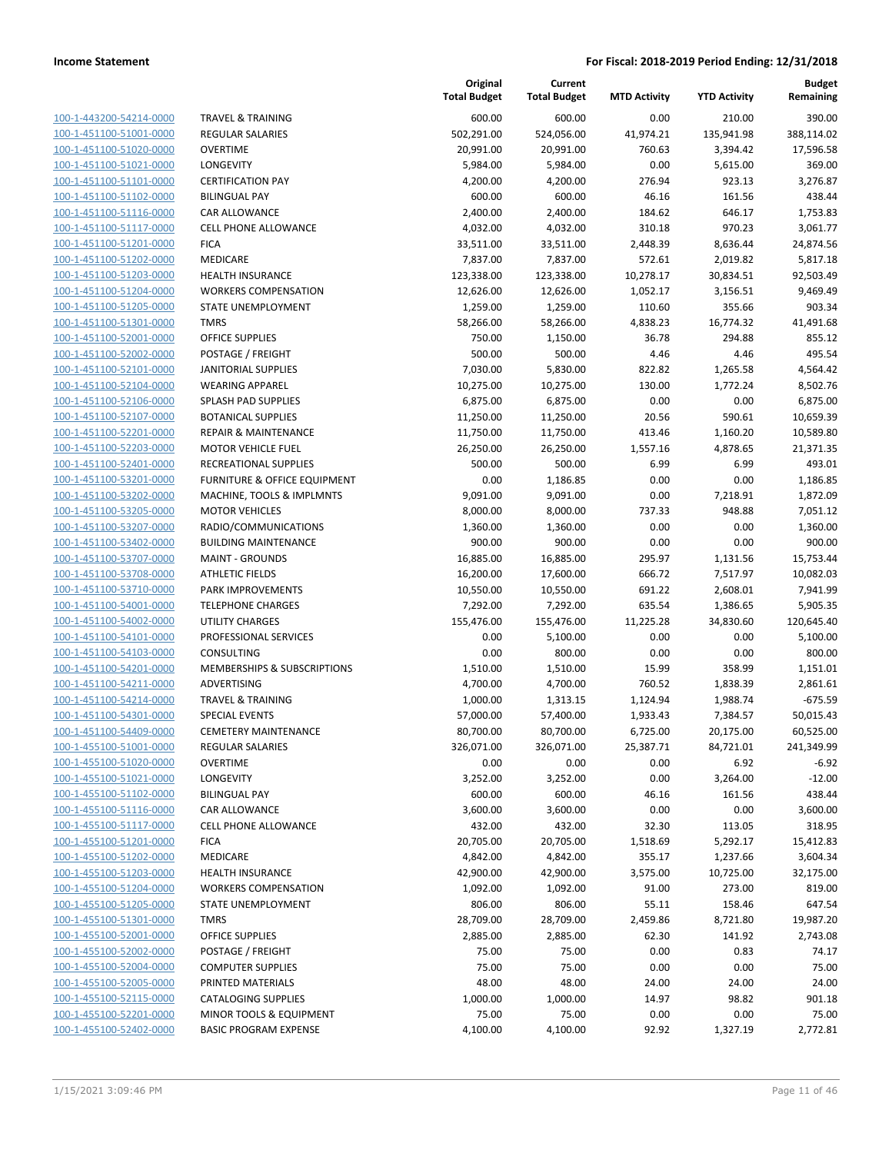| 100-1-443200-54214-0000                      |
|----------------------------------------------|
| 100-1-451100-51001-0000                      |
| 100-1-451100-51020-0000                      |
| <u>100-1-451100-51021-0000</u>               |
| 100-1-451100-51101-0000                      |
| -451100-51102-0000<br>$100 - 1$              |
| 100-1-451100-51116-0000                      |
| 100-1-451100-51117-0000                      |
| <u>100-1-451100-51201-0000</u>               |
| 100-1-451100-51202-0000                      |
| -451100-51203-0000<br>$100-$<br>$\mathbf{1}$ |
| 100-1-451100-51204-0000                      |
| 100-1-451100-51205-0000                      |
| <u>100-1-451100-51301-0000</u>               |
| 100-1-451100-52001-0000                      |
| -451100-52002-0000<br>$100 - 1$              |
| 100-1-451100-52101-0000                      |
| 100-1-451100-52104-0000                      |
| <u>100-1-451100-52106-0000</u>               |
| 100-1-451100-52107-0000                      |
| -451100-52201-0000<br>$100-$<br>$\mathbf{1}$ |
| 100-1-451100-52203-0000                      |
|                                              |
| 100-1-451100-52401-0000                      |
| <u>100-1-451100-53201-0000</u>               |
| 100-1-451100-53202-0000                      |
| -451100-53205-0000<br>$100 - 1$              |
| 100-1-451100-53207-0000                      |
| 100-1-451100-53402-0000                      |
| <u>100-1-451100-53707-0000</u>               |
| 100-1-451100-53708-0000                      |
| -451100-53710-0000<br>$100-$<br>$\mathbf{1}$ |
| 100-1-451100-54001-0000                      |
| 100-1-451100-54002-0000                      |
| <u>100-1-451100-54101-0000</u>               |
| 100-1-451100-54103-0000                      |
| -451100-54201-0000<br>$100 - 1$              |
| 100-1-451100-54211-0000                      |
| 100-1-451100-54214-0000                      |
| 100-1-451100-54301-0000                      |
| 100-1-451100-54409-0000                      |
| -455100-51001-0000<br>$100 - 1$              |
| <u>100-1-455100-51020-0000</u>               |
| <u>100-1-455100-51021-0000</u>               |
| 100-1-455100-51102-0000                      |
| 100-1-455100-51116-0000                      |
| 100-1-455100-51117-0000                      |
| 100-1-455100-51201-0000                      |
|                                              |
| 100-1-455100-51202-0000                      |
| <u>100-1-455100-51203-0000</u>               |
| 100-1-455100-51204-0000                      |
| 100-1-455100-51205-0000                      |
| 100-1-455100-51301-0000                      |
| <u>100-1-455100-52001-0000</u>               |
| <u>100-1-455100-52002-0000</u>               |
| 100-1-455100-52004-0000                      |
| 100-1-455100-52005-0000                      |
| 100-1-455100-52115-0000                      |
| <u>100-1-455100-52201-0000</u>               |
| 100-1-455100-52402-0000                      |

|                                                    |                                                        | Original<br><b>Total Budget</b> | Current<br><b>Total Budget</b> | <b>MTD Activity</b> | <b>YTD Activity</b> | <b>Budget</b><br>Remaining |
|----------------------------------------------------|--------------------------------------------------------|---------------------------------|--------------------------------|---------------------|---------------------|----------------------------|
| 100-1-443200-54214-0000                            | <b>TRAVEL &amp; TRAINING</b>                           | 600.00                          | 600.00                         | 0.00                | 210.00              | 390.00                     |
| 100-1-451100-51001-0000                            | <b>REGULAR SALARIES</b>                                | 502,291.00                      | 524,056.00                     | 41,974.21           | 135,941.98          | 388,114.02                 |
| 100-1-451100-51020-0000                            | <b>OVERTIME</b>                                        | 20,991.00                       | 20,991.00                      | 760.63              | 3,394.42            | 17,596.58                  |
| 100-1-451100-51021-0000                            | LONGEVITY                                              | 5,984.00                        | 5,984.00                       | 0.00                | 5,615.00            | 369.00                     |
| 100-1-451100-51101-0000                            | <b>CERTIFICATION PAY</b>                               | 4,200.00                        | 4,200.00                       | 276.94              | 923.13              | 3,276.87                   |
| 100-1-451100-51102-0000                            | <b>BILINGUAL PAY</b>                                   | 600.00                          | 600.00                         | 46.16               | 161.56              | 438.44                     |
| 100-1-451100-51116-0000                            | <b>CAR ALLOWANCE</b>                                   | 2,400.00                        | 2,400.00                       | 184.62              | 646.17              | 1,753.83                   |
| 100-1-451100-51117-0000                            | <b>CELL PHONE ALLOWANCE</b>                            | 4,032.00                        | 4,032.00                       | 310.18              | 970.23              | 3,061.77                   |
| 100-1-451100-51201-0000                            | <b>FICA</b>                                            | 33,511.00                       | 33,511.00                      | 2,448.39            | 8,636.44            | 24,874.56                  |
| 100-1-451100-51202-0000                            | MEDICARE                                               | 7,837.00                        | 7,837.00                       | 572.61              | 2,019.82            | 5,817.18                   |
| 100-1-451100-51203-0000                            | <b>HEALTH INSURANCE</b>                                | 123,338.00                      | 123,338.00                     | 10,278.17           | 30,834.51           | 92,503.49                  |
| 100-1-451100-51204-0000                            | <b>WORKERS COMPENSATION</b>                            | 12,626.00                       | 12,626.00                      | 1,052.17            | 3,156.51            | 9,469.49                   |
| 100-1-451100-51205-0000                            | STATE UNEMPLOYMENT                                     | 1,259.00                        | 1,259.00                       | 110.60              | 355.66              | 903.34                     |
| 100-1-451100-51301-0000                            | <b>TMRS</b>                                            | 58,266.00                       | 58,266.00                      | 4,838.23            | 16,774.32           | 41,491.68                  |
| 100-1-451100-52001-0000                            | <b>OFFICE SUPPLIES</b>                                 | 750.00                          | 1,150.00                       | 36.78               | 294.88              | 855.12                     |
| 100-1-451100-52002-0000                            | POSTAGE / FREIGHT                                      | 500.00                          | 500.00                         | 4.46                | 4.46                | 495.54                     |
| 100-1-451100-52101-0000                            | <b>JANITORIAL SUPPLIES</b>                             | 7,030.00                        | 5,830.00                       | 822.82              | 1,265.58            | 4,564.42                   |
| 100-1-451100-52104-0000                            | <b>WEARING APPAREL</b>                                 | 10,275.00                       | 10,275.00                      | 130.00              | 1,772.24            | 8,502.76                   |
| 100-1-451100-52106-0000                            | SPLASH PAD SUPPLIES                                    | 6,875.00                        | 6,875.00                       | 0.00                | 0.00                | 6,875.00                   |
| 100-1-451100-52107-0000                            | <b>BOTANICAL SUPPLIES</b>                              | 11,250.00                       | 11,250.00                      | 20.56               | 590.61              | 10,659.39                  |
| 100-1-451100-52201-0000                            | <b>REPAIR &amp; MAINTENANCE</b>                        | 11,750.00                       | 11,750.00                      | 413.46              | 1,160.20            | 10,589.80                  |
| 100-1-451100-52203-0000                            | <b>MOTOR VEHICLE FUEL</b>                              | 26,250.00                       | 26,250.00                      | 1,557.16            | 4,878.65            | 21,371.35                  |
| 100-1-451100-52401-0000                            | RECREATIONAL SUPPLIES                                  | 500.00                          | 500.00                         | 6.99                | 6.99                | 493.01                     |
| 100-1-451100-53201-0000                            | <b>FURNITURE &amp; OFFICE EQUIPMENT</b>                | 0.00                            | 1,186.85                       | 0.00                | 0.00                | 1,186.85                   |
| 100-1-451100-53202-0000                            | MACHINE, TOOLS & IMPLMNTS                              | 9,091.00                        | 9,091.00                       | 0.00                | 7,218.91            | 1,872.09                   |
| 100-1-451100-53205-0000                            | <b>MOTOR VEHICLES</b>                                  | 8,000.00                        | 8,000.00                       | 737.33              | 948.88              | 7,051.12                   |
| 100-1-451100-53207-0000                            | RADIO/COMMUNICATIONS                                   | 1,360.00                        | 1,360.00                       | 0.00                | 0.00                | 1,360.00                   |
| 100-1-451100-53402-0000                            | <b>BUILDING MAINTENANCE</b>                            | 900.00                          | 900.00                         | 0.00                | 0.00                | 900.00                     |
| 100-1-451100-53707-0000                            | <b>MAINT - GROUNDS</b>                                 | 16,885.00                       | 16,885.00                      | 295.97              | 1,131.56            | 15,753.44                  |
| 100-1-451100-53708-0000                            | <b>ATHLETIC FIELDS</b>                                 | 16,200.00                       | 17,600.00                      | 666.72              | 7,517.97            | 10,082.03                  |
| 100-1-451100-53710-0000                            | PARK IMPROVEMENTS                                      | 10,550.00                       | 10,550.00                      | 691.22              | 2,608.01            | 7,941.99                   |
| 100-1-451100-54001-0000                            | <b>TELEPHONE CHARGES</b>                               | 7,292.00                        | 7,292.00                       | 635.54              | 1,386.65            | 5,905.35                   |
| 100-1-451100-54002-0000                            | <b>UTILITY CHARGES</b>                                 | 155,476.00                      | 155,476.00                     | 11,225.28           | 34,830.60           | 120,645.40                 |
| 100-1-451100-54101-0000                            | PROFESSIONAL SERVICES                                  | 0.00                            | 5,100.00                       | 0.00                | 0.00                | 5,100.00                   |
| 100-1-451100-54103-0000                            | CONSULTING                                             | 0.00                            | 800.00                         | 0.00                | 0.00                | 800.00                     |
| 100-1-451100-54201-0000                            | MEMBERSHIPS & SUBSCRIPTIONS                            | 1,510.00                        | 1,510.00                       | 15.99               | 358.99              | 1,151.01                   |
| 100-1-451100-54211-0000                            | ADVERTISING                                            | 4,700.00                        | 4,700.00                       | 760.52              | 1,838.39            | 2,861.61                   |
| 100-1-451100-54214-0000                            | <b>TRAVEL &amp; TRAINING</b>                           | 1,000.00                        | 1,313.15                       | 1,124.94            | 1,988.74            | $-675.59$                  |
| 100-1-451100-54301-0000                            | <b>SPECIAL EVENTS</b>                                  | 57,000.00                       | 57,400.00                      | 1,933.43            | 7,384.57            | 50,015.43                  |
| 100-1-451100-54409-0000                            | <b>CEMETERY MAINTENANCE</b>                            | 80,700.00                       | 80,700.00                      | 6,725.00            | 20,175.00           | 60,525.00                  |
| 100-1-455100-51001-0000                            | <b>REGULAR SALARIES</b>                                | 326,071.00                      | 326,071.00                     | 25,387.71           | 84,721.01           | 241,349.99                 |
| 100-1-455100-51020-0000                            | <b>OVERTIME</b>                                        | 0.00                            | 0.00                           | 0.00                | 6.92                | $-6.92$                    |
| 100-1-455100-51021-0000                            | LONGEVITY                                              | 3,252.00                        | 3,252.00                       | 0.00                | 3,264.00            | $-12.00$                   |
| 100-1-455100-51102-0000                            | <b>BILINGUAL PAY</b>                                   | 600.00                          | 600.00                         | 46.16               | 161.56              | 438.44                     |
| 100-1-455100-51116-0000                            | CAR ALLOWANCE                                          | 3,600.00                        | 3,600.00                       | 0.00                | 0.00                | 3,600.00                   |
| 100-1-455100-51117-0000                            | <b>CELL PHONE ALLOWANCE</b>                            | 432.00                          | 432.00                         | 32.30               | 113.05              | 318.95                     |
| 100-1-455100-51201-0000                            | <b>FICA</b>                                            | 20,705.00                       | 20,705.00                      | 1,518.69            | 5,292.17            | 15,412.83<br>3,604.34      |
| 100-1-455100-51202-0000                            | MEDICARE                                               | 4,842.00<br>42,900.00           | 4,842.00                       | 355.17              | 1,237.66            |                            |
| 100-1-455100-51203-0000<br>100-1-455100-51204-0000 | <b>HEALTH INSURANCE</b><br><b>WORKERS COMPENSATION</b> | 1,092.00                        | 42,900.00<br>1,092.00          | 3,575.00            | 10,725.00<br>273.00 | 32,175.00<br>819.00        |
|                                                    |                                                        |                                 |                                | 91.00               |                     |                            |
| 100-1-455100-51205-0000<br>100-1-455100-51301-0000 | STATE UNEMPLOYMENT<br><b>TMRS</b>                      | 806.00                          | 806.00                         | 55.11               | 158.46              | 647.54                     |
|                                                    |                                                        | 28,709.00                       | 28,709.00                      | 2,459.86            | 8,721.80            | 19,987.20                  |
| 100-1-455100-52001-0000                            | <b>OFFICE SUPPLIES</b>                                 | 2,885.00                        | 2,885.00                       | 62.30               | 141.92              | 2,743.08                   |
| 100-1-455100-52002-0000                            | POSTAGE / FREIGHT                                      | 75.00                           | 75.00                          | 0.00                | 0.83                | 74.17                      |
| 100-1-455100-52004-0000                            | <b>COMPUTER SUPPLIES</b>                               | 75.00                           | 75.00                          | 0.00                | 0.00                | 75.00                      |
| 100-1-455100-52005-0000                            | PRINTED MATERIALS                                      | 48.00                           | 48.00                          | 24.00               | 24.00               | 24.00                      |
| 100-1-455100-52115-0000                            | <b>CATALOGING SUPPLIES</b>                             | 1,000.00                        | 1,000.00                       | 14.97               | 98.82               | 901.18                     |
| 100-1-455100-52201-0000<br>100-1-455100-52402-0000 | MINOR TOOLS & EQUIPMENT                                | 75.00                           | 75.00                          | 0.00                | 0.00                | 75.00                      |
|                                                    | <b>BASIC PROGRAM EXPENSE</b>                           | 4,100.00                        | 4,100.00                       | 92.92               | 1,327.19            | 2,772.81                   |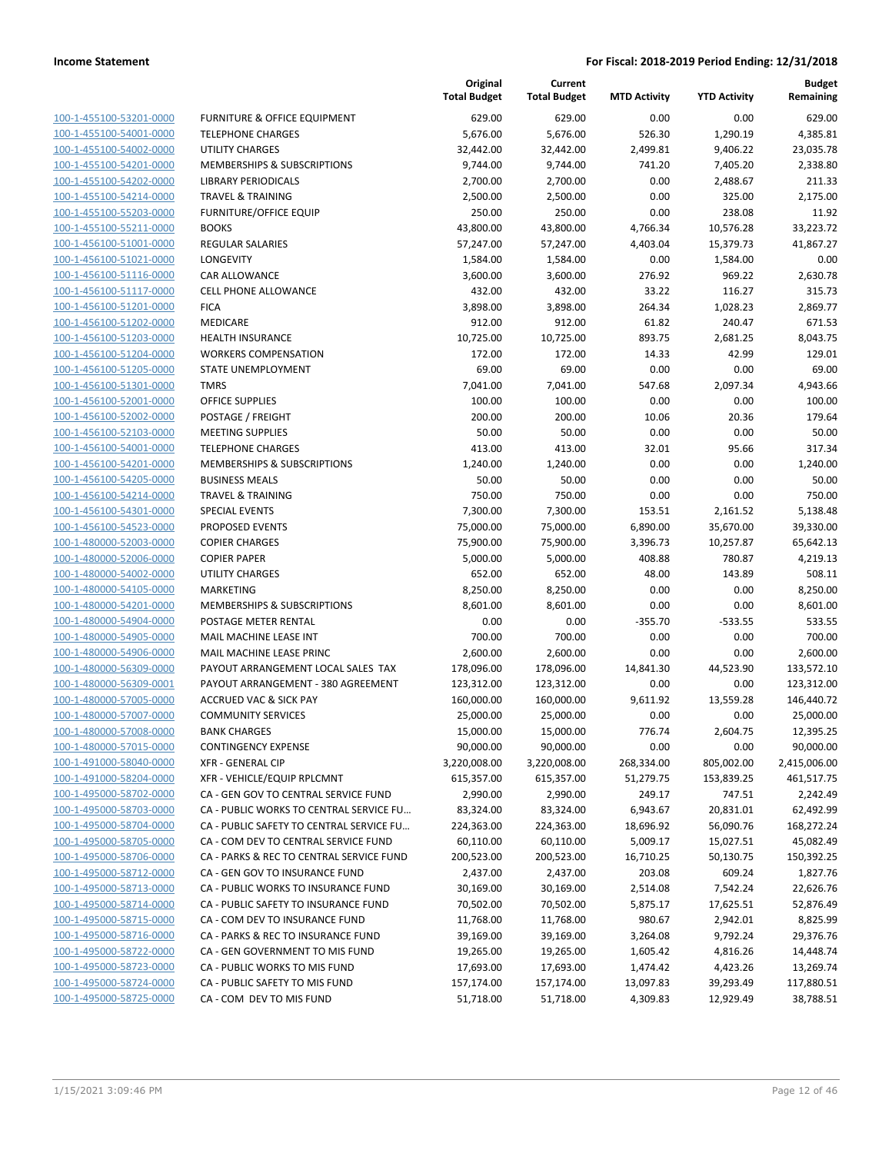| 100-1-455100-53201-0000                            |
|----------------------------------------------------|
| 100-1-455100-54001-0000                            |
| 100-1-455100-54002-0000                            |
| 100-1-455100-54201-0000                            |
| 100-1-455100-54202-0000                            |
| 100-1-455100-54214-0000                            |
| 100-1-455100-55203-0000                            |
| 100-1-455100-55211-0000                            |
| 100-1-456100-51001-0000                            |
| 100-1-456100-51021-0000                            |
| 100-1-456100-51116-0000                            |
| 100-1-456100-51117-0000                            |
| 100-1-456100-51201-0000                            |
| 100-1-456100-51202-0000                            |
| -456100-51203-0000<br>$100 - 1$                    |
| 100-1-456100-51204-0000                            |
| 100-1-456100-51205-0000                            |
| 100-1-456100-51301-0000                            |
| 100-1-456100-52001-0000                            |
| $100 - 1$<br>-456100-52002-0000                    |
| 100-1-456100-52103-0000                            |
| 100-1-456100-54001-0000                            |
| 100-1-456100-54201-0000                            |
| 100-1-456100-54205-0000                            |
| $100 - 1$<br>-456100-54214-0000                    |
| 100-1-456100-54301-0000                            |
| 100-1-456100-54523-0000                            |
| 100-1-480000-52003-0000                            |
| 100-1-480000-52006-0000                            |
| 100-1-480000-54002-0000                            |
| 100-1-480000-54105-0000                            |
| 100-1-480000-54201-0000                            |
| 100-1-480000-54904-0000                            |
| 100-1-480000-54905-0000                            |
| 100-1-480000-54906-0000                            |
| 100-1-480000-56309-0000                            |
| 100-1-480000-56309-0001                            |
|                                                    |
| 100-1-480000-57005-0000<br>100-1-480000-57007-0000 |
| -480000-57008-0000<br>$100 - 1$                    |
|                                                    |
| 100-1-480000-57015-0000                            |
| 100-1-491000-58040-0000                            |
| <u>100-1-491000-58204-0000</u>                     |
| 100-1-495000-58702-0000                            |
| 100-1-495000-58703-0000                            |
| 100-1-495000-58704-0000                            |
| 100-1-495000-58705-0000                            |
| 100-1-495000-58706-0000                            |
| <u>100-1-495000-58712-0000</u>                     |
| 100-1-495000-58713-0000                            |
| 100-1-495000-58714-0000                            |
| 100-1-495000-58715-0000                            |
| 100-1-495000-58716-0000                            |
| <u>100-1-495000-58722-0000</u>                     |
| 100-1-495000-58723-0000                            |
| 100-1-495000-58724-0000                            |
| <u>100-1-495000-58725-0000</u>                     |
|                                                    |

|                                                    |                                          | Original<br><b>Total Budget</b> | Current<br><b>Total Budget</b> | <b>MTD Activity</b>   | <b>YTD Activity</b> | <b>Budget</b><br>Remaining |
|----------------------------------------------------|------------------------------------------|---------------------------------|--------------------------------|-----------------------|---------------------|----------------------------|
| 100-1-455100-53201-0000                            | <b>FURNITURE &amp; OFFICE EQUIPMENT</b>  | 629.00                          | 629.00                         | 0.00                  | 0.00                | 629.00                     |
| 100-1-455100-54001-0000                            | <b>TELEPHONE CHARGES</b>                 | 5,676.00                        | 5,676.00                       | 526.30                | 1,290.19            | 4,385.81                   |
| 100-1-455100-54002-0000                            | <b>UTILITY CHARGES</b>                   | 32,442.00                       | 32,442.00                      | 2,499.81              | 9,406.22            | 23,035.78                  |
| 100-1-455100-54201-0000                            | MEMBERSHIPS & SUBSCRIPTIONS              | 9,744.00                        | 9,744.00                       | 741.20                | 7,405.20            | 2,338.80                   |
| 100-1-455100-54202-0000                            | <b>LIBRARY PERIODICALS</b>               | 2,700.00                        | 2,700.00                       | 0.00                  | 2,488.67            | 211.33                     |
| 100-1-455100-54214-0000                            | <b>TRAVEL &amp; TRAINING</b>             | 2,500.00                        | 2,500.00                       | 0.00                  | 325.00              | 2,175.00                   |
| 100-1-455100-55203-0000                            | <b>FURNITURE/OFFICE EQUIP</b>            | 250.00                          | 250.00                         | 0.00                  | 238.08              | 11.92                      |
| 100-1-455100-55211-0000                            | <b>BOOKS</b>                             | 43,800.00                       | 43,800.00                      | 4,766.34              | 10,576.28           | 33,223.72                  |
| 100-1-456100-51001-0000                            | REGULAR SALARIES                         | 57,247.00                       | 57,247.00                      | 4,403.04              | 15,379.73           | 41,867.27                  |
| 100-1-456100-51021-0000                            | LONGEVITY                                | 1,584.00                        | 1,584.00                       | 0.00                  | 1,584.00            | 0.00                       |
| 100-1-456100-51116-0000                            | CAR ALLOWANCE                            | 3,600.00                        | 3,600.00                       | 276.92                | 969.22              | 2,630.78                   |
| 100-1-456100-51117-0000                            | <b>CELL PHONE ALLOWANCE</b>              | 432.00                          | 432.00                         | 33.22                 | 116.27              | 315.73                     |
| 100-1-456100-51201-0000                            | <b>FICA</b>                              | 3,898.00                        | 3,898.00                       | 264.34                | 1,028.23            | 2,869.77                   |
| 100-1-456100-51202-0000                            | MEDICARE                                 | 912.00                          | 912.00                         | 61.82                 | 240.47              | 671.53                     |
| 100-1-456100-51203-0000                            | <b>HEALTH INSURANCE</b>                  | 10,725.00                       | 10,725.00                      | 893.75                | 2,681.25            | 8,043.75                   |
| 100-1-456100-51204-0000                            | <b>WORKERS COMPENSATION</b>              | 172.00                          | 172.00                         | 14.33                 | 42.99               | 129.01                     |
| 100-1-456100-51205-0000                            | STATE UNEMPLOYMENT                       | 69.00                           | 69.00                          | 0.00                  | 0.00                | 69.00                      |
| 100-1-456100-51301-0000                            | <b>TMRS</b>                              | 7,041.00                        | 7,041.00                       | 547.68                | 2,097.34            | 4,943.66                   |
| 100-1-456100-52001-0000                            | <b>OFFICE SUPPLIES</b>                   | 100.00                          | 100.00                         | 0.00                  | 0.00                | 100.00                     |
| 100-1-456100-52002-0000                            | POSTAGE / FREIGHT                        | 200.00                          | 200.00                         | 10.06                 | 20.36               | 179.64                     |
| 100-1-456100-52103-0000                            | <b>MEETING SUPPLIES</b>                  | 50.00                           | 50.00                          | 0.00                  | 0.00                | 50.00                      |
| 100-1-456100-54001-0000                            | <b>TELEPHONE CHARGES</b>                 | 413.00                          | 413.00                         | 32.01                 | 95.66               | 317.34                     |
| 100-1-456100-54201-0000                            | MEMBERSHIPS & SUBSCRIPTIONS              | 1,240.00                        | 1,240.00                       | 0.00                  | 0.00                | 1,240.00                   |
| 100-1-456100-54205-0000                            | <b>BUSINESS MEALS</b>                    | 50.00                           | 50.00                          | 0.00                  | 0.00                | 50.00                      |
| 100-1-456100-54214-0000                            | <b>TRAVEL &amp; TRAINING</b>             | 750.00                          | 750.00                         | 0.00                  | 0.00                | 750.00                     |
| 100-1-456100-54301-0000                            | <b>SPECIAL EVENTS</b>                    | 7,300.00                        | 7,300.00                       | 153.51                | 2,161.52            | 5,138.48                   |
| 100-1-456100-54523-0000                            | PROPOSED EVENTS                          | 75,000.00                       | 75,000.00                      | 6,890.00              | 35,670.00           | 39,330.00                  |
| 100-1-480000-52003-0000                            | <b>COPIER CHARGES</b>                    | 75,900.00                       | 75,900.00                      | 3,396.73              | 10,257.87           | 65,642.13                  |
| 100-1-480000-52006-0000                            | <b>COPIER PAPER</b>                      | 5,000.00                        | 5,000.00                       | 408.88                | 780.87              | 4,219.13                   |
| 100-1-480000-54002-0000                            | UTILITY CHARGES                          | 652.00                          | 652.00                         | 48.00                 | 143.89              | 508.11                     |
| 100-1-480000-54105-0000                            | <b>MARKETING</b>                         | 8,250.00                        | 8,250.00                       | 0.00                  | 0.00                | 8,250.00                   |
| 100-1-480000-54201-0000                            | MEMBERSHIPS & SUBSCRIPTIONS              | 8,601.00                        | 8,601.00                       | 0.00                  | 0.00                | 8,601.00                   |
| 100-1-480000-54904-0000                            | POSTAGE METER RENTAL                     | 0.00                            | 0.00                           | $-355.70$             | $-533.55$           | 533.55                     |
| 100-1-480000-54905-0000                            | MAIL MACHINE LEASE INT                   | 700.00                          | 700.00                         | 0.00                  | 0.00                | 700.00                     |
| 100-1-480000-54906-0000                            | MAIL MACHINE LEASE PRINC                 | 2,600.00                        | 2,600.00                       | 0.00                  | 0.00                | 2,600.00                   |
| 100-1-480000-56309-0000                            | PAYOUT ARRANGEMENT LOCAL SALES TAX       | 178,096.00                      | 178,096.00                     | 14,841.30             | 44,523.90           | 133,572.10                 |
| 100-1-480000-56309-0001                            | PAYOUT ARRANGEMENT - 380 AGREEMENT       | 123,312.00                      | 123,312.00                     | 0.00                  | 0.00                | 123,312.00                 |
| 100-1-480000-57005-0000                            | <b>ACCRUED VAC &amp; SICK PAY</b>        | 160,000.00                      | 160,000.00                     | 9,611.92              | 13,559.28           | 146,440.72                 |
| 100-1-480000-57007-0000                            | <b>COMMUNITY SERVICES</b>                | 25,000.00                       | 25,000.00                      | 0.00                  | 0.00                | 25,000.00                  |
| 100-1-480000-57008-0000                            | <b>BANK CHARGES</b>                      | 15,000.00                       | 15,000.00                      | 776.74                | 2,604.75            | 12,395.25                  |
| 100-1-480000-57015-0000                            | <b>CONTINGENCY EXPENSE</b>               | 90,000.00                       | 90,000.00                      | 0.00                  | 0.00                | 90,000.00                  |
| 100-1-491000-58040-0000                            | XFR - GENERAL CIP                        | 3,220,008.00                    | 3,220,008.00                   | 268,334.00            | 805,002.00          | 2,415,006.00               |
| 100-1-491000-58204-0000                            | XFR - VEHICLE/EQUIP RPLCMNT              | 615,357.00                      | 615,357.00                     | 51,279.75             | 153,839.25          | 461,517.75                 |
| 100-1-495000-58702-0000                            | CA - GEN GOV TO CENTRAL SERVICE FUND     | 2,990.00                        | 2,990.00                       |                       |                     |                            |
| 100-1-495000-58703-0000                            | CA - PUBLIC WORKS TO CENTRAL SERVICE FU  | 83,324.00                       | 83,324.00                      | 249.17                | 747.51<br>20,831.01 | 2,242.49<br>62,492.99      |
| 100-1-495000-58704-0000                            | CA - PUBLIC SAFETY TO CENTRAL SERVICE FU |                                 | 224,363.00                     | 6,943.67<br>18,696.92 | 56,090.76           | 168,272.24                 |
| 100-1-495000-58705-0000                            |                                          | 224,363.00<br>60,110.00         | 60,110.00                      |                       |                     |                            |
|                                                    | CA - COM DEV TO CENTRAL SERVICE FUND     |                                 |                                | 5,009.17              | 15,027.51           | 45,082.49                  |
| 100-1-495000-58706-0000<br>100-1-495000-58712-0000 | CA - PARKS & REC TO CENTRAL SERVICE FUND | 200,523.00                      | 200,523.00                     | 16,710.25             | 50,130.75           | 150,392.25                 |
|                                                    | CA - GEN GOV TO INSURANCE FUND           | 2,437.00                        | 2,437.00                       | 203.08                | 609.24              | 1,827.76                   |
| 100-1-495000-58713-0000                            | CA - PUBLIC WORKS TO INSURANCE FUND      | 30,169.00                       | 30,169.00                      | 2,514.08              | 7,542.24            | 22,626.76                  |
| 100-1-495000-58714-0000                            | CA - PUBLIC SAFETY TO INSURANCE FUND     | 70,502.00                       | 70,502.00                      | 5,875.17              | 17,625.51           | 52,876.49                  |
| 100-1-495000-58715-0000                            | CA - COM DEV TO INSURANCE FUND           | 11,768.00                       | 11,768.00                      | 980.67                | 2,942.01            | 8,825.99                   |
| 100-1-495000-58716-0000                            | CA - PARKS & REC TO INSURANCE FUND       | 39,169.00                       | 39,169.00                      | 3,264.08              | 9,792.24            | 29,376.76                  |
| 100-1-495000-58722-0000                            | CA - GEN GOVERNMENT TO MIS FUND          | 19,265.00                       | 19,265.00                      | 1,605.42              | 4,816.26            | 14,448.74                  |
| 100-1-495000-58723-0000                            | CA - PUBLIC WORKS TO MIS FUND            | 17,693.00                       | 17,693.00                      | 1,474.42              | 4,423.26            | 13,269.74                  |
| 100-1-495000-58724-0000                            | CA - PUBLIC SAFETY TO MIS FUND           | 157,174.00                      | 157,174.00                     | 13,097.83             | 39,293.49           | 117,880.51                 |
| 100-1-495000-58725-0000                            | CA - COM DEV TO MIS FUND                 | 51,718.00                       | 51,718.00                      | 4,309.83              | 12,929.49           | 38,788.51                  |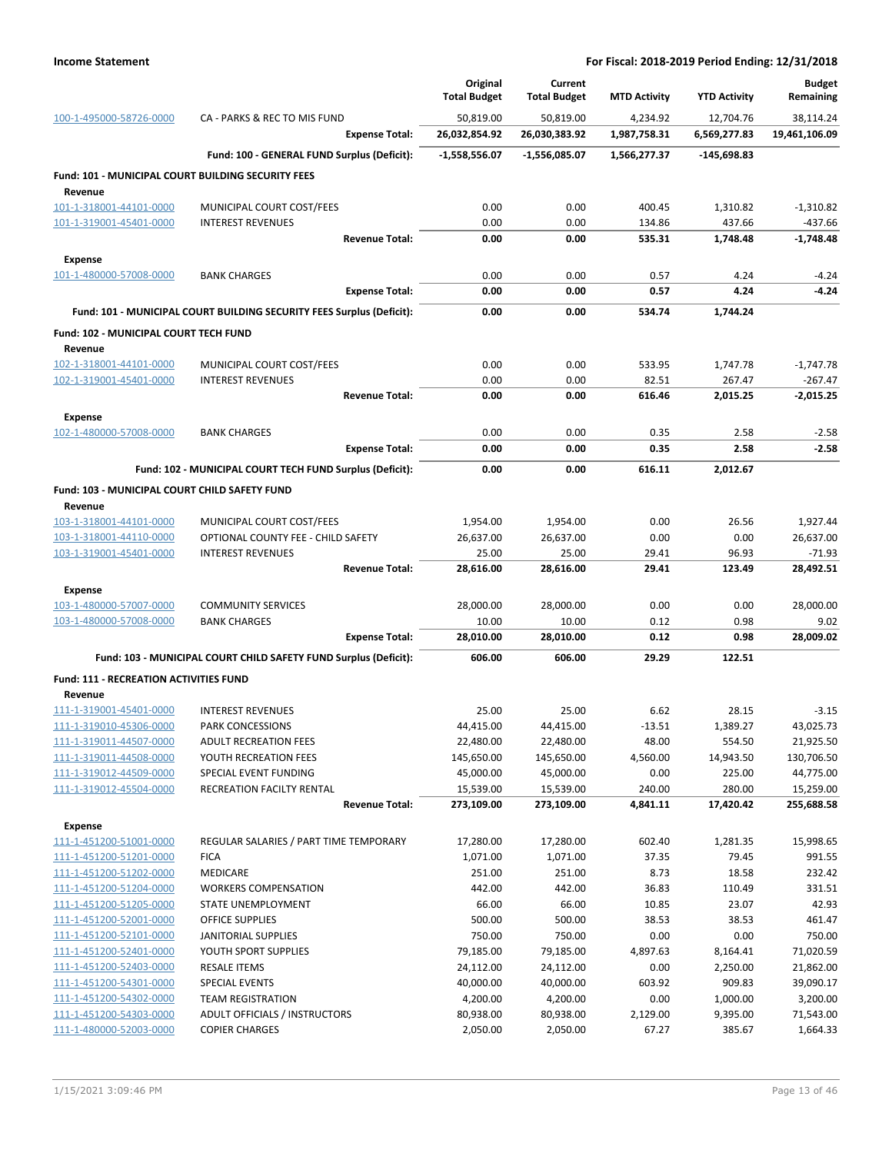|                                                           |                                                                       | Original<br><b>Total Budget</b> | Current<br><b>Total Budget</b> | <b>MTD Activity</b> | <b>YTD Activity</b> | <b>Budget</b><br>Remaining |
|-----------------------------------------------------------|-----------------------------------------------------------------------|---------------------------------|--------------------------------|---------------------|---------------------|----------------------------|
| 100-1-495000-58726-0000                                   | CA - PARKS & REC TO MIS FUND                                          | 50,819.00                       | 50,819.00                      | 4.234.92            | 12,704.76           | 38,114.24                  |
|                                                           | <b>Expense Total:</b>                                                 | 26,032,854.92                   | 26,030,383.92                  | 1,987,758.31        | 6,569,277.83        | 19,461,106.09              |
|                                                           | Fund: 100 - GENERAL FUND Surplus (Deficit):                           | $-1,558,556.07$                 | -1,556,085.07                  | 1,566,277.37        | $-145,698.83$       |                            |
| <b>Fund: 101 - MUNICIPAL COURT BUILDING SECURITY FEES</b> |                                                                       |                                 |                                |                     |                     |                            |
| Revenue<br>101-1-318001-44101-0000                        | MUNICIPAL COURT COST/FEES                                             | 0.00                            | 0.00                           | 400.45              | 1,310.82            | $-1,310.82$                |
| 101-1-319001-45401-0000                                   | <b>INTEREST REVENUES</b>                                              | 0.00                            | 0.00                           | 134.86              | 437.66              | $-437.66$                  |
|                                                           | <b>Revenue Total:</b>                                                 | 0.00                            | 0.00                           | 535.31              | 1,748.48            | $-1.748.48$                |
| <b>Expense</b>                                            |                                                                       |                                 |                                |                     |                     |                            |
| 101-1-480000-57008-0000                                   | <b>BANK CHARGES</b>                                                   | 0.00                            | 0.00                           | 0.57                | 4.24                | $-4.24$                    |
|                                                           | <b>Expense Total:</b>                                                 | 0.00                            | 0.00                           | 0.57                | 4.24                | $-4.24$                    |
|                                                           | Fund: 101 - MUNICIPAL COURT BUILDING SECURITY FEES Surplus (Deficit): | 0.00                            | 0.00                           | 534.74              | 1,744.24            |                            |
| Fund: 102 - MUNICIPAL COURT TECH FUND                     |                                                                       |                                 |                                |                     |                     |                            |
| Revenue                                                   |                                                                       |                                 |                                |                     |                     |                            |
| 102-1-318001-44101-0000                                   | MUNICIPAL COURT COST/FEES                                             | 0.00                            | 0.00                           | 533.95              | 1,747.78            | $-1,747.78$                |
| 102-1-319001-45401-0000                                   | <b>INTEREST REVENUES</b>                                              | 0.00                            | 0.00                           | 82.51               | 267.47              | -267.47                    |
|                                                           | <b>Revenue Total:</b>                                                 | 0.00                            | 0.00                           | 616.46              | 2,015.25            | $-2,015.25$                |
| <b>Expense</b>                                            |                                                                       |                                 |                                |                     |                     |                            |
| 102-1-480000-57008-0000                                   | <b>BANK CHARGES</b>                                                   | 0.00                            | 0.00                           | 0.35                | 2.58                | $-2.58$                    |
|                                                           | <b>Expense Total:</b>                                                 | 0.00                            | 0.00                           | 0.35                | 2.58                | $-2.58$                    |
|                                                           | Fund: 102 - MUNICIPAL COURT TECH FUND Surplus (Deficit):              | 0.00                            | 0.00                           | 616.11              | 2,012.67            |                            |
| Fund: 103 - MUNICIPAL COURT CHILD SAFETY FUND<br>Revenue  |                                                                       |                                 |                                |                     |                     |                            |
| 103-1-318001-44101-0000                                   | MUNICIPAL COURT COST/FEES                                             | 1,954.00                        | 1,954.00                       | 0.00                | 26.56               | 1,927.44                   |
| 103-1-318001-44110-0000                                   | OPTIONAL COUNTY FEE - CHILD SAFETY                                    | 26,637.00                       | 26,637.00                      | 0.00                | 0.00                | 26,637.00                  |
| 103-1-319001-45401-0000                                   | <b>INTEREST REVENUES</b>                                              | 25.00                           | 25.00                          | 29.41               | 96.93               | $-71.93$                   |
|                                                           | <b>Revenue Total:</b>                                                 | 28,616.00                       | 28,616.00                      | 29.41               | 123.49              | 28,492.51                  |
| Expense                                                   |                                                                       |                                 |                                |                     |                     |                            |
| 103-1-480000-57007-0000                                   | <b>COMMUNITY SERVICES</b>                                             | 28,000.00                       | 28,000.00                      | 0.00                | 0.00                | 28,000.00                  |
| 103-1-480000-57008-0000                                   | <b>BANK CHARGES</b>                                                   | 10.00                           | 10.00                          | 0.12                | 0.98                | 9.02                       |
|                                                           | <b>Expense Total:</b>                                                 | 28,010.00                       | 28,010.00                      | 0.12                | 0.98                | 28,009.02                  |
|                                                           | Fund: 103 - MUNICIPAL COURT CHILD SAFETY FUND Surplus (Deficit):      | 606.00                          | 606.00                         | 29.29               | 122.51              |                            |
| <b>Fund: 111 - RECREATION ACTIVITIES FUND</b>             |                                                                       |                                 |                                |                     |                     |                            |
| Revenue                                                   |                                                                       |                                 |                                |                     |                     |                            |
| 111-1-319001-45401-0000<br>111-1-319010-45306-0000        | <b>INTEREST REVENUES</b><br><b>PARK CONCESSIONS</b>                   | 25.00<br>44,415.00              | 25.00<br>44,415.00             | 6.62<br>$-13.51$    | 28.15<br>1,389.27   | $-3.15$<br>43,025.73       |
| 111-1-319011-44507-0000                                   | <b>ADULT RECREATION FEES</b>                                          | 22,480.00                       | 22,480.00                      | 48.00               | 554.50              | 21,925.50                  |
| 111-1-319011-44508-0000                                   | YOUTH RECREATION FEES                                                 | 145,650.00                      | 145,650.00                     | 4,560.00            | 14,943.50           | 130,706.50                 |
| 111-1-319012-44509-0000                                   | SPECIAL EVENT FUNDING                                                 | 45,000.00                       | 45,000.00                      | 0.00                | 225.00              | 44,775.00                  |
| 111-1-319012-45504-0000                                   | RECREATION FACILTY RENTAL                                             | 15,539.00                       | 15,539.00                      | 240.00              | 280.00              | 15,259.00                  |
|                                                           | <b>Revenue Total:</b>                                                 | 273,109.00                      | 273,109.00                     | 4,841.11            | 17,420.42           | 255,688.58                 |
| <b>Expense</b>                                            |                                                                       |                                 |                                |                     |                     |                            |
| 111-1-451200-51001-0000                                   | REGULAR SALARIES / PART TIME TEMPORARY                                | 17,280.00                       | 17,280.00                      | 602.40              | 1,281.35            | 15,998.65                  |
| 111-1-451200-51201-0000                                   | <b>FICA</b>                                                           | 1,071.00                        | 1,071.00                       | 37.35               | 79.45               | 991.55                     |
| 111-1-451200-51202-0000                                   | MEDICARE                                                              | 251.00                          | 251.00                         | 8.73                | 18.58               | 232.42                     |
| 111-1-451200-51204-0000<br>111-1-451200-51205-0000        | <b>WORKERS COMPENSATION</b><br>STATE UNEMPLOYMENT                     | 442.00<br>66.00                 | 442.00<br>66.00                | 36.83<br>10.85      | 110.49<br>23.07     | 331.51<br>42.93            |
| 111-1-451200-52001-0000                                   | OFFICE SUPPLIES                                                       | 500.00                          | 500.00                         | 38.53               | 38.53               | 461.47                     |
| 111-1-451200-52101-0000                                   | <b>JANITORIAL SUPPLIES</b>                                            | 750.00                          | 750.00                         | 0.00                | 0.00                | 750.00                     |
| 111-1-451200-52401-0000                                   | YOUTH SPORT SUPPLIES                                                  | 79,185.00                       | 79,185.00                      | 4,897.63            | 8,164.41            | 71,020.59                  |
| 111-1-451200-52403-0000                                   | <b>RESALE ITEMS</b>                                                   | 24,112.00                       | 24,112.00                      | 0.00                | 2,250.00            | 21,862.00                  |
| 111-1-451200-54301-0000                                   | <b>SPECIAL EVENTS</b>                                                 | 40,000.00                       | 40,000.00                      | 603.92              | 909.83              | 39,090.17                  |
| 111-1-451200-54302-0000                                   | <b>TEAM REGISTRATION</b>                                              | 4,200.00                        | 4,200.00                       | 0.00                | 1,000.00            | 3,200.00                   |
| 111-1-451200-54303-0000                                   | ADULT OFFICIALS / INSTRUCTORS                                         | 80,938.00                       | 80,938.00                      | 2,129.00            | 9,395.00            | 71,543.00                  |
| 111-1-480000-52003-0000                                   | <b>COPIER CHARGES</b>                                                 | 2,050.00                        | 2,050.00                       | 67.27               | 385.67              | 1,664.33                   |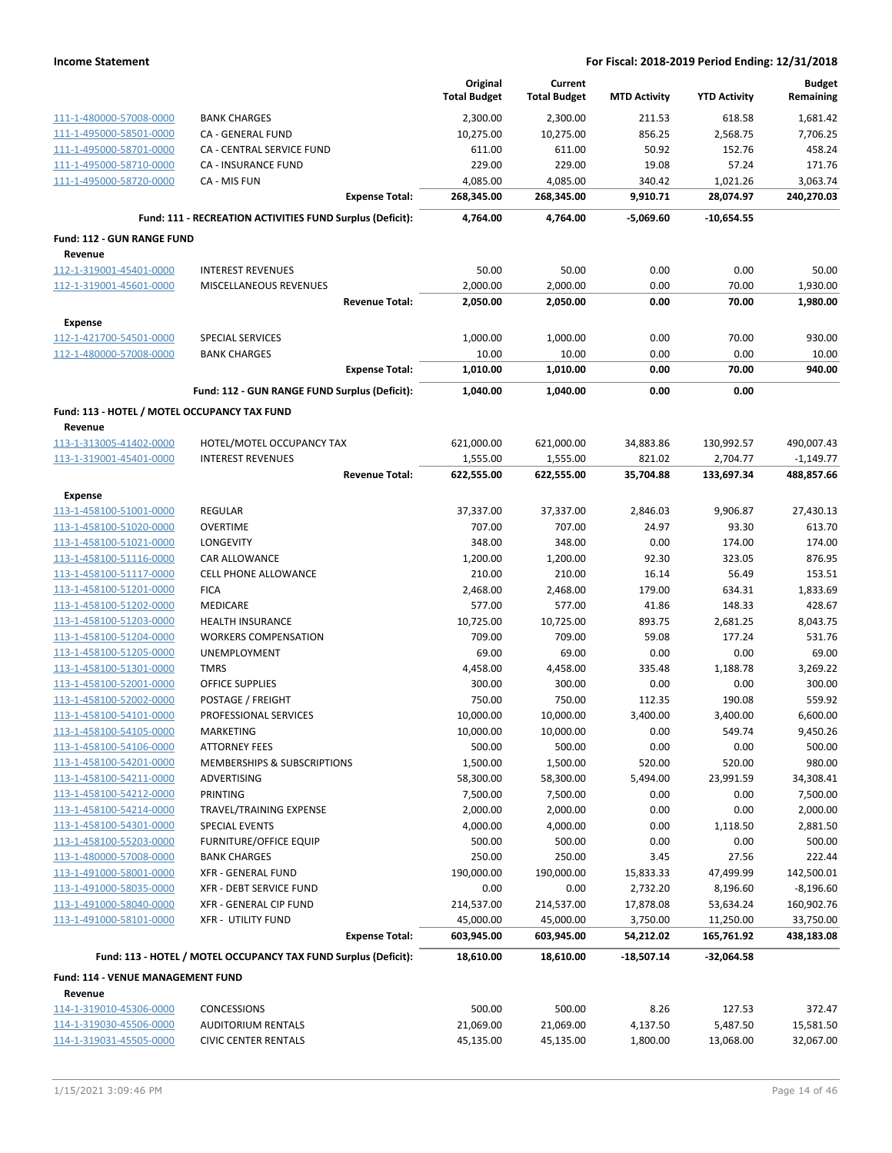|                                                         |                                                                 | Original<br><b>Total Budget</b> | Current<br><b>Total Budget</b> | <b>MTD Activity</b>   | <b>YTD Activity</b>     | <b>Budget</b><br>Remaining |
|---------------------------------------------------------|-----------------------------------------------------------------|---------------------------------|--------------------------------|-----------------------|-------------------------|----------------------------|
| 111-1-480000-57008-0000                                 | <b>BANK CHARGES</b>                                             | 2,300.00                        | 2,300.00                       | 211.53                | 618.58                  | 1,681.42                   |
| 111-1-495000-58501-0000                                 | CA - GENERAL FUND                                               | 10,275.00                       | 10,275.00                      | 856.25                | 2,568.75                | 7,706.25                   |
| 111-1-495000-58701-0000                                 | CA - CENTRAL SERVICE FUND                                       | 611.00                          | 611.00                         | 50.92                 | 152.76                  | 458.24                     |
| 111-1-495000-58710-0000                                 | CA - INSURANCE FUND                                             | 229.00                          | 229.00                         | 19.08                 | 57.24                   | 171.76                     |
| 111-1-495000-58720-0000                                 | CA - MIS FUN                                                    | 4,085.00                        | 4,085.00                       | 340.42                | 1,021.26                | 3,063.74                   |
|                                                         | <b>Expense Total:</b>                                           | 268,345.00                      | 268,345.00                     | 9,910.71              | 28,074.97               | 240,270.03                 |
|                                                         | Fund: 111 - RECREATION ACTIVITIES FUND Surplus (Deficit):       | 4,764.00                        | 4,764.00                       | -5,069.60             | -10,654.55              |                            |
| <b>Fund: 112 - GUN RANGE FUND</b>                       |                                                                 |                                 |                                |                       |                         |                            |
| Revenue                                                 |                                                                 |                                 |                                |                       |                         |                            |
| 112-1-319001-45401-0000                                 | <b>INTEREST REVENUES</b>                                        | 50.00                           | 50.00                          | 0.00                  | 0.00                    | 50.00                      |
| 112-1-319001-45601-0000                                 | MISCELLANEOUS REVENUES<br><b>Revenue Total:</b>                 | 2,000.00<br>2,050.00            | 2,000.00<br>2,050.00           | 0.00<br>0.00          | 70.00<br>70.00          | 1,930.00<br>1,980.00       |
|                                                         |                                                                 |                                 |                                |                       |                         |                            |
| <b>Expense</b>                                          |                                                                 |                                 |                                |                       |                         |                            |
| 112-1-421700-54501-0000                                 | <b>SPECIAL SERVICES</b><br><b>BANK CHARGES</b>                  | 1,000.00<br>10.00               | 1,000.00<br>10.00              | 0.00<br>0.00          | 70.00<br>0.00           | 930.00<br>10.00            |
| 112-1-480000-57008-0000                                 | <b>Expense Total:</b>                                           | 1,010.00                        | 1,010.00                       | 0.00                  | 70.00                   | 940.00                     |
|                                                         | Fund: 112 - GUN RANGE FUND Surplus (Deficit):                   | 1,040.00                        | 1,040.00                       | 0.00                  | 0.00                    |                            |
|                                                         |                                                                 |                                 |                                |                       |                         |                            |
| Fund: 113 - HOTEL / MOTEL OCCUPANCY TAX FUND<br>Revenue |                                                                 |                                 |                                |                       |                         |                            |
| 113-1-313005-41402-0000                                 | HOTEL/MOTEL OCCUPANCY TAX                                       | 621,000.00                      | 621,000.00                     | 34,883.86             | 130,992.57              | 490,007.43                 |
| 113-1-319001-45401-0000                                 | <b>INTEREST REVENUES</b>                                        | 1,555.00                        | 1,555.00                       | 821.02                | 2,704.77                | $-1,149.77$                |
|                                                         | <b>Revenue Total:</b>                                           | 622,555.00                      | 622,555.00                     | 35,704.88             | 133,697.34              | 488,857.66                 |
| Expense                                                 |                                                                 |                                 |                                |                       |                         |                            |
| 113-1-458100-51001-0000                                 | <b>REGULAR</b>                                                  | 37,337.00                       | 37,337.00                      | 2,846.03              | 9,906.87                | 27,430.13                  |
| 113-1-458100-51020-0000                                 | <b>OVERTIME</b>                                                 | 707.00                          | 707.00                         | 24.97                 | 93.30                   | 613.70                     |
| 113-1-458100-51021-0000                                 | LONGEVITY                                                       | 348.00                          | 348.00                         | 0.00                  | 174.00                  | 174.00                     |
| 113-1-458100-51116-0000                                 | CAR ALLOWANCE                                                   | 1,200.00                        | 1,200.00                       | 92.30                 | 323.05                  | 876.95                     |
| 113-1-458100-51117-0000                                 | <b>CELL PHONE ALLOWANCE</b>                                     | 210.00                          | 210.00                         | 16.14                 | 56.49                   | 153.51                     |
| 113-1-458100-51201-0000                                 | <b>FICA</b>                                                     | 2,468.00                        | 2,468.00                       | 179.00                | 634.31                  | 1,833.69                   |
| 113-1-458100-51202-0000                                 | MEDICARE                                                        | 577.00                          | 577.00                         | 41.86                 | 148.33                  | 428.67                     |
| 113-1-458100-51203-0000                                 | <b>HEALTH INSURANCE</b>                                         | 10,725.00                       | 10,725.00                      | 893.75                | 2,681.25                | 8,043.75                   |
| 113-1-458100-51204-0000                                 | <b>WORKERS COMPENSATION</b><br>UNEMPLOYMENT                     | 709.00<br>69.00                 | 709.00                         | 59.08                 | 177.24                  | 531.76<br>69.00            |
| 113-1-458100-51205-0000<br>113-1-458100-51301-0000      | <b>TMRS</b>                                                     | 4,458.00                        | 69.00<br>4,458.00              | 0.00<br>335.48        | 0.00<br>1,188.78        | 3,269.22                   |
| 113-1-458100-52001-0000                                 | <b>OFFICE SUPPLIES</b>                                          | 300.00                          | 300.00                         | 0.00                  | 0.00                    | 300.00                     |
| 113-1-458100-52002-0000                                 | POSTAGE / FREIGHT                                               | 750.00                          | 750.00                         | 112.35                | 190.08                  | 559.92                     |
| 113-1-458100-54101-0000                                 | PROFESSIONAL SERVICES                                           | 10,000.00                       | 10,000.00                      | 3,400.00              | 3,400.00                | 6,600.00                   |
| 113-1-458100-54105-0000                                 | MARKETING                                                       | 10,000.00                       | 10,000.00                      | 0.00                  | 549.74                  | 9,450.26                   |
| 113-1-458100-54106-0000                                 | <b>ATTORNEY FEES</b>                                            | 500.00                          | 500.00                         | 0.00                  | 0.00                    | 500.00                     |
| 113-1-458100-54201-0000                                 | MEMBERSHIPS & SUBSCRIPTIONS                                     | 1,500.00                        | 1,500.00                       | 520.00                | 520.00                  | 980.00                     |
| 113-1-458100-54211-0000                                 | ADVERTISING                                                     | 58,300.00                       | 58,300.00                      | 5,494.00              | 23,991.59               | 34,308.41                  |
| 113-1-458100-54212-0000                                 | <b>PRINTING</b>                                                 | 7,500.00                        | 7,500.00                       | 0.00                  | 0.00                    | 7,500.00                   |
| 113-1-458100-54214-0000                                 | TRAVEL/TRAINING EXPENSE                                         | 2,000.00                        | 2,000.00                       | 0.00                  | 0.00                    | 2,000.00                   |
| 113-1-458100-54301-0000                                 | SPECIAL EVENTS                                                  | 4,000.00                        | 4,000.00                       | 0.00                  | 1,118.50                | 2,881.50                   |
| 113-1-458100-55203-0000                                 | <b>FURNITURE/OFFICE EQUIP</b>                                   | 500.00                          | 500.00                         | 0.00                  | 0.00                    | 500.00                     |
| 113-1-480000-57008-0000                                 | <b>BANK CHARGES</b>                                             | 250.00                          | 250.00                         | 3.45                  | 27.56                   | 222.44                     |
| 113-1-491000-58001-0000                                 | <b>XFR - GENERAL FUND</b>                                       | 190,000.00                      | 190,000.00                     | 15,833.33             | 47,499.99               | 142,500.01                 |
| 113-1-491000-58035-0000                                 | XFR - DEBT SERVICE FUND                                         | 0.00                            | 0.00                           | 2,732.20              | 8,196.60                | $-8,196.60$                |
| 113-1-491000-58040-0000                                 | XFR - GENERAL CIP FUND                                          | 214,537.00                      | 214,537.00                     | 17,878.08             | 53,634.24               | 160,902.76                 |
| 113-1-491000-58101-0000                                 | <b>XFR - UTILITY FUND</b><br><b>Expense Total:</b>              | 45,000.00<br>603,945.00         | 45,000.00<br>603,945.00        | 3,750.00<br>54,212.02 | 11,250.00<br>165,761.92 | 33,750.00<br>438,183.08    |
|                                                         |                                                                 |                                 |                                |                       |                         |                            |
|                                                         | Fund: 113 - HOTEL / MOTEL OCCUPANCY TAX FUND Surplus (Deficit): | 18,610.00                       | 18,610.00                      | -18,507.14            | -32,064.58              |                            |
| Fund: 114 - VENUE MANAGEMENT FUND                       |                                                                 |                                 |                                |                       |                         |                            |
| Revenue<br>114-1-319010-45306-0000                      | CONCESSIONS                                                     | 500.00                          | 500.00                         | 8.26                  | 127.53                  | 372.47                     |
| 114-1-319030-45506-0000                                 | <b>AUDITORIUM RENTALS</b>                                       | 21,069.00                       | 21,069.00                      | 4,137.50              | 5,487.50                | 15,581.50                  |
| 114-1-319031-45505-0000                                 | <b>CIVIC CENTER RENTALS</b>                                     | 45,135.00                       | 45,135.00                      | 1,800.00              | 13,068.00               | 32,067.00                  |
|                                                         |                                                                 |                                 |                                |                       |                         |                            |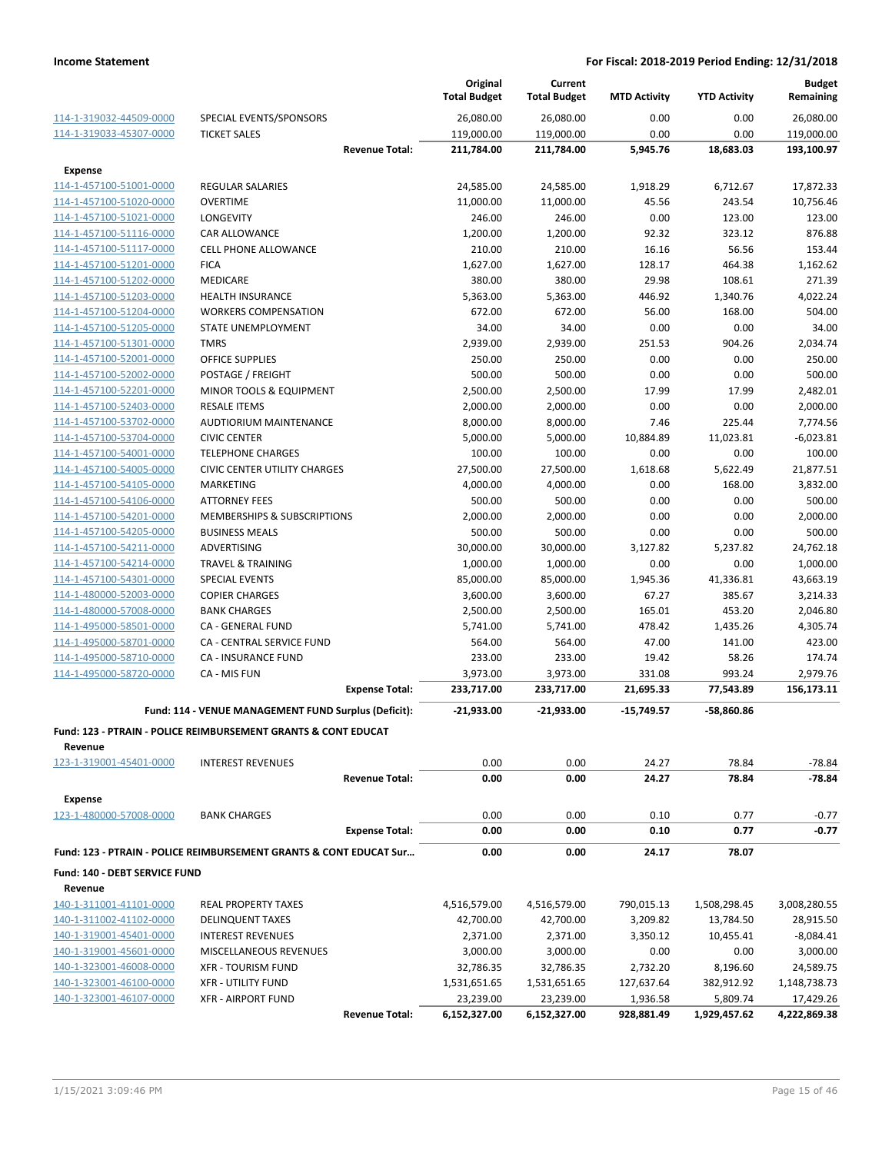|                                                    |                                                                               |                       | Original<br><b>Total Budget</b> | Current<br><b>Total Budget</b> | <b>MTD Activity</b> | <b>YTD Activity</b> | <b>Budget</b><br>Remaining |
|----------------------------------------------------|-------------------------------------------------------------------------------|-----------------------|---------------------------------|--------------------------------|---------------------|---------------------|----------------------------|
|                                                    |                                                                               |                       |                                 |                                |                     |                     |                            |
| 114-1-319032-44509-0000<br>114-1-319033-45307-0000 | SPECIAL EVENTS/SPONSORS<br><b>TICKET SALES</b>                                |                       | 26,080.00<br>119,000.00         | 26,080.00<br>119,000.00        | 0.00<br>0.00        | 0.00<br>0.00        | 26,080.00<br>119,000.00    |
|                                                    |                                                                               | <b>Revenue Total:</b> | 211,784.00                      | 211,784.00                     | 5,945.76            | 18,683.03           | 193,100.97                 |
| <b>Expense</b>                                     |                                                                               |                       |                                 |                                |                     |                     |                            |
| 114-1-457100-51001-0000                            | <b>REGULAR SALARIES</b>                                                       |                       | 24,585.00                       | 24,585.00                      | 1,918.29            | 6,712.67            | 17,872.33                  |
| 114-1-457100-51020-0000                            | <b>OVERTIME</b>                                                               |                       | 11,000.00                       | 11,000.00                      | 45.56               | 243.54              | 10,756.46                  |
| 114-1-457100-51021-0000                            | LONGEVITY                                                                     |                       | 246.00                          | 246.00                         | 0.00                | 123.00              | 123.00                     |
| 114-1-457100-51116-0000                            | <b>CAR ALLOWANCE</b>                                                          |                       | 1,200.00                        | 1,200.00                       | 92.32               | 323.12              | 876.88                     |
| 114-1-457100-51117-0000                            | <b>CELL PHONE ALLOWANCE</b>                                                   |                       | 210.00                          | 210.00                         | 16.16               | 56.56               | 153.44                     |
| 114-1-457100-51201-0000                            | <b>FICA</b>                                                                   |                       | 1,627.00                        | 1,627.00                       | 128.17              | 464.38              | 1,162.62                   |
| 114-1-457100-51202-0000                            | MEDICARE                                                                      |                       | 380.00                          | 380.00                         | 29.98               | 108.61              | 271.39                     |
| 114-1-457100-51203-0000                            | <b>HEALTH INSURANCE</b>                                                       |                       | 5,363.00                        | 5,363.00                       | 446.92              | 1,340.76            | 4,022.24                   |
| 114-1-457100-51204-0000                            | <b>WORKERS COMPENSATION</b>                                                   |                       | 672.00                          | 672.00                         | 56.00               | 168.00              | 504.00                     |
| 114-1-457100-51205-0000                            | STATE UNEMPLOYMENT                                                            |                       | 34.00                           | 34.00                          | 0.00                | 0.00                | 34.00                      |
| 114-1-457100-51301-0000                            | <b>TMRS</b>                                                                   |                       | 2,939.00                        | 2,939.00                       | 251.53              | 904.26              | 2,034.74                   |
| 114-1-457100-52001-0000                            | <b>OFFICE SUPPLIES</b>                                                        |                       | 250.00                          | 250.00                         | 0.00                | 0.00                | 250.00                     |
| 114-1-457100-52002-0000                            | POSTAGE / FREIGHT                                                             |                       | 500.00                          | 500.00                         | 0.00                | 0.00                | 500.00                     |
| 114-1-457100-52201-0000                            | MINOR TOOLS & EQUIPMENT                                                       |                       | 2,500.00                        | 2,500.00                       | 17.99               | 17.99               | 2,482.01                   |
| 114-1-457100-52403-0000                            | <b>RESALE ITEMS</b>                                                           |                       | 2,000.00                        | 2,000.00                       | 0.00                | 0.00                | 2,000.00                   |
| 114-1-457100-53702-0000                            | AUDTIORIUM MAINTENANCE                                                        |                       | 8,000.00                        | 8,000.00                       | 7.46                | 225.44              | 7,774.56                   |
| 114-1-457100-53704-0000                            | <b>CIVIC CENTER</b>                                                           |                       | 5,000.00                        | 5,000.00                       | 10,884.89           | 11,023.81           | $-6,023.81$                |
| 114-1-457100-54001-0000                            | <b>TELEPHONE CHARGES</b>                                                      |                       | 100.00                          | 100.00                         | 0.00                | 0.00                | 100.00                     |
| 114-1-457100-54005-0000                            | <b>CIVIC CENTER UTILITY CHARGES</b>                                           |                       | 27,500.00                       | 27,500.00                      | 1,618.68            | 5,622.49            | 21,877.51                  |
| 114-1-457100-54105-0000                            | <b>MARKETING</b>                                                              |                       | 4,000.00                        | 4,000.00                       | 0.00                | 168.00              | 3,832.00                   |
| 114-1-457100-54106-0000                            | <b>ATTORNEY FEES</b>                                                          |                       | 500.00                          | 500.00                         | 0.00                | 0.00                | 500.00                     |
| 114-1-457100-54201-0000                            | MEMBERSHIPS & SUBSCRIPTIONS                                                   |                       | 2,000.00                        | 2,000.00                       | 0.00                | 0.00                | 2,000.00                   |
| 114-1-457100-54205-0000                            | <b>BUSINESS MEALS</b>                                                         |                       | 500.00                          | 500.00                         | 0.00                | 0.00                | 500.00                     |
| 114-1-457100-54211-0000                            | ADVERTISING                                                                   |                       | 30,000.00                       | 30,000.00                      | 3,127.82            | 5,237.82            | 24,762.18                  |
| 114-1-457100-54214-0000                            | <b>TRAVEL &amp; TRAINING</b>                                                  |                       | 1,000.00                        | 1,000.00                       | 0.00                | 0.00                | 1,000.00                   |
| 114-1-457100-54301-0000                            | <b>SPECIAL EVENTS</b>                                                         |                       | 85,000.00                       | 85,000.00                      | 1,945.36            | 41,336.81           | 43,663.19                  |
| 114-1-480000-52003-0000                            | <b>COPIER CHARGES</b>                                                         |                       | 3,600.00                        | 3,600.00                       | 67.27               | 385.67              | 3,214.33                   |
| 114-1-480000-57008-0000                            | <b>BANK CHARGES</b>                                                           |                       | 2,500.00                        | 2,500.00                       | 165.01              | 453.20              | 2,046.80                   |
| 114-1-495000-58501-0000                            | CA - GENERAL FUND                                                             |                       | 5,741.00                        | 5,741.00                       | 478.42              | 1,435.26            | 4,305.74                   |
| 114-1-495000-58701-0000                            | CA - CENTRAL SERVICE FUND                                                     |                       | 564.00                          | 564.00                         | 47.00               | 141.00              | 423.00                     |
| 114-1-495000-58710-0000                            | <b>CA - INSURANCE FUND</b>                                                    |                       | 233.00                          | 233.00                         | 19.42               | 58.26               | 174.74                     |
| 114-1-495000-58720-0000                            | CA - MIS FUN                                                                  |                       | 3,973.00                        | 3,973.00                       | 331.08              | 993.24              | 2,979.76                   |
|                                                    |                                                                               | <b>Expense Total:</b> | 233,717.00                      | 233,717.00                     | 21,695.33           | 77,543.89           | 156,173.11                 |
|                                                    | Fund: 114 - VENUE MANAGEMENT FUND Surplus (Deficit):                          |                       | $-21,933.00$                    | $-21.933.00$                   | $-15,749.57$        | -58,860.86          |                            |
|                                                    | Fund: 123 - PTRAIN - POLICE REIMBURSEMENT GRANTS & CONT EDUCAT                |                       |                                 |                                |                     |                     |                            |
| Revenue                                            |                                                                               |                       |                                 |                                |                     |                     |                            |
| 123-1-319001-45401-0000                            | <b>INTEREST REVENUES</b>                                                      |                       | 0.00                            | 0.00                           | 24.27               | 78.84               | $-78.84$                   |
|                                                    |                                                                               | <b>Revenue Total:</b> | 0.00                            | 0.00                           | 24.27               | 78.84               | $-78.84$                   |
| <b>Expense</b>                                     |                                                                               |                       |                                 |                                |                     |                     |                            |
| 123-1-480000-57008-0000                            | <b>BANK CHARGES</b>                                                           |                       | 0.00                            | 0.00                           | 0.10                | 0.77                | $-0.77$                    |
|                                                    |                                                                               | <b>Expense Total:</b> | 0.00                            | 0.00                           | 0.10                | 0.77                | $-0.77$                    |
|                                                    | <b>Fund: 123 - PTRAIN - POLICE REIMBURSEMENT GRANTS &amp; CONT EDUCAT Sur</b> |                       | 0.00                            | 0.00                           | 24.17               | 78.07               |                            |
| Fund: 140 - DEBT SERVICE FUND                      |                                                                               |                       |                                 |                                |                     |                     |                            |
| Revenue                                            |                                                                               |                       |                                 |                                |                     |                     |                            |
| 140-1-311001-41101-0000                            | <b>REAL PROPERTY TAXES</b>                                                    |                       | 4,516,579.00                    | 4,516,579.00                   | 790,015.13          | 1,508,298.45        | 3,008,280.55               |
| 140-1-311002-41102-0000                            | <b>DELINQUENT TAXES</b>                                                       |                       | 42,700.00                       | 42,700.00                      | 3,209.82            | 13,784.50           | 28,915.50                  |
| 140-1-319001-45401-0000                            | <b>INTEREST REVENUES</b>                                                      |                       | 2,371.00                        | 2,371.00                       | 3,350.12            | 10,455.41           | $-8,084.41$                |
| 140-1-319001-45601-0000                            | MISCELLANEOUS REVENUES                                                        |                       | 3,000.00                        | 3,000.00                       | 0.00                | 0.00                | 3,000.00                   |
| 140-1-323001-46008-0000                            | <b>XFR - TOURISM FUND</b>                                                     |                       | 32,786.35                       | 32,786.35                      | 2,732.20            | 8,196.60            | 24,589.75                  |
| 140-1-323001-46100-0000                            | <b>XFR - UTILITY FUND</b>                                                     |                       | 1,531,651.65                    | 1,531,651.65                   | 127,637.64          | 382,912.92          | 1,148,738.73               |
| 140-1-323001-46107-0000                            | <b>XFR - AIRPORT FUND</b>                                                     |                       | 23,239.00                       | 23,239.00                      | 1,936.58            | 5,809.74            | 17,429.26                  |
|                                                    |                                                                               | <b>Revenue Total:</b> | 6,152,327.00                    | 6,152,327.00                   | 928,881.49          | 1,929,457.62        | 4,222,869.38               |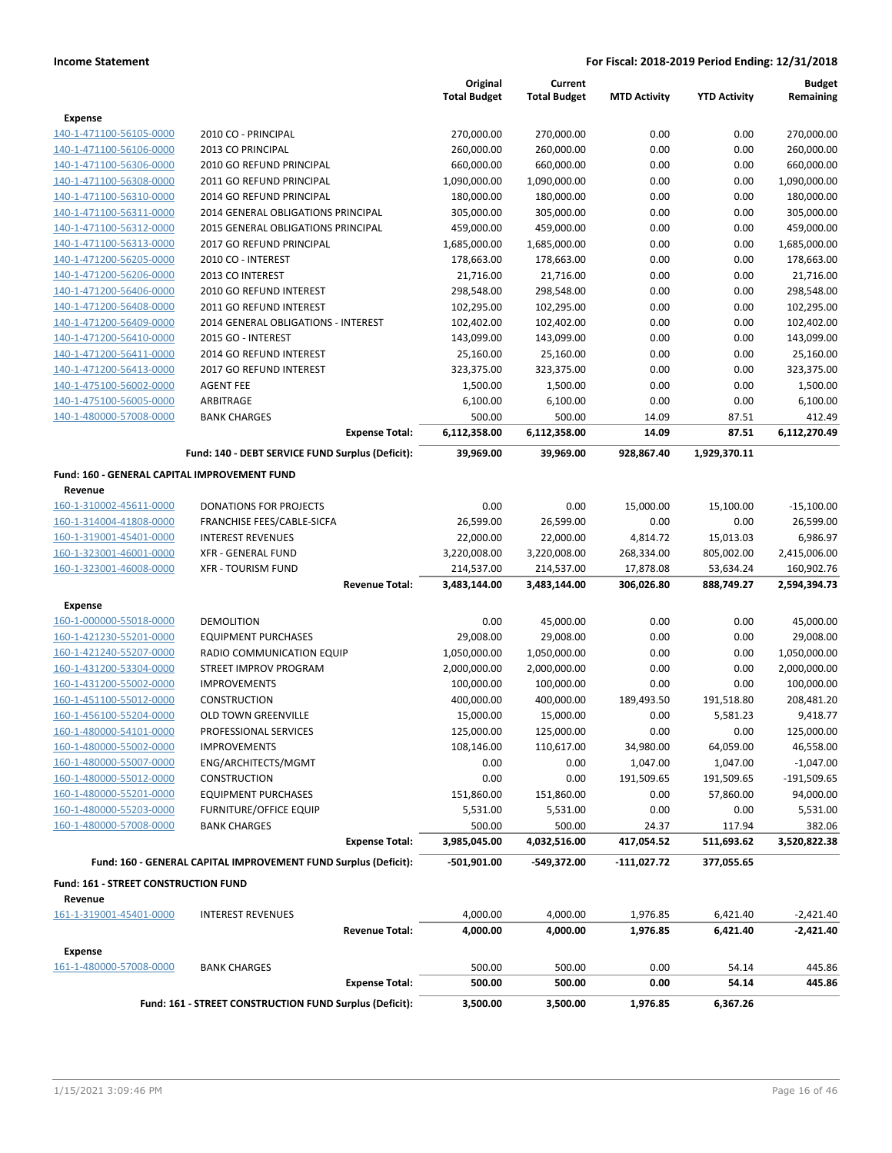|                                              |                                                                 | Original            | Current             |                     |                     | <b>Budget</b> |
|----------------------------------------------|-----------------------------------------------------------------|---------------------|---------------------|---------------------|---------------------|---------------|
|                                              |                                                                 | <b>Total Budget</b> | <b>Total Budget</b> | <b>MTD Activity</b> | <b>YTD Activity</b> | Remaining     |
| <b>Expense</b>                               |                                                                 |                     |                     |                     |                     |               |
| 140-1-471100-56105-0000                      | 2010 CO - PRINCIPAL                                             | 270,000.00          | 270,000.00          | 0.00                | 0.00                | 270,000.00    |
| 140-1-471100-56106-0000                      | 2013 CO PRINCIPAL                                               | 260,000.00          | 260,000.00          | 0.00                | 0.00                | 260,000.00    |
| 140-1-471100-56306-0000                      | 2010 GO REFUND PRINCIPAL                                        | 660,000.00          | 660,000.00          | 0.00                | 0.00                | 660,000.00    |
| 140-1-471100-56308-0000                      | 2011 GO REFUND PRINCIPAL                                        | 1,090,000.00        | 1,090,000.00        | 0.00                | 0.00                | 1,090,000.00  |
| 140-1-471100-56310-0000                      | 2014 GO REFUND PRINCIPAL                                        | 180,000.00          | 180,000.00          | 0.00                | 0.00                | 180,000.00    |
| 140-1-471100-56311-0000                      | 2014 GENERAL OBLIGATIONS PRINCIPAL                              | 305,000.00          | 305,000.00          | 0.00                | 0.00                | 305,000.00    |
| 140-1-471100-56312-0000                      | 2015 GENERAL OBLIGATIONS PRINCIPAL                              | 459,000.00          | 459,000.00          | 0.00                | 0.00                | 459,000.00    |
| 140-1-471100-56313-0000                      | 2017 GO REFUND PRINCIPAL                                        | 1,685,000.00        | 1,685,000.00        | 0.00                | 0.00                | 1,685,000.00  |
| 140-1-471200-56205-0000                      | 2010 CO - INTEREST                                              | 178,663.00          | 178,663.00          | 0.00                | 0.00                | 178,663.00    |
| 140-1-471200-56206-0000                      | 2013 CO INTEREST                                                | 21,716.00           | 21,716.00           | 0.00                | 0.00                | 21,716.00     |
| 140-1-471200-56406-0000                      | 2010 GO REFUND INTEREST                                         | 298,548.00          | 298,548.00          | 0.00                | 0.00                | 298,548.00    |
| 140-1-471200-56408-0000                      | 2011 GO REFUND INTEREST                                         | 102,295.00          | 102,295.00          | 0.00                | 0.00                | 102,295.00    |
| 140-1-471200-56409-0000                      | 2014 GENERAL OBLIGATIONS - INTEREST                             | 102,402.00          | 102,402.00          | 0.00                | 0.00                | 102,402.00    |
| 140-1-471200-56410-0000                      | 2015 GO - INTEREST                                              | 143,099.00          | 143,099.00          | 0.00                | 0.00                | 143,099.00    |
| 140-1-471200-56411-0000                      | 2014 GO REFUND INTEREST                                         | 25,160.00           | 25,160.00           | 0.00                | 0.00                | 25,160.00     |
| 140-1-471200-56413-0000                      | 2017 GO REFUND INTEREST                                         | 323,375.00          | 323,375.00          | 0.00                | 0.00                | 323,375.00    |
| 140-1-475100-56002-0000                      | <b>AGENT FEE</b>                                                | 1,500.00            | 1,500.00            | 0.00                | 0.00                | 1,500.00      |
| 140-1-475100-56005-0000                      | ARBITRAGE                                                       | 6,100.00            | 6,100.00            | 0.00                | 0.00                | 6,100.00      |
| 140-1-480000-57008-0000                      | <b>BANK CHARGES</b>                                             | 500.00              | 500.00              | 14.09               | 87.51               | 412.49        |
|                                              | <b>Expense Total:</b>                                           | 6,112,358.00        | 6,112,358.00        | 14.09               | 87.51               | 6,112,270.49  |
|                                              | Fund: 140 - DEBT SERVICE FUND Surplus (Deficit):                | 39,969.00           | 39,969.00           | 928,867.40          | 1,929,370.11        |               |
| Fund: 160 - GENERAL CAPITAL IMPROVEMENT FUND |                                                                 |                     |                     |                     |                     |               |
| Revenue                                      |                                                                 |                     |                     |                     |                     |               |
| 160-1-310002-45611-0000                      | <b>DONATIONS FOR PROJECTS</b>                                   | 0.00                | 0.00                | 15,000.00           | 15,100.00           | $-15,100.00$  |
| 160-1-314004-41808-0000                      | FRANCHISE FEES/CABLE-SICFA                                      | 26,599.00           | 26,599.00           | 0.00                | 0.00                | 26,599.00     |
| 160-1-319001-45401-0000                      | <b>INTEREST REVENUES</b>                                        | 22,000.00           | 22,000.00           | 4,814.72            | 15,013.03           | 6,986.97      |
| 160-1-323001-46001-0000                      | <b>XFR - GENERAL FUND</b>                                       | 3,220,008.00        | 3,220,008.00        | 268,334.00          | 805,002.00          | 2,415,006.00  |
| 160-1-323001-46008-0000                      | <b>XFR - TOURISM FUND</b>                                       | 214,537.00          | 214,537.00          | 17,878.08           | 53,634.24           | 160,902.76    |
|                                              | <b>Revenue Total:</b>                                           | 3,483,144.00        | 3,483,144.00        | 306,026.80          | 888,749.27          | 2,594,394.73  |
| <b>Expense</b>                               |                                                                 |                     |                     |                     |                     |               |
| 160-1-000000-55018-0000                      | <b>DEMOLITION</b>                                               | 0.00                | 45,000.00           | 0.00                | 0.00                | 45,000.00     |
| 160-1-421230-55201-0000                      | <b>EQUIPMENT PURCHASES</b>                                      | 29,008.00           | 29,008.00           | 0.00                | 0.00                | 29,008.00     |
| 160-1-421240-55207-0000                      | RADIO COMMUNICATION EQUIP                                       | 1,050,000.00        | 1,050,000.00        | 0.00                | 0.00                | 1,050,000.00  |
| 160-1-431200-53304-0000                      | STREET IMPROV PROGRAM                                           | 2,000,000.00        | 2,000,000.00        | 0.00                | 0.00                | 2,000,000.00  |
| 160-1-431200-55002-0000                      | <b>IMPROVEMENTS</b>                                             | 100,000.00          | 100,000.00          | 0.00                | 0.00                | 100,000.00    |
| 160-1-451100-55012-0000                      | <b>CONSTRUCTION</b>                                             | 400,000.00          | 400,000.00          | 189,493.50          | 191,518.80          | 208,481.20    |
| 160-1-456100-55204-0000                      | <b>OLD TOWN GREENVILLE</b>                                      | 15,000.00           | 15,000.00           | 0.00                | 5,581.23            | 9,418.77      |
| 160-1-480000-54101-0000                      | PROFESSIONAL SERVICES                                           | 125,000.00          | 125,000.00          | 0.00                | 0.00                | 125,000.00    |
| 160-1-480000-55002-0000                      | <b>IMPROVEMENTS</b>                                             | 108,146.00          | 110,617.00          | 34,980.00           | 64,059.00           | 46,558.00     |
| 160-1-480000-55007-0000                      | ENG/ARCHITECTS/MGMT                                             | 0.00                | 0.00                | 1,047.00            | 1,047.00            | $-1,047.00$   |
| 160-1-480000-55012-0000                      | <b>CONSTRUCTION</b>                                             | 0.00                | 0.00                | 191,509.65          | 191,509.65          | $-191,509.65$ |
| 160-1-480000-55201-0000                      | <b>EQUIPMENT PURCHASES</b>                                      | 151,860.00          | 151,860.00          | 0.00                | 57,860.00           | 94,000.00     |
| 160-1-480000-55203-0000                      | <b>FURNITURE/OFFICE EQUIP</b>                                   | 5,531.00            | 5,531.00            | 0.00                | 0.00                | 5,531.00      |
| 160-1-480000-57008-0000                      | <b>BANK CHARGES</b>                                             | 500.00              | 500.00              | 24.37               | 117.94              | 382.06        |
|                                              | <b>Expense Total:</b>                                           | 3,985,045.00        | 4,032,516.00        | 417,054.52          | 511,693.62          | 3,520,822.38  |
|                                              | Fund: 160 - GENERAL CAPITAL IMPROVEMENT FUND Surplus (Deficit): | -501,901.00         | -549,372.00         | $-111,027.72$       | 377,055.65          |               |
| Fund: 161 - STREET CONSTRUCTION FUND         |                                                                 |                     |                     |                     |                     |               |
| Revenue                                      |                                                                 |                     |                     |                     |                     |               |
| 161-1-319001-45401-0000                      | <b>INTEREST REVENUES</b>                                        | 4,000.00            | 4,000.00            | 1,976.85            | 6,421.40            | $-2,421.40$   |
|                                              | <b>Revenue Total:</b>                                           | 4,000.00            | 4,000.00            | 1,976.85            | 6,421.40            | -2,421.40     |
| Expense                                      |                                                                 |                     |                     |                     |                     |               |
| 161-1-480000-57008-0000                      | <b>BANK CHARGES</b>                                             | 500.00              | 500.00              | 0.00                | 54.14               | 445.86        |
|                                              | <b>Expense Total:</b>                                           | 500.00              | 500.00              | 0.00                | 54.14               | 445.86        |
|                                              | Fund: 161 - STREET CONSTRUCTION FUND Surplus (Deficit):         | 3,500.00            | 3,500.00            | 1,976.85            | 6,367.26            |               |
|                                              |                                                                 |                     |                     |                     |                     |               |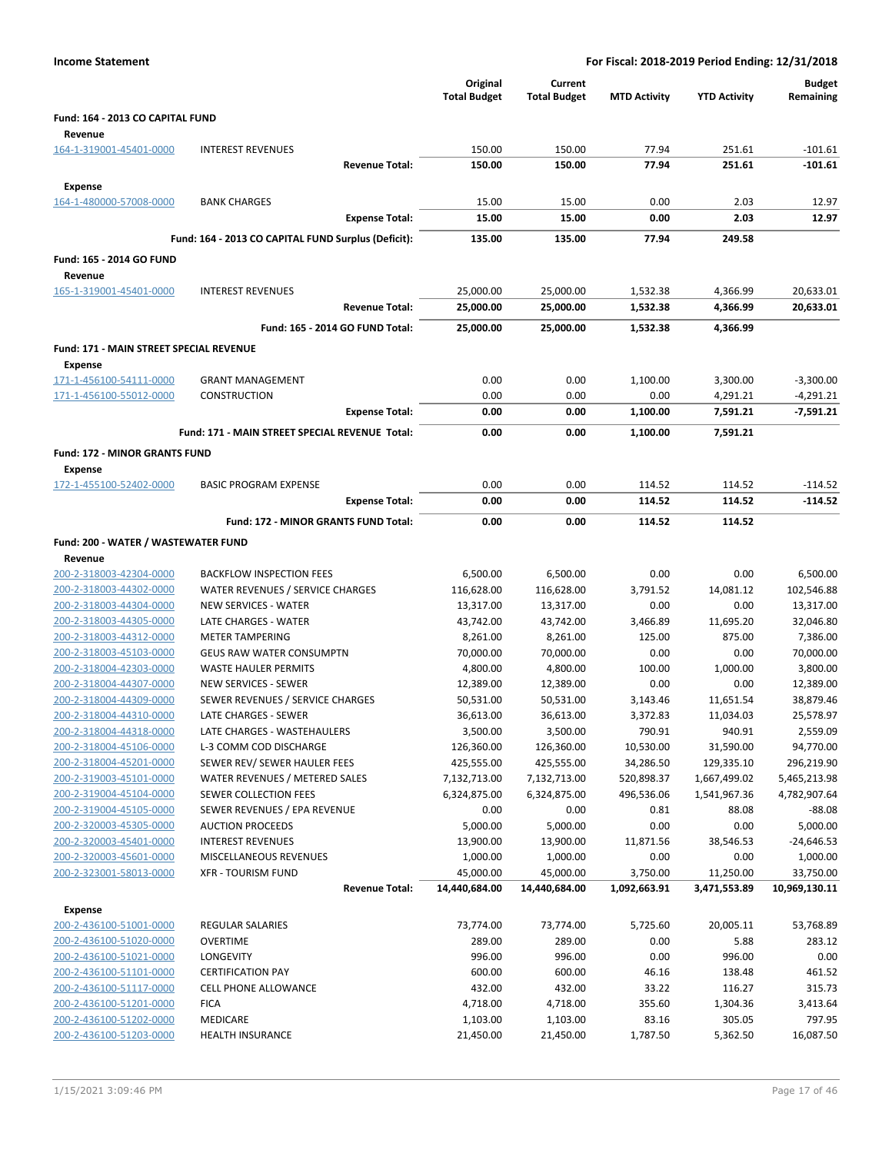| <b>Income Statement</b>                            |                                                                 |                                 |                                | For Fiscal: 2018-2019 Period Ending: 12/31/2018 |                      |                            |  |
|----------------------------------------------------|-----------------------------------------------------------------|---------------------------------|--------------------------------|-------------------------------------------------|----------------------|----------------------------|--|
|                                                    |                                                                 | Original<br><b>Total Budget</b> | Current<br><b>Total Budget</b> | <b>MTD Activity</b>                             | <b>YTD Activity</b>  | <b>Budget</b><br>Remaining |  |
| Fund: 164 - 2013 CO CAPITAL FUND                   |                                                                 |                                 |                                |                                                 |                      |                            |  |
| Revenue                                            |                                                                 |                                 |                                |                                                 |                      |                            |  |
| 164-1-319001-45401-0000                            | <b>INTEREST REVENUES</b>                                        | 150.00                          | 150.00                         | 77.94                                           | 251.61               | $-101.61$                  |  |
|                                                    | <b>Revenue Total:</b>                                           | 150.00                          | 150.00                         | 77.94                                           | 251.61               | $-101.61$                  |  |
| <b>Expense</b>                                     |                                                                 |                                 |                                |                                                 |                      |                            |  |
| 164-1-480000-57008-0000                            | <b>BANK CHARGES</b>                                             | 15.00                           | 15.00                          | 0.00                                            | 2.03                 | 12.97                      |  |
|                                                    | <b>Expense Total:</b>                                           | 15.00                           | 15.00                          | 0.00                                            | 2.03                 | 12.97                      |  |
|                                                    | Fund: 164 - 2013 CO CAPITAL FUND Surplus (Deficit):             | 135.00                          | 135.00                         | 77.94                                           | 249.58               |                            |  |
| Fund: 165 - 2014 GO FUND                           |                                                                 |                                 |                                |                                                 |                      |                            |  |
| Revenue                                            |                                                                 |                                 |                                |                                                 |                      |                            |  |
| 165-1-319001-45401-0000                            | <b>INTEREST REVENUES</b>                                        | 25,000.00                       | 25,000.00                      | 1,532.38                                        | 4,366.99             | 20,633.01                  |  |
|                                                    | <b>Revenue Total:</b>                                           | 25,000.00                       | 25,000.00                      | 1,532.38                                        | 4,366.99             | 20,633.01                  |  |
|                                                    | Fund: 165 - 2014 GO FUND Total:                                 | 25,000.00                       | 25,000.00                      | 1,532.38                                        | 4,366.99             |                            |  |
| <b>Fund: 171 - MAIN STREET SPECIAL REVENUE</b>     |                                                                 |                                 |                                |                                                 |                      |                            |  |
| Expense                                            |                                                                 |                                 |                                |                                                 |                      |                            |  |
| 171-1-456100-54111-0000                            | <b>GRANT MANAGEMENT</b>                                         | 0.00                            | 0.00                           | 1,100.00                                        | 3,300.00             | $-3,300.00$                |  |
| 171-1-456100-55012-0000                            | <b>CONSTRUCTION</b><br><b>Expense Total:</b>                    | 0.00<br>0.00                    | 0.00<br>0.00                   | 0.00<br>1,100.00                                | 4,291.21<br>7,591.21 | $-4,291.21$<br>$-7,591.21$ |  |
|                                                    |                                                                 |                                 |                                |                                                 |                      |                            |  |
|                                                    | Fund: 171 - MAIN STREET SPECIAL REVENUE Total:                  | 0.00                            | 0.00                           | 1,100.00                                        | 7,591.21             |                            |  |
| Fund: 172 - MINOR GRANTS FUND                      |                                                                 |                                 |                                |                                                 |                      |                            |  |
| Expense<br>172-1-455100-52402-0000                 | <b>BASIC PROGRAM EXPENSE</b>                                    | 0.00                            | 0.00                           | 114.52                                          | 114.52               | $-114.52$                  |  |
|                                                    | <b>Expense Total:</b>                                           | 0.00                            | 0.00                           | 114.52                                          | 114.52               | $-114.52$                  |  |
|                                                    | Fund: 172 - MINOR GRANTS FUND Total:                            | 0.00                            | 0.00                           | 114.52                                          | 114.52               |                            |  |
|                                                    |                                                                 |                                 |                                |                                                 |                      |                            |  |
| Fund: 200 - WATER / WASTEWATER FUND                |                                                                 |                                 |                                |                                                 |                      |                            |  |
| Revenue<br>200-2-318003-42304-0000                 | <b>BACKFLOW INSPECTION FEES</b>                                 | 6,500.00                        | 6,500.00                       | 0.00                                            | 0.00                 | 6,500.00                   |  |
| 200-2-318003-44302-0000                            | WATER REVENUES / SERVICE CHARGES                                | 116,628.00                      | 116,628.00                     | 3,791.52                                        | 14,081.12            | 102,546.88                 |  |
| 200-2-318003-44304-0000                            | <b>NEW SERVICES - WATER</b>                                     | 13,317.00                       | 13,317.00                      | 0.00                                            | 0.00                 | 13,317.00                  |  |
| 200-2-318003-44305-0000                            | LATE CHARGES - WATER                                            | 43,742.00                       | 43,742.00                      | 3,466.89                                        | 11,695.20            | 32,046.80                  |  |
| 200-2-318003-44312-0000                            | <b>METER TAMPERING</b>                                          | 8,261.00                        | 8,261.00                       | 125.00                                          | 875.00               | 7,386.00                   |  |
| 200-2-318003-45103-0000                            | <b>GEUS RAW WATER CONSUMPTN</b>                                 | 70,000.00                       | 70,000.00                      | 0.00                                            | 0.00                 | 70,000.00                  |  |
| 200-2-318004-42303-0000                            | <b>WASTE HAULER PERMITS</b>                                     | 4,800.00                        | 4,800.00                       | 100.00                                          | 1,000.00             | 3,800.00                   |  |
| 200-2-318004-44307-0000<br>200-2-318004-44309-0000 | <b>NEW SERVICES - SEWER</b><br>SEWER REVENUES / SERVICE CHARGES | 12,389.00<br>50,531.00          | 12,389.00<br>50,531.00         | 0.00                                            | 0.00<br>11,651.54    | 12,389.00<br>38,879.46     |  |
| 200-2-318004-44310-0000                            | LATE CHARGES - SEWER                                            | 36,613.00                       | 36,613.00                      | 3,143.46<br>3,372.83                            | 11,034.03            | 25,578.97                  |  |
| 200-2-318004-44318-0000                            | LATE CHARGES - WASTEHAULERS                                     | 3,500.00                        | 3,500.00                       | 790.91                                          | 940.91               | 2,559.09                   |  |
| 200-2-318004-45106-0000                            | L-3 COMM COD DISCHARGE                                          | 126,360.00                      | 126,360.00                     | 10,530.00                                       | 31,590.00            | 94,770.00                  |  |
| 200-2-318004-45201-0000                            | SEWER REV/ SEWER HAULER FEES                                    | 425,555.00                      | 425,555.00                     | 34,286.50                                       | 129,335.10           | 296,219.90                 |  |
| 200-2-319003-45101-0000                            | WATER REVENUES / METERED SALES                                  | 7,132,713.00                    | 7,132,713.00                   | 520,898.37                                      | 1,667,499.02         | 5,465,213.98               |  |
| 200-2-319004-45104-0000                            | SEWER COLLECTION FEES                                           | 6,324,875.00                    | 6,324,875.00                   | 496,536.06                                      | 1,541,967.36         | 4,782,907.64               |  |
| 200-2-319004-45105-0000<br>200-2-320003-45305-0000 | SEWER REVENUES / EPA REVENUE                                    | 0.00                            | 0.00                           | 0.81                                            | 88.08                | $-88.08$                   |  |
| 200-2-320003-45401-0000                            | <b>AUCTION PROCEEDS</b><br><b>INTEREST REVENUES</b>             | 5,000.00<br>13,900.00           | 5,000.00<br>13,900.00          | 0.00<br>11,871.56                               | 0.00<br>38,546.53    | 5,000.00<br>$-24,646.53$   |  |
| 200-2-320003-45601-0000                            | MISCELLANEOUS REVENUES                                          | 1,000.00                        | 1,000.00                       | 0.00                                            | 0.00                 | 1,000.00                   |  |
| 200-2-323001-58013-0000                            | <b>XFR - TOURISM FUND</b>                                       | 45,000.00                       | 45,000.00                      | 3,750.00                                        | 11,250.00            | 33,750.00                  |  |
|                                                    | <b>Revenue Total:</b>                                           | 14,440,684.00                   | 14,440,684.00                  | 1,092,663.91                                    | 3,471,553.89         | 10,969,130.11              |  |
| <b>Expense</b>                                     |                                                                 |                                 |                                |                                                 |                      |                            |  |
| 200-2-436100-51001-0000                            | REGULAR SALARIES                                                | 73,774.00                       | 73,774.00                      | 5,725.60                                        | 20,005.11            | 53,768.89                  |  |
| 200-2-436100-51020-0000                            | <b>OVERTIME</b>                                                 | 289.00                          | 289.00                         | 0.00                                            | 5.88                 | 283.12                     |  |
| 200-2-436100-51021-0000                            | LONGEVITY                                                       | 996.00                          | 996.00                         | 0.00                                            | 996.00               | 0.00                       |  |
| 200-2-436100-51101-0000                            | <b>CERTIFICATION PAY</b>                                        | 600.00                          | 600.00                         | 46.16                                           | 138.48               | 461.52                     |  |
| 200-2-436100-51117-0000                            | CELL PHONE ALLOWANCE                                            | 432.00                          | 432.00                         | 33.22                                           | 116.27               | 315.73                     |  |
| 200-2-436100-51201-0000<br>200-2-436100-51202-0000 | <b>FICA</b><br>MEDICARE                                         | 4,718.00<br>1,103.00            | 4,718.00<br>1,103.00           | 355.60<br>83.16                                 | 1,304.36<br>305.05   | 3,413.64<br>797.95         |  |
| 200-2-436100-51203-0000                            | HEALTH INSURANCE                                                | 21,450.00                       | 21,450.00                      | 1,787.50                                        | 5,362.50             | 16,087.50                  |  |
|                                                    |                                                                 |                                 |                                |                                                 |                      |                            |  |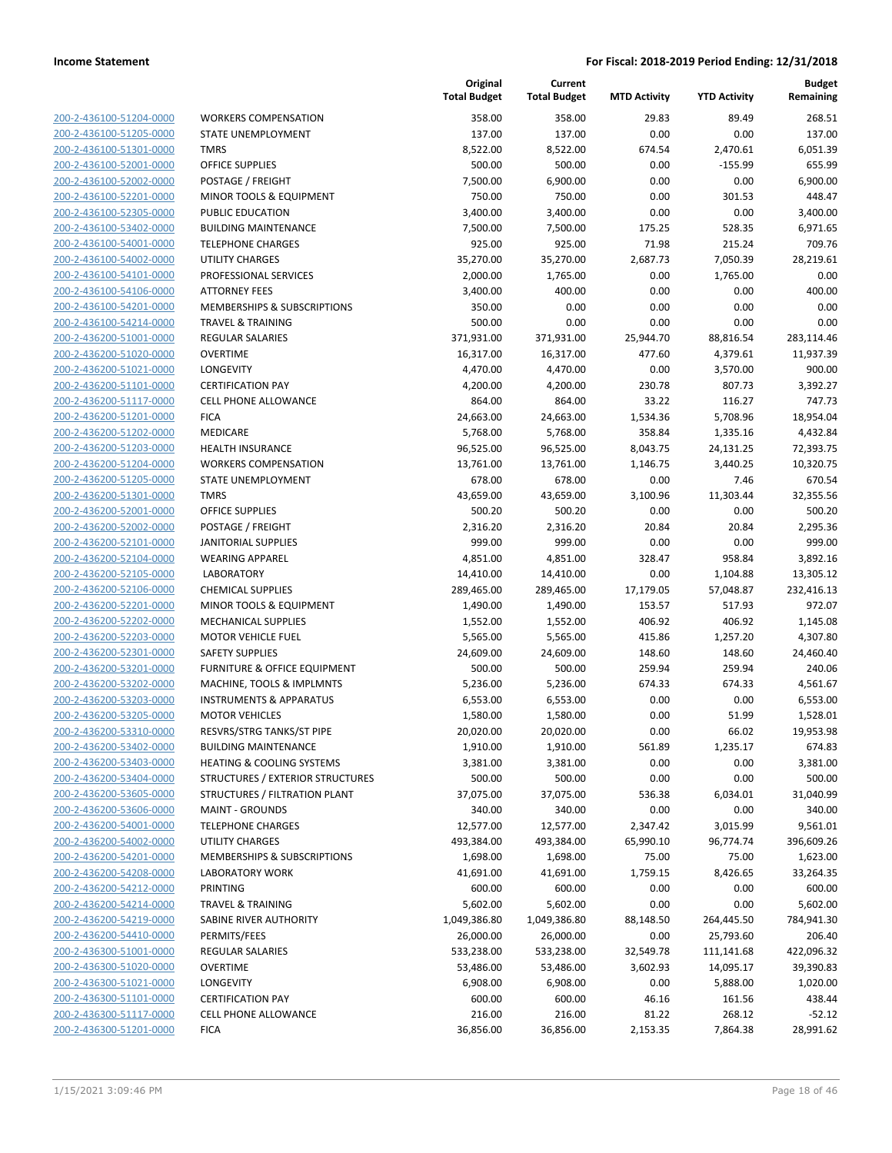|                                                    |                                      | Original<br><b>Total Budget</b> | Current<br><b>Total Budget</b> | <b>MTD Activity</b> | <b>YTD Activity</b> | <b>Budget</b><br>Remaining |
|----------------------------------------------------|--------------------------------------|---------------------------------|--------------------------------|---------------------|---------------------|----------------------------|
| 200-2-436100-51204-0000                            | <b>WORKERS COMPENSATION</b>          | 358.00                          | 358.00                         | 29.83               | 89.49               | 268.51                     |
| 200-2-436100-51205-0000                            | STATE UNEMPLOYMENT                   | 137.00                          | 137.00                         | 0.00                | 0.00                | 137.00                     |
| 200-2-436100-51301-0000                            | <b>TMRS</b>                          | 8,522.00                        | 8,522.00                       | 674.54              | 2,470.61            | 6,051.39                   |
| 200-2-436100-52001-0000                            | <b>OFFICE SUPPLIES</b>               | 500.00                          | 500.00                         | 0.00                | $-155.99$           | 655.99                     |
| 200-2-436100-52002-0000                            | POSTAGE / FREIGHT                    | 7,500.00                        | 6,900.00                       | 0.00                | 0.00                | 6.900.00                   |
| 200-2-436100-52201-0000                            | MINOR TOOLS & EQUIPMENT              | 750.00                          | 750.00                         | 0.00                | 301.53              | 448.47                     |
| 200-2-436100-52305-0000                            | PUBLIC EDUCATION                     | 3,400.00                        | 3,400.00                       | 0.00                | 0.00                | 3,400.00                   |
| 200-2-436100-53402-0000                            | <b>BUILDING MAINTENANCE</b>          | 7,500.00                        | 7,500.00                       | 175.25              | 528.35              | 6,971.65                   |
| 200-2-436100-54001-0000                            | <b>TELEPHONE CHARGES</b>             | 925.00                          | 925.00                         | 71.98               | 215.24              | 709.76                     |
| 200-2-436100-54002-0000                            | <b>UTILITY CHARGES</b>               | 35,270.00                       | 35,270.00                      | 2,687.73            | 7,050.39            | 28,219.61                  |
| 200-2-436100-54101-0000                            | PROFESSIONAL SERVICES                | 2,000.00                        | 1,765.00                       | 0.00                | 1,765.00            | 0.00                       |
| 200-2-436100-54106-0000                            | <b>ATTORNEY FEES</b>                 | 3,400.00                        | 400.00                         | 0.00                | 0.00                | 400.00                     |
| 200-2-436100-54201-0000                            | MEMBERSHIPS & SUBSCRIPTIONS          | 350.00                          | 0.00                           | 0.00                | 0.00                | 0.00                       |
| 200-2-436100-54214-0000                            | <b>TRAVEL &amp; TRAINING</b>         | 500.00                          | 0.00                           | 0.00                | 0.00                | 0.00                       |
| 200-2-436200-51001-0000                            | <b>REGULAR SALARIES</b>              | 371,931.00                      | 371,931.00                     | 25,944.70           | 88,816.54           | 283,114.46                 |
| 200-2-436200-51020-0000                            | <b>OVERTIME</b>                      | 16,317.00                       | 16,317.00                      | 477.60              | 4,379.61            | 11,937.39                  |
| 200-2-436200-51021-0000                            | LONGEVITY                            | 4,470.00                        | 4,470.00                       | 0.00                | 3,570.00            | 900.00                     |
| 200-2-436200-51101-0000                            | <b>CERTIFICATION PAY</b>             | 4,200.00                        | 4,200.00                       | 230.78              | 807.73              | 3,392.27                   |
| 200-2-436200-51117-0000                            | <b>CELL PHONE ALLOWANCE</b>          | 864.00                          | 864.00                         | 33.22               | 116.27              | 747.73                     |
| 200-2-436200-51201-0000                            | <b>FICA</b>                          | 24,663.00                       | 24,663.00                      | 1,534.36            | 5,708.96            | 18,954.04                  |
| 200-2-436200-51202-0000                            | MEDICARE                             | 5,768.00                        | 5,768.00                       | 358.84              | 1,335.16            | 4,432.84                   |
| 200-2-436200-51203-0000                            | <b>HEALTH INSURANCE</b>              | 96,525.00                       | 96,525.00                      | 8,043.75            | 24,131.25           | 72,393.75                  |
| 200-2-436200-51204-0000                            | <b>WORKERS COMPENSATION</b>          | 13,761.00                       | 13,761.00                      | 1,146.75            | 3,440.25            | 10,320.75                  |
| 200-2-436200-51205-0000                            | STATE UNEMPLOYMENT                   | 678.00                          | 678.00                         | 0.00                | 7.46                | 670.54                     |
| 200-2-436200-51301-0000                            | <b>TMRS</b>                          | 43,659.00                       | 43,659.00                      | 3,100.96            | 11,303.44           | 32,355.56                  |
| 200-2-436200-52001-0000                            | <b>OFFICE SUPPLIES</b>               | 500.20                          | 500.20                         | 0.00                | 0.00                | 500.20                     |
| 200-2-436200-52002-0000                            | POSTAGE / FREIGHT                    | 2,316.20                        | 2,316.20                       | 20.84               | 20.84               | 2,295.36                   |
| 200-2-436200-52101-0000                            | <b>JANITORIAL SUPPLIES</b>           | 999.00                          | 999.00                         | 0.00                | 0.00                | 999.00                     |
| 200-2-436200-52104-0000                            | <b>WEARING APPAREL</b>               | 4,851.00                        | 4,851.00                       | 328.47              | 958.84              | 3,892.16                   |
| 200-2-436200-52105-0000                            | <b>LABORATORY</b>                    | 14,410.00                       | 14,410.00                      | 0.00                | 1,104.88            | 13,305.12                  |
| 200-2-436200-52106-0000                            | <b>CHEMICAL SUPPLIES</b>             | 289,465.00                      | 289,465.00                     | 17,179.05           | 57,048.87           | 232,416.13                 |
| 200-2-436200-52201-0000                            | MINOR TOOLS & EQUIPMENT              | 1,490.00                        | 1,490.00                       | 153.57              | 517.93              | 972.07                     |
| 200-2-436200-52202-0000                            | <b>MECHANICAL SUPPLIES</b>           | 1,552.00                        | 1,552.00                       | 406.92              | 406.92              | 1,145.08                   |
| 200-2-436200-52203-0000                            | <b>MOTOR VEHICLE FUEL</b>            | 5,565.00                        | 5,565.00                       | 415.86              | 1,257.20            | 4,307.80                   |
| 200-2-436200-52301-0000                            | <b>SAFETY SUPPLIES</b>               | 24,609.00                       | 24,609.00                      | 148.60              | 148.60              | 24,460.40                  |
| 200-2-436200-53201-0000                            | FURNITURE & OFFICE EQUIPMENT         | 500.00                          | 500.00                         | 259.94              | 259.94              | 240.06                     |
| 200-2-436200-53202-0000                            | MACHINE, TOOLS & IMPLMNTS            | 5,236.00                        | 5,236.00                       | 674.33              | 674.33              | 4,561.67                   |
| 200-2-436200-53203-0000                            | <b>INSTRUMENTS &amp; APPARATUS</b>   | 6,553.00                        | 6,553.00                       | 0.00                | 0.00                | 6,553.00                   |
| 200-2-436200-53205-0000                            | <b>MOTOR VEHICLES</b>                | 1,580.00                        | 1,580.00                       | 0.00                | 51.99               | 1,528.01                   |
| 200-2-436200-53310-0000                            | RESVRS/STRG TANKS/ST PIPE            | 20,020.00                       | 20,020.00                      | 0.00                | 66.02               | 19,953.98                  |
| 200-2-436200-53402-0000                            | <b>BUILDING MAINTENANCE</b>          | 1,910.00                        | 1,910.00                       | 561.89              | 1,235.17            | 674.83                     |
| 200-2-436200-53403-0000                            | <b>HEATING &amp; COOLING SYSTEMS</b> | 3,381.00                        | 3,381.00                       | 0.00                | 0.00                | 3,381.00                   |
| 200-2-436200-53404-0000                            | STRUCTURES / EXTERIOR STRUCTURES     | 500.00                          | 500.00                         | 0.00                | 0.00                | 500.00                     |
| 200-2-436200-53605-0000                            | STRUCTURES / FILTRATION PLANT        | 37,075.00                       | 37,075.00                      | 536.38              | 6,034.01            | 31,040.99                  |
| 200-2-436200-53606-0000                            | <b>MAINT - GROUNDS</b>               | 340.00                          | 340.00                         | 0.00                | 0.00                | 340.00                     |
| 200-2-436200-54001-0000                            | <b>TELEPHONE CHARGES</b>             | 12,577.00                       | 12,577.00                      | 2,347.42            | 3,015.99            | 9,561.01                   |
| 200-2-436200-54002-0000                            | UTILITY CHARGES                      | 493,384.00                      | 493,384.00                     | 65,990.10           | 96,774.74           | 396,609.26                 |
| 200-2-436200-54201-0000                            | MEMBERSHIPS & SUBSCRIPTIONS          | 1,698.00                        | 1,698.00                       | 75.00               | 75.00               | 1,623.00                   |
| 200-2-436200-54208-0000                            | <b>LABORATORY WORK</b>               | 41,691.00                       | 41,691.00                      | 1,759.15            | 8,426.65            | 33,264.35                  |
| 200-2-436200-54212-0000                            | PRINTING                             | 600.00                          | 600.00                         | 0.00                | 0.00                | 600.00                     |
| 200-2-436200-54214-0000                            | TRAVEL & TRAINING                    | 5,602.00                        | 5,602.00                       | 0.00                | 0.00                | 5,602.00                   |
| 200-2-436200-54219-0000                            | SABINE RIVER AUTHORITY               | 1,049,386.80                    | 1,049,386.80                   | 88,148.50           | 264,445.50          | 784,941.30                 |
|                                                    |                                      |                                 |                                |                     |                     |                            |
| 200-2-436200-54410-0000<br>200-2-436300-51001-0000 | PERMITS/FEES                         | 26,000.00                       | 26,000.00                      | 0.00                | 25,793.60           | 206.40                     |
|                                                    | <b>REGULAR SALARIES</b>              | 533,238.00                      | 533,238.00                     | 32,549.78           | 111,141.68          | 422,096.32                 |
| 200-2-436300-51020-0000                            | <b>OVERTIME</b>                      | 53,486.00                       | 53,486.00                      | 3,602.93            | 14,095.17           | 39,390.83                  |
| 200-2-436300-51021-0000                            | LONGEVITY                            | 6,908.00                        | 6,908.00                       | 0.00                | 5,888.00            | 1,020.00                   |
| 200-2-436300-51101-0000                            | <b>CERTIFICATION PAY</b>             | 600.00                          | 600.00                         | 46.16               | 161.56              | 438.44                     |
| 200-2-436300-51117-0000                            | CELL PHONE ALLOWANCE                 | 216.00                          | 216.00                         | 81.22               | 268.12              | $-52.12$                   |
| 200-2-436300-51201-0000                            | <b>FICA</b>                          | 36,856.00                       | 36,856.00                      | 2,153.35            | 7,864.38            | 28,991.62                  |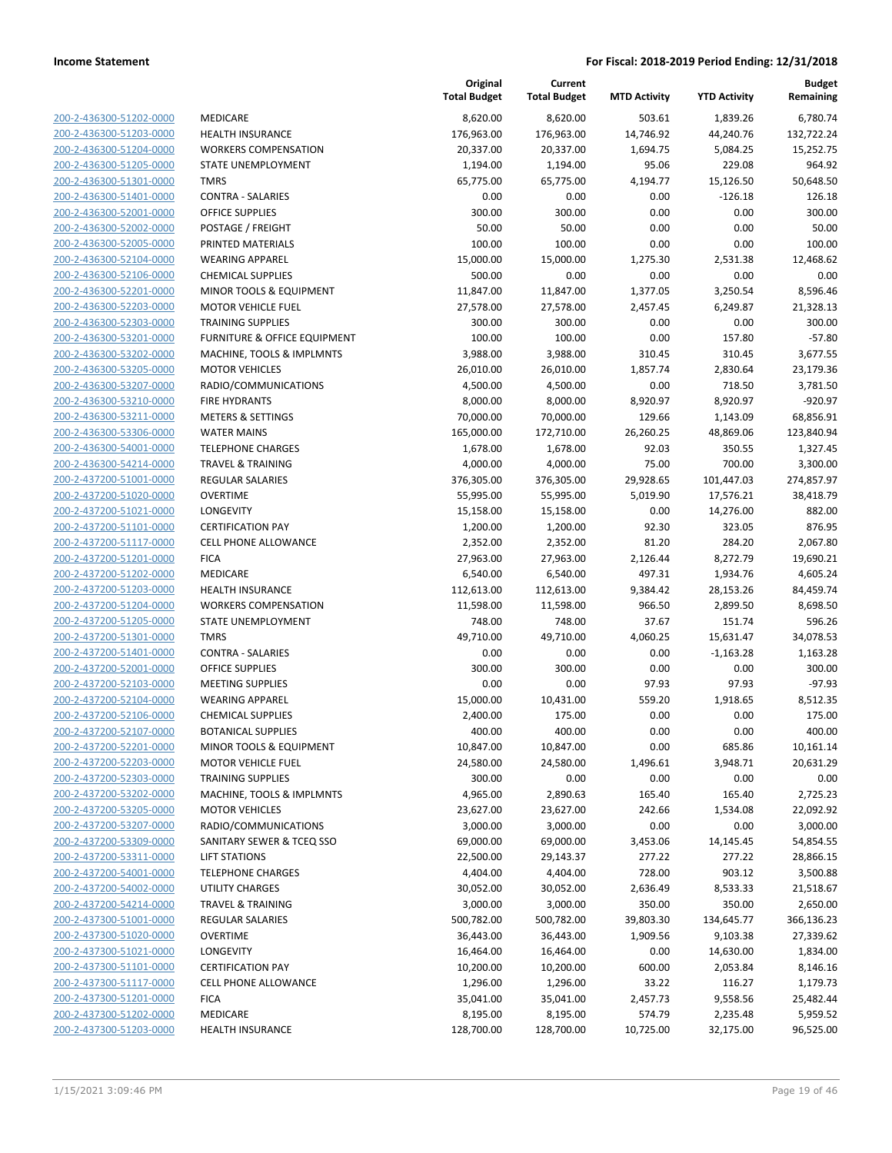|                                                    |                                       | Original<br><b>Total Budget</b> | Current<br><b>Total Budget</b> | <b>MTD Activity</b> | <b>YTD Activity</b>    | Budget<br>Remaining     |
|----------------------------------------------------|---------------------------------------|---------------------------------|--------------------------------|---------------------|------------------------|-------------------------|
| 200-2-436300-51202-0000                            | MEDICARE                              | 8,620.00                        | 8,620.00                       | 503.61              | 1,839.26               | 6,780.74                |
| 200-2-436300-51203-0000                            | <b>HEALTH INSURANCE</b>               | 176,963.00                      | 176,963.00                     | 14,746.92           | 44,240.76              | 132,722.24              |
| 200-2-436300-51204-0000                            | <b>WORKERS COMPENSATION</b>           | 20,337.00                       | 20,337.00                      | 1,694.75            | 5,084.25               | 15,252.75               |
| 200-2-436300-51205-0000                            | STATE UNEMPLOYMENT                    | 1,194.00                        | 1,194.00                       | 95.06               | 229.08                 | 964.92                  |
| 200-2-436300-51301-0000                            | <b>TMRS</b>                           | 65,775.00                       | 65,775.00                      | 4,194.77            | 15,126.50              | 50,648.50               |
| 200-2-436300-51401-0000                            | <b>CONTRA - SALARIES</b>              | 0.00                            | 0.00                           | 0.00                | $-126.18$              | 126.18                  |
| 200-2-436300-52001-0000                            | <b>OFFICE SUPPLIES</b>                | 300.00                          | 300.00                         | 0.00                | 0.00                   | 300.00                  |
| 200-2-436300-52002-0000                            | POSTAGE / FREIGHT                     | 50.00                           | 50.00                          | 0.00                | 0.00                   | 50.00                   |
| 200-2-436300-52005-0000                            | PRINTED MATERIALS                     | 100.00                          | 100.00                         | 0.00                | 0.00                   | 100.00                  |
| 200-2-436300-52104-0000                            | <b>WEARING APPAREL</b>                | 15,000.00                       | 15,000.00                      | 1,275.30            | 2,531.38               | 12,468.62               |
| 200-2-436300-52106-0000                            | <b>CHEMICAL SUPPLIES</b>              | 500.00                          | 0.00                           | 0.00                | 0.00                   | 0.00                    |
| 200-2-436300-52201-0000                            | MINOR TOOLS & EQUIPMENT               | 11,847.00                       | 11,847.00                      | 1,377.05            | 3,250.54               | 8,596.46                |
| 200-2-436300-52203-0000                            | <b>MOTOR VEHICLE FUEL</b>             | 27,578.00                       | 27,578.00                      | 2,457.45            | 6,249.87               | 21,328.13               |
| 200-2-436300-52303-0000                            | <b>TRAINING SUPPLIES</b>              | 300.00                          | 300.00                         | 0.00                | 0.00                   | 300.00                  |
| 200-2-436300-53201-0000                            | FURNITURE & OFFICE EQUIPMENT          | 100.00                          | 100.00                         | 0.00                | 157.80                 | $-57.80$                |
| 200-2-436300-53202-0000                            | MACHINE, TOOLS & IMPLMNTS             | 3,988.00                        | 3,988.00                       | 310.45              | 310.45                 | 3,677.55                |
| 200-2-436300-53205-0000                            | <b>MOTOR VEHICLES</b>                 | 26,010.00                       | 26,010.00                      | 1,857.74            | 2,830.64               | 23,179.36               |
| 200-2-436300-53207-0000                            | RADIO/COMMUNICATIONS                  | 4,500.00                        | 4,500.00                       | 0.00                | 718.50                 | 3,781.50                |
| 200-2-436300-53210-0000                            | <b>FIRE HYDRANTS</b>                  | 8,000.00                        | 8,000.00                       | 8,920.97            | 8,920.97               | $-920.97$               |
| 200-2-436300-53211-0000                            | <b>METERS &amp; SETTINGS</b>          | 70,000.00                       | 70,000.00                      | 129.66              | 1,143.09               | 68,856.91               |
| 200-2-436300-53306-0000                            | <b>WATER MAINS</b>                    | 165,000.00                      | 172,710.00                     | 26,260.25           | 48,869.06              | 123,840.94              |
| 200-2-436300-54001-0000                            | <b>TELEPHONE CHARGES</b>              | 1,678.00                        | 1,678.00                       | 92.03               | 350.55                 | 1,327.45                |
| 200-2-436300-54214-0000                            | <b>TRAVEL &amp; TRAINING</b>          | 4,000.00                        | 4,000.00                       | 75.00               | 700.00                 | 3,300.00                |
| 200-2-437200-51001-0000                            | REGULAR SALARIES                      | 376,305.00                      | 376,305.00                     | 29,928.65           | 101,447.03             | 274,857.97<br>38,418.79 |
| 200-2-437200-51020-0000                            | <b>OVERTIME</b>                       | 55,995.00                       | 55,995.00                      | 5,019.90            | 17,576.21<br>14,276.00 | 882.00                  |
| 200-2-437200-51021-0000                            | LONGEVITY<br><b>CERTIFICATION PAY</b> | 15,158.00                       | 15,158.00                      | 0.00<br>92.30       | 323.05                 | 876.95                  |
| 200-2-437200-51101-0000<br>200-2-437200-51117-0000 | <b>CELL PHONE ALLOWANCE</b>           | 1,200.00<br>2,352.00            | 1,200.00<br>2,352.00           | 81.20               | 284.20                 | 2,067.80                |
| 200-2-437200-51201-0000                            | <b>FICA</b>                           | 27,963.00                       | 27,963.00                      | 2,126.44            | 8,272.79               | 19,690.21               |
| 200-2-437200-51202-0000                            | MEDICARE                              | 6,540.00                        | 6,540.00                       | 497.31              | 1,934.76               | 4,605.24                |
| 200-2-437200-51203-0000                            | <b>HEALTH INSURANCE</b>               | 112,613.00                      | 112,613.00                     | 9,384.42            | 28,153.26              | 84,459.74               |
| 200-2-437200-51204-0000                            | <b>WORKERS COMPENSATION</b>           | 11,598.00                       | 11,598.00                      | 966.50              | 2,899.50               | 8,698.50                |
| 200-2-437200-51205-0000                            | STATE UNEMPLOYMENT                    | 748.00                          | 748.00                         | 37.67               | 151.74                 | 596.26                  |
| 200-2-437200-51301-0000                            | <b>TMRS</b>                           | 49,710.00                       | 49,710.00                      | 4,060.25            | 15,631.47              | 34,078.53               |
| 200-2-437200-51401-0000                            | <b>CONTRA - SALARIES</b>              | 0.00                            | 0.00                           | 0.00                | $-1,163.28$            | 1,163.28                |
| 200-2-437200-52001-0000                            | <b>OFFICE SUPPLIES</b>                | 300.00                          | 300.00                         | 0.00                | 0.00                   | 300.00                  |
| 200-2-437200-52103-0000                            | <b>MEETING SUPPLIES</b>               | 0.00                            | 0.00                           | 97.93               | 97.93                  | $-97.93$                |
| 200-2-437200-52104-0000                            | <b>WEARING APPAREL</b>                | 15,000.00                       | 10,431.00                      | 559.20              | 1,918.65               | 8,512.35                |
| 200-2-437200-52106-0000                            | <b>CHEMICAL SUPPLIES</b>              | 2,400.00                        | 175.00                         | 0.00                | 0.00                   | 175.00                  |
| 200-2-437200-52107-0000                            | <b>BOTANICAL SUPPLIES</b>             | 400.00                          | 400.00                         | 0.00                | 0.00                   | 400.00                  |
| 200-2-437200-52201-0000                            | MINOR TOOLS & EQUIPMENT               | 10,847.00                       | 10,847.00                      | 0.00                | 685.86                 | 10,161.14               |
| 200-2-437200-52203-0000                            | <b>MOTOR VEHICLE FUEL</b>             | 24,580.00                       | 24,580.00                      | 1,496.61            | 3,948.71               | 20,631.29               |
| 200-2-437200-52303-0000                            | <b>TRAINING SUPPLIES</b>              | 300.00                          | 0.00                           | 0.00                | 0.00                   | 0.00                    |
| 200-2-437200-53202-0000                            | MACHINE, TOOLS & IMPLMNTS             | 4,965.00                        | 2,890.63                       | 165.40              | 165.40                 | 2,725.23                |
| 200-2-437200-53205-0000                            | <b>MOTOR VEHICLES</b>                 | 23,627.00                       | 23,627.00                      | 242.66              | 1,534.08               | 22,092.92               |
| 200-2-437200-53207-0000                            | RADIO/COMMUNICATIONS                  | 3,000.00                        | 3,000.00                       | 0.00                | 0.00                   | 3,000.00                |
| 200-2-437200-53309-0000                            | SANITARY SEWER & TCEQ SSO             | 69,000.00                       | 69,000.00                      | 3,453.06            | 14,145.45              | 54,854.55               |
| 200-2-437200-53311-0000                            | <b>LIFT STATIONS</b>                  | 22,500.00                       | 29,143.37                      | 277.22              | 277.22                 | 28,866.15               |
| 200-2-437200-54001-0000                            | <b>TELEPHONE CHARGES</b>              | 4,404.00                        | 4,404.00                       | 728.00              | 903.12                 | 3,500.88                |
| 200-2-437200-54002-0000                            | <b>UTILITY CHARGES</b>                | 30,052.00                       | 30,052.00                      | 2,636.49            | 8,533.33               | 21,518.67               |
| 200-2-437200-54214-0000                            | <b>TRAVEL &amp; TRAINING</b>          | 3,000.00                        | 3,000.00                       | 350.00              | 350.00                 | 2,650.00                |
| 200-2-437300-51001-0000                            | <b>REGULAR SALARIES</b>               | 500,782.00                      | 500,782.00                     | 39,803.30           | 134,645.77             | 366,136.23              |
| 200-2-437300-51020-0000                            | <b>OVERTIME</b>                       | 36,443.00                       | 36,443.00                      | 1,909.56            | 9,103.38               | 27,339.62               |
| 200-2-437300-51021-0000                            | LONGEVITY                             | 16,464.00                       | 16,464.00                      | 0.00                | 14,630.00              | 1,834.00                |
| 200-2-437300-51101-0000                            | <b>CERTIFICATION PAY</b>              | 10,200.00                       | 10,200.00                      | 600.00              | 2,053.84               | 8,146.16                |
| 200-2-437300-51117-0000                            | <b>CELL PHONE ALLOWANCE</b>           | 1,296.00                        | 1,296.00                       | 33.22               | 116.27                 | 1,179.73                |
| 200-2-437300-51201-0000                            | <b>FICA</b>                           | 35,041.00                       | 35,041.00                      | 2,457.73            | 9,558.56               | 25,482.44               |
| 200-2-437300-51202-0000                            | MEDICARE                              | 8,195.00                        | 8,195.00                       | 574.79              | 2,235.48               | 5,959.52                |
| 200-2-437300-51203-0000                            | <b>HEALTH INSURANCE</b>               | 128,700.00                      | 128,700.00                     | 10,725.00           | 32,175.00              | 96,525.00               |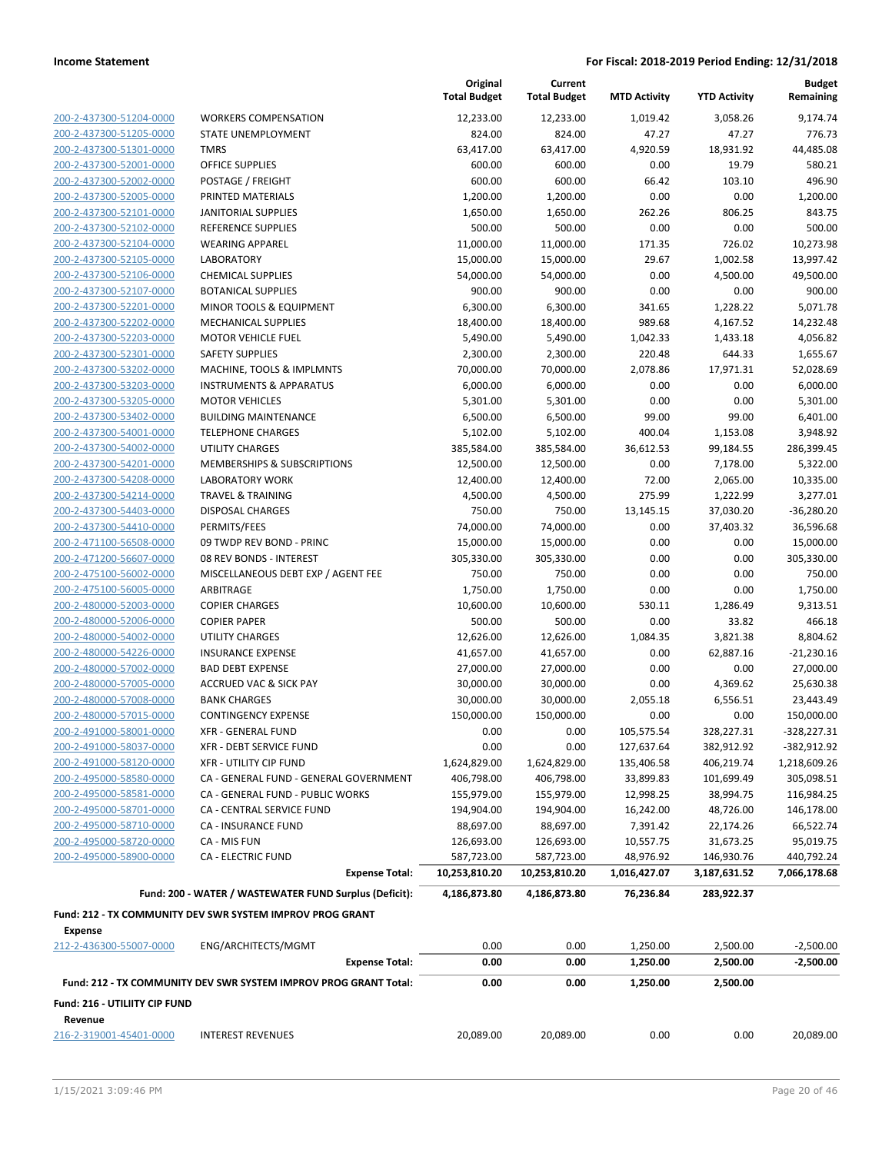| 200-2-437300-51204-0000 |
|-------------------------|
| 200-2-437300-51205-0000 |
| 200-2-437300-51301-0000 |
| 200-2-437300-52001-0000 |
| 200-2-437300-52002-0000 |
| 200-2-437300-52005-0000 |
| 200-2-437300-52101-0000 |
| 200-2-437300-52102-0000 |
| 200-2-437300-52104-0000 |
| 200-2-437300-52105-0000 |
| 200-2-437300-52106-0000 |
| 200-2-437300-52107-0000 |
| 200-2-437300-52201-0000 |
| 200-2-437300-52202-0000 |
| 200-2-437300-52203-0000 |
| 200-2-437300-52301-0000 |
| 200-2-437300-53202-0000 |
| 200-2-437300-53203-0000 |
| 200-2-437300-53205-0000 |
| 200-2-437300-53402-0000 |
| 200-2-437300-54001-0000 |
| 200-2-437300-54002-0000 |
| 200-2-437300-54201-0000 |
| 200-2-437300-54208-0000 |
| 200-2-437300-54214-0000 |
| 200-2-437300-54403-0000 |
| 200-2-437300-54410-0000 |
| 200-2-471100-56508-0000 |
| 200-2-471200-56607-0000 |
| 200-2-475100-56002-0000 |
| 200-2-475100-56005-0000 |
| 200-2-480000-52003-0000 |
| 200-2-480000-52006-0000 |
| 200-2-480000-54002-0000 |
| 200-2-480000-54226-0000 |
| 200-2-480000-57002-0000 |
| 200-2-480000-57005-0000 |
| 200-2-480000-57008-0000 |
| 200-2-480000-57015-0000 |
| 200-2-491000-58001-0000 |
| 200-2-491000-58037-0000 |
| 200-2-491000-58120-0000 |
| 200-2-495000-58580-0000 |
| 200-2-495000-58581-0000 |
| 200-2-495000-58701-0000 |
| 200-2-495000-58710-0000 |
| 200-2-495000-58720-0000 |
| 200-2-495000-58900-0000 |
|                         |
|                         |

|                                           |                                                                  | Original<br><b>Total Budget</b> | Current<br><b>Total Budget</b> | <b>MTD Activity</b> | <b>YTD Activity</b> | <b>Budget</b><br>Remaining |
|-------------------------------------------|------------------------------------------------------------------|---------------------------------|--------------------------------|---------------------|---------------------|----------------------------|
| 200-2-437300-51204-0000                   | <b>WORKERS COMPENSATION</b>                                      | 12,233.00                       | 12,233.00                      | 1,019.42            | 3,058.26            | 9,174.74                   |
| 200-2-437300-51205-0000                   | STATE UNEMPLOYMENT                                               | 824.00                          | 824.00                         | 47.27               | 47.27               | 776.73                     |
| 200-2-437300-51301-0000                   | <b>TMRS</b>                                                      | 63,417.00                       | 63,417.00                      | 4,920.59            | 18,931.92           | 44,485.08                  |
| 200-2-437300-52001-0000                   | <b>OFFICE SUPPLIES</b>                                           | 600.00                          | 600.00                         | 0.00                | 19.79               | 580.21                     |
| 200-2-437300-52002-0000                   | POSTAGE / FREIGHT                                                | 600.00                          | 600.00                         | 66.42               | 103.10              | 496.90                     |
| 200-2-437300-52005-0000                   | PRINTED MATERIALS                                                | 1,200.00                        | 1,200.00                       | 0.00                | 0.00                | 1,200.00                   |
| 200-2-437300-52101-0000                   | <b>JANITORIAL SUPPLIES</b>                                       | 1,650.00                        | 1,650.00                       | 262.26              | 806.25              | 843.75                     |
| 200-2-437300-52102-0000                   | REFERENCE SUPPLIES                                               | 500.00                          | 500.00                         | 0.00                | 0.00                | 500.00                     |
| 200-2-437300-52104-0000                   | <b>WEARING APPAREL</b>                                           | 11,000.00                       | 11,000.00                      | 171.35              | 726.02              | 10,273.98                  |
| 200-2-437300-52105-0000                   | <b>LABORATORY</b>                                                | 15,000.00                       | 15,000.00                      | 29.67               | 1,002.58            | 13,997.42                  |
| 200-2-437300-52106-0000                   | <b>CHEMICAL SUPPLIES</b>                                         | 54,000.00                       | 54,000.00                      | 0.00                | 4,500.00            | 49,500.00                  |
| 200-2-437300-52107-0000                   | <b>BOTANICAL SUPPLIES</b>                                        | 900.00                          | 900.00                         | 0.00                | 0.00                | 900.00                     |
| 200-2-437300-52201-0000                   | MINOR TOOLS & EQUIPMENT                                          | 6,300.00                        | 6,300.00                       | 341.65              | 1,228.22            | 5,071.78                   |
| 200-2-437300-52202-0000                   | <b>MECHANICAL SUPPLIES</b>                                       | 18,400.00                       | 18,400.00                      | 989.68              | 4,167.52            | 14,232.48                  |
| 200-2-437300-52203-0000                   | <b>MOTOR VEHICLE FUEL</b>                                        | 5,490.00                        | 5,490.00                       | 1,042.33            | 1,433.18            | 4,056.82                   |
| 200-2-437300-52301-0000                   | <b>SAFETY SUPPLIES</b>                                           | 2,300.00                        | 2,300.00                       | 220.48              | 644.33              | 1,655.67                   |
|                                           |                                                                  |                                 |                                |                     |                     | 52,028.69                  |
| 200-2-437300-53202-0000                   | MACHINE, TOOLS & IMPLMNTS                                        | 70,000.00                       | 70,000.00                      | 2,078.86            | 17,971.31           |                            |
| 200-2-437300-53203-0000                   | <b>INSTRUMENTS &amp; APPARATUS</b>                               | 6,000.00                        | 6,000.00                       | 0.00                | 0.00                | 6,000.00                   |
| 200-2-437300-53205-0000                   | <b>MOTOR VEHICLES</b>                                            | 5,301.00                        | 5,301.00                       | 0.00                | 0.00                | 5,301.00                   |
| 200-2-437300-53402-0000                   | <b>BUILDING MAINTENANCE</b>                                      | 6,500.00                        | 6,500.00                       | 99.00               | 99.00               | 6,401.00                   |
| 200-2-437300-54001-0000                   | <b>TELEPHONE CHARGES</b>                                         | 5,102.00                        | 5,102.00                       | 400.04              | 1,153.08            | 3,948.92                   |
| 200-2-437300-54002-0000                   | <b>UTILITY CHARGES</b>                                           | 385,584.00                      | 385,584.00                     | 36,612.53           | 99,184.55           | 286,399.45                 |
| 200-2-437300-54201-0000                   | MEMBERSHIPS & SUBSCRIPTIONS                                      | 12,500.00                       | 12,500.00                      | 0.00                | 7,178.00            | 5,322.00                   |
| 200-2-437300-54208-0000                   | <b>LABORATORY WORK</b>                                           | 12,400.00                       | 12,400.00                      | 72.00               | 2,065.00            | 10,335.00                  |
| 200-2-437300-54214-0000                   | <b>TRAVEL &amp; TRAINING</b>                                     | 4,500.00                        | 4,500.00                       | 275.99              | 1,222.99            | 3,277.01                   |
| 200-2-437300-54403-0000                   | <b>DISPOSAL CHARGES</b>                                          | 750.00                          | 750.00                         | 13,145.15           | 37,030.20           | $-36,280.20$               |
| 200-2-437300-54410-0000                   | PERMITS/FEES                                                     | 74,000.00                       | 74,000.00                      | 0.00                | 37,403.32           | 36,596.68                  |
| 200-2-471100-56508-0000                   | 09 TWDP REV BOND - PRINC                                         | 15,000.00                       | 15,000.00                      | 0.00                | 0.00                | 15,000.00                  |
| 200-2-471200-56607-0000                   | 08 REV BONDS - INTEREST                                          | 305,330.00                      | 305,330.00                     | 0.00                | 0.00                | 305,330.00                 |
| 200-2-475100-56002-0000                   | MISCELLANEOUS DEBT EXP / AGENT FEE                               | 750.00                          | 750.00                         | 0.00                | 0.00                | 750.00                     |
| 200-2-475100-56005-0000                   | ARBITRAGE                                                        | 1,750.00                        | 1,750.00                       | 0.00                | 0.00                | 1,750.00                   |
| 200-2-480000-52003-0000                   | <b>COPIER CHARGES</b>                                            | 10,600.00                       | 10,600.00                      | 530.11              | 1,286.49            | 9,313.51                   |
| 200-2-480000-52006-0000                   | <b>COPIER PAPER</b>                                              | 500.00                          | 500.00                         | 0.00                | 33.82               | 466.18                     |
| 200-2-480000-54002-0000                   | <b>UTILITY CHARGES</b>                                           | 12,626.00                       | 12,626.00                      | 1,084.35            | 3,821.38            | 8,804.62                   |
| 200-2-480000-54226-0000                   | <b>INSURANCE EXPENSE</b>                                         | 41,657.00                       | 41,657.00                      | 0.00                | 62,887.16           | $-21,230.16$               |
| 200-2-480000-57002-0000                   | <b>BAD DEBT EXPENSE</b>                                          | 27,000.00                       | 27,000.00                      | 0.00                | 0.00                | 27,000.00                  |
| 200-2-480000-57005-0000                   | <b>ACCRUED VAC &amp; SICK PAY</b>                                | 30,000.00                       | 30,000.00                      | 0.00                | 4,369.62            | 25,630.38                  |
| 200-2-480000-57008-0000                   | <b>BANK CHARGES</b>                                              | 30,000.00                       | 30,000.00                      | 2,055.18            | 6,556.51            | 23,443.49                  |
| 200-2-480000-57015-0000                   | <b>CONTINGENCY EXPENSE</b>                                       | 150,000.00                      | 150,000.00                     | 0.00                | 0.00                | 150,000.00                 |
| 200-2-491000-58001-0000                   | <b>XFR - GENERAL FUND</b>                                        | 0.00                            | 0.00                           | 105,575.54          | 328,227.31          | $-328,227.31$              |
| 200-2-491000-58037-0000                   | XFR - DEBT SERVICE FUND                                          | 0.00                            | 0.00                           | 127,637.64          | 382,912.92          | -382,912.92                |
| 200-2-491000-58120-0000                   | XFR - UTILITY CIP FUND                                           | 1,624,829.00                    | 1,624,829.00                   | 135,406.58          | 406,219.74          | 1,218,609.26               |
| 200-2-495000-58580-0000                   | CA - GENERAL FUND - GENERAL GOVERNMENT                           | 406,798.00                      | 406,798.00                     | 33,899.83           | 101,699.49          | 305,098.51                 |
| 200-2-495000-58581-0000                   | CA - GENERAL FUND - PUBLIC WORKS                                 | 155,979.00                      | 155,979.00                     | 12,998.25           | 38,994.75           | 116,984.25                 |
| 200-2-495000-58701-0000                   | CA - CENTRAL SERVICE FUND                                        | 194,904.00                      | 194,904.00                     | 16,242.00           | 48,726.00           | 146,178.00                 |
|                                           |                                                                  |                                 |                                |                     |                     |                            |
| 200-2-495000-58710-0000                   | CA - INSURANCE FUND                                              | 88,697.00                       | 88,697.00                      | 7,391.42            | 22,174.26           | 66,522.74                  |
| 200-2-495000-58720-0000                   | CA - MIS FUN                                                     | 126,693.00                      | 126,693.00                     | 10,557.75           | 31,673.25           | 95,019.75                  |
| 200-2-495000-58900-0000                   | <b>CA - ELECTRIC FUND</b>                                        | 587,723.00                      | 587,723.00                     | 48,976.92           | 146,930.76          | 440,792.24                 |
|                                           | <b>Expense Total:</b>                                            | 10,253,810.20                   | 10,253,810.20                  | 1,016,427.07        | 3,187,631.52        | 7,066,178.68               |
|                                           | Fund: 200 - WATER / WASTEWATER FUND Surplus (Deficit):           | 4,186,873.80                    | 4,186,873.80                   | 76,236.84           | 283,922.37          |                            |
|                                           | Fund: 212 - TX COMMUNITY DEV SWR SYSTEM IMPROV PROG GRANT        |                                 |                                |                     |                     |                            |
| <b>Expense</b><br>212-2-436300-55007-0000 | ENG/ARCHITECTS/MGMT                                              | 0.00                            | 0.00                           | 1,250.00            | 2,500.00            | $-2,500.00$                |
|                                           | <b>Expense Total:</b>                                            | 0.00                            | 0.00                           | 1,250.00            | 2,500.00            | $-2,500.00$                |
|                                           | Fund: 212 - TX COMMUNITY DEV SWR SYSTEM IMPROV PROG GRANT Total: | 0.00                            | 0.00                           | 1,250.00            | 2,500.00            |                            |
| Fund: 216 - UTILIITY CIP FUND             |                                                                  |                                 |                                |                     |                     |                            |

### **Revenue**

| 216-2-319001-45401-0000 | <b>INTEREST REVENUES</b> | 20.089.00 | 20.089.00 | 0.00 | 0.00 | 20.089.00 |
|-------------------------|--------------------------|-----------|-----------|------|------|-----------|
|                         |                          |           |           |      |      |           |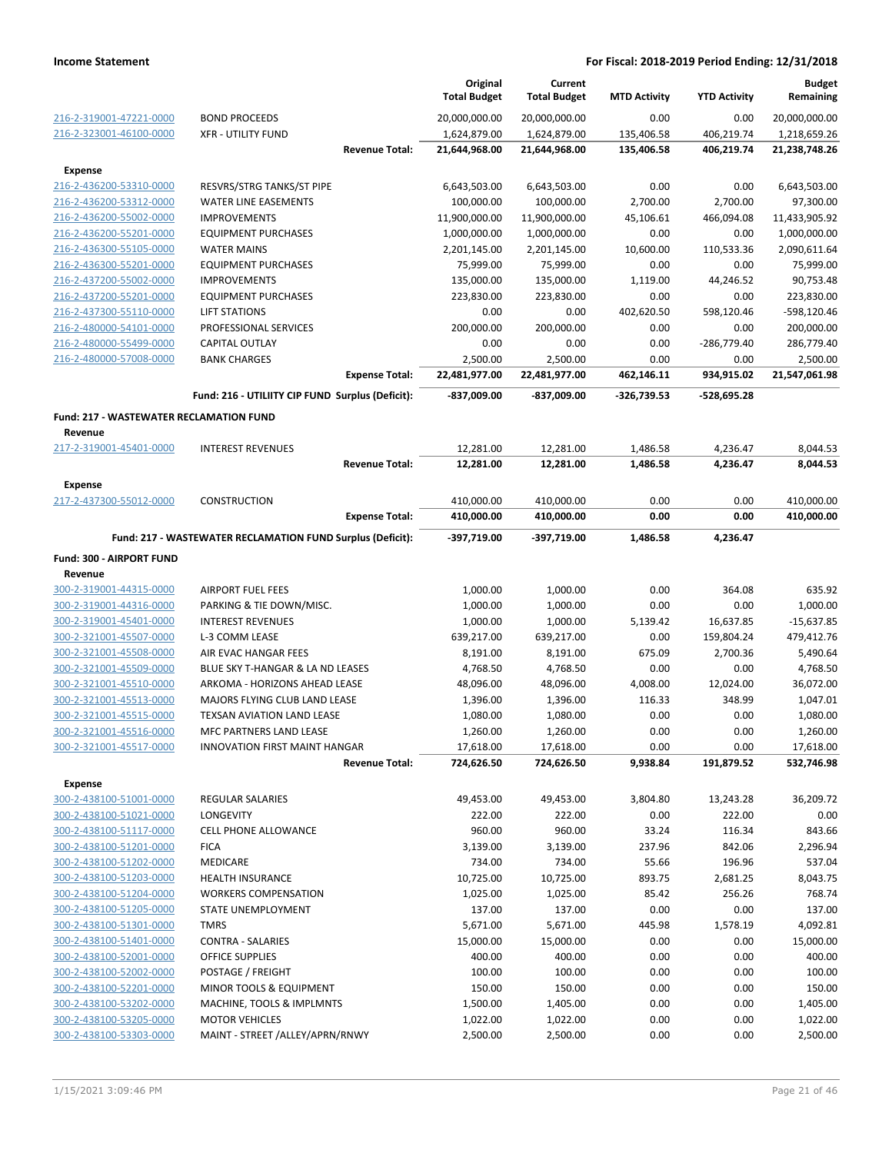|                                                    |                                                              |                       | Original<br><b>Total Budget</b> | Current<br><b>Total Budget</b> | <b>MTD Activity</b> | <b>YTD Activity</b> | <b>Budget</b><br>Remaining |
|----------------------------------------------------|--------------------------------------------------------------|-----------------------|---------------------------------|--------------------------------|---------------------|---------------------|----------------------------|
| 216-2-319001-47221-0000                            | <b>BOND PROCEEDS</b>                                         |                       | 20,000,000.00                   | 20,000,000.00                  | 0.00                | 0.00                | 20,000,000.00              |
| 216-2-323001-46100-0000                            | <b>XFR - UTILITY FUND</b>                                    |                       | 1,624,879.00                    | 1,624,879.00                   | 135,406.58          | 406,219.74          | 1,218,659.26               |
|                                                    |                                                              | <b>Revenue Total:</b> | 21,644,968.00                   | 21,644,968.00                  | 135,406.58          | 406,219.74          | 21,238,748.26              |
| Expense                                            |                                                              |                       |                                 |                                |                     |                     |                            |
| 216-2-436200-53310-0000                            | RESVRS/STRG TANKS/ST PIPE                                    |                       | 6,643,503.00                    | 6,643,503.00                   | 0.00                | 0.00                | 6,643,503.00               |
| 216-2-436200-53312-0000                            | <b>WATER LINE EASEMENTS</b>                                  |                       | 100,000.00                      | 100,000.00                     | 2,700.00            | 2,700.00            | 97,300.00                  |
| 216-2-436200-55002-0000                            | <b>IMPROVEMENTS</b>                                          |                       | 11,900,000.00                   | 11,900,000.00                  | 45,106.61           | 466,094.08          | 11,433,905.92              |
| 216-2-436200-55201-0000                            | <b>EQUIPMENT PURCHASES</b>                                   |                       | 1,000,000.00                    | 1,000,000.00                   | 0.00                | 0.00                | 1,000,000.00               |
| 216-2-436300-55105-0000                            | <b>WATER MAINS</b>                                           |                       | 2,201,145.00                    | 2,201,145.00                   | 10,600.00           | 110,533.36          | 2,090,611.64               |
| 216-2-436300-55201-0000                            | <b>EQUIPMENT PURCHASES</b>                                   |                       | 75,999.00                       | 75,999.00                      | 0.00                | 0.00                | 75,999.00                  |
| 216-2-437200-55002-0000                            | <b>IMPROVEMENTS</b>                                          |                       | 135,000.00                      | 135,000.00                     | 1,119.00            | 44,246.52           | 90,753.48                  |
| 216-2-437200-55201-0000                            | <b>EQUIPMENT PURCHASES</b>                                   |                       | 223,830.00                      | 223,830.00                     | 0.00                | 0.00                | 223,830.00                 |
| 216-2-437300-55110-0000                            | LIFT STATIONS                                                |                       | 0.00                            | 0.00                           | 402,620.50          | 598,120.46          | -598,120.46                |
| 216-2-480000-54101-0000                            | PROFESSIONAL SERVICES                                        |                       | 200,000.00                      | 200,000.00                     | 0.00                | 0.00                | 200,000.00                 |
| 216-2-480000-55499-0000                            | <b>CAPITAL OUTLAY</b><br><b>BANK CHARGES</b>                 |                       | 0.00                            | 0.00                           | 0.00<br>0.00        | -286,779.40         | 286,779.40                 |
| 216-2-480000-57008-0000                            |                                                              | <b>Expense Total:</b> | 2,500.00<br>22,481,977.00       | 2,500.00<br>22,481,977.00      | 462,146.11          | 0.00<br>934,915.02  | 2,500.00<br>21,547,061.98  |
|                                                    |                                                              |                       |                                 |                                |                     |                     |                            |
|                                                    | Fund: 216 - UTILIITY CIP FUND Surplus (Deficit):             |                       | -837,009.00                     | -837,009.00                    | $-326,739.53$       | -528,695.28         |                            |
| <b>Fund: 217 - WASTEWATER RECLAMATION FUND</b>     |                                                              |                       |                                 |                                |                     |                     |                            |
| Revenue                                            |                                                              |                       |                                 |                                |                     |                     |                            |
| 217-2-319001-45401-0000                            | <b>INTEREST REVENUES</b>                                     |                       | 12,281.00                       | 12,281.00                      | 1,486.58            | 4,236.47            | 8,044.53                   |
|                                                    |                                                              | <b>Revenue Total:</b> | 12,281.00                       | 12,281.00                      | 1,486.58            | 4,236.47            | 8,044.53                   |
| <b>Expense</b>                                     |                                                              |                       |                                 |                                |                     |                     |                            |
| 217-2-437300-55012-0000                            | <b>CONSTRUCTION</b>                                          |                       | 410,000.00                      | 410,000.00                     | 0.00                | 0.00                | 410,000.00                 |
|                                                    |                                                              | <b>Expense Total:</b> | 410,000.00                      | 410,000.00                     | 0.00                | 0.00                | 410,000.00                 |
|                                                    | Fund: 217 - WASTEWATER RECLAMATION FUND Surplus (Deficit):   |                       | -397,719.00                     | -397,719.00                    | 1,486.58            | 4,236.47            |                            |
| Fund: 300 - AIRPORT FUND                           |                                                              |                       |                                 |                                |                     |                     |                            |
| Revenue                                            |                                                              |                       |                                 |                                |                     |                     |                            |
| 300-2-319001-44315-0000                            | <b>AIRPORT FUEL FEES</b>                                     |                       | 1,000.00                        | 1,000.00                       | 0.00                | 364.08              | 635.92                     |
| 300-2-319001-44316-0000                            | PARKING & TIE DOWN/MISC.                                     |                       | 1,000.00                        | 1,000.00                       | 0.00                | 0.00                | 1,000.00                   |
| 300-2-319001-45401-0000                            | <b>INTEREST REVENUES</b>                                     |                       | 1,000.00                        | 1,000.00                       | 5,139.42            | 16,637.85           | $-15,637.85$               |
| 300-2-321001-45507-0000                            | L-3 COMM LEASE                                               |                       | 639,217.00                      | 639,217.00                     | 0.00                | 159,804.24          | 479,412.76                 |
| 300-2-321001-45508-0000                            | AIR EVAC HANGAR FEES                                         |                       | 8,191.00                        | 8,191.00                       | 675.09              | 2,700.36            | 5,490.64                   |
| 300-2-321001-45509-0000                            | BLUE SKY T-HANGAR & LA ND LEASES                             |                       | 4,768.50                        | 4,768.50                       | 0.00                | 0.00                | 4,768.50                   |
| 300-2-321001-45510-0000                            | ARKOMA - HORIZONS AHEAD LEASE                                |                       | 48,096.00                       | 48,096.00                      | 4,008.00            | 12,024.00           | 36,072.00                  |
| 300-2-321001-45513-0000                            | MAJORS FLYING CLUB LAND LEASE                                |                       | 1,396.00                        | 1,396.00                       | 116.33              | 348.99              | 1,047.01                   |
| 300-2-321001-45515-0000                            | <b>TEXSAN AVIATION LAND LEASE</b><br>MFC PARTNERS LAND LEASE |                       | 1,080.00                        | 1,080.00                       | 0.00                | 0.00                | 1,080.00                   |
| 300-2-321001-45516-0000<br>300-2-321001-45517-0000 | <b>INNOVATION FIRST MAINT HANGAR</b>                         |                       | 1,260.00<br>17,618.00           | 1,260.00<br>17,618.00          | 0.00<br>0.00        | 0.00<br>0.00        | 1,260.00<br>17,618.00      |
|                                                    |                                                              | <b>Revenue Total:</b> | 724,626.50                      | 724,626.50                     | 9,938.84            | 191,879.52          | 532,746.98                 |
|                                                    |                                                              |                       |                                 |                                |                     |                     |                            |
| <b>Expense</b><br>300-2-438100-51001-0000          | <b>REGULAR SALARIES</b>                                      |                       | 49,453.00                       | 49,453.00                      | 3,804.80            | 13,243.28           | 36,209.72                  |
| 300-2-438100-51021-0000                            | LONGEVITY                                                    |                       | 222.00                          | 222.00                         | 0.00                | 222.00              | 0.00                       |
| 300-2-438100-51117-0000                            | <b>CELL PHONE ALLOWANCE</b>                                  |                       | 960.00                          | 960.00                         | 33.24               | 116.34              | 843.66                     |
| 300-2-438100-51201-0000                            | <b>FICA</b>                                                  |                       | 3,139.00                        | 3,139.00                       | 237.96              | 842.06              | 2,296.94                   |
| 300-2-438100-51202-0000                            | <b>MEDICARE</b>                                              |                       | 734.00                          | 734.00                         | 55.66               | 196.96              | 537.04                     |
| 300-2-438100-51203-0000                            | <b>HEALTH INSURANCE</b>                                      |                       | 10,725.00                       | 10,725.00                      | 893.75              | 2,681.25            | 8,043.75                   |
| 300-2-438100-51204-0000                            | <b>WORKERS COMPENSATION</b>                                  |                       | 1,025.00                        | 1,025.00                       | 85.42               | 256.26              | 768.74                     |
| 300-2-438100-51205-0000                            | STATE UNEMPLOYMENT                                           |                       | 137.00                          | 137.00                         | 0.00                | 0.00                | 137.00                     |
| 300-2-438100-51301-0000                            | <b>TMRS</b>                                                  |                       | 5,671.00                        | 5,671.00                       | 445.98              | 1,578.19            | 4,092.81                   |
| 300-2-438100-51401-0000                            | <b>CONTRA - SALARIES</b>                                     |                       | 15,000.00                       | 15,000.00                      | 0.00                | 0.00                | 15,000.00                  |
| 300-2-438100-52001-0000                            | OFFICE SUPPLIES                                              |                       | 400.00                          | 400.00                         | 0.00                | 0.00                | 400.00                     |
| 300-2-438100-52002-0000                            | POSTAGE / FREIGHT                                            |                       | 100.00                          | 100.00                         | 0.00                | 0.00                | 100.00                     |
| 300-2-438100-52201-0000                            | MINOR TOOLS & EQUIPMENT                                      |                       | 150.00                          | 150.00                         | 0.00                | 0.00                | 150.00                     |
| 300-2-438100-53202-0000                            | MACHINE, TOOLS & IMPLMNTS                                    |                       | 1,500.00                        | 1,405.00                       | 0.00                | 0.00                | 1,405.00                   |
| 300-2-438100-53205-0000                            | <b>MOTOR VEHICLES</b>                                        |                       | 1,022.00                        | 1,022.00                       | 0.00                | 0.00                | 1,022.00                   |
| 300-2-438100-53303-0000                            | MAINT - STREET / ALLEY/APRN/RNWY                             |                       | 2,500.00                        | 2,500.00                       | 0.00                | 0.00                | 2,500.00                   |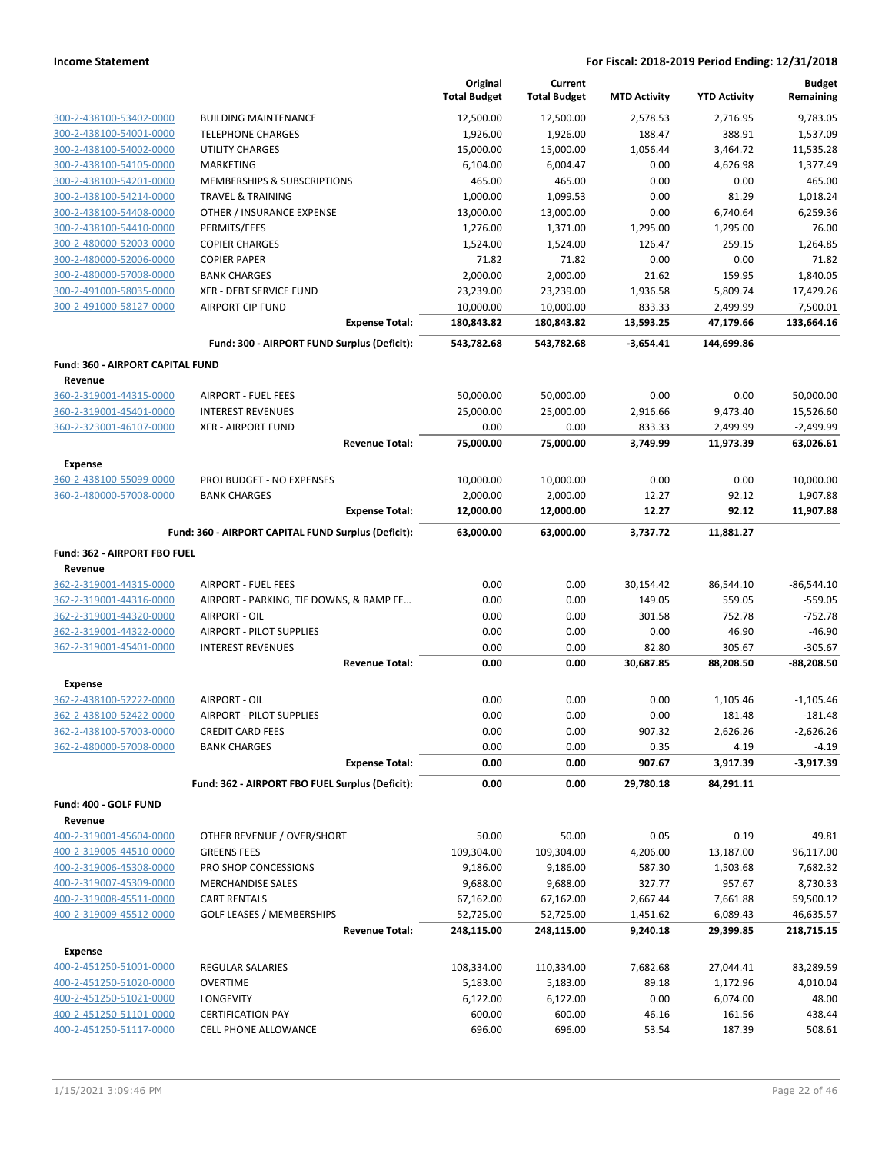|                                  |                                                     |                       | Original<br><b>Total Budget</b> | Current<br><b>Total Budget</b> | <b>MTD Activity</b>      | <b>YTD Activity</b>     | <b>Budget</b><br>Remaining |
|----------------------------------|-----------------------------------------------------|-----------------------|---------------------------------|--------------------------------|--------------------------|-------------------------|----------------------------|
| 300-2-438100-53402-0000          | <b>BUILDING MAINTENANCE</b>                         |                       | 12,500.00                       | 12,500.00                      | 2,578.53                 | 2,716.95                | 9,783.05                   |
| 300-2-438100-54001-0000          | <b>TELEPHONE CHARGES</b>                            |                       | 1,926.00                        | 1,926.00                       | 188.47                   | 388.91                  | 1,537.09                   |
| 300-2-438100-54002-0000          | <b>UTILITY CHARGES</b>                              |                       | 15,000.00                       | 15,000.00                      | 1,056.44                 | 3,464.72                | 11,535.28                  |
| 300-2-438100-54105-0000          | <b>MARKETING</b>                                    |                       | 6,104.00                        | 6,004.47                       | 0.00                     | 4,626.98                | 1,377.49                   |
| 300-2-438100-54201-0000          | MEMBERSHIPS & SUBSCRIPTIONS                         |                       | 465.00                          | 465.00                         | 0.00                     | 0.00                    | 465.00                     |
| 300-2-438100-54214-0000          | <b>TRAVEL &amp; TRAINING</b>                        |                       | 1,000.00                        | 1,099.53                       | 0.00                     | 81.29                   | 1,018.24                   |
| 300-2-438100-54408-0000          | OTHER / INSURANCE EXPENSE                           |                       | 13,000.00                       | 13,000.00                      | 0.00                     | 6,740.64                | 6,259.36                   |
| 300-2-438100-54410-0000          | PERMITS/FEES                                        |                       | 1,276.00                        | 1,371.00                       | 1,295.00                 | 1,295.00                | 76.00                      |
| 300-2-480000-52003-0000          | <b>COPIER CHARGES</b>                               |                       | 1,524.00                        | 1,524.00                       | 126.47                   | 259.15                  | 1,264.85                   |
| 300-2-480000-52006-0000          | <b>COPIER PAPER</b>                                 |                       | 71.82                           | 71.82                          | 0.00                     | 0.00                    | 71.82                      |
| 300-2-480000-57008-0000          | <b>BANK CHARGES</b>                                 |                       | 2,000.00                        | 2,000.00                       | 21.62                    | 159.95                  | 1.840.05                   |
| 300-2-491000-58035-0000          | <b>XFR - DEBT SERVICE FUND</b>                      |                       | 23,239.00                       | 23,239.00                      | 1,936.58                 | 5,809.74                | 17,429.26                  |
| 300-2-491000-58127-0000          | <b>AIRPORT CIP FUND</b>                             |                       | 10,000.00                       | 10,000.00                      | 833.33                   | 2,499.99                | 7,500.01                   |
|                                  | Fund: 300 - AIRPORT FUND Surplus (Deficit):         | <b>Expense Total:</b> | 180,843.82<br>543,782.68        | 180,843.82<br>543,782.68       | 13,593.25<br>$-3,654.41$ | 47,179.66<br>144,699.86 | 133,664.16                 |
|                                  |                                                     |                       |                                 |                                |                          |                         |                            |
| Fund: 360 - AIRPORT CAPITAL FUND |                                                     |                       |                                 |                                |                          |                         |                            |
| Revenue                          |                                                     |                       |                                 |                                |                          |                         |                            |
| 360-2-319001-44315-0000          | <b>AIRPORT - FUEL FEES</b>                          |                       | 50,000.00                       | 50,000.00                      | 0.00                     | 0.00                    | 50,000.00                  |
| 360-2-319001-45401-0000          | <b>INTEREST REVENUES</b>                            |                       | 25,000.00                       | 25,000.00                      | 2,916.66                 | 9,473.40                | 15,526.60                  |
| 360-2-323001-46107-0000          | <b>XFR - AIRPORT FUND</b>                           | <b>Revenue Total:</b> | 0.00<br>75,000.00               | 0.00<br>75,000.00              | 833.33<br>3,749.99       | 2,499.99<br>11,973.39   | $-2,499.99$<br>63,026.61   |
|                                  |                                                     |                       |                                 |                                |                          |                         |                            |
| <b>Expense</b>                   |                                                     |                       |                                 |                                |                          |                         |                            |
| 360-2-438100-55099-0000          | PROJ BUDGET - NO EXPENSES                           |                       | 10,000.00                       | 10,000.00                      | 0.00                     | 0.00                    | 10,000.00                  |
| 360-2-480000-57008-0000          | <b>BANK CHARGES</b>                                 |                       | 2,000.00                        | 2,000.00                       | 12.27                    | 92.12                   | 1,907.88                   |
|                                  |                                                     | <b>Expense Total:</b> | 12,000.00                       | 12,000.00                      | 12.27                    | 92.12                   | 11,907.88                  |
|                                  | Fund: 360 - AIRPORT CAPITAL FUND Surplus (Deficit): |                       | 63,000.00                       | 63,000.00                      | 3,737.72                 | 11,881.27               |                            |
| Fund: 362 - AIRPORT FBO FUEL     |                                                     |                       |                                 |                                |                          |                         |                            |
| Revenue                          |                                                     |                       |                                 |                                |                          |                         |                            |
| 362-2-319001-44315-0000          | <b>AIRPORT - FUEL FEES</b>                          |                       | 0.00                            | 0.00                           | 30,154.42                | 86,544.10               | $-86,544.10$               |
| 362-2-319001-44316-0000          | AIRPORT - PARKING, TIE DOWNS, & RAMP FE             |                       | 0.00                            | 0.00                           | 149.05                   | 559.05                  | $-559.05$                  |
| 362-2-319001-44320-0000          | AIRPORT - OIL                                       |                       | 0.00                            | 0.00                           | 301.58                   | 752.78                  | $-752.78$                  |
| 362-2-319001-44322-0000          | <b>AIRPORT - PILOT SUPPLIES</b>                     |                       | 0.00                            | 0.00                           | 0.00                     | 46.90                   | $-46.90$                   |
| 362-2-319001-45401-0000          | <b>INTEREST REVENUES</b>                            |                       | 0.00                            | 0.00                           | 82.80                    | 305.67                  | $-305.67$                  |
|                                  |                                                     | <b>Revenue Total:</b> | 0.00                            | 0.00                           | 30,687.85                | 88,208.50               | $-88,208.50$               |
| <b>Expense</b>                   |                                                     |                       |                                 |                                |                          |                         |                            |
| 362-2-438100-52222-0000          | AIRPORT - OIL                                       |                       | 0.00                            | 0.00                           | 0.00                     | 1,105.46                | $-1,105.46$                |
| 362-2-438100-52422-0000          | <b>AIRPORT - PILOT SUPPLIES</b>                     |                       | 0.00                            | 0.00                           | 0.00                     | 181.48                  | $-181.48$                  |
| 362-2-438100-57003-0000          | <b>CREDIT CARD FEES</b>                             |                       | 0.00                            | 0.00                           | 907.32                   | 2,626.26                | $-2,626.26$                |
| 362-2-480000-57008-0000          | <b>BANK CHARGES</b>                                 |                       | 0.00                            | 0.00                           | 0.35                     | 4.19                    | $-4.19$                    |
|                                  |                                                     | <b>Expense Total:</b> | 0.00                            | 0.00                           | 907.67                   | 3,917.39                | $-3,917.39$                |
|                                  | Fund: 362 - AIRPORT FBO FUEL Surplus (Deficit):     |                       | 0.00                            | 0.00                           | 29,780.18                | 84,291.11               |                            |
| Fund: 400 - GOLF FUND            |                                                     |                       |                                 |                                |                          |                         |                            |
| Revenue                          |                                                     |                       |                                 |                                |                          |                         |                            |
| 400-2-319001-45604-0000          | OTHER REVENUE / OVER/SHORT                          |                       | 50.00                           | 50.00                          | 0.05                     | 0.19                    | 49.81                      |
| 400-2-319005-44510-0000          | <b>GREENS FEES</b>                                  |                       | 109,304.00                      | 109,304.00                     | 4,206.00                 | 13,187.00               | 96,117.00                  |
| 400-2-319006-45308-0000          | PRO SHOP CONCESSIONS                                |                       | 9,186.00                        | 9,186.00                       | 587.30                   | 1,503.68                | 7,682.32                   |
| 400-2-319007-45309-0000          | <b>MERCHANDISE SALES</b>                            |                       | 9,688.00                        | 9,688.00                       | 327.77                   | 957.67                  | 8,730.33                   |
| 400-2-319008-45511-0000          | <b>CART RENTALS</b>                                 |                       | 67,162.00                       | 67,162.00                      | 2,667.44                 | 7,661.88                | 59,500.12                  |
| 400-2-319009-45512-0000          | <b>GOLF LEASES / MEMBERSHIPS</b>                    |                       | 52,725.00                       | 52,725.00                      | 1,451.62                 | 6,089.43                | 46,635.57                  |
|                                  |                                                     | <b>Revenue Total:</b> | 248,115.00                      | 248,115.00                     | 9,240.18                 | 29,399.85               | 218,715.15                 |
| <b>Expense</b>                   |                                                     |                       |                                 |                                |                          |                         |                            |
| 400-2-451250-51001-0000          | REGULAR SALARIES                                    |                       | 108,334.00                      | 110,334.00                     | 7,682.68                 | 27,044.41               | 83,289.59                  |
| 400-2-451250-51020-0000          | <b>OVERTIME</b>                                     |                       | 5,183.00                        | 5,183.00                       | 89.18                    | 1,172.96                | 4,010.04                   |
| 400-2-451250-51021-0000          | <b>LONGEVITY</b>                                    |                       | 6,122.00                        | 6,122.00                       | 0.00                     | 6,074.00                | 48.00                      |
| 400-2-451250-51101-0000          | <b>CERTIFICATION PAY</b>                            |                       | 600.00                          | 600.00                         | 46.16                    | 161.56                  | 438.44                     |
| 400-2-451250-51117-0000          | CELL PHONE ALLOWANCE                                |                       | 696.00                          | 696.00                         | 53.54                    | 187.39                  | 508.61                     |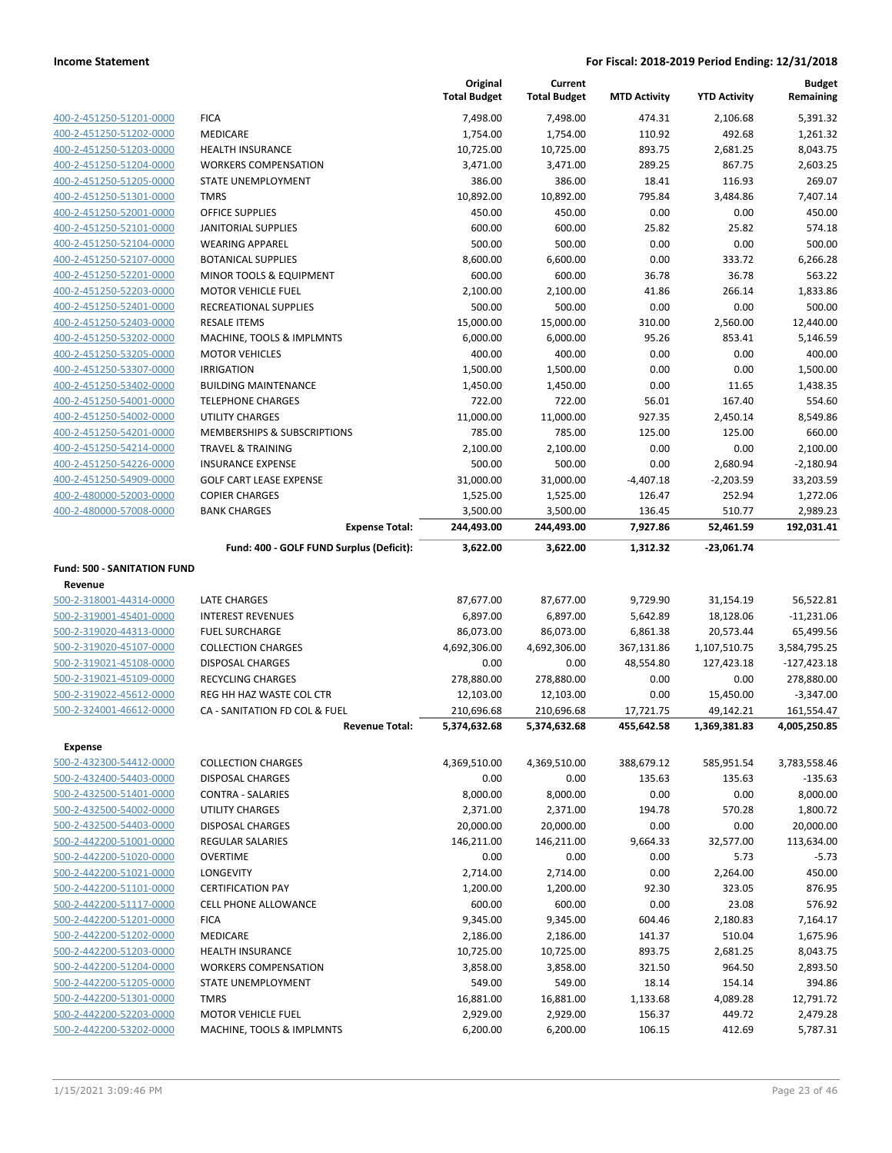|                                    |                                          | Original<br><b>Total Budget</b> | Current<br><b>Total Budget</b> | <b>MTD Activity</b> | <b>YTD Activity</b> | <b>Budget</b><br>Remaining |
|------------------------------------|------------------------------------------|---------------------------------|--------------------------------|---------------------|---------------------|----------------------------|
| 400-2-451250-51201-0000            | <b>FICA</b>                              | 7,498.00                        | 7,498.00                       | 474.31              | 2,106.68            | 5,391.32                   |
| 400-2-451250-51202-0000            | <b>MEDICARE</b>                          | 1,754.00                        | 1,754.00                       | 110.92              | 492.68              | 1,261.32                   |
| 400-2-451250-51203-0000            | <b>HEALTH INSURANCE</b>                  | 10,725.00                       | 10,725.00                      | 893.75              | 2,681.25            | 8,043.75                   |
| 400-2-451250-51204-0000            | <b>WORKERS COMPENSATION</b>              | 3,471.00                        | 3,471.00                       | 289.25              | 867.75              | 2,603.25                   |
| 400-2-451250-51205-0000            | <b>STATE UNEMPLOYMENT</b>                | 386.00                          | 386.00                         | 18.41               | 116.93              | 269.07                     |
| 400-2-451250-51301-0000            | <b>TMRS</b>                              | 10,892.00                       | 10,892.00                      | 795.84              | 3,484.86            | 7,407.14                   |
| 400-2-451250-52001-0000            | <b>OFFICE SUPPLIES</b>                   | 450.00                          | 450.00                         | 0.00                | 0.00                | 450.00                     |
| 400-2-451250-52101-0000            | <b>JANITORIAL SUPPLIES</b>               | 600.00                          | 600.00                         | 25.82               | 25.82               | 574.18                     |
| 400-2-451250-52104-0000            | <b>WEARING APPAREL</b>                   | 500.00                          | 500.00                         | 0.00                | 0.00                | 500.00                     |
| 400-2-451250-52107-0000            | <b>BOTANICAL SUPPLIES</b>                | 8,600.00                        | 6,600.00                       | 0.00                | 333.72              | 6,266.28                   |
| 400-2-451250-52201-0000            | MINOR TOOLS & EQUIPMENT                  | 600.00                          | 600.00                         | 36.78               | 36.78               | 563.22                     |
| 400-2-451250-52203-0000            | <b>MOTOR VEHICLE FUEL</b>                | 2,100.00                        | 2,100.00                       | 41.86               | 266.14              | 1,833.86                   |
| 400-2-451250-52401-0000            | RECREATIONAL SUPPLIES                    | 500.00                          | 500.00                         | 0.00                | 0.00                | 500.00                     |
| 400-2-451250-52403-0000            | <b>RESALE ITEMS</b>                      | 15,000.00                       | 15,000.00                      | 310.00              | 2,560.00            | 12,440.00                  |
| 400-2-451250-53202-0000            | MACHINE, TOOLS & IMPLMNTS                | 6,000.00                        | 6,000.00                       | 95.26               | 853.41              | 5,146.59                   |
| 400-2-451250-53205-0000            | <b>MOTOR VEHICLES</b>                    | 400.00                          | 400.00                         | 0.00                | 0.00                | 400.00                     |
| 400-2-451250-53307-0000            | <b>IRRIGATION</b>                        | 1,500.00                        | 1,500.00                       | 0.00                | 0.00                | 1,500.00                   |
| 400-2-451250-53402-0000            | <b>BUILDING MAINTENANCE</b>              | 1,450.00                        | 1,450.00                       | 0.00                | 11.65               | 1,438.35                   |
| 400-2-451250-54001-0000            | <b>TELEPHONE CHARGES</b>                 | 722.00                          | 722.00                         | 56.01               | 167.40              | 554.60                     |
| 400-2-451250-54002-0000            | <b>UTILITY CHARGES</b>                   | 11,000.00                       | 11,000.00                      | 927.35              | 2,450.14            | 8,549.86                   |
| 400-2-451250-54201-0000            | MEMBERSHIPS & SUBSCRIPTIONS              | 785.00                          | 785.00                         | 125.00              | 125.00              | 660.00                     |
| 400-2-451250-54214-0000            | <b>TRAVEL &amp; TRAINING</b>             | 2,100.00                        | 2,100.00                       | 0.00                | 0.00                | 2,100.00                   |
| 400-2-451250-54226-0000            | <b>INSURANCE EXPENSE</b>                 | 500.00                          | 500.00                         | 0.00                | 2,680.94            | $-2,180.94$                |
| 400-2-451250-54909-0000            | <b>GOLF CART LEASE EXPENSE</b>           | 31,000.00                       | 31,000.00                      | $-4,407.18$         | $-2,203.59$         | 33,203.59                  |
| 400-2-480000-52003-0000            | <b>COPIER CHARGES</b>                    | 1,525.00                        | 1,525.00                       | 126.47              | 252.94              | 1,272.06                   |
| 400-2-480000-57008-0000            | <b>BANK CHARGES</b>                      | 3,500.00                        | 3,500.00                       | 136.45              | 510.77              | 2,989.23                   |
|                                    | <b>Expense Total:</b>                    | 244,493.00                      | 244,493.00                     | 7,927.86            | 52,461.59           | 192,031.41                 |
|                                    | Fund: 400 - GOLF FUND Surplus (Deficit): | 3,622.00                        | 3,622.00                       | 1,312.32            | -23,061.74          |                            |
| <b>Fund: 500 - SANITATION FUND</b> |                                          |                                 |                                |                     |                     |                            |
| Revenue                            |                                          |                                 |                                |                     |                     |                            |
| 500-2-318001-44314-0000            | LATE CHARGES                             | 87,677.00                       | 87,677.00                      | 9,729.90            | 31,154.19           | 56,522.81                  |
| 500-2-319001-45401-0000            | <b>INTEREST REVENUES</b>                 | 6,897.00                        | 6,897.00                       | 5,642.89            | 18,128.06           | $-11,231.06$               |
| 500-2-319020-44313-0000            | <b>FUEL SURCHARGE</b>                    | 86,073.00                       | 86,073.00                      | 6,861.38            | 20,573.44           | 65,499.56                  |
| 500-2-319020-45107-0000            | <b>COLLECTION CHARGES</b>                | 4,692,306.00                    | 4,692,306.00                   | 367,131.86          | 1,107,510.75        | 3,584,795.25               |
| 500-2-319021-45108-0000            | <b>DISPOSAL CHARGES</b>                  | 0.00                            | 0.00                           | 48,554.80           | 127,423.18          | $-127,423.18$              |
| 500-2-319021-45109-0000            | <b>RECYCLING CHARGES</b>                 | 278,880.00                      | 278,880.00                     | 0.00                | 0.00                | 278,880.00                 |
| 500-2-319022-45612-0000            | REG HH HAZ WASTE COL CTR                 | 12,103.00                       | 12,103.00                      | 0.00                | 15,450.00           | $-3,347.00$                |
| 500-2-324001-46612-0000            | CA - SANITATION FD COL & FUEL            | 210,696.68                      | 210,696.68                     | 17,721.75           | 49,142.21           | 161,554.47                 |
|                                    | <b>Revenue Total:</b>                    | 5,374,632.68                    | 5,374,632.68                   | 455,642.58          | 1,369,381.83        | 4,005,250.85               |
| Expense                            |                                          |                                 |                                |                     |                     |                            |
| 500-2-432300-54412-0000            | <b>COLLECTION CHARGES</b>                | 4,369,510.00                    | 4,369,510.00                   | 388,679.12          | 585,951.54          | 3,783,558.46               |
| 500-2-432400-54403-0000            | <b>DISPOSAL CHARGES</b>                  | 0.00                            | 0.00                           | 135.63              | 135.63              | $-135.63$                  |
| 500-2-432500-51401-0000            | <b>CONTRA - SALARIES</b>                 | 8,000.00                        | 8,000.00                       | 0.00                | 0.00                | 8,000.00                   |
| 500-2-432500-54002-0000            | UTILITY CHARGES                          | 2,371.00                        | 2,371.00                       | 194.78              | 570.28              | 1,800.72                   |
| 500-2-432500-54403-0000            | <b>DISPOSAL CHARGES</b>                  | 20,000.00                       | 20,000.00                      | 0.00                | 0.00                | 20,000.00                  |
| 500-2-442200-51001-0000            | <b>REGULAR SALARIES</b>                  | 146,211.00                      | 146,211.00                     | 9,664.33            | 32,577.00           | 113,634.00                 |
| 500-2-442200-51020-0000            | <b>OVERTIME</b>                          | 0.00                            | 0.00                           | 0.00                | 5.73                | $-5.73$                    |
| 500-2-442200-51021-0000            | <b>LONGEVITY</b>                         | 2,714.00                        | 2,714.00                       | 0.00                | 2,264.00            | 450.00                     |
| 500-2-442200-51101-0000            | <b>CERTIFICATION PAY</b>                 | 1,200.00                        | 1,200.00                       | 92.30               | 323.05              | 876.95                     |
| 500-2-442200-51117-0000            | <b>CELL PHONE ALLOWANCE</b>              | 600.00                          | 600.00                         | 0.00                | 23.08               | 576.92                     |
| 500-2-442200-51201-0000            | <b>FICA</b>                              | 9,345.00                        | 9,345.00                       | 604.46              | 2,180.83            | 7,164.17                   |
| 500-2-442200-51202-0000            | MEDICARE                                 | 2,186.00                        | 2,186.00                       | 141.37              | 510.04              | 1,675.96                   |
| 500-2-442200-51203-0000            | HEALTH INSURANCE                         | 10,725.00                       | 10,725.00                      | 893.75              | 2,681.25            | 8,043.75                   |
| 500-2-442200-51204-0000            | <b>WORKERS COMPENSATION</b>              | 3,858.00                        | 3,858.00                       | 321.50              | 964.50              | 2,893.50                   |
| 500-2-442200-51205-0000            | STATE UNEMPLOYMENT                       | 549.00                          | 549.00                         | 18.14               | 154.14              | 394.86                     |
| 500-2-442200-51301-0000            | <b>TMRS</b>                              | 16,881.00                       | 16,881.00                      | 1,133.68            | 4,089.28            | 12,791.72                  |
| 500-2-442200-52203-0000            | <b>MOTOR VEHICLE FUEL</b>                | 2,929.00                        | 2,929.00                       | 156.37              | 449.72              | 2,479.28                   |
| 500-2-442200-53202-0000            | MACHINE, TOOLS & IMPLMNTS                | 6,200.00                        | 6,200.00                       | 106.15              | 412.69              | 5,787.31                   |
|                                    |                                          |                                 |                                |                     |                     |                            |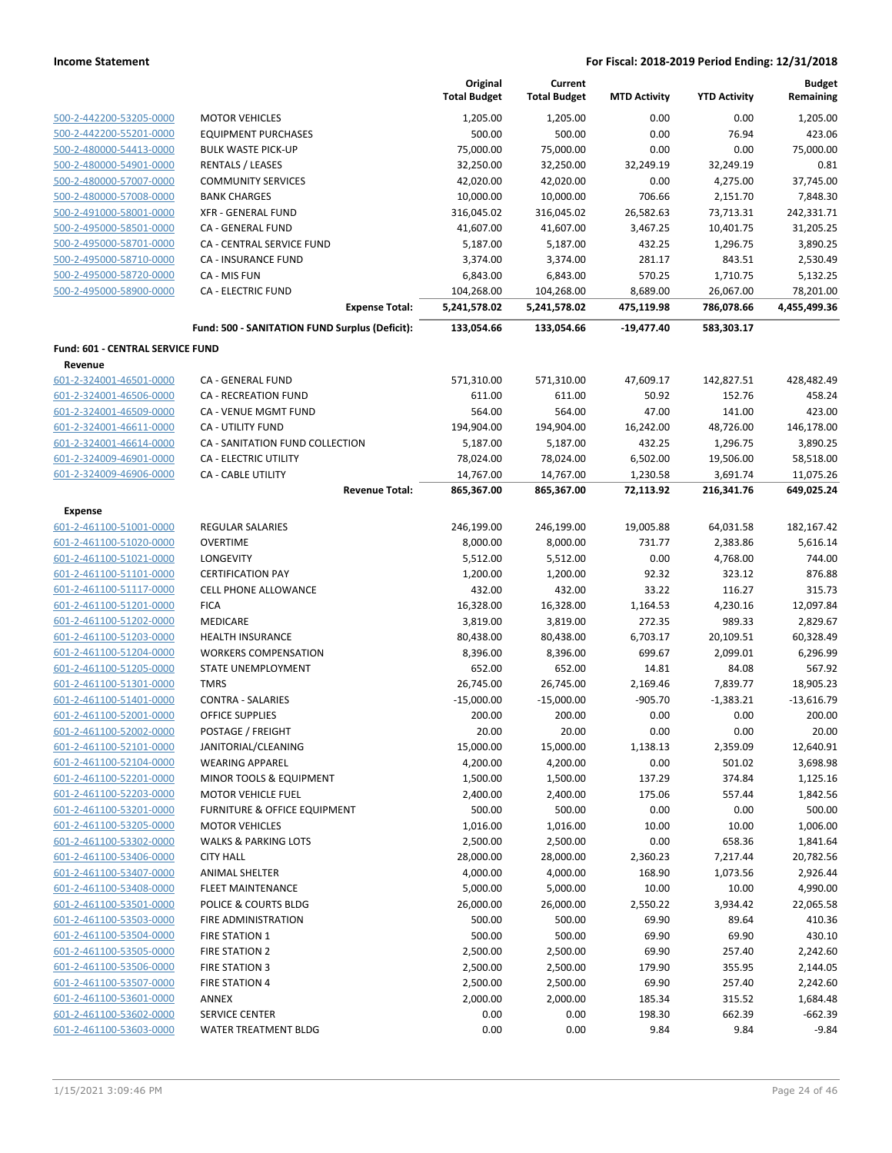|                                  |                                                | Original<br><b>Total Budget</b> | Current<br><b>Total Budget</b> | <b>MTD Activity</b> | <b>YTD Activity</b> | <b>Budget</b><br>Remaining |
|----------------------------------|------------------------------------------------|---------------------------------|--------------------------------|---------------------|---------------------|----------------------------|
| 500-2-442200-53205-0000          | <b>MOTOR VEHICLES</b>                          | 1,205.00                        | 1,205.00                       | 0.00                | 0.00                | 1,205.00                   |
| 500-2-442200-55201-0000          | <b>EQUIPMENT PURCHASES</b>                     | 500.00                          | 500.00                         | 0.00                | 76.94               | 423.06                     |
| 500-2-480000-54413-0000          | <b>BULK WASTE PICK-UP</b>                      | 75,000.00                       | 75,000.00                      | 0.00                | 0.00                | 75,000.00                  |
| 500-2-480000-54901-0000          | <b>RENTALS / LEASES</b>                        | 32,250.00                       | 32,250.00                      | 32,249.19           | 32,249.19           | 0.81                       |
| 500-2-480000-57007-0000          | <b>COMMUNITY SERVICES</b>                      | 42,020.00                       | 42,020.00                      | 0.00                | 4,275.00            | 37,745.00                  |
| 500-2-480000-57008-0000          | <b>BANK CHARGES</b>                            | 10,000.00                       | 10,000.00                      | 706.66              | 2,151.70            | 7,848.30                   |
| 500-2-491000-58001-0000          | <b>XFR - GENERAL FUND</b>                      | 316,045.02                      | 316,045.02                     | 26,582.63           | 73,713.31           | 242,331.71                 |
| 500-2-495000-58501-0000          | <b>CA - GENERAL FUND</b>                       | 41,607.00                       | 41,607.00                      | 3,467.25            | 10,401.75           | 31,205.25                  |
| 500-2-495000-58701-0000          | <b>CA - CENTRAL SERVICE FUND</b>               | 5,187.00                        | 5,187.00                       | 432.25              | 1,296.75            | 3,890.25                   |
| 500-2-495000-58710-0000          | CA - INSURANCE FUND                            | 3,374.00                        | 3,374.00                       | 281.17              | 843.51              | 2,530.49                   |
| 500-2-495000-58720-0000          | CA - MIS FUN                                   | 6,843.00                        | 6,843.00                       | 570.25              | 1,710.75            | 5,132.25                   |
| 500-2-495000-58900-0000          | <b>CA - ELECTRIC FUND</b>                      | 104,268.00                      | 104,268.00                     | 8,689.00            | 26,067.00           | 78,201.00                  |
|                                  | <b>Expense Total:</b>                          | 5,241,578.02                    | 5,241,578.02                   | 475,119.98          | 786,078.66          | 4,455,499.36               |
|                                  | Fund: 500 - SANITATION FUND Surplus (Deficit): | 133,054.66                      | 133,054.66                     | $-19,477.40$        | 583,303.17          |                            |
| Fund: 601 - CENTRAL SERVICE FUND |                                                |                                 |                                |                     |                     |                            |
| Revenue                          |                                                |                                 |                                |                     |                     |                            |
| 601-2-324001-46501-0000          | CA - GENERAL FUND                              | 571,310.00                      | 571,310.00                     | 47,609.17           | 142,827.51          | 428,482.49                 |
| 601-2-324001-46506-0000          | CA - RECREATION FUND                           | 611.00                          | 611.00                         | 50.92               | 152.76              | 458.24                     |
| 601-2-324001-46509-0000          | <b>CA - VENUE MGMT FUND</b>                    | 564.00                          | 564.00                         | 47.00               | 141.00              | 423.00                     |
| 601-2-324001-46611-0000          | <b>CA - UTILITY FUND</b>                       | 194,904.00                      | 194,904.00                     | 16,242.00           | 48,726.00           | 146,178.00                 |
| 601-2-324001-46614-0000          | CA - SANITATION FUND COLLECTION                | 5,187.00                        | 5,187.00                       | 432.25              | 1,296.75            | 3,890.25                   |
| 601-2-324009-46901-0000          | <b>CA - ELECTRIC UTILITY</b>                   | 78,024.00                       | 78,024.00                      | 6,502.00            | 19,506.00           | 58,518.00                  |
| 601-2-324009-46906-0000          | <b>CA - CABLE UTILITY</b>                      | 14,767.00                       | 14,767.00                      | 1,230.58            | 3,691.74            | 11,075.26                  |
|                                  | <b>Revenue Total:</b>                          | 865,367.00                      | 865,367.00                     | 72,113.92           | 216,341.76          | 649,025.24                 |
| <b>Expense</b>                   |                                                |                                 |                                |                     |                     |                            |
| 601-2-461100-51001-0000          | <b>REGULAR SALARIES</b>                        | 246,199.00                      | 246,199.00                     | 19,005.88           | 64,031.58           | 182,167.42                 |
| 601-2-461100-51020-0000          | <b>OVERTIME</b>                                | 8,000.00                        | 8,000.00                       | 731.77              | 2,383.86            | 5,616.14                   |
| 601-2-461100-51021-0000          | <b>LONGEVITY</b>                               | 5,512.00                        | 5,512.00                       | 0.00                | 4,768.00            | 744.00                     |
| 601-2-461100-51101-0000          | <b>CERTIFICATION PAY</b>                       | 1,200.00                        | 1,200.00                       | 92.32               | 323.12              | 876.88                     |
| 601-2-461100-51117-0000          | <b>CELL PHONE ALLOWANCE</b>                    | 432.00                          | 432.00                         | 33.22               | 116.27              | 315.73                     |
| 601-2-461100-51201-0000          | <b>FICA</b>                                    | 16,328.00                       | 16,328.00                      | 1,164.53            | 4,230.16            | 12,097.84                  |
| 601-2-461100-51202-0000          | <b>MEDICARE</b>                                | 3,819.00                        | 3,819.00                       | 272.35              | 989.33              | 2,829.67                   |
| 601-2-461100-51203-0000          | <b>HEALTH INSURANCE</b>                        | 80,438.00                       | 80,438.00                      | 6,703.17            | 20,109.51           | 60,328.49                  |
| 601-2-461100-51204-0000          | <b>WORKERS COMPENSATION</b>                    | 8,396.00                        | 8,396.00                       | 699.67              | 2,099.01            | 6,296.99                   |
| 601-2-461100-51205-0000          | STATE UNEMPLOYMENT                             | 652.00                          | 652.00                         | 14.81               | 84.08               | 567.92                     |
| 601-2-461100-51301-0000          | <b>TMRS</b>                                    | 26,745.00                       | 26,745.00                      | 2,169.46            | 7,839.77            | 18,905.23                  |
| 601-2-461100-51401-0000          | <b>CONTRA - SALARIES</b>                       | $-15,000.00$                    | $-15,000.00$                   | $-905.70$           | $-1,383.21$         | $-13,616.79$               |
| 601-2-461100-52001-0000          | <b>OFFICE SUPPLIES</b>                         | 200.00                          | 200.00                         | 0.00                | 0.00                | 200.00                     |
| 601-2-461100-52002-0000          | POSTAGE / FREIGHT                              | 20.00                           | 20.00                          | 0.00                | 0.00                | 20.00                      |
| 601-2-461100-52101-0000          | JANITORIAL/CLEANING                            | 15,000.00                       | 15,000.00                      | 1,138.13            | 2,359.09            | 12,640.91                  |
| 601-2-461100-52104-0000          | <b>WEARING APPAREL</b>                         | 4,200.00                        | 4,200.00                       | 0.00                | 501.02              | 3,698.98                   |
| 601-2-461100-52201-0000          | <b>MINOR TOOLS &amp; EQUIPMENT</b>             | 1,500.00                        | 1,500.00                       | 137.29              | 374.84              | 1,125.16                   |
| 601-2-461100-52203-0000          | <b>MOTOR VEHICLE FUEL</b>                      | 2,400.00                        | 2,400.00                       | 175.06              | 557.44              | 1,842.56                   |
| 601-2-461100-53201-0000          | FURNITURE & OFFICE EQUIPMENT                   | 500.00                          | 500.00                         | 0.00                | 0.00                | 500.00                     |
| 601-2-461100-53205-0000          | <b>MOTOR VEHICLES</b>                          | 1,016.00                        | 1,016.00                       | 10.00               | 10.00               | 1,006.00                   |
| 601-2-461100-53302-0000          | <b>WALKS &amp; PARKING LOTS</b>                | 2,500.00                        | 2,500.00                       | 0.00                | 658.36              | 1,841.64                   |
| 601-2-461100-53406-0000          | <b>CITY HALL</b>                               | 28,000.00                       | 28,000.00                      | 2,360.23            | 7,217.44            | 20,782.56                  |
| 601-2-461100-53407-0000          | <b>ANIMAL SHELTER</b>                          | 4,000.00                        | 4,000.00                       | 168.90              | 1,073.56            | 2,926.44                   |
| 601-2-461100-53408-0000          | <b>FLEET MAINTENANCE</b>                       | 5,000.00                        | 5,000.00                       | 10.00               | 10.00               | 4,990.00                   |
| 601-2-461100-53501-0000          | POLICE & COURTS BLDG                           | 26,000.00                       | 26,000.00                      | 2,550.22            | 3,934.42            | 22,065.58                  |
| 601-2-461100-53503-0000          | FIRE ADMINISTRATION                            | 500.00                          | 500.00                         | 69.90               | 89.64               | 410.36                     |
| 601-2-461100-53504-0000          | <b>FIRE STATION 1</b>                          | 500.00                          | 500.00                         | 69.90               | 69.90               | 430.10                     |
| 601-2-461100-53505-0000          | <b>FIRE STATION 2</b>                          | 2,500.00                        | 2,500.00                       | 69.90               | 257.40              | 2,242.60                   |
| 601-2-461100-53506-0000          | <b>FIRE STATION 3</b>                          | 2,500.00                        | 2,500.00                       | 179.90              | 355.95              | 2,144.05                   |
| 601-2-461100-53507-0000          | <b>FIRE STATION 4</b>                          | 2,500.00                        | 2,500.00                       | 69.90               | 257.40              | 2,242.60                   |
| 601-2-461100-53601-0000          | ANNEX                                          | 2,000.00                        | 2,000.00                       | 185.34              | 315.52              | 1,684.48                   |
| 601-2-461100-53602-0000          | <b>SERVICE CENTER</b>                          | 0.00                            | 0.00                           | 198.30              | 662.39              | $-662.39$                  |
| 601-2-461100-53603-0000          | WATER TREATMENT BLDG                           | 0.00                            | 0.00                           | 9.84                | 9.84                | $-9.84$                    |
|                                  |                                                |                                 |                                |                     |                     |                            |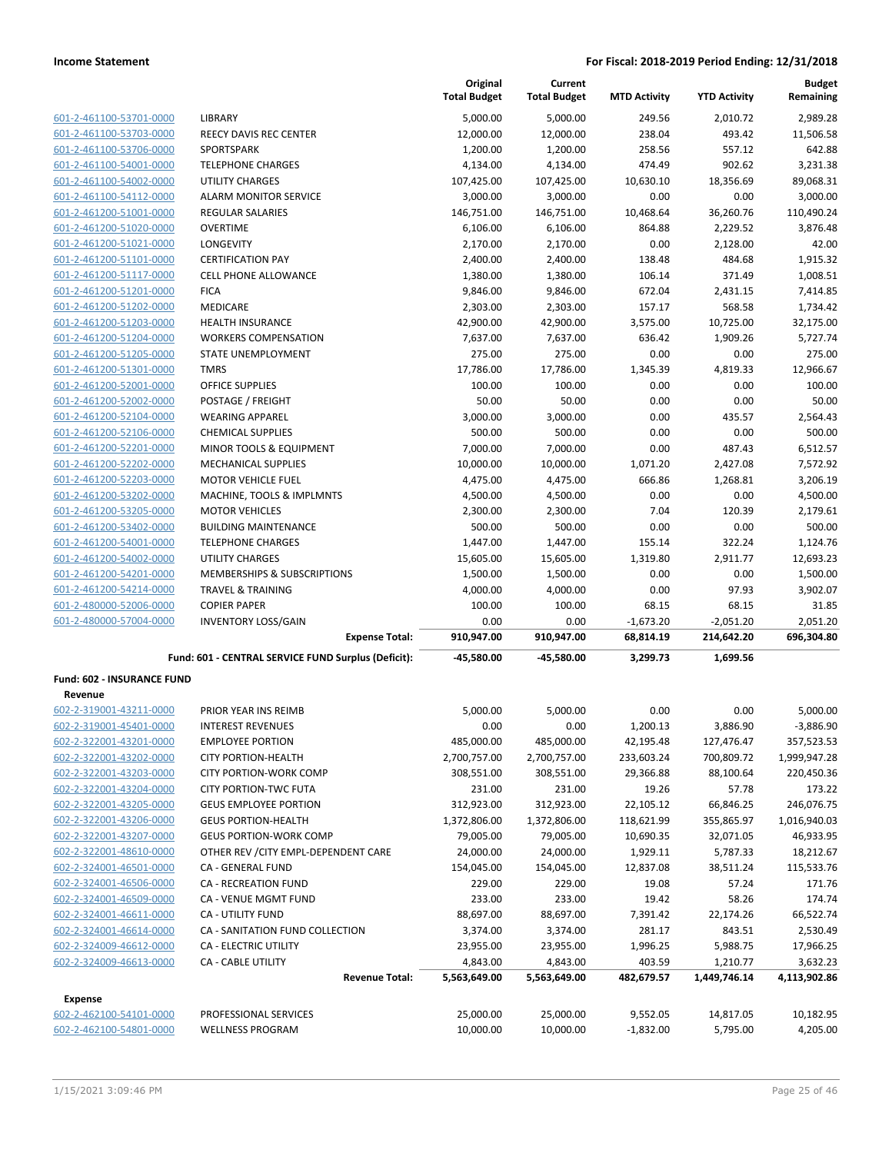| 601-2-461100-53701-0000        |
|--------------------------------|
| 601-2-461100-53703-0000        |
| 601-2-461100-53706-0000        |
| 601-2-461100-54001-0000        |
| 601-2-461100-54002-0000        |
| 601-2-461100-54112-0000        |
| 601-2-461200-51001-0000        |
| 601-2-461200-51020-0000        |
| 601-2-461200-51021-0000        |
| 601-2-461200-51101-0000        |
| 601-2-461200-51117-0000        |
| 601-2-461200-51201-0000        |
| 601-2-461200-51202-0000        |
| 601-2-461200-51203-0000        |
| 601-2-461200-51204-0000        |
| <u>601-2-461200-51205-0000</u> |
| 601-2-461200-51301-0000        |
| 601-2-461200-52001-0000        |
| 601-2-461200-52002-0000        |
| 601-2-461200-52104-0000        |
| 601-2-461200-52106-0000        |
| 601-2-461200-52201-0000        |
| 601-2-461200-52202-0000        |
| 601-2-461200-52203-0000        |
| 601-2-461200-53202-0000        |
| 601-2-461200-53205-0000        |
| 601-2-461200-53402-0000        |
| 601-2-461200-54001-0000        |
| 601-2-461200-54002-0000        |
| 601-2-461200-54201-0000        |
| 601-2-461200-54214-0000        |
| 601-2-480000-52006-0000        |
| 601-2-480000-57004-0000        |

|                         |                                                     | Original<br><b>Total Budget</b> | Current<br><b>Total Budget</b> | <b>MTD Activity</b> | <b>YTD Activity</b> | <b>Budget</b><br>Remaining |
|-------------------------|-----------------------------------------------------|---------------------------------|--------------------------------|---------------------|---------------------|----------------------------|
| 601-2-461100-53701-0000 | <b>LIBRARY</b>                                      | 5,000.00                        | 5,000.00                       | 249.56              | 2,010.72            | 2,989.28                   |
| 601-2-461100-53703-0000 | <b>REECY DAVIS REC CENTER</b>                       | 12,000.00                       | 12,000.00                      | 238.04              | 493.42              | 11,506.58                  |
| 601-2-461100-53706-0000 | <b>SPORTSPARK</b>                                   | 1,200.00                        | 1,200.00                       | 258.56              | 557.12              | 642.88                     |
| 601-2-461100-54001-0000 | <b>TELEPHONE CHARGES</b>                            | 4,134.00                        | 4,134.00                       | 474.49              | 902.62              | 3,231.38                   |
| 601-2-461100-54002-0000 | <b>UTILITY CHARGES</b>                              | 107,425.00                      | 107,425.00                     | 10,630.10           | 18,356.69           | 89,068.31                  |
| 601-2-461100-54112-0000 | <b>ALARM MONITOR SERVICE</b>                        | 3,000.00                        | 3,000.00                       | 0.00                | 0.00                | 3,000.00                   |
| 601-2-461200-51001-0000 | <b>REGULAR SALARIES</b>                             | 146,751.00                      | 146,751.00                     | 10,468.64           | 36,260.76           | 110,490.24                 |
| 601-2-461200-51020-0000 | <b>OVERTIME</b>                                     | 6,106.00                        | 6,106.00                       | 864.88              | 2,229.52            | 3,876.48                   |
| 601-2-461200-51021-0000 | <b>LONGEVITY</b>                                    | 2,170.00                        | 2,170.00                       | 0.00                | 2,128.00            | 42.00                      |
| 601-2-461200-51101-0000 | <b>CERTIFICATION PAY</b>                            | 2,400.00                        | 2,400.00                       | 138.48              | 484.68              | 1,915.32                   |
| 601-2-461200-51117-0000 | <b>CELL PHONE ALLOWANCE</b>                         | 1,380.00                        | 1,380.00                       | 106.14              | 371.49              | 1,008.51                   |
| 601-2-461200-51201-0000 | <b>FICA</b>                                         | 9,846.00                        | 9,846.00                       | 672.04              | 2,431.15            | 7,414.85                   |
| 601-2-461200-51202-0000 | MEDICARE                                            | 2,303.00                        | 2,303.00                       | 157.17              | 568.58              | 1,734.42                   |
| 601-2-461200-51203-0000 | <b>HEALTH INSURANCE</b>                             | 42,900.00                       | 42,900.00                      | 3,575.00            | 10,725.00           | 32,175.00                  |
| 601-2-461200-51204-0000 | <b>WORKERS COMPENSATION</b>                         | 7,637.00                        | 7,637.00                       | 636.42              | 1,909.26            | 5,727.74                   |
| 601-2-461200-51205-0000 | STATE UNEMPLOYMENT                                  | 275.00                          | 275.00                         | 0.00                | 0.00                | 275.00                     |
| 601-2-461200-51301-0000 | <b>TMRS</b>                                         | 17,786.00                       | 17,786.00                      | 1,345.39            | 4,819.33            | 12,966.67                  |
| 601-2-461200-52001-0000 | <b>OFFICE SUPPLIES</b>                              | 100.00                          | 100.00                         | 0.00                | 0.00                | 100.00                     |
| 601-2-461200-52002-0000 | POSTAGE / FREIGHT                                   | 50.00                           | 50.00                          | 0.00                | 0.00                | 50.00                      |
| 601-2-461200-52104-0000 | <b>WEARING APPAREL</b>                              | 3,000.00                        | 3,000.00                       | 0.00                | 435.57              | 2,564.43                   |
| 601-2-461200-52106-0000 | <b>CHEMICAL SUPPLIES</b>                            | 500.00                          | 500.00                         | 0.00                | 0.00                | 500.00                     |
| 601-2-461200-52201-0000 | MINOR TOOLS & EQUIPMENT                             | 7,000.00                        | 7,000.00                       | 0.00                | 487.43              | 6,512.57                   |
| 601-2-461200-52202-0000 | <b>MECHANICAL SUPPLIES</b>                          | 10,000.00                       | 10,000.00                      | 1,071.20            | 2,427.08            | 7,572.92                   |
| 601-2-461200-52203-0000 | <b>MOTOR VEHICLE FUEL</b>                           | 4,475.00                        | 4,475.00                       | 666.86              | 1,268.81            | 3,206.19                   |
| 601-2-461200-53202-0000 | MACHINE, TOOLS & IMPLMNTS                           | 4,500.00                        | 4,500.00                       | 0.00                | 0.00                | 4,500.00                   |
| 601-2-461200-53205-0000 | <b>MOTOR VEHICLES</b>                               | 2,300.00                        | 2,300.00                       | 7.04                | 120.39              | 2,179.61                   |
| 601-2-461200-53402-0000 | <b>BUILDING MAINTENANCE</b>                         | 500.00                          | 500.00                         | 0.00                | 0.00                | 500.00                     |
| 601-2-461200-54001-0000 | <b>TELEPHONE CHARGES</b>                            | 1,447.00                        | 1,447.00                       | 155.14              | 322.24              | 1,124.76                   |
| 601-2-461200-54002-0000 | <b>UTILITY CHARGES</b>                              | 15,605.00                       | 15,605.00                      | 1,319.80            | 2,911.77            | 12,693.23                  |
| 601-2-461200-54201-0000 | MEMBERSHIPS & SUBSCRIPTIONS                         | 1,500.00                        | 1,500.00                       | 0.00                | 0.00                | 1,500.00                   |
| 601-2-461200-54214-0000 | <b>TRAVEL &amp; TRAINING</b>                        | 4,000.00                        | 4,000.00                       | 0.00                | 97.93               | 3,902.07                   |
| 601-2-480000-52006-0000 | <b>COPIER PAPER</b>                                 | 100.00                          | 100.00                         | 68.15               | 68.15               | 31.85                      |
| 601-2-480000-57004-0000 | <b>INVENTORY LOSS/GAIN</b>                          | 0.00                            | 0.00                           | $-1,673.20$         | $-2,051.20$         | 2,051.20                   |
|                         | <b>Expense Total:</b>                               | 910,947.00                      | 910,947.00                     | 68,814.19           | 214,642.20          | 696,304.80                 |
|                         | Fund: 601 - CENTRAL SERVICE FUND Surplus (Deficit): | $-45,580.00$                    | $-45,580.00$                   | 3,299.73            | 1,699.56            |                            |

### **Fund: 602 - INSURANCE FUND**

| Revenue                 |                                      |              |              |             |              |              |
|-------------------------|--------------------------------------|--------------|--------------|-------------|--------------|--------------|
| 602-2-319001-43211-0000 | PRIOR YEAR INS REIMB                 | 5,000.00     | 5,000.00     | 0.00        | 0.00         | 5,000.00     |
| 602-2-319001-45401-0000 | <b>INTEREST REVENUES</b>             | 0.00         | 0.00         | 1,200.13    | 3,886.90     | $-3,886.90$  |
| 602-2-322001-43201-0000 | <b>EMPLOYEE PORTION</b>              | 485,000.00   | 485,000.00   | 42,195.48   | 127,476.47   | 357,523.53   |
| 602-2-322001-43202-0000 | <b>CITY PORTION-HEALTH</b>           | 2,700,757.00 | 2,700,757.00 | 233,603.24  | 700,809.72   | 1,999,947.28 |
| 602-2-322001-43203-0000 | CITY PORTION-WORK COMP               | 308,551.00   | 308,551.00   | 29,366.88   | 88,100.64    | 220,450.36   |
| 602-2-322001-43204-0000 | <b>CITY PORTION-TWC FUTA</b>         | 231.00       | 231.00       | 19.26       | 57.78        | 173.22       |
| 602-2-322001-43205-0000 | <b>GEUS EMPLOYEE PORTION</b>         | 312,923.00   | 312,923.00   | 22,105.12   | 66,846.25    | 246,076.75   |
| 602-2-322001-43206-0000 | <b>GEUS PORTION-HEALTH</b>           | 1,372,806.00 | 1,372,806.00 | 118,621.99  | 355,865.97   | 1,016,940.03 |
| 602-2-322001-43207-0000 | <b>GEUS PORTION-WORK COMP</b>        | 79,005.00    | 79,005.00    | 10,690.35   | 32,071.05    | 46,933.95    |
| 602-2-322001-48610-0000 | OTHER REV / CITY EMPL-DEPENDENT CARE | 24,000.00    | 24,000.00    | 1,929.11    | 5,787.33     | 18,212.67    |
| 602-2-324001-46501-0000 | <b>CA - GENERAL FUND</b>             | 154,045.00   | 154,045.00   | 12,837.08   | 38,511.24    | 115,533.76   |
| 602-2-324001-46506-0000 | <b>CA - RECREATION FUND</b>          | 229.00       | 229.00       | 19.08       | 57.24        | 171.76       |
| 602-2-324001-46509-0000 | <b>CA - VENUE MGMT FUND</b>          | 233.00       | 233.00       | 19.42       | 58.26        | 174.74       |
| 602-2-324001-46611-0000 | <b>CA - UTILITY FUND</b>             | 88,697.00    | 88,697.00    | 7,391.42    | 22,174.26    | 66,522.74    |
| 602-2-324001-46614-0000 | CA - SANITATION FUND COLLECTION      | 3,374.00     | 3,374.00     | 281.17      | 843.51       | 2,530.49     |
| 602-2-324009-46612-0000 | <b>CA - ELECTRIC UTILITY</b>         | 23,955.00    | 23,955.00    | 1,996.25    | 5,988.75     | 17,966.25    |
| 602-2-324009-46613-0000 | <b>CA - CABLE UTILITY</b>            | 4,843.00     | 4,843.00     | 403.59      | 1,210.77     | 3,632.23     |
|                         | <b>Revenue Total:</b>                | 5,563,649.00 | 5,563,649.00 | 482,679.57  | 1,449,746.14 | 4,113,902.86 |
| <b>Expense</b>          |                                      |              |              |             |              |              |
| 602-2-462100-54101-0000 | PROFESSIONAL SERVICES                | 25,000.00    | 25,000.00    | 9,552.05    | 14,817.05    | 10,182.95    |
| 602-2-462100-54801-0000 | <b>WELLNESS PROGRAM</b>              | 10.000.00    | 10.000.00    | $-1,832.00$ | 5,795.00     | 4.205.00     |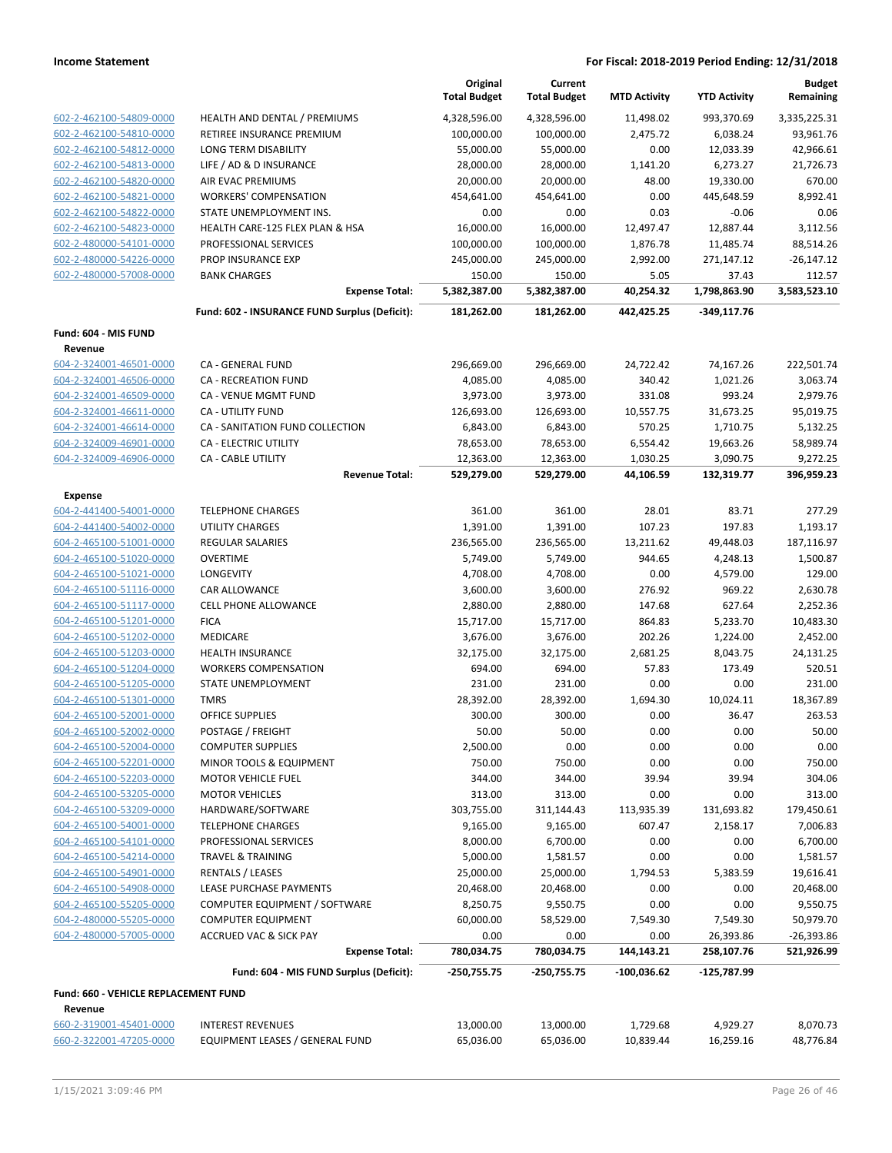|                                      |                                               | Original<br><b>Total Budget</b> | Current<br><b>Total Budget</b> | <b>MTD Activity</b> | <b>YTD Activity</b> | <b>Budget</b><br>Remaining |
|--------------------------------------|-----------------------------------------------|---------------------------------|--------------------------------|---------------------|---------------------|----------------------------|
| 602-2-462100-54809-0000              | HEALTH AND DENTAL / PREMIUMS                  | 4,328,596.00                    | 4,328,596.00                   | 11,498.02           | 993,370.69          | 3,335,225.31               |
| 602-2-462100-54810-0000              | RETIREE INSURANCE PREMIUM                     | 100,000.00                      | 100,000.00                     | 2,475.72            | 6,038.24            | 93,961.76                  |
| 602-2-462100-54812-0000              | LONG TERM DISABILITY                          | 55,000.00                       | 55,000.00                      | 0.00                | 12,033.39           | 42,966.61                  |
| 602-2-462100-54813-0000              | LIFE / AD & D INSURANCE                       | 28,000.00                       | 28,000.00                      | 1,141.20            | 6,273.27            | 21,726.73                  |
| 602-2-462100-54820-0000              | AIR EVAC PREMIUMS                             | 20,000.00                       | 20,000.00                      | 48.00               | 19,330.00           | 670.00                     |
| 602-2-462100-54821-0000              | <b>WORKERS' COMPENSATION</b>                  | 454,641.00                      | 454,641.00                     | 0.00                | 445,648.59          | 8,992.41                   |
| 602-2-462100-54822-0000              | STATE UNEMPLOYMENT INS.                       | 0.00                            | 0.00                           | 0.03                | $-0.06$             | 0.06                       |
| 602-2-462100-54823-0000              | HEALTH CARE-125 FLEX PLAN & HSA               | 16,000.00                       | 16,000.00                      | 12,497.47           | 12,887.44           | 3,112.56                   |
| 602-2-480000-54101-0000              | PROFESSIONAL SERVICES                         | 100,000.00                      | 100,000.00                     | 1,876.78            | 11,485.74           | 88,514.26                  |
| 602-2-480000-54226-0000              | PROP INSURANCE EXP                            | 245,000.00                      | 245,000.00                     | 2,992.00            | 271,147.12          | $-26,147.12$               |
| 602-2-480000-57008-0000              | <b>BANK CHARGES</b>                           | 150.00                          | 150.00                         | 5.05                | 37.43               | 112.57                     |
|                                      | <b>Expense Total:</b>                         | 5,382,387.00                    | 5,382,387.00                   | 40,254.32           | 1,798,863.90        | 3,583,523.10               |
|                                      | Fund: 602 - INSURANCE FUND Surplus (Deficit): | 181,262.00                      | 181,262.00                     | 442,425.25          | -349,117.76         |                            |
| Fund: 604 - MIS FUND                 |                                               |                                 |                                |                     |                     |                            |
| Revenue                              |                                               |                                 |                                |                     |                     |                            |
| 604-2-324001-46501-0000              | CA - GENERAL FUND                             | 296,669.00                      | 296,669.00                     | 24,722.42           | 74,167.26           | 222,501.74                 |
| 604-2-324001-46506-0000              | <b>CA - RECREATION FUND</b>                   | 4,085.00                        | 4,085.00                       | 340.42              | 1,021.26            | 3,063.74                   |
| 604-2-324001-46509-0000              | <b>CA - VENUE MGMT FUND</b>                   | 3,973.00                        | 3,973.00                       | 331.08              | 993.24              | 2,979.76                   |
| 604-2-324001-46611-0000              | CA - UTILITY FUND                             | 126,693.00                      | 126,693.00                     | 10,557.75           | 31,673.25           | 95,019.75                  |
| 604-2-324001-46614-0000              | CA - SANITATION FUND COLLECTION               | 6,843.00                        | 6,843.00                       | 570.25              | 1,710.75            | 5,132.25                   |
| 604-2-324009-46901-0000              | CA - ELECTRIC UTILITY                         | 78,653.00                       | 78,653.00                      | 6,554.42            | 19,663.26           | 58,989.74                  |
| 604-2-324009-46906-0000              | <b>CA - CABLE UTILITY</b>                     | 12,363.00                       | 12,363.00                      | 1,030.25            | 3,090.75            | 9,272.25                   |
|                                      | <b>Revenue Total:</b>                         | 529,279.00                      | 529,279.00                     | 44,106.59           | 132,319.77          | 396,959.23                 |
| <b>Expense</b>                       |                                               |                                 |                                |                     |                     |                            |
| 604-2-441400-54001-0000              | <b>TELEPHONE CHARGES</b>                      | 361.00                          | 361.00                         | 28.01               | 83.71               | 277.29                     |
| 604-2-441400-54002-0000              | <b>UTILITY CHARGES</b>                        | 1,391.00                        | 1,391.00                       | 107.23              | 197.83              | 1,193.17                   |
| 604-2-465100-51001-0000              | <b>REGULAR SALARIES</b>                       | 236,565.00                      | 236,565.00                     | 13,211.62           | 49,448.03           | 187,116.97                 |
| 604-2-465100-51020-0000              | <b>OVERTIME</b>                               | 5,749.00                        | 5,749.00                       | 944.65              | 4,248.13            | 1,500.87                   |
| 604-2-465100-51021-0000              | LONGEVITY                                     | 4,708.00                        | 4,708.00                       | 0.00                | 4,579.00            | 129.00                     |
| 604-2-465100-51116-0000              | CAR ALLOWANCE                                 | 3,600.00                        | 3,600.00                       | 276.92              | 969.22              | 2,630.78                   |
| 604-2-465100-51117-0000              | CELL PHONE ALLOWANCE                          | 2,880.00                        | 2,880.00                       | 147.68              | 627.64              | 2,252.36                   |
| 604-2-465100-51201-0000              | <b>FICA</b>                                   | 15,717.00                       | 15,717.00                      | 864.83              | 5,233.70            | 10,483.30                  |
| 604-2-465100-51202-0000              | MEDICARE                                      | 3,676.00                        | 3,676.00                       | 202.26              | 1,224.00            | 2,452.00                   |
| 604-2-465100-51203-0000              | <b>HEALTH INSURANCE</b>                       | 32,175.00                       | 32,175.00                      | 2,681.25            | 8,043.75            | 24,131.25                  |
| 604-2-465100-51204-0000              | <b>WORKERS COMPENSATION</b>                   | 694.00                          | 694.00                         | 57.83               | 173.49              | 520.51                     |
| 604-2-465100-51205-0000              | <b>STATE UNEMPLOYMENT</b>                     | 231.00                          | 231.00                         | 0.00                | 0.00                | 231.00                     |
| 604-2-465100-51301-0000              | <b>TMRS</b>                                   | 28,392.00                       | 28,392.00                      | 1,694.30            | 10,024.11           | 18,367.89                  |
| 604-2-465100-52001-0000              | <b>OFFICE SUPPLIES</b>                        | 300.00                          | 300.00                         | 0.00                | 36.47               | 263.53                     |
| 604-2-465100-52002-0000              | POSTAGE / FREIGHT                             | 50.00                           | 50.00                          | 0.00                | 0.00                | 50.00                      |
| 604-2-465100-52004-0000              | <b>COMPUTER SUPPLIES</b>                      | 2,500.00                        | 0.00                           | 0.00                | 0.00                | 0.00                       |
| 604-2-465100-52201-0000              | MINOR TOOLS & EQUIPMENT                       | 750.00                          | 750.00                         | 0.00                | 0.00                | 750.00                     |
| 604-2-465100-52203-0000              | <b>MOTOR VEHICLE FUEL</b>                     | 344.00                          | 344.00                         | 39.94               | 39.94               | 304.06                     |
| 604-2-465100-53205-0000              | <b>MOTOR VEHICLES</b>                         | 313.00                          | 313.00                         | 0.00                | 0.00                | 313.00                     |
| 604-2-465100-53209-0000              | HARDWARE/SOFTWARE                             | 303,755.00                      | 311,144.43                     | 113,935.39          | 131,693.82          | 179,450.61                 |
| 604-2-465100-54001-0000              | <b>TELEPHONE CHARGES</b>                      | 9,165.00                        | 9,165.00                       | 607.47              | 2,158.17            | 7,006.83                   |
| 604-2-465100-54101-0000              | PROFESSIONAL SERVICES                         | 8,000.00                        | 6,700.00                       | 0.00                | 0.00                | 6,700.00                   |
| 604-2-465100-54214-0000              | <b>TRAVEL &amp; TRAINING</b>                  | 5,000.00                        | 1,581.57                       | 0.00                | 0.00                | 1,581.57                   |
| 604-2-465100-54901-0000              | <b>RENTALS / LEASES</b>                       | 25,000.00                       | 25,000.00                      | 1,794.53            | 5,383.59            | 19,616.41                  |
| 604-2-465100-54908-0000              | LEASE PURCHASE PAYMENTS                       | 20,468.00                       | 20,468.00                      | 0.00                | 0.00                | 20,468.00                  |
| 604-2-465100-55205-0000              | COMPUTER EQUIPMENT / SOFTWARE                 | 8,250.75                        | 9,550.75                       | 0.00                | 0.00                | 9,550.75                   |
| 604-2-480000-55205-0000              | <b>COMPUTER EQUIPMENT</b>                     | 60,000.00                       | 58,529.00                      | 7,549.30            | 7,549.30            | 50,979.70                  |
| 604-2-480000-57005-0000              | <b>ACCRUED VAC &amp; SICK PAY</b>             | 0.00                            | 0.00                           | 0.00                | 26,393.86           | $-26,393.86$               |
|                                      | <b>Expense Total:</b>                         | 780,034.75                      | 780,034.75                     | 144,143.21          | 258,107.76          | 521,926.99                 |
|                                      | Fund: 604 - MIS FUND Surplus (Deficit):       | -250,755.75                     | -250,755.75                    | -100,036.62         | -125,787.99         |                            |
| Fund: 660 - VEHICLE REPLACEMENT FUND |                                               |                                 |                                |                     |                     |                            |
| Revenue                              |                                               |                                 |                                |                     |                     |                            |
| 660-2-319001-45401-0000              | <b>INTEREST REVENUES</b>                      | 13,000.00                       | 13,000.00                      | 1,729.68            | 4,929.27            | 8,070.73                   |
| 660-2-322001-47205-0000              | EQUIPMENT LEASES / GENERAL FUND               | 65,036.00                       | 65,036.00                      | 10,839.44           | 16,259.16           | 48,776.84                  |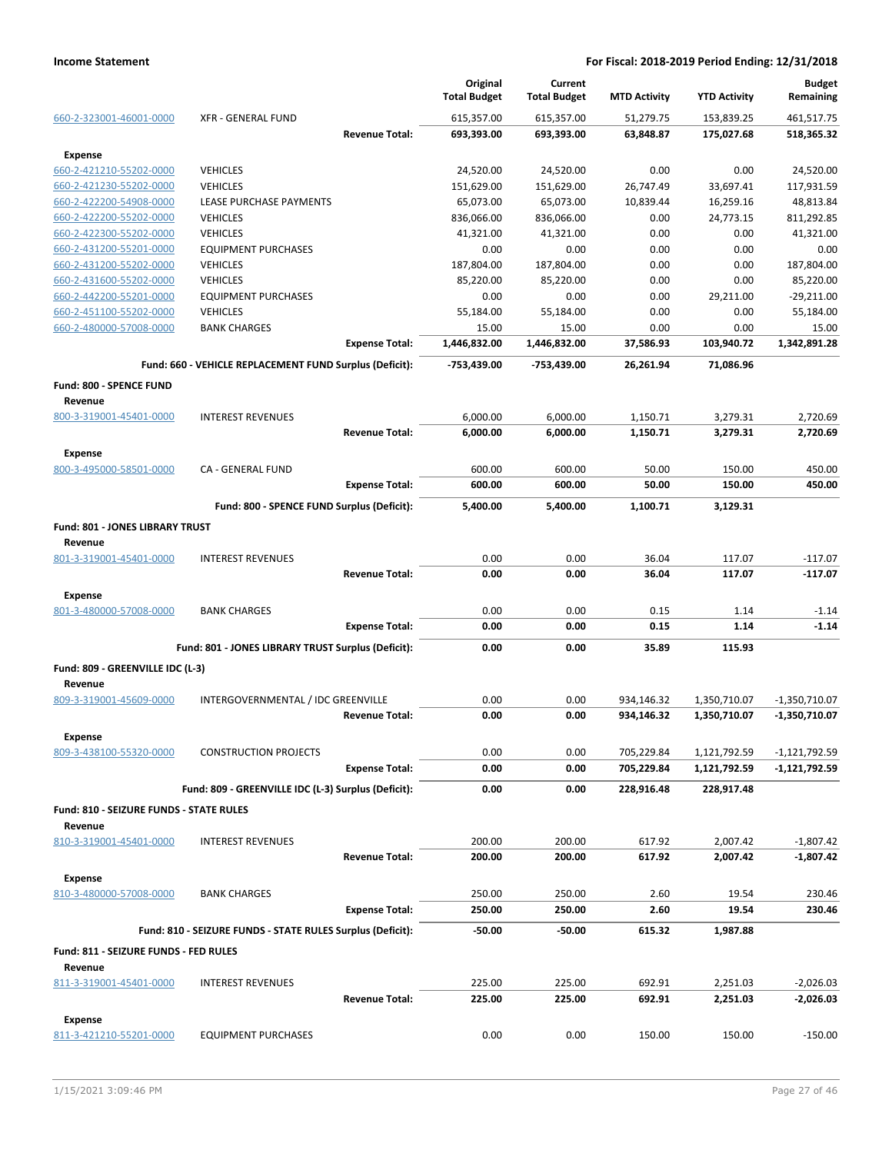|                                         |                                                            |                       | Original<br><b>Total Budget</b> | Current<br><b>Total Budget</b> | <b>MTD Activity</b> | <b>YTD Activity</b> | <b>Budget</b><br>Remaining |
|-----------------------------------------|------------------------------------------------------------|-----------------------|---------------------------------|--------------------------------|---------------------|---------------------|----------------------------|
| 660-2-323001-46001-0000                 | <b>XFR - GENERAL FUND</b>                                  |                       | 615,357.00                      | 615,357.00                     | 51,279.75           | 153,839.25          | 461,517.75                 |
|                                         |                                                            | <b>Revenue Total:</b> | 693,393.00                      | 693,393.00                     | 63,848.87           | 175,027.68          | 518,365.32                 |
| <b>Expense</b>                          |                                                            |                       |                                 |                                |                     |                     |                            |
| 660-2-421210-55202-0000                 | <b>VEHICLES</b>                                            |                       | 24,520.00                       | 24,520.00                      | 0.00                | 0.00                | 24,520.00                  |
| 660-2-421230-55202-0000                 | <b>VEHICLES</b>                                            |                       | 151,629.00                      | 151,629.00                     | 26,747.49           | 33,697.41           | 117,931.59                 |
| 660-2-422200-54908-0000                 | LEASE PURCHASE PAYMENTS                                    |                       | 65,073.00                       | 65,073.00                      | 10,839.44           | 16,259.16           | 48,813.84                  |
| 660-2-422200-55202-0000                 | <b>VEHICLES</b>                                            |                       | 836,066.00                      | 836,066.00                     | 0.00                | 24,773.15           | 811,292.85                 |
| 660-2-422300-55202-0000                 | <b>VEHICLES</b>                                            |                       | 41,321.00                       | 41,321.00                      | 0.00                | 0.00                | 41,321.00                  |
| 660-2-431200-55201-0000                 | <b>EQUIPMENT PURCHASES</b>                                 |                       | 0.00                            | 0.00                           | 0.00                | 0.00                | 0.00                       |
| 660-2-431200-55202-0000                 | <b>VEHICLES</b>                                            |                       | 187,804.00                      | 187,804.00                     | 0.00                | 0.00                | 187,804.00                 |
| 660-2-431600-55202-0000                 | <b>VEHICLES</b>                                            |                       | 85,220.00                       | 85,220.00                      | 0.00                | 0.00                | 85,220.00                  |
| 660-2-442200-55201-0000                 | <b>EQUIPMENT PURCHASES</b>                                 |                       | 0.00                            | 0.00                           | 0.00                | 29,211.00           | $-29,211.00$               |
| 660-2-451100-55202-0000                 | <b>VEHICLES</b>                                            |                       | 55,184.00                       | 55,184.00                      | 0.00                | 0.00                | 55,184.00                  |
| 660-2-480000-57008-0000                 | <b>BANK CHARGES</b>                                        |                       | 15.00                           | 15.00                          | 0.00                | 0.00                | 15.00                      |
|                                         |                                                            | <b>Expense Total:</b> | 1,446,832.00                    | 1,446,832.00                   | 37,586.93           | 103,940.72          | 1,342,891.28               |
|                                         | Fund: 660 - VEHICLE REPLACEMENT FUND Surplus (Deficit):    |                       | -753,439.00                     | -753,439.00                    | 26,261.94           | 71,086.96           |                            |
| <b>Fund: 800 - SPENCE FUND</b>          |                                                            |                       |                                 |                                |                     |                     |                            |
| Revenue                                 |                                                            |                       |                                 |                                |                     |                     |                            |
| 800-3-319001-45401-0000                 | <b>INTEREST REVENUES</b>                                   |                       | 6,000.00                        | 6,000.00                       | 1,150.71            | 3,279.31            | 2,720.69                   |
|                                         |                                                            | <b>Revenue Total:</b> | 6,000.00                        | 6,000.00                       | 1,150.71            | 3,279.31            | 2,720.69                   |
| <b>Expense</b>                          |                                                            |                       |                                 |                                |                     |                     |                            |
| 800-3-495000-58501-0000                 | CA - GENERAL FUND                                          |                       | 600.00                          | 600.00                         | 50.00               | 150.00              | 450.00                     |
|                                         |                                                            | <b>Expense Total:</b> | 600.00                          | 600.00                         | 50.00               | 150.00              | 450.00                     |
|                                         | Fund: 800 - SPENCE FUND Surplus (Deficit):                 |                       | 5,400.00                        | 5,400.00                       | 1,100.71            | 3,129.31            |                            |
| Fund: 801 - JONES LIBRARY TRUST         |                                                            |                       |                                 |                                |                     |                     |                            |
| Revenue                                 |                                                            |                       |                                 |                                |                     |                     |                            |
| 801-3-319001-45401-0000                 | <b>INTEREST REVENUES</b>                                   |                       | 0.00                            | 0.00                           | 36.04               | 117.07              | $-117.07$                  |
|                                         |                                                            | <b>Revenue Total:</b> | 0.00                            | 0.00                           | 36.04               | 117.07              | $-117.07$                  |
| <b>Expense</b>                          |                                                            |                       |                                 |                                |                     |                     |                            |
| 801-3-480000-57008-0000                 | <b>BANK CHARGES</b>                                        |                       | 0.00                            | 0.00                           | 0.15                | 1.14                | $-1.14$                    |
|                                         |                                                            | <b>Expense Total:</b> | 0.00                            | 0.00                           | 0.15                | 1.14                | $-1.14$                    |
|                                         |                                                            |                       |                                 |                                |                     |                     |                            |
|                                         | Fund: 801 - JONES LIBRARY TRUST Surplus (Deficit):         |                       | 0.00                            | 0.00                           | 35.89               | 115.93              |                            |
| Fund: 809 - GREENVILLE IDC (L-3)        |                                                            |                       |                                 |                                |                     |                     |                            |
| Revenue                                 |                                                            |                       |                                 |                                |                     |                     |                            |
| 809-3-319001-45609-0000                 | INTERGOVERNMENTAL / IDC GREENVILLE                         |                       | 0.00                            | 0.00                           | 934,146.32          | 1,350,710.07        | $-1,350,710.07$            |
|                                         |                                                            | <b>Revenue Total:</b> | 0.00                            | 0.00                           | 934,146.32          | 1,350,710.07        | -1,350,710.07              |
| <b>Expense</b>                          |                                                            |                       |                                 |                                |                     |                     |                            |
| 809-3-438100-55320-0000                 | <b>CONSTRUCTION PROJECTS</b>                               |                       | 0.00                            | 0.00                           | 705,229.84          | 1,121,792.59        | -1,121,792.59              |
|                                         |                                                            | <b>Expense Total:</b> | 0.00                            | 0.00                           | 705,229.84          | 1,121,792.59        | $-1,121,792.59$            |
|                                         | Fund: 809 - GREENVILLE IDC (L-3) Surplus (Deficit):        |                       | 0.00                            | 0.00                           | 228,916.48          | 228,917.48          |                            |
| Fund: 810 - SEIZURE FUNDS - STATE RULES |                                                            |                       |                                 |                                |                     |                     |                            |
| Revenue                                 |                                                            |                       |                                 |                                |                     |                     |                            |
| 810-3-319001-45401-0000                 | <b>INTEREST REVENUES</b>                                   |                       | 200.00                          | 200.00                         | 617.92              | 2,007.42            | $-1,807.42$                |
|                                         |                                                            | <b>Revenue Total:</b> | 200.00                          | 200.00                         | 617.92              | 2,007.42            | $-1,807.42$                |
| <b>Expense</b>                          |                                                            |                       |                                 |                                |                     |                     |                            |
| 810-3-480000-57008-0000                 | <b>BANK CHARGES</b>                                        |                       | 250.00                          | 250.00                         | 2.60                | 19.54               | 230.46                     |
|                                         |                                                            | <b>Expense Total:</b> | 250.00                          | 250.00                         | 2.60                | 19.54               | 230.46                     |
|                                         | Fund: 810 - SEIZURE FUNDS - STATE RULES Surplus (Deficit): |                       | $-50.00$                        | $-50.00$                       | 615.32              | 1,987.88            |                            |
| Fund: 811 - SEIZURE FUNDS - FED RULES   |                                                            |                       |                                 |                                |                     |                     |                            |
| Revenue                                 |                                                            |                       |                                 |                                |                     |                     |                            |
| 811-3-319001-45401-0000                 | <b>INTEREST REVENUES</b>                                   |                       | 225.00                          | 225.00                         | 692.91              | 2,251.03            | $-2,026.03$                |
|                                         |                                                            | <b>Revenue Total:</b> | 225.00                          | 225.00                         | 692.91              | 2,251.03            | $-2,026.03$                |
| <b>Expense</b>                          |                                                            |                       |                                 |                                |                     |                     |                            |
| 811-3-421210-55201-0000                 | <b>EQUIPMENT PURCHASES</b>                                 |                       | 0.00                            | 0.00                           | 150.00              | 150.00              | $-150.00$                  |
|                                         |                                                            |                       |                                 |                                |                     |                     |                            |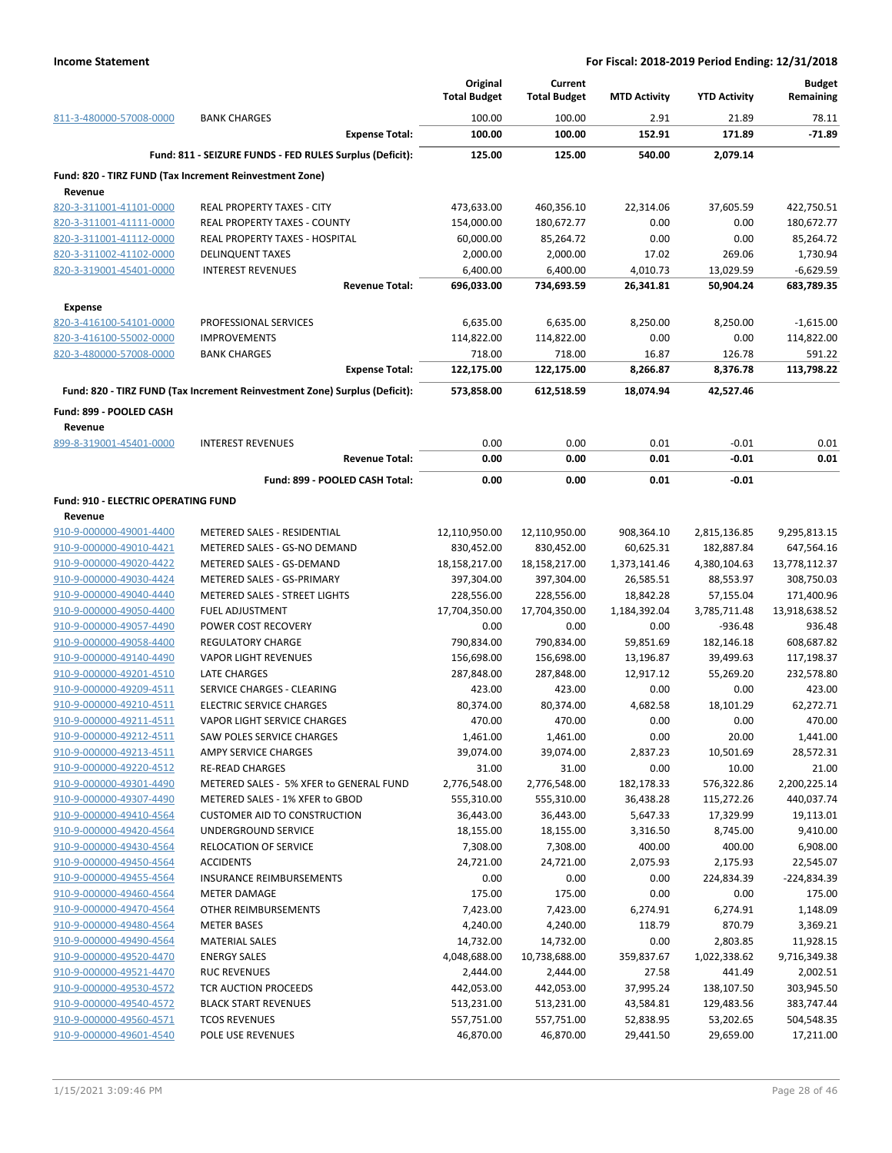|                                                         |                                                                            | Original<br><b>Total Budget</b> | Current<br><b>Total Budget</b> | <b>MTD Activity</b> | <b>YTD Activity</b> | <b>Budget</b><br>Remaining |
|---------------------------------------------------------|----------------------------------------------------------------------------|---------------------------------|--------------------------------|---------------------|---------------------|----------------------------|
| 811-3-480000-57008-0000                                 | <b>BANK CHARGES</b>                                                        | 100.00                          | 100.00                         | 2.91                | 21.89               | 78.11                      |
|                                                         | <b>Expense Total:</b>                                                      | 100.00                          | 100.00                         | 152.91              | 171.89              | $-71.89$                   |
|                                                         | Fund: 811 - SEIZURE FUNDS - FED RULES Surplus (Deficit):                   | 125.00                          | 125.00                         | 540.00              | 2,079.14            |                            |
| Fund: 820 - TIRZ FUND (Tax Increment Reinvestment Zone) |                                                                            |                                 |                                |                     |                     |                            |
| Revenue                                                 |                                                                            |                                 |                                |                     |                     |                            |
| 820-3-311001-41101-0000                                 | <b>REAL PROPERTY TAXES - CITY</b>                                          | 473,633.00                      | 460,356.10                     | 22,314.06           | 37,605.59           | 422,750.51                 |
| 820-3-311001-41111-0000                                 | <b>REAL PROPERTY TAXES - COUNTY</b>                                        | 154,000.00                      | 180,672.77                     | 0.00                | 0.00                | 180,672.77                 |
| 820-3-311001-41112-0000                                 | REAL PROPERTY TAXES - HOSPITAL                                             | 60,000.00                       | 85,264.72                      | 0.00                | 0.00                | 85,264.72                  |
| 820-3-311002-41102-0000                                 | <b>DELINQUENT TAXES</b>                                                    | 2,000.00                        | 2,000.00                       | 17.02               | 269.06              | 1,730.94                   |
| 820-3-319001-45401-0000                                 | <b>INTEREST REVENUES</b>                                                   | 6,400.00                        | 6,400.00                       | 4,010.73            | 13,029.59           | $-6,629.59$                |
|                                                         | <b>Revenue Total:</b>                                                      | 696,033.00                      | 734,693.59                     | 26,341.81           | 50,904.24           | 683,789.35                 |
| <b>Expense</b>                                          |                                                                            |                                 |                                |                     |                     |                            |
| 820-3-416100-54101-0000                                 | PROFESSIONAL SERVICES                                                      | 6,635.00                        | 6,635.00                       | 8,250.00            | 8,250.00            | $-1,615.00$                |
| 820-3-416100-55002-0000                                 | <b>IMPROVEMENTS</b>                                                        | 114,822.00                      | 114,822.00                     | 0.00                | 0.00                | 114,822.00                 |
| 820-3-480000-57008-0000                                 | <b>BANK CHARGES</b>                                                        | 718.00                          | 718.00                         | 16.87               | 126.78              | 591.22                     |
|                                                         | <b>Expense Total:</b>                                                      | 122,175.00                      | 122,175.00                     | 8,266.87            | 8,376.78            | 113,798.22                 |
|                                                         | Fund: 820 - TIRZ FUND (Tax Increment Reinvestment Zone) Surplus (Deficit): | 573,858.00                      | 612,518.59                     | 18,074.94           | 42,527.46           |                            |
| Fund: 899 - POOLED CASH<br>Revenue                      |                                                                            |                                 |                                |                     |                     |                            |
| 899-8-319001-45401-0000                                 | <b>INTEREST REVENUES</b>                                                   | 0.00                            | 0.00                           | 0.01                | $-0.01$             | 0.01                       |
|                                                         | <b>Revenue Total:</b>                                                      | 0.00                            | 0.00                           | 0.01                | $-0.01$             | 0.01                       |
|                                                         | Fund: 899 - POOLED CASH Total:                                             | 0.00                            | 0.00                           | 0.01                | $-0.01$             |                            |
| Fund: 910 - ELECTRIC OPERATING FUND                     |                                                                            |                                 |                                |                     |                     |                            |
| Revenue                                                 |                                                                            |                                 |                                |                     |                     |                            |
| 910-9-000000-49001-4400                                 | METERED SALES - RESIDENTIAL                                                | 12,110,950.00                   | 12,110,950.00                  | 908,364.10          | 2,815,136.85        | 9,295,813.15               |
| 910-9-000000-49010-4421                                 | METERED SALES - GS-NO DEMAND                                               | 830,452.00                      | 830,452.00                     | 60,625.31           | 182,887.84          | 647,564.16                 |
| 910-9-000000-49020-4422                                 | METERED SALES - GS-DEMAND                                                  | 18,158,217.00                   | 18,158,217.00                  | 1,373,141.46        | 4,380,104.63        | 13,778,112.37              |
| 910-9-000000-49030-4424                                 | METERED SALES - GS-PRIMARY                                                 | 397,304.00                      | 397,304.00                     | 26,585.51           | 88,553.97           | 308,750.03                 |
| 910-9-000000-49040-4440                                 | <b>METERED SALES - STREET LIGHTS</b>                                       | 228,556.00                      | 228,556.00                     | 18,842.28           | 57,155.04           | 171,400.96                 |
| 910-9-000000-49050-4400                                 | <b>FUEL ADJUSTMENT</b>                                                     | 17,704,350.00                   | 17,704,350.00                  | 1,184,392.04        | 3,785,711.48        | 13,918,638.52              |
| 910-9-000000-49057-4490                                 | POWER COST RECOVERY                                                        | 0.00                            | 0.00                           | 0.00                | $-936.48$           | 936.48                     |
| 910-9-000000-49058-4400                                 | <b>REGULATORY CHARGE</b>                                                   | 790,834.00                      | 790,834.00                     | 59,851.69           | 182,146.18          | 608,687.82                 |
| 910-9-000000-49140-4490                                 | <b>VAPOR LIGHT REVENUES</b>                                                | 156,698.00                      | 156,698.00                     | 13,196.87           | 39,499.63           | 117,198.37                 |
| 910-9-000000-49201-4510                                 | <b>LATE CHARGES</b>                                                        | 287,848.00                      | 287,848.00                     | 12,917.12           | 55,269.20           | 232,578.80                 |
| 910-9-000000-49209-4511                                 | SERVICE CHARGES - CLEARING                                                 | 423.00                          | 423.00                         | 0.00                | 0.00                | 423.00                     |
| 910-9-000000-49210-4511                                 | <b>ELECTRIC SERVICE CHARGES</b>                                            | 80,374.00                       | 80,374.00                      | 4,682.58            | 18,101.29           | 62,272.71                  |
| 910-9-000000-49211-4511                                 | <b>VAPOR LIGHT SERVICE CHARGES</b>                                         | 470.00                          | 470.00                         | 0.00                | 0.00                | 470.00                     |
| 910-9-000000-49212-4511                                 | <b>SAW POLES SERVICE CHARGES</b>                                           | 1,461.00                        | 1,461.00                       | 0.00                | 20.00               | 1,441.00                   |
| 910-9-000000-49213-4511                                 | AMPY SERVICE CHARGES                                                       | 39,074.00                       | 39,074.00                      | 2,837.23            | 10,501.69           | 28,572.31                  |
| 910-9-000000-49220-4512                                 | <b>RE-READ CHARGES</b>                                                     | 31.00                           | 31.00                          | 0.00                | 10.00               | 21.00                      |
| 910-9-000000-49301-4490                                 | METERED SALES - 5% XFER to GENERAL FUND                                    | 2,776,548.00                    | 2,776,548.00                   | 182,178.33          | 576,322.86          | 2,200,225.14               |
| 910-9-000000-49307-4490                                 | METERED SALES - 1% XFER to GBOD                                            | 555,310.00                      | 555,310.00                     | 36,438.28           | 115,272.26          | 440,037.74                 |
| 910-9-000000-49410-4564                                 | <b>CUSTOMER AID TO CONSTRUCTION</b>                                        | 36,443.00                       | 36,443.00                      | 5,647.33            | 17,329.99           | 19,113.01                  |
| 910-9-000000-49420-4564                                 | UNDERGROUND SERVICE                                                        | 18,155.00                       | 18,155.00                      | 3,316.50            | 8,745.00            | 9,410.00                   |
| 910-9-000000-49430-4564                                 | RELOCATION OF SERVICE                                                      | 7,308.00                        | 7,308.00                       | 400.00              | 400.00              | 6,908.00                   |
| 910-9-000000-49450-4564                                 | <b>ACCIDENTS</b>                                                           | 24,721.00                       | 24,721.00                      | 2,075.93            | 2,175.93            | 22,545.07                  |
| 910-9-000000-49455-4564                                 | <b>INSURANCE REIMBURSEMENTS</b>                                            | 0.00                            | 0.00                           | 0.00                | 224,834.39          | -224,834.39                |
| 910-9-000000-49460-4564                                 | <b>METER DAMAGE</b>                                                        | 175.00                          | 175.00                         | 0.00                | 0.00                | 175.00                     |
| 910-9-000000-49470-4564                                 | OTHER REIMBURSEMENTS                                                       | 7,423.00                        | 7,423.00                       | 6,274.91            | 6,274.91            | 1,148.09                   |
| 910-9-000000-49480-4564                                 | <b>METER BASES</b>                                                         | 4,240.00                        | 4,240.00                       | 118.79              | 870.79              | 3,369.21                   |
| 910-9-000000-49490-4564                                 | <b>MATERIAL SALES</b>                                                      | 14,732.00                       | 14,732.00                      | 0.00                | 2,803.85            | 11,928.15                  |
| 910-9-000000-49520-4470                                 | <b>ENERGY SALES</b>                                                        | 4,048,688.00                    | 10,738,688.00                  | 359,837.67          | 1,022,338.62        | 9,716,349.38               |
| 910-9-000000-49521-4470                                 | <b>RUC REVENUES</b>                                                        | 2,444.00                        | 2,444.00                       | 27.58               | 441.49              | 2,002.51                   |
| 910-9-000000-49530-4572                                 | TCR AUCTION PROCEEDS                                                       | 442,053.00                      | 442,053.00                     | 37,995.24           | 138,107.50          | 303,945.50                 |
| 910-9-000000-49540-4572                                 | <b>BLACK START REVENUES</b>                                                | 513,231.00                      | 513,231.00                     | 43,584.81           | 129,483.56          | 383,747.44                 |
| 910-9-000000-49560-4571                                 | <b>TCOS REVENUES</b>                                                       | 557,751.00                      | 557,751.00                     | 52,838.95           | 53,202.65           | 504,548.35                 |
| 910-9-000000-49601-4540                                 | POLE USE REVENUES                                                          | 46,870.00                       | 46,870.00                      | 29,441.50           | 29,659.00           | 17,211.00                  |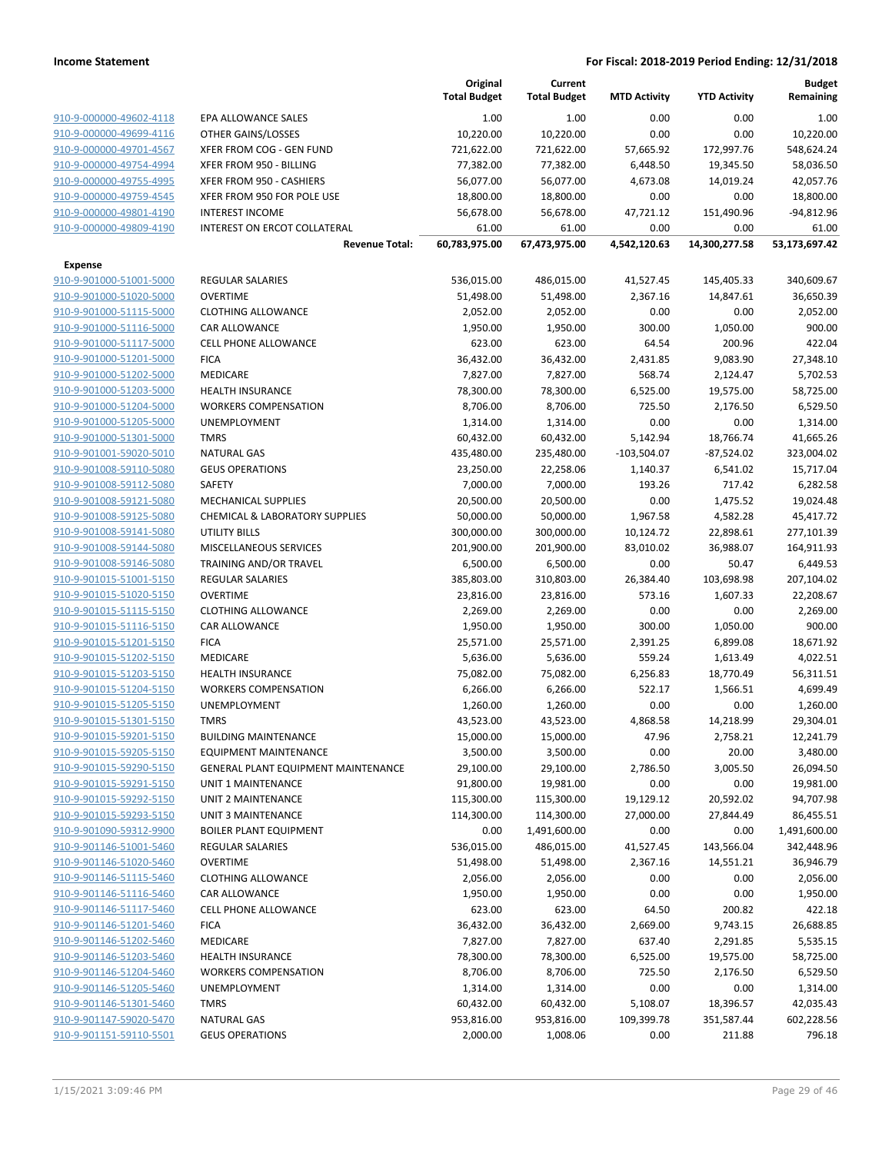|                         |                                            | Original<br><b>Total Budget</b> | Current<br><b>Total Budget</b> | <b>MTD Activity</b> | <b>YTD Activity</b> | <b>Budget</b><br>Remaining |
|-------------------------|--------------------------------------------|---------------------------------|--------------------------------|---------------------|---------------------|----------------------------|
| 910-9-000000-49602-4118 | EPA ALLOWANCE SALES                        | 1.00                            | 1.00                           | 0.00                | 0.00                | 1.00                       |
| 910-9-000000-49699-4116 | OTHER GAINS/LOSSES                         | 10,220.00                       | 10,220.00                      | 0.00                | 0.00                | 10,220.00                  |
| 910-9-000000-49701-4567 | XFER FROM COG - GEN FUND                   | 721,622.00                      | 721,622.00                     | 57,665.92           | 172,997.76          | 548,624.24                 |
| 910-9-000000-49754-4994 | XFER FROM 950 - BILLING                    | 77,382.00                       | 77,382.00                      | 6,448.50            | 19,345.50           | 58,036.50                  |
| 910-9-000000-49755-4995 | XFER FROM 950 - CASHIERS                   | 56,077.00                       | 56,077.00                      | 4,673.08            | 14,019.24           | 42,057.76                  |
| 910-9-000000-49759-4545 | XFER FROM 950 FOR POLE USE                 | 18,800.00                       | 18,800.00                      | 0.00                | 0.00                | 18,800.00                  |
| 910-9-000000-49801-4190 | <b>INTEREST INCOME</b>                     | 56,678.00                       | 56,678.00                      | 47,721.12           | 151,490.96          | $-94,812.96$               |
| 910-9-000000-49809-4190 | INTEREST ON ERCOT COLLATERAL               | 61.00                           | 61.00                          | 0.00                | 0.00                | 61.00                      |
|                         | <b>Revenue Total:</b>                      | 60,783,975.00                   | 67,473,975.00                  | 4,542,120.63        | 14,300,277.58       | 53,173,697.42              |
| <b>Expense</b>          |                                            |                                 |                                |                     |                     |                            |
| 910-9-901000-51001-5000 | <b>REGULAR SALARIES</b>                    | 536,015.00                      | 486,015.00                     | 41,527.45           | 145,405.33          | 340,609.67                 |
| 910-9-901000-51020-5000 | <b>OVERTIME</b>                            | 51,498.00                       | 51,498.00                      | 2,367.16            | 14,847.61           | 36,650.39                  |
| 910-9-901000-51115-5000 | <b>CLOTHING ALLOWANCE</b>                  | 2,052.00                        | 2,052.00                       | 0.00                | 0.00                | 2,052.00                   |
| 910-9-901000-51116-5000 | <b>CAR ALLOWANCE</b>                       | 1,950.00                        | 1,950.00                       | 300.00              | 1,050.00            | 900.00                     |
| 910-9-901000-51117-5000 | <b>CELL PHONE ALLOWANCE</b>                | 623.00                          | 623.00                         | 64.54               | 200.96              | 422.04                     |
| 910-9-901000-51201-5000 | <b>FICA</b>                                | 36,432.00                       | 36,432.00                      | 2,431.85            | 9,083.90            | 27,348.10                  |
| 910-9-901000-51202-5000 | <b>MEDICARE</b>                            | 7,827.00                        | 7,827.00                       | 568.74              | 2,124.47            | 5,702.53                   |
| 910-9-901000-51203-5000 | <b>HEALTH INSURANCE</b>                    | 78,300.00                       | 78,300.00                      | 6,525.00            | 19,575.00           | 58,725.00                  |
| 910-9-901000-51204-5000 | <b>WORKERS COMPENSATION</b>                | 8,706.00                        | 8,706.00                       | 725.50              | 2,176.50            | 6,529.50                   |
| 910-9-901000-51205-5000 | UNEMPLOYMENT                               | 1,314.00                        | 1,314.00                       | 0.00                | 0.00                | 1,314.00                   |
| 910-9-901000-51301-5000 | <b>TMRS</b>                                | 60,432.00                       | 60,432.00                      | 5,142.94            | 18,766.74           | 41,665.26                  |
| 910-9-901001-59020-5010 | <b>NATURAL GAS</b>                         | 435,480.00                      | 235,480.00                     | $-103,504.07$       | $-87,524.02$        | 323,004.02                 |
| 910-9-901008-59110-5080 | <b>GEUS OPERATIONS</b>                     | 23,250.00                       | 22,258.06                      | 1,140.37            | 6,541.02            | 15,717.04                  |
| 910-9-901008-59112-5080 | SAFETY                                     | 7,000.00                        | 7,000.00                       | 193.26              | 717.42              | 6,282.58                   |
| 910-9-901008-59121-5080 | <b>MECHANICAL SUPPLIES</b>                 | 20,500.00                       | 20,500.00                      | 0.00                | 1,475.52            | 19,024.48                  |
| 910-9-901008-59125-5080 | <b>CHEMICAL &amp; LABORATORY SUPPLIES</b>  | 50,000.00                       | 50,000.00                      | 1,967.58            | 4,582.28            | 45,417.72                  |
| 910-9-901008-59141-5080 | <b>UTILITY BILLS</b>                       | 300,000.00                      | 300,000.00                     | 10,124.72           | 22,898.61           | 277,101.39                 |
| 910-9-901008-59144-5080 | MISCELLANEOUS SERVICES                     | 201,900.00                      | 201,900.00                     | 83,010.02           | 36,988.07           | 164,911.93                 |
| 910-9-901008-59146-5080 | TRAINING AND/OR TRAVEL                     | 6,500.00                        | 6,500.00                       | 0.00                | 50.47               | 6,449.53                   |
| 910-9-901015-51001-5150 | <b>REGULAR SALARIES</b>                    | 385,803.00                      | 310,803.00                     | 26,384.40           | 103,698.98          | 207,104.02                 |
| 910-9-901015-51020-5150 | <b>OVERTIME</b>                            | 23,816.00                       | 23,816.00                      | 573.16              | 1,607.33            | 22,208.67                  |
| 910-9-901015-51115-5150 | <b>CLOTHING ALLOWANCE</b>                  | 2,269.00                        | 2,269.00                       | 0.00                | 0.00                | 2,269.00                   |
| 910-9-901015-51116-5150 | <b>CAR ALLOWANCE</b>                       | 1,950.00                        | 1,950.00                       | 300.00              | 1,050.00            | 900.00                     |
| 910-9-901015-51201-5150 | <b>FICA</b>                                | 25,571.00                       | 25,571.00                      | 2,391.25            | 6,899.08            | 18,671.92                  |
| 910-9-901015-51202-5150 | <b>MEDICARE</b>                            | 5,636.00                        | 5,636.00                       | 559.24              | 1,613.49            | 4,022.51                   |
| 910-9-901015-51203-5150 | HEALTH INSURANCE                           | 75,082.00                       | 75,082.00                      | 6,256.83            | 18,770.49           | 56,311.51                  |
| 910-9-901015-51204-5150 | <b>WORKERS COMPENSATION</b>                | 6,266.00                        | 6,266.00                       | 522.17              | 1,566.51            | 4,699.49                   |
| 910-9-901015-51205-5150 | <b>UNEMPLOYMENT</b>                        | 1,260.00                        | 1,260.00                       | 0.00                | 0.00                | 1,260.00                   |
| 910-9-901015-51301-5150 | <b>TMRS</b>                                | 43,523.00                       | 43,523.00                      | 4,868.58            | 14,218.99           | 29,304.01                  |
| 910-9-901015-59201-5150 | <b>BUILDING MAINTENANCE</b>                | 15,000.00                       | 15,000.00                      | 47.96               | 2,758.21            | 12,241.79                  |
| 910-9-901015-59205-5150 | EQUIPMENT MAINTENANCE                      | 3,500.00                        | 3,500.00                       | 0.00                | 20.00               | 3,480.00                   |
| 910-9-901015-59290-5150 | <b>GENERAL PLANT EQUIPMENT MAINTENANCE</b> | 29,100.00                       | 29,100.00                      | 2,786.50            | 3,005.50            | 26,094.50                  |
| 910-9-901015-59291-5150 | UNIT 1 MAINTENANCE                         | 91,800.00                       | 19,981.00                      | 0.00                | 0.00                | 19,981.00                  |
| 910-9-901015-59292-5150 | UNIT 2 MAINTENANCE                         | 115,300.00                      | 115,300.00                     | 19,129.12           | 20,592.02           | 94,707.98                  |
| 910-9-901015-59293-5150 | UNIT 3 MAINTENANCE                         | 114,300.00                      | 114,300.00                     | 27,000.00           | 27,844.49           | 86,455.51                  |
| 910-9-901090-59312-9900 | <b>BOILER PLANT EQUIPMENT</b>              | 0.00                            | 1,491,600.00                   | 0.00                | 0.00                | 1,491,600.00               |
| 910-9-901146-51001-5460 | REGULAR SALARIES                           | 536,015.00                      | 486,015.00                     | 41,527.45           | 143,566.04          | 342,448.96                 |
| 910-9-901146-51020-5460 | <b>OVERTIME</b>                            | 51,498.00                       | 51,498.00                      | 2,367.16            | 14,551.21           | 36,946.79                  |
| 910-9-901146-51115-5460 | <b>CLOTHING ALLOWANCE</b>                  | 2,056.00                        | 2,056.00                       | 0.00                | 0.00                | 2,056.00                   |
| 910-9-901146-51116-5460 | <b>CAR ALLOWANCE</b>                       | 1,950.00                        | 1,950.00                       | 0.00                | 0.00                | 1,950.00                   |
| 910-9-901146-51117-5460 | <b>CELL PHONE ALLOWANCE</b>                | 623.00                          | 623.00                         | 64.50               | 200.82              | 422.18                     |
| 910-9-901146-51201-5460 | <b>FICA</b>                                | 36,432.00                       | 36,432.00                      | 2,669.00            | 9,743.15            | 26,688.85                  |
| 910-9-901146-51202-5460 | MEDICARE                                   | 7,827.00                        | 7,827.00                       | 637.40              | 2,291.85            | 5,535.15                   |
| 910-9-901146-51203-5460 | <b>HEALTH INSURANCE</b>                    | 78,300.00                       | 78,300.00                      | 6,525.00            | 19,575.00           | 58,725.00                  |
| 910-9-901146-51204-5460 | <b>WORKERS COMPENSATION</b>                | 8,706.00                        | 8,706.00                       | 725.50              | 2,176.50            | 6,529.50                   |
| 910-9-901146-51205-5460 | UNEMPLOYMENT                               | 1,314.00                        | 1,314.00                       | 0.00                | 0.00                | 1,314.00                   |
| 910-9-901146-51301-5460 | <b>TMRS</b>                                | 60,432.00                       | 60,432.00                      | 5,108.07            | 18,396.57           | 42,035.43                  |
| 910-9-901147-59020-5470 | <b>NATURAL GAS</b>                         | 953,816.00                      | 953,816.00                     | 109,399.78          | 351,587.44          | 602,228.56                 |
| 910-9-901151-59110-5501 | <b>GEUS OPERATIONS</b>                     | 2,000.00                        | 1,008.06                       | 0.00                | 211.88              | 796.18                     |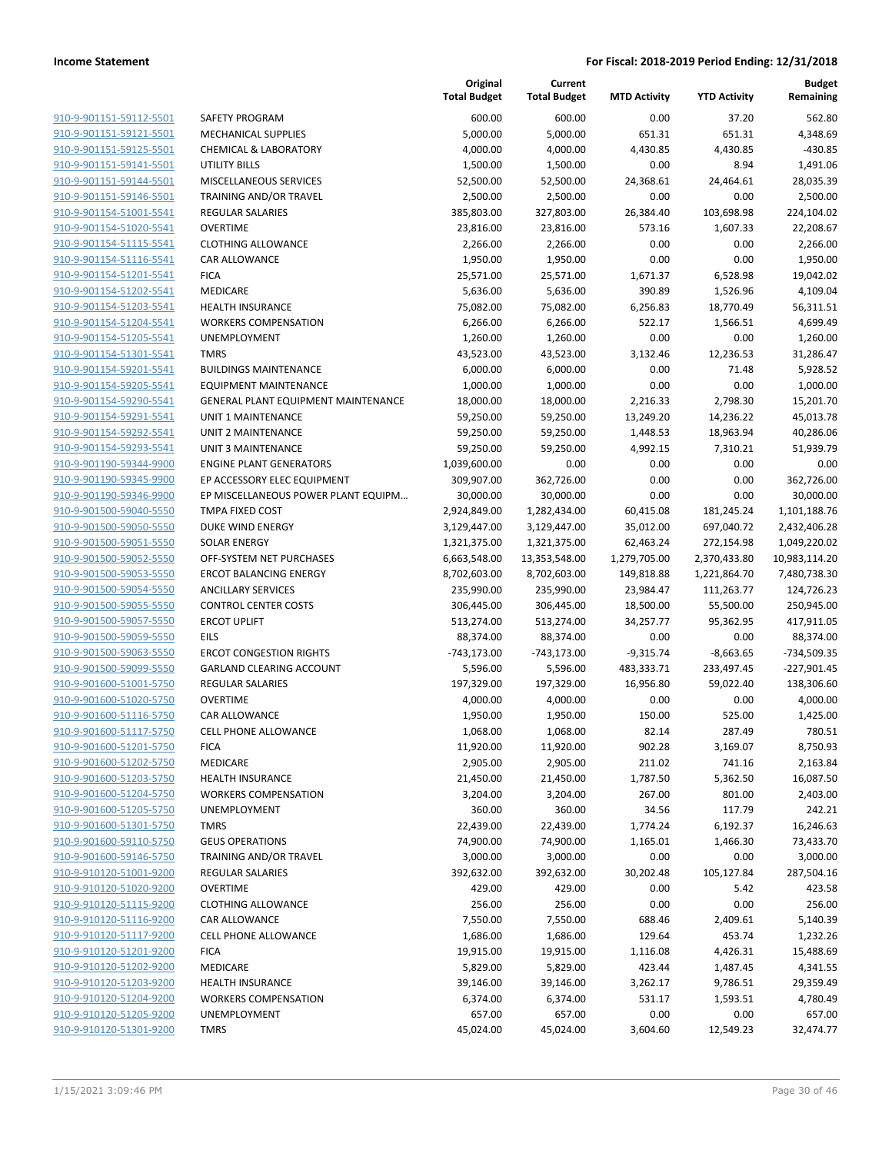|                                                    |                                                     | Original<br><b>Total Budget</b> | Current<br><b>Total Budget</b> | <b>MTD Activity</b>     | <b>YTD Activity</b>     | <b>Budget</b><br>Remaining  |
|----------------------------------------------------|-----------------------------------------------------|---------------------------------|--------------------------------|-------------------------|-------------------------|-----------------------------|
| 910-9-901151-59112-5501                            | SAFETY PROGRAM                                      | 600.00                          | 600.00                         | 0.00                    | 37.20                   | 562.80                      |
| 910-9-901151-59121-5501                            | MECHANICAL SUPPLIES                                 | 5,000.00                        | 5,000.00                       | 651.31                  | 651.31                  | 4,348.69                    |
| 910-9-901151-59125-5501                            | <b>CHEMICAL &amp; LABORATORY</b>                    | 4,000.00                        | 4,000.00                       | 4,430.85                | 4,430.85                | $-430.85$                   |
| 910-9-901151-59141-5501                            | <b>UTILITY BILLS</b>                                | 1,500.00                        | 1,500.00                       | 0.00                    | 8.94                    | 1,491.06                    |
| 910-9-901151-59144-5501                            | MISCELLANEOUS SERVICES                              | 52,500.00                       | 52,500.00                      | 24,368.61               | 24,464.61               | 28,035.39                   |
| 910-9-901151-59146-5501                            | TRAINING AND/OR TRAVEL                              | 2,500.00                        | 2,500.00                       | 0.00                    | 0.00                    | 2,500.00                    |
| 910-9-901154-51001-5541                            | REGULAR SALARIES                                    | 385,803.00                      | 327,803.00                     | 26,384.40               | 103,698.98              | 224,104.02                  |
| 910-9-901154-51020-5541                            | <b>OVERTIME</b>                                     | 23,816.00                       | 23,816.00                      | 573.16                  | 1,607.33                | 22,208.67                   |
| 910-9-901154-51115-5541                            | <b>CLOTHING ALLOWANCE</b>                           | 2,266.00                        | 2,266.00                       | 0.00                    | 0.00                    | 2,266.00                    |
| 910-9-901154-51116-5541                            | <b>CAR ALLOWANCE</b>                                | 1,950.00                        | 1,950.00                       | 0.00                    | 0.00                    | 1,950.00                    |
| 910-9-901154-51201-5541                            | <b>FICA</b>                                         | 25,571.00                       | 25,571.00                      | 1,671.37                | 6,528.98                | 19,042.02                   |
| 910-9-901154-51202-5541                            | <b>MEDICARE</b>                                     | 5,636.00                        | 5,636.00                       | 390.89                  | 1,526.96                | 4,109.04                    |
| 910-9-901154-51203-5541                            | <b>HEALTH INSURANCE</b>                             | 75,082.00                       | 75,082.00                      | 6,256.83                | 18,770.49               | 56,311.51                   |
| 910-9-901154-51204-5541                            | <b>WORKERS COMPENSATION</b>                         | 6,266.00                        | 6,266.00                       | 522.17                  | 1,566.51                | 4,699.49                    |
| 910-9-901154-51205-5541                            | UNEMPLOYMENT                                        | 1,260.00                        | 1,260.00                       | 0.00                    | 0.00                    | 1,260.00                    |
| 910-9-901154-51301-5541                            | <b>TMRS</b>                                         | 43,523.00                       | 43,523.00                      | 3,132.46                | 12,236.53               | 31,286.47                   |
| 910-9-901154-59201-5541                            | <b>BUILDINGS MAINTENANCE</b>                        | 6,000.00                        | 6,000.00                       | 0.00                    | 71.48                   | 5,928.52                    |
| 910-9-901154-59205-5541                            | <b>EQUIPMENT MAINTENANCE</b>                        | 1,000.00                        | 1,000.00                       | 0.00                    | 0.00                    | 1,000.00                    |
| 910-9-901154-59290-5541                            | <b>GENERAL PLANT EQUIPMENT MAINTENANCE</b>          | 18,000.00                       | 18,000.00                      | 2,216.33                | 2,798.30                | 15,201.70                   |
| 910-9-901154-59291-5541                            | <b>UNIT 1 MAINTENANCE</b>                           | 59,250.00                       | 59,250.00                      | 13,249.20               | 14,236.22               | 45,013.78                   |
| 910-9-901154-59292-5541                            | <b>UNIT 2 MAINTENANCE</b>                           | 59,250.00                       | 59,250.00                      | 1,448.53                | 18,963.94               | 40,286.06                   |
| 910-9-901154-59293-5541                            | <b>UNIT 3 MAINTENANCE</b>                           | 59,250.00                       | 59,250.00                      | 4,992.15                | 7,310.21                | 51,939.79                   |
| 910-9-901190-59344-9900                            | <b>ENGINE PLANT GENERATORS</b>                      | 1,039,600.00                    | 0.00                           | 0.00                    | 0.00                    | 0.00                        |
| 910-9-901190-59345-9900                            | EP ACCESSORY ELEC EQUIPMENT                         | 309,907.00                      | 362,726.00                     | 0.00                    | 0.00                    | 362,726.00                  |
| 910-9-901190-59346-9900                            | EP MISCELLANEOUS POWER PLANT EQUIPM                 | 30,000.00                       | 30,000.00                      | 0.00                    | 0.00                    | 30,000.00                   |
| 910-9-901500-59040-5550                            | TMPA FIXED COST                                     | 2,924,849.00                    | 1,282,434.00                   | 60,415.08               | 181,245.24              | 1,101,188.76                |
| 910-9-901500-59050-5550                            | DUKE WIND ENERGY                                    | 3,129,447.00                    | 3,129,447.00                   | 35,012.00               | 697,040.72              | 2,432,406.28                |
| 910-9-901500-59051-5550                            | <b>SOLAR ENERGY</b>                                 | 1,321,375.00                    | 1,321,375.00                   | 62,463.24               | 272,154.98              | 1,049,220.02                |
| 910-9-901500-59052-5550                            | OFF-SYSTEM NET PURCHASES                            | 6,663,548.00                    | 13,353,548.00                  | 1,279,705.00            | 2,370,433.80            | 10,983,114.20               |
| 910-9-901500-59053-5550                            | <b>ERCOT BALANCING ENERGY</b>                       | 8,702,603.00                    | 8,702,603.00                   | 149,818.88              | 1,221,864.70            | 7,480,738.30                |
| 910-9-901500-59054-5550                            | <b>ANCILLARY SERVICES</b>                           | 235,990.00                      | 235,990.00                     | 23,984.47               | 111,263.77              | 124,726.23                  |
| 910-9-901500-59055-5550                            | <b>CONTROL CENTER COSTS</b>                         | 306,445.00                      | 306,445.00                     | 18,500.00               | 55,500.00               | 250,945.00                  |
| 910-9-901500-59057-5550                            | <b>ERCOT UPLIFT</b>                                 | 513,274.00                      | 513,274.00                     | 34,257.77               | 95,362.95               | 417,911.05                  |
| 910-9-901500-59059-5550                            | EILS<br><b>ERCOT CONGESTION RIGHTS</b>              | 88,374.00                       | 88,374.00                      | 0.00                    | 0.00                    | 88,374.00                   |
| 910-9-901500-59063-5550                            |                                                     | $-743,173.00$                   | $-743,173.00$<br>5,596.00      | $-9,315.74$             | $-8,663.65$             | -734,509.35                 |
| 910-9-901500-59099-5550<br>910-9-901600-51001-5750 | GARLAND CLEARING ACCOUNT<br><b>REGULAR SALARIES</b> | 5,596.00<br>197,329.00          | 197,329.00                     | 483,333.71<br>16,956.80 | 233,497.45<br>59,022.40 | $-227,901.45$<br>138,306.60 |
| 910-9-901600-51020-5750                            | <b>OVERTIME</b>                                     | 4,000.00                        | 4,000.00                       | 0.00                    | 0.00                    | 4,000.00                    |
| 910-9-901600-51116-5750                            | CAR ALLOWANCE                                       | 1,950.00                        | 1,950.00                       | 150.00                  | 525.00                  | 1,425.00                    |
| 910-9-901600-51117-5750                            | <b>CELL PHONE ALLOWANCE</b>                         | 1,068.00                        | 1,068.00                       | 82.14                   | 287.49                  | 780.51                      |
| 910-9-901600-51201-5750                            | <b>FICA</b>                                         | 11,920.00                       | 11,920.00                      | 902.28                  | 3,169.07                | 8,750.93                    |
| 910-9-901600-51202-5750                            | MEDICARE                                            | 2,905.00                        | 2,905.00                       | 211.02                  | 741.16                  | 2,163.84                    |
| 910-9-901600-51203-5750                            | <b>HEALTH INSURANCE</b>                             | 21,450.00                       | 21,450.00                      | 1,787.50                | 5,362.50                | 16,087.50                   |
| 910-9-901600-51204-5750                            | <b>WORKERS COMPENSATION</b>                         | 3,204.00                        | 3,204.00                       | 267.00                  | 801.00                  | 2,403.00                    |
| 910-9-901600-51205-5750                            | <b>UNEMPLOYMENT</b>                                 | 360.00                          | 360.00                         | 34.56                   | 117.79                  | 242.21                      |
| 910-9-901600-51301-5750                            | <b>TMRS</b>                                         | 22,439.00                       | 22,439.00                      | 1,774.24                | 6,192.37                | 16,246.63                   |
| 910-9-901600-59110-5750                            | <b>GEUS OPERATIONS</b>                              | 74,900.00                       | 74,900.00                      | 1,165.01                | 1,466.30                | 73,433.70                   |
| 910-9-901600-59146-5750                            | TRAINING AND/OR TRAVEL                              | 3,000.00                        | 3,000.00                       | 0.00                    | 0.00                    | 3,000.00                    |
| 910-9-910120-51001-9200                            | <b>REGULAR SALARIES</b>                             | 392,632.00                      | 392,632.00                     | 30,202.48               | 105,127.84              | 287,504.16                  |
| 910-9-910120-51020-9200                            | <b>OVERTIME</b>                                     | 429.00                          | 429.00                         | 0.00                    | 5.42                    | 423.58                      |
| 910-9-910120-51115-9200                            | <b>CLOTHING ALLOWANCE</b>                           | 256.00                          | 256.00                         | 0.00                    | 0.00                    | 256.00                      |
| 910-9-910120-51116-9200                            | CAR ALLOWANCE                                       | 7,550.00                        | 7,550.00                       | 688.46                  | 2,409.61                | 5,140.39                    |
| 910-9-910120-51117-9200                            | CELL PHONE ALLOWANCE                                | 1,686.00                        | 1,686.00                       | 129.64                  | 453.74                  | 1,232.26                    |
| 910-9-910120-51201-9200                            | <b>FICA</b>                                         | 19,915.00                       | 19,915.00                      | 1,116.08                | 4,426.31                | 15,488.69                   |
| 910-9-910120-51202-9200                            | MEDICARE                                            | 5,829.00                        | 5,829.00                       | 423.44                  | 1,487.45                | 4,341.55                    |
| 910-9-910120-51203-9200                            | <b>HEALTH INSURANCE</b>                             | 39,146.00                       | 39,146.00                      | 3,262.17                | 9,786.51                | 29,359.49                   |
| 910-9-910120-51204-9200                            | <b>WORKERS COMPENSATION</b>                         | 6,374.00                        | 6,374.00                       | 531.17                  | 1,593.51                | 4,780.49                    |
| 910-9-910120-51205-9200                            | UNEMPLOYMENT                                        | 657.00                          | 657.00                         | 0.00                    | 0.00                    | 657.00                      |
| 910-9-910120-51301-9200                            | <b>TMRS</b>                                         | 45,024.00                       | 45,024.00                      | 3,604.60                | 12,549.23               | 32,474.77                   |
|                                                    |                                                     |                                 |                                |                         |                         |                             |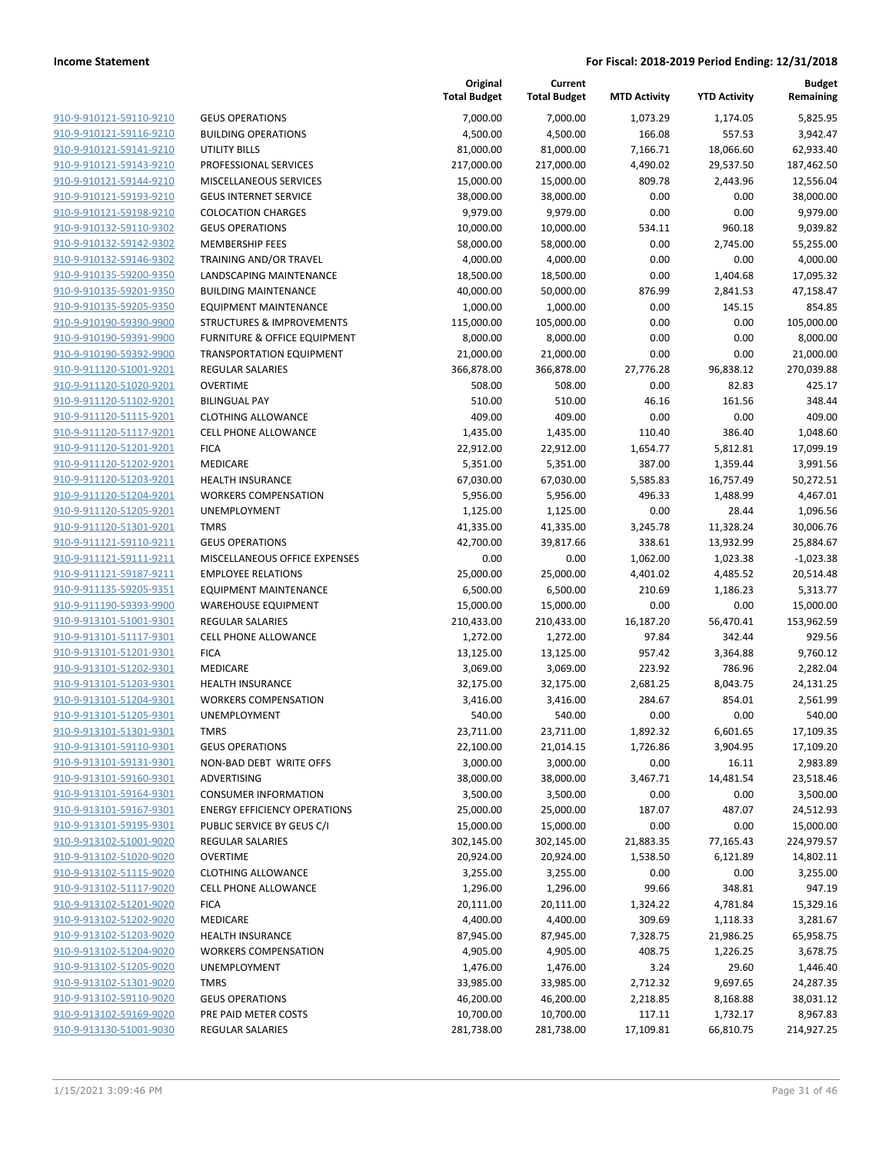| <b>GEUS OPERATIONS</b><br>910-9-910121-59110-9210<br>7,000.00<br>7,000.00<br>1,073.29<br>1,174.05<br>910-9-910121-59116-9210<br><b>BUILDING OPERATIONS</b><br>4,500.00<br>4,500.00<br>166.08<br>557.53<br>910-9-910121-59141-9210<br>UTILITY BILLS<br>81,000.00<br>81,000.00<br>7,166.71<br>18,066.60<br>910-9-910121-59143-9210<br>PROFESSIONAL SERVICES<br>217,000.00<br>217,000.00<br>4,490.02<br>29,537.50<br>809.78<br>910-9-910121-59144-9210<br>MISCELLANEOUS SERVICES<br>15,000.00<br>15,000.00<br>2,443.96<br>910-9-910121-59193-9210<br><b>GEUS INTERNET SERVICE</b><br>38,000.00<br>38,000.00<br>0.00<br>0.00<br>0.00<br>910-9-910121-59198-9210<br><b>COLOCATION CHARGES</b><br>9,979.00<br>9,979.00<br>0.00<br>910-9-910132-59110-9302<br><b>GEUS OPERATIONS</b><br>10,000.00<br>10,000.00<br>534.11<br>960.18<br>910-9-910132-59142-9302<br><b>MEMBERSHIP FEES</b><br>0.00<br>58,000.00<br>58,000.00<br>2,745.00<br>910-9-910132-59146-9302<br>TRAINING AND/OR TRAVEL<br>4,000.00<br>4,000.00<br>0.00<br>0.00<br>910-9-910135-59200-9350<br>LANDSCAPING MAINTENANCE<br>18,500.00<br>18,500.00<br>0.00<br>1,404.68<br>910-9-910135-59201-9350<br><b>BUILDING MAINTENANCE</b><br>40,000.00<br>50,000.00<br>876.99<br>2,841.53<br>910-9-910135-59205-9350<br><b>EQUIPMENT MAINTENANCE</b><br>1,000.00<br>1,000.00<br>0.00<br>145.15<br>910-9-910190-59390-9900<br>105,000.00<br>0.00<br>0.00<br><b>STRUCTURES &amp; IMPROVEMENTS</b><br>115,000.00<br>910-9-910190-59391-9900<br>FURNITURE & OFFICE EQUIPMENT<br>8,000.00<br>8,000.00<br>0.00<br>0.00<br>910-9-910190-59392-9900<br>21,000.00<br>21,000.00<br>0.00<br>0.00<br><b>TRANSPORTATION EQUIPMENT</b><br>910-9-911120-51001-9201<br><b>REGULAR SALARIES</b><br>366,878.00<br>366,878.00<br>27,776.28<br>96,838.12<br>910-9-911120-51020-9201<br><b>OVERTIME</b><br>508.00<br>508.00<br>0.00<br>82.83<br>910-9-911120-51102-9201<br>46.16<br>161.56<br><b>BILINGUAL PAY</b><br>510.00<br>510.00<br>0.00<br>0.00<br>910-9-911120-51115-9201<br><b>CLOTHING ALLOWANCE</b><br>409.00<br>409.00<br>910-9-911120-51117-9201<br>1,435.00<br>1,435.00<br>110.40<br>386.40<br><b>CELL PHONE ALLOWANCE</b><br>910-9-911120-51201-9201<br><b>FICA</b><br>22,912.00<br>22,912.00<br>1,654.77<br>5,812.81<br>910-9-911120-51202-9201<br>MEDICARE<br>5,351.00<br>5,351.00<br>387.00<br>1,359.44<br>910-9-911120-51203-9201<br><b>HEALTH INSURANCE</b><br>67,030.00<br>67,030.00<br>5,585.83<br>16,757.49<br>910-9-911120-51204-9201<br>496.33<br><b>WORKERS COMPENSATION</b><br>5,956.00<br>5,956.00<br>1,488.99<br>910-9-911120-51205-9201<br>UNEMPLOYMENT<br>1,125.00<br>1,125.00<br>0.00<br>28.44<br>910-9-911120-51301-9201<br><b>TMRS</b><br>41,335.00<br>41,335.00<br>3,245.78<br>11,328.24<br>910-9-911121-59110-9211<br><b>GEUS OPERATIONS</b><br>42,700.00<br>39,817.66<br>338.61<br>13,932.99<br>910-9-911121-59111-9211<br>MISCELLANEOUS OFFICE EXPENSES<br>0.00<br>0.00<br>1,062.00<br>1,023.38<br>910-9-911121-59187-9211<br>25,000.00<br>25,000.00<br><b>EMPLOYEE RELATIONS</b><br>4,401.02<br>4,485.52<br>910-9-911135-59205-9351<br><b>EQUIPMENT MAINTENANCE</b><br>6,500.00<br>6,500.00<br>210.69<br>1,186.23<br>910-9-911190-59393-9900<br><b>WAREHOUSE EQUIPMENT</b><br>15,000.00<br>15,000.00<br>0.00<br>0.00<br>910-9-913101-51001-9301<br><b>REGULAR SALARIES</b><br>210,433.00<br>210,433.00<br>16,187.20<br>56,470.41<br>910-9-913101-51117-9301<br><b>CELL PHONE ALLOWANCE</b><br>1,272.00<br>1,272.00<br>97.84<br>342.44<br>910-9-913101-51201-9301<br><b>FICA</b><br>13,125.00<br>13,125.00<br>957.42<br>3,364.88<br>910-9-913101-51202-9301<br>MEDICARE<br>3,069.00<br>3,069.00<br>223.92<br>786.96<br>910-9-913101-51203-9301<br><b>HEALTH INSURANCE</b><br>32,175.00<br>32,175.00<br>2,681.25<br>8,043.75<br>910-9-913101-51204-9301<br><b>WORKERS COMPENSATION</b><br>3,416.00<br>3,416.00<br>284.67<br>854.01<br>910-9-913101-51205-9301<br>UNEMPLOYMENT<br>0.00<br>0.00<br>540.00<br>540.00<br>910-9-913101-51301-9301<br><b>TMRS</b><br>23,711.00<br>23,711.00<br>1,892.32<br>6,601.65<br>910-9-913101-59110-9301<br><b>GEUS OPERATIONS</b><br>22,100.00<br>21,014.15<br>1,726.86<br>3,904.95<br>3,000.00<br>3,000.00<br>910-9-913101-59131-9301<br>NON-BAD DEBT WRITE OFFS<br>0.00<br>16.11<br>910-9-913101-59160-9301<br>ADVERTISING<br>38,000.00<br>38,000.00<br>3,467.71<br>14,481.54<br>910-9-913101-59164-9301<br><b>CONSUMER INFORMATION</b><br>3,500.00<br>3,500.00<br>0.00<br>0.00<br>910-9-913101-59167-9301<br><b>ENERGY EFFICIENCY OPERATIONS</b><br>25,000.00<br>25,000.00<br>187.07<br>487.07<br>910-9-913101-59195-9301<br>PUBLIC SERVICE BY GEUS C/I<br>15,000.00<br>15,000.00<br>0.00<br>0.00<br>910-9-913102-51001-9020<br>REGULAR SALARIES<br>302,145.00<br>302,145.00<br>21,883.35<br>77,165.43<br>910-9-913102-51020-9020<br><b>OVERTIME</b><br>20,924.00<br>20,924.00<br>1,538.50<br>6,121.89<br>910-9-913102-51115-9020<br><b>CLOTHING ALLOWANCE</b><br>3,255.00<br>3,255.00<br>0.00<br>0.00<br>910-9-913102-51117-9020<br>CELL PHONE ALLOWANCE<br>1,296.00<br>1,296.00<br>99.66<br>348.81<br>910-9-913102-51201-9020<br>4,781.84<br><b>FICA</b><br>20,111.00<br>20,111.00<br>1,324.22<br>910-9-913102-51202-9020<br>MEDICARE<br>4,400.00<br>4,400.00<br>309.69<br>1,118.33<br>910-9-913102-51203-9020<br><b>HEALTH INSURANCE</b><br>87,945.00<br>87,945.00<br>7,328.75<br>21,986.25<br>910-9-913102-51204-9020<br><b>WORKERS COMPENSATION</b><br>4,905.00<br>4,905.00<br>408.75<br>1,226.25<br>910-9-913102-51205-9020<br>UNEMPLOYMENT<br>1,476.00<br>1,476.00<br>3.24<br>29.60<br>910-9-913102-51301-9020<br><b>TMRS</b><br>2,712.32<br>9,697.65<br>33,985.00<br>33,985.00<br>910-9-913102-59110-9020<br><b>GEUS OPERATIONS</b><br>46,200.00<br>46,200.00<br>2,218.85<br>8,168.88<br>910-9-913102-59169-9020<br>PRE PAID METER COSTS<br>10,700.00<br>10,700.00<br>117.11<br>1,732.17<br>910-9-913130-51001-9030<br>REGULAR SALARIES<br>281,738.00<br>281,738.00<br>17,109.81<br>66,810.75 |  | Original<br><b>Total Budget</b> | Current<br><b>Total Budget</b> | <b>MTD Activity</b> | <b>YTD Activity</b> | <b>Budget</b><br>Remaining |
|-----------------------------------------------------------------------------------------------------------------------------------------------------------------------------------------------------------------------------------------------------------------------------------------------------------------------------------------------------------------------------------------------------------------------------------------------------------------------------------------------------------------------------------------------------------------------------------------------------------------------------------------------------------------------------------------------------------------------------------------------------------------------------------------------------------------------------------------------------------------------------------------------------------------------------------------------------------------------------------------------------------------------------------------------------------------------------------------------------------------------------------------------------------------------------------------------------------------------------------------------------------------------------------------------------------------------------------------------------------------------------------------------------------------------------------------------------------------------------------------------------------------------------------------------------------------------------------------------------------------------------------------------------------------------------------------------------------------------------------------------------------------------------------------------------------------------------------------------------------------------------------------------------------------------------------------------------------------------------------------------------------------------------------------------------------------------------------------------------------------------------------------------------------------------------------------------------------------------------------------------------------------------------------------------------------------------------------------------------------------------------------------------------------------------------------------------------------------------------------------------------------------------------------------------------------------------------------------------------------------------------------------------------------------------------------------------------------------------------------------------------------------------------------------------------------------------------------------------------------------------------------------------------------------------------------------------------------------------------------------------------------------------------------------------------------------------------------------------------------------------------------------------------------------------------------------------------------------------------------------------------------------------------------------------------------------------------------------------------------------------------------------------------------------------------------------------------------------------------------------------------------------------------------------------------------------------------------------------------------------------------------------------------------------------------------------------------------------------------------------------------------------------------------------------------------------------------------------------------------------------------------------------------------------------------------------------------------------------------------------------------------------------------------------------------------------------------------------------------------------------------------------------------------------------------------------------------------------------------------------------------------------------------------------------------------------------------------------------------------------------------------------------------------------------------------------------------------------------------------------------------------------------------------------------------------------------------------------------------------------------------------------------------------------------------------------------------------------------------------------------------------------------------------------------------------------------------------------------------------------------------------------------------------------------------------------------------------------------------------------------------------------------------------------------------------------------------------------------------------------------------------------------------------------------------------------------------------------------------------------------------------------------------------------------------------------------------------------------------------------------------------------------------------------------------------------------------------------------------------------------------------------------------------------------------------------------------------------------------------------------------------------------------------------------------------------------------------------------------------------------------------------------------------------------------------------------------------------------------------------------------------------------------------------------------------------------------------------------------------------------------------|--|---------------------------------|--------------------------------|---------------------|---------------------|----------------------------|
|                                                                                                                                                                                                                                                                                                                                                                                                                                                                                                                                                                                                                                                                                                                                                                                                                                                                                                                                                                                                                                                                                                                                                                                                                                                                                                                                                                                                                                                                                                                                                                                                                                                                                                                                                                                                                                                                                                                                                                                                                                                                                                                                                                                                                                                                                                                                                                                                                                                                                                                                                                                                                                                                                                                                                                                                                                                                                                                                                                                                                                                                                                                                                                                                                                                                                                                                                                                                                                                                                                                                                                                                                                                                                                                                                                                                                                                                                                                                                                                                                                                                                                                                                                                                                                                                                                                                                                                                                                                                                                                                                                                                                                                                                                                                                                                                                                                                                                                                                                                                                                                                                                                                                                                                                                                                                                                                                                                                                                                                                                                                                                                                                                                                                                                                                                                                                                                                                                                                                                                                           |  |                                 |                                |                     |                     | 5,825.95                   |
|                                                                                                                                                                                                                                                                                                                                                                                                                                                                                                                                                                                                                                                                                                                                                                                                                                                                                                                                                                                                                                                                                                                                                                                                                                                                                                                                                                                                                                                                                                                                                                                                                                                                                                                                                                                                                                                                                                                                                                                                                                                                                                                                                                                                                                                                                                                                                                                                                                                                                                                                                                                                                                                                                                                                                                                                                                                                                                                                                                                                                                                                                                                                                                                                                                                                                                                                                                                                                                                                                                                                                                                                                                                                                                                                                                                                                                                                                                                                                                                                                                                                                                                                                                                                                                                                                                                                                                                                                                                                                                                                                                                                                                                                                                                                                                                                                                                                                                                                                                                                                                                                                                                                                                                                                                                                                                                                                                                                                                                                                                                                                                                                                                                                                                                                                                                                                                                                                                                                                                                                           |  |                                 |                                |                     |                     | 3,942.47                   |
|                                                                                                                                                                                                                                                                                                                                                                                                                                                                                                                                                                                                                                                                                                                                                                                                                                                                                                                                                                                                                                                                                                                                                                                                                                                                                                                                                                                                                                                                                                                                                                                                                                                                                                                                                                                                                                                                                                                                                                                                                                                                                                                                                                                                                                                                                                                                                                                                                                                                                                                                                                                                                                                                                                                                                                                                                                                                                                                                                                                                                                                                                                                                                                                                                                                                                                                                                                                                                                                                                                                                                                                                                                                                                                                                                                                                                                                                                                                                                                                                                                                                                                                                                                                                                                                                                                                                                                                                                                                                                                                                                                                                                                                                                                                                                                                                                                                                                                                                                                                                                                                                                                                                                                                                                                                                                                                                                                                                                                                                                                                                                                                                                                                                                                                                                                                                                                                                                                                                                                                                           |  |                                 |                                |                     |                     | 62,933.40                  |
|                                                                                                                                                                                                                                                                                                                                                                                                                                                                                                                                                                                                                                                                                                                                                                                                                                                                                                                                                                                                                                                                                                                                                                                                                                                                                                                                                                                                                                                                                                                                                                                                                                                                                                                                                                                                                                                                                                                                                                                                                                                                                                                                                                                                                                                                                                                                                                                                                                                                                                                                                                                                                                                                                                                                                                                                                                                                                                                                                                                                                                                                                                                                                                                                                                                                                                                                                                                                                                                                                                                                                                                                                                                                                                                                                                                                                                                                                                                                                                                                                                                                                                                                                                                                                                                                                                                                                                                                                                                                                                                                                                                                                                                                                                                                                                                                                                                                                                                                                                                                                                                                                                                                                                                                                                                                                                                                                                                                                                                                                                                                                                                                                                                                                                                                                                                                                                                                                                                                                                                                           |  |                                 |                                |                     |                     | 187,462.50                 |
|                                                                                                                                                                                                                                                                                                                                                                                                                                                                                                                                                                                                                                                                                                                                                                                                                                                                                                                                                                                                                                                                                                                                                                                                                                                                                                                                                                                                                                                                                                                                                                                                                                                                                                                                                                                                                                                                                                                                                                                                                                                                                                                                                                                                                                                                                                                                                                                                                                                                                                                                                                                                                                                                                                                                                                                                                                                                                                                                                                                                                                                                                                                                                                                                                                                                                                                                                                                                                                                                                                                                                                                                                                                                                                                                                                                                                                                                                                                                                                                                                                                                                                                                                                                                                                                                                                                                                                                                                                                                                                                                                                                                                                                                                                                                                                                                                                                                                                                                                                                                                                                                                                                                                                                                                                                                                                                                                                                                                                                                                                                                                                                                                                                                                                                                                                                                                                                                                                                                                                                                           |  |                                 |                                |                     |                     | 12,556.04                  |
|                                                                                                                                                                                                                                                                                                                                                                                                                                                                                                                                                                                                                                                                                                                                                                                                                                                                                                                                                                                                                                                                                                                                                                                                                                                                                                                                                                                                                                                                                                                                                                                                                                                                                                                                                                                                                                                                                                                                                                                                                                                                                                                                                                                                                                                                                                                                                                                                                                                                                                                                                                                                                                                                                                                                                                                                                                                                                                                                                                                                                                                                                                                                                                                                                                                                                                                                                                                                                                                                                                                                                                                                                                                                                                                                                                                                                                                                                                                                                                                                                                                                                                                                                                                                                                                                                                                                                                                                                                                                                                                                                                                                                                                                                                                                                                                                                                                                                                                                                                                                                                                                                                                                                                                                                                                                                                                                                                                                                                                                                                                                                                                                                                                                                                                                                                                                                                                                                                                                                                                                           |  |                                 |                                |                     |                     | 38,000.00                  |
|                                                                                                                                                                                                                                                                                                                                                                                                                                                                                                                                                                                                                                                                                                                                                                                                                                                                                                                                                                                                                                                                                                                                                                                                                                                                                                                                                                                                                                                                                                                                                                                                                                                                                                                                                                                                                                                                                                                                                                                                                                                                                                                                                                                                                                                                                                                                                                                                                                                                                                                                                                                                                                                                                                                                                                                                                                                                                                                                                                                                                                                                                                                                                                                                                                                                                                                                                                                                                                                                                                                                                                                                                                                                                                                                                                                                                                                                                                                                                                                                                                                                                                                                                                                                                                                                                                                                                                                                                                                                                                                                                                                                                                                                                                                                                                                                                                                                                                                                                                                                                                                                                                                                                                                                                                                                                                                                                                                                                                                                                                                                                                                                                                                                                                                                                                                                                                                                                                                                                                                                           |  |                                 |                                |                     |                     | 9,979.00                   |
|                                                                                                                                                                                                                                                                                                                                                                                                                                                                                                                                                                                                                                                                                                                                                                                                                                                                                                                                                                                                                                                                                                                                                                                                                                                                                                                                                                                                                                                                                                                                                                                                                                                                                                                                                                                                                                                                                                                                                                                                                                                                                                                                                                                                                                                                                                                                                                                                                                                                                                                                                                                                                                                                                                                                                                                                                                                                                                                                                                                                                                                                                                                                                                                                                                                                                                                                                                                                                                                                                                                                                                                                                                                                                                                                                                                                                                                                                                                                                                                                                                                                                                                                                                                                                                                                                                                                                                                                                                                                                                                                                                                                                                                                                                                                                                                                                                                                                                                                                                                                                                                                                                                                                                                                                                                                                                                                                                                                                                                                                                                                                                                                                                                                                                                                                                                                                                                                                                                                                                                                           |  |                                 |                                |                     |                     | 9,039.82                   |
|                                                                                                                                                                                                                                                                                                                                                                                                                                                                                                                                                                                                                                                                                                                                                                                                                                                                                                                                                                                                                                                                                                                                                                                                                                                                                                                                                                                                                                                                                                                                                                                                                                                                                                                                                                                                                                                                                                                                                                                                                                                                                                                                                                                                                                                                                                                                                                                                                                                                                                                                                                                                                                                                                                                                                                                                                                                                                                                                                                                                                                                                                                                                                                                                                                                                                                                                                                                                                                                                                                                                                                                                                                                                                                                                                                                                                                                                                                                                                                                                                                                                                                                                                                                                                                                                                                                                                                                                                                                                                                                                                                                                                                                                                                                                                                                                                                                                                                                                                                                                                                                                                                                                                                                                                                                                                                                                                                                                                                                                                                                                                                                                                                                                                                                                                                                                                                                                                                                                                                                                           |  |                                 |                                |                     |                     | 55,255.00                  |
|                                                                                                                                                                                                                                                                                                                                                                                                                                                                                                                                                                                                                                                                                                                                                                                                                                                                                                                                                                                                                                                                                                                                                                                                                                                                                                                                                                                                                                                                                                                                                                                                                                                                                                                                                                                                                                                                                                                                                                                                                                                                                                                                                                                                                                                                                                                                                                                                                                                                                                                                                                                                                                                                                                                                                                                                                                                                                                                                                                                                                                                                                                                                                                                                                                                                                                                                                                                                                                                                                                                                                                                                                                                                                                                                                                                                                                                                                                                                                                                                                                                                                                                                                                                                                                                                                                                                                                                                                                                                                                                                                                                                                                                                                                                                                                                                                                                                                                                                                                                                                                                                                                                                                                                                                                                                                                                                                                                                                                                                                                                                                                                                                                                                                                                                                                                                                                                                                                                                                                                                           |  |                                 |                                |                     |                     | 4,000.00                   |
|                                                                                                                                                                                                                                                                                                                                                                                                                                                                                                                                                                                                                                                                                                                                                                                                                                                                                                                                                                                                                                                                                                                                                                                                                                                                                                                                                                                                                                                                                                                                                                                                                                                                                                                                                                                                                                                                                                                                                                                                                                                                                                                                                                                                                                                                                                                                                                                                                                                                                                                                                                                                                                                                                                                                                                                                                                                                                                                                                                                                                                                                                                                                                                                                                                                                                                                                                                                                                                                                                                                                                                                                                                                                                                                                                                                                                                                                                                                                                                                                                                                                                                                                                                                                                                                                                                                                                                                                                                                                                                                                                                                                                                                                                                                                                                                                                                                                                                                                                                                                                                                                                                                                                                                                                                                                                                                                                                                                                                                                                                                                                                                                                                                                                                                                                                                                                                                                                                                                                                                                           |  |                                 |                                |                     |                     | 17,095.32                  |
|                                                                                                                                                                                                                                                                                                                                                                                                                                                                                                                                                                                                                                                                                                                                                                                                                                                                                                                                                                                                                                                                                                                                                                                                                                                                                                                                                                                                                                                                                                                                                                                                                                                                                                                                                                                                                                                                                                                                                                                                                                                                                                                                                                                                                                                                                                                                                                                                                                                                                                                                                                                                                                                                                                                                                                                                                                                                                                                                                                                                                                                                                                                                                                                                                                                                                                                                                                                                                                                                                                                                                                                                                                                                                                                                                                                                                                                                                                                                                                                                                                                                                                                                                                                                                                                                                                                                                                                                                                                                                                                                                                                                                                                                                                                                                                                                                                                                                                                                                                                                                                                                                                                                                                                                                                                                                                                                                                                                                                                                                                                                                                                                                                                                                                                                                                                                                                                                                                                                                                                                           |  |                                 |                                |                     |                     | 47,158.47                  |
|                                                                                                                                                                                                                                                                                                                                                                                                                                                                                                                                                                                                                                                                                                                                                                                                                                                                                                                                                                                                                                                                                                                                                                                                                                                                                                                                                                                                                                                                                                                                                                                                                                                                                                                                                                                                                                                                                                                                                                                                                                                                                                                                                                                                                                                                                                                                                                                                                                                                                                                                                                                                                                                                                                                                                                                                                                                                                                                                                                                                                                                                                                                                                                                                                                                                                                                                                                                                                                                                                                                                                                                                                                                                                                                                                                                                                                                                                                                                                                                                                                                                                                                                                                                                                                                                                                                                                                                                                                                                                                                                                                                                                                                                                                                                                                                                                                                                                                                                                                                                                                                                                                                                                                                                                                                                                                                                                                                                                                                                                                                                                                                                                                                                                                                                                                                                                                                                                                                                                                                                           |  |                                 |                                |                     |                     | 854.85                     |
|                                                                                                                                                                                                                                                                                                                                                                                                                                                                                                                                                                                                                                                                                                                                                                                                                                                                                                                                                                                                                                                                                                                                                                                                                                                                                                                                                                                                                                                                                                                                                                                                                                                                                                                                                                                                                                                                                                                                                                                                                                                                                                                                                                                                                                                                                                                                                                                                                                                                                                                                                                                                                                                                                                                                                                                                                                                                                                                                                                                                                                                                                                                                                                                                                                                                                                                                                                                                                                                                                                                                                                                                                                                                                                                                                                                                                                                                                                                                                                                                                                                                                                                                                                                                                                                                                                                                                                                                                                                                                                                                                                                                                                                                                                                                                                                                                                                                                                                                                                                                                                                                                                                                                                                                                                                                                                                                                                                                                                                                                                                                                                                                                                                                                                                                                                                                                                                                                                                                                                                                           |  |                                 |                                |                     |                     | 105,000.00                 |
|                                                                                                                                                                                                                                                                                                                                                                                                                                                                                                                                                                                                                                                                                                                                                                                                                                                                                                                                                                                                                                                                                                                                                                                                                                                                                                                                                                                                                                                                                                                                                                                                                                                                                                                                                                                                                                                                                                                                                                                                                                                                                                                                                                                                                                                                                                                                                                                                                                                                                                                                                                                                                                                                                                                                                                                                                                                                                                                                                                                                                                                                                                                                                                                                                                                                                                                                                                                                                                                                                                                                                                                                                                                                                                                                                                                                                                                                                                                                                                                                                                                                                                                                                                                                                                                                                                                                                                                                                                                                                                                                                                                                                                                                                                                                                                                                                                                                                                                                                                                                                                                                                                                                                                                                                                                                                                                                                                                                                                                                                                                                                                                                                                                                                                                                                                                                                                                                                                                                                                                                           |  |                                 |                                |                     |                     | 8,000.00                   |
|                                                                                                                                                                                                                                                                                                                                                                                                                                                                                                                                                                                                                                                                                                                                                                                                                                                                                                                                                                                                                                                                                                                                                                                                                                                                                                                                                                                                                                                                                                                                                                                                                                                                                                                                                                                                                                                                                                                                                                                                                                                                                                                                                                                                                                                                                                                                                                                                                                                                                                                                                                                                                                                                                                                                                                                                                                                                                                                                                                                                                                                                                                                                                                                                                                                                                                                                                                                                                                                                                                                                                                                                                                                                                                                                                                                                                                                                                                                                                                                                                                                                                                                                                                                                                                                                                                                                                                                                                                                                                                                                                                                                                                                                                                                                                                                                                                                                                                                                                                                                                                                                                                                                                                                                                                                                                                                                                                                                                                                                                                                                                                                                                                                                                                                                                                                                                                                                                                                                                                                                           |  |                                 |                                |                     |                     | 21,000.00                  |
|                                                                                                                                                                                                                                                                                                                                                                                                                                                                                                                                                                                                                                                                                                                                                                                                                                                                                                                                                                                                                                                                                                                                                                                                                                                                                                                                                                                                                                                                                                                                                                                                                                                                                                                                                                                                                                                                                                                                                                                                                                                                                                                                                                                                                                                                                                                                                                                                                                                                                                                                                                                                                                                                                                                                                                                                                                                                                                                                                                                                                                                                                                                                                                                                                                                                                                                                                                                                                                                                                                                                                                                                                                                                                                                                                                                                                                                                                                                                                                                                                                                                                                                                                                                                                                                                                                                                                                                                                                                                                                                                                                                                                                                                                                                                                                                                                                                                                                                                                                                                                                                                                                                                                                                                                                                                                                                                                                                                                                                                                                                                                                                                                                                                                                                                                                                                                                                                                                                                                                                                           |  |                                 |                                |                     |                     | 270,039.88                 |
|                                                                                                                                                                                                                                                                                                                                                                                                                                                                                                                                                                                                                                                                                                                                                                                                                                                                                                                                                                                                                                                                                                                                                                                                                                                                                                                                                                                                                                                                                                                                                                                                                                                                                                                                                                                                                                                                                                                                                                                                                                                                                                                                                                                                                                                                                                                                                                                                                                                                                                                                                                                                                                                                                                                                                                                                                                                                                                                                                                                                                                                                                                                                                                                                                                                                                                                                                                                                                                                                                                                                                                                                                                                                                                                                                                                                                                                                                                                                                                                                                                                                                                                                                                                                                                                                                                                                                                                                                                                                                                                                                                                                                                                                                                                                                                                                                                                                                                                                                                                                                                                                                                                                                                                                                                                                                                                                                                                                                                                                                                                                                                                                                                                                                                                                                                                                                                                                                                                                                                                                           |  |                                 |                                |                     |                     | 425.17                     |
|                                                                                                                                                                                                                                                                                                                                                                                                                                                                                                                                                                                                                                                                                                                                                                                                                                                                                                                                                                                                                                                                                                                                                                                                                                                                                                                                                                                                                                                                                                                                                                                                                                                                                                                                                                                                                                                                                                                                                                                                                                                                                                                                                                                                                                                                                                                                                                                                                                                                                                                                                                                                                                                                                                                                                                                                                                                                                                                                                                                                                                                                                                                                                                                                                                                                                                                                                                                                                                                                                                                                                                                                                                                                                                                                                                                                                                                                                                                                                                                                                                                                                                                                                                                                                                                                                                                                                                                                                                                                                                                                                                                                                                                                                                                                                                                                                                                                                                                                                                                                                                                                                                                                                                                                                                                                                                                                                                                                                                                                                                                                                                                                                                                                                                                                                                                                                                                                                                                                                                                                           |  |                                 |                                |                     |                     | 348.44<br>409.00           |
|                                                                                                                                                                                                                                                                                                                                                                                                                                                                                                                                                                                                                                                                                                                                                                                                                                                                                                                                                                                                                                                                                                                                                                                                                                                                                                                                                                                                                                                                                                                                                                                                                                                                                                                                                                                                                                                                                                                                                                                                                                                                                                                                                                                                                                                                                                                                                                                                                                                                                                                                                                                                                                                                                                                                                                                                                                                                                                                                                                                                                                                                                                                                                                                                                                                                                                                                                                                                                                                                                                                                                                                                                                                                                                                                                                                                                                                                                                                                                                                                                                                                                                                                                                                                                                                                                                                                                                                                                                                                                                                                                                                                                                                                                                                                                                                                                                                                                                                                                                                                                                                                                                                                                                                                                                                                                                                                                                                                                                                                                                                                                                                                                                                                                                                                                                                                                                                                                                                                                                                                           |  |                                 |                                |                     |                     | 1,048.60                   |
|                                                                                                                                                                                                                                                                                                                                                                                                                                                                                                                                                                                                                                                                                                                                                                                                                                                                                                                                                                                                                                                                                                                                                                                                                                                                                                                                                                                                                                                                                                                                                                                                                                                                                                                                                                                                                                                                                                                                                                                                                                                                                                                                                                                                                                                                                                                                                                                                                                                                                                                                                                                                                                                                                                                                                                                                                                                                                                                                                                                                                                                                                                                                                                                                                                                                                                                                                                                                                                                                                                                                                                                                                                                                                                                                                                                                                                                                                                                                                                                                                                                                                                                                                                                                                                                                                                                                                                                                                                                                                                                                                                                                                                                                                                                                                                                                                                                                                                                                                                                                                                                                                                                                                                                                                                                                                                                                                                                                                                                                                                                                                                                                                                                                                                                                                                                                                                                                                                                                                                                                           |  |                                 |                                |                     |                     | 17,099.19                  |
|                                                                                                                                                                                                                                                                                                                                                                                                                                                                                                                                                                                                                                                                                                                                                                                                                                                                                                                                                                                                                                                                                                                                                                                                                                                                                                                                                                                                                                                                                                                                                                                                                                                                                                                                                                                                                                                                                                                                                                                                                                                                                                                                                                                                                                                                                                                                                                                                                                                                                                                                                                                                                                                                                                                                                                                                                                                                                                                                                                                                                                                                                                                                                                                                                                                                                                                                                                                                                                                                                                                                                                                                                                                                                                                                                                                                                                                                                                                                                                                                                                                                                                                                                                                                                                                                                                                                                                                                                                                                                                                                                                                                                                                                                                                                                                                                                                                                                                                                                                                                                                                                                                                                                                                                                                                                                                                                                                                                                                                                                                                                                                                                                                                                                                                                                                                                                                                                                                                                                                                                           |  |                                 |                                |                     |                     | 3,991.56                   |
|                                                                                                                                                                                                                                                                                                                                                                                                                                                                                                                                                                                                                                                                                                                                                                                                                                                                                                                                                                                                                                                                                                                                                                                                                                                                                                                                                                                                                                                                                                                                                                                                                                                                                                                                                                                                                                                                                                                                                                                                                                                                                                                                                                                                                                                                                                                                                                                                                                                                                                                                                                                                                                                                                                                                                                                                                                                                                                                                                                                                                                                                                                                                                                                                                                                                                                                                                                                                                                                                                                                                                                                                                                                                                                                                                                                                                                                                                                                                                                                                                                                                                                                                                                                                                                                                                                                                                                                                                                                                                                                                                                                                                                                                                                                                                                                                                                                                                                                                                                                                                                                                                                                                                                                                                                                                                                                                                                                                                                                                                                                                                                                                                                                                                                                                                                                                                                                                                                                                                                                                           |  |                                 |                                |                     |                     | 50,272.51                  |
|                                                                                                                                                                                                                                                                                                                                                                                                                                                                                                                                                                                                                                                                                                                                                                                                                                                                                                                                                                                                                                                                                                                                                                                                                                                                                                                                                                                                                                                                                                                                                                                                                                                                                                                                                                                                                                                                                                                                                                                                                                                                                                                                                                                                                                                                                                                                                                                                                                                                                                                                                                                                                                                                                                                                                                                                                                                                                                                                                                                                                                                                                                                                                                                                                                                                                                                                                                                                                                                                                                                                                                                                                                                                                                                                                                                                                                                                                                                                                                                                                                                                                                                                                                                                                                                                                                                                                                                                                                                                                                                                                                                                                                                                                                                                                                                                                                                                                                                                                                                                                                                                                                                                                                                                                                                                                                                                                                                                                                                                                                                                                                                                                                                                                                                                                                                                                                                                                                                                                                                                           |  |                                 |                                |                     |                     | 4,467.01                   |
|                                                                                                                                                                                                                                                                                                                                                                                                                                                                                                                                                                                                                                                                                                                                                                                                                                                                                                                                                                                                                                                                                                                                                                                                                                                                                                                                                                                                                                                                                                                                                                                                                                                                                                                                                                                                                                                                                                                                                                                                                                                                                                                                                                                                                                                                                                                                                                                                                                                                                                                                                                                                                                                                                                                                                                                                                                                                                                                                                                                                                                                                                                                                                                                                                                                                                                                                                                                                                                                                                                                                                                                                                                                                                                                                                                                                                                                                                                                                                                                                                                                                                                                                                                                                                                                                                                                                                                                                                                                                                                                                                                                                                                                                                                                                                                                                                                                                                                                                                                                                                                                                                                                                                                                                                                                                                                                                                                                                                                                                                                                                                                                                                                                                                                                                                                                                                                                                                                                                                                                                           |  |                                 |                                |                     |                     | 1,096.56                   |
|                                                                                                                                                                                                                                                                                                                                                                                                                                                                                                                                                                                                                                                                                                                                                                                                                                                                                                                                                                                                                                                                                                                                                                                                                                                                                                                                                                                                                                                                                                                                                                                                                                                                                                                                                                                                                                                                                                                                                                                                                                                                                                                                                                                                                                                                                                                                                                                                                                                                                                                                                                                                                                                                                                                                                                                                                                                                                                                                                                                                                                                                                                                                                                                                                                                                                                                                                                                                                                                                                                                                                                                                                                                                                                                                                                                                                                                                                                                                                                                                                                                                                                                                                                                                                                                                                                                                                                                                                                                                                                                                                                                                                                                                                                                                                                                                                                                                                                                                                                                                                                                                                                                                                                                                                                                                                                                                                                                                                                                                                                                                                                                                                                                                                                                                                                                                                                                                                                                                                                                                           |  |                                 |                                |                     |                     | 30,006.76                  |
|                                                                                                                                                                                                                                                                                                                                                                                                                                                                                                                                                                                                                                                                                                                                                                                                                                                                                                                                                                                                                                                                                                                                                                                                                                                                                                                                                                                                                                                                                                                                                                                                                                                                                                                                                                                                                                                                                                                                                                                                                                                                                                                                                                                                                                                                                                                                                                                                                                                                                                                                                                                                                                                                                                                                                                                                                                                                                                                                                                                                                                                                                                                                                                                                                                                                                                                                                                                                                                                                                                                                                                                                                                                                                                                                                                                                                                                                                                                                                                                                                                                                                                                                                                                                                                                                                                                                                                                                                                                                                                                                                                                                                                                                                                                                                                                                                                                                                                                                                                                                                                                                                                                                                                                                                                                                                                                                                                                                                                                                                                                                                                                                                                                                                                                                                                                                                                                                                                                                                                                                           |  |                                 |                                |                     |                     | 25,884.67                  |
|                                                                                                                                                                                                                                                                                                                                                                                                                                                                                                                                                                                                                                                                                                                                                                                                                                                                                                                                                                                                                                                                                                                                                                                                                                                                                                                                                                                                                                                                                                                                                                                                                                                                                                                                                                                                                                                                                                                                                                                                                                                                                                                                                                                                                                                                                                                                                                                                                                                                                                                                                                                                                                                                                                                                                                                                                                                                                                                                                                                                                                                                                                                                                                                                                                                                                                                                                                                                                                                                                                                                                                                                                                                                                                                                                                                                                                                                                                                                                                                                                                                                                                                                                                                                                                                                                                                                                                                                                                                                                                                                                                                                                                                                                                                                                                                                                                                                                                                                                                                                                                                                                                                                                                                                                                                                                                                                                                                                                                                                                                                                                                                                                                                                                                                                                                                                                                                                                                                                                                                                           |  |                                 |                                |                     |                     | $-1,023.38$                |
|                                                                                                                                                                                                                                                                                                                                                                                                                                                                                                                                                                                                                                                                                                                                                                                                                                                                                                                                                                                                                                                                                                                                                                                                                                                                                                                                                                                                                                                                                                                                                                                                                                                                                                                                                                                                                                                                                                                                                                                                                                                                                                                                                                                                                                                                                                                                                                                                                                                                                                                                                                                                                                                                                                                                                                                                                                                                                                                                                                                                                                                                                                                                                                                                                                                                                                                                                                                                                                                                                                                                                                                                                                                                                                                                                                                                                                                                                                                                                                                                                                                                                                                                                                                                                                                                                                                                                                                                                                                                                                                                                                                                                                                                                                                                                                                                                                                                                                                                                                                                                                                                                                                                                                                                                                                                                                                                                                                                                                                                                                                                                                                                                                                                                                                                                                                                                                                                                                                                                                                                           |  |                                 |                                |                     |                     | 20,514.48                  |
|                                                                                                                                                                                                                                                                                                                                                                                                                                                                                                                                                                                                                                                                                                                                                                                                                                                                                                                                                                                                                                                                                                                                                                                                                                                                                                                                                                                                                                                                                                                                                                                                                                                                                                                                                                                                                                                                                                                                                                                                                                                                                                                                                                                                                                                                                                                                                                                                                                                                                                                                                                                                                                                                                                                                                                                                                                                                                                                                                                                                                                                                                                                                                                                                                                                                                                                                                                                                                                                                                                                                                                                                                                                                                                                                                                                                                                                                                                                                                                                                                                                                                                                                                                                                                                                                                                                                                                                                                                                                                                                                                                                                                                                                                                                                                                                                                                                                                                                                                                                                                                                                                                                                                                                                                                                                                                                                                                                                                                                                                                                                                                                                                                                                                                                                                                                                                                                                                                                                                                                                           |  |                                 |                                |                     |                     | 5,313.77                   |
|                                                                                                                                                                                                                                                                                                                                                                                                                                                                                                                                                                                                                                                                                                                                                                                                                                                                                                                                                                                                                                                                                                                                                                                                                                                                                                                                                                                                                                                                                                                                                                                                                                                                                                                                                                                                                                                                                                                                                                                                                                                                                                                                                                                                                                                                                                                                                                                                                                                                                                                                                                                                                                                                                                                                                                                                                                                                                                                                                                                                                                                                                                                                                                                                                                                                                                                                                                                                                                                                                                                                                                                                                                                                                                                                                                                                                                                                                                                                                                                                                                                                                                                                                                                                                                                                                                                                                                                                                                                                                                                                                                                                                                                                                                                                                                                                                                                                                                                                                                                                                                                                                                                                                                                                                                                                                                                                                                                                                                                                                                                                                                                                                                                                                                                                                                                                                                                                                                                                                                                                           |  |                                 |                                |                     |                     | 15,000.00                  |
|                                                                                                                                                                                                                                                                                                                                                                                                                                                                                                                                                                                                                                                                                                                                                                                                                                                                                                                                                                                                                                                                                                                                                                                                                                                                                                                                                                                                                                                                                                                                                                                                                                                                                                                                                                                                                                                                                                                                                                                                                                                                                                                                                                                                                                                                                                                                                                                                                                                                                                                                                                                                                                                                                                                                                                                                                                                                                                                                                                                                                                                                                                                                                                                                                                                                                                                                                                                                                                                                                                                                                                                                                                                                                                                                                                                                                                                                                                                                                                                                                                                                                                                                                                                                                                                                                                                                                                                                                                                                                                                                                                                                                                                                                                                                                                                                                                                                                                                                                                                                                                                                                                                                                                                                                                                                                                                                                                                                                                                                                                                                                                                                                                                                                                                                                                                                                                                                                                                                                                                                           |  |                                 |                                |                     |                     | 153,962.59                 |
|                                                                                                                                                                                                                                                                                                                                                                                                                                                                                                                                                                                                                                                                                                                                                                                                                                                                                                                                                                                                                                                                                                                                                                                                                                                                                                                                                                                                                                                                                                                                                                                                                                                                                                                                                                                                                                                                                                                                                                                                                                                                                                                                                                                                                                                                                                                                                                                                                                                                                                                                                                                                                                                                                                                                                                                                                                                                                                                                                                                                                                                                                                                                                                                                                                                                                                                                                                                                                                                                                                                                                                                                                                                                                                                                                                                                                                                                                                                                                                                                                                                                                                                                                                                                                                                                                                                                                                                                                                                                                                                                                                                                                                                                                                                                                                                                                                                                                                                                                                                                                                                                                                                                                                                                                                                                                                                                                                                                                                                                                                                                                                                                                                                                                                                                                                                                                                                                                                                                                                                                           |  |                                 |                                |                     |                     | 929.56                     |
|                                                                                                                                                                                                                                                                                                                                                                                                                                                                                                                                                                                                                                                                                                                                                                                                                                                                                                                                                                                                                                                                                                                                                                                                                                                                                                                                                                                                                                                                                                                                                                                                                                                                                                                                                                                                                                                                                                                                                                                                                                                                                                                                                                                                                                                                                                                                                                                                                                                                                                                                                                                                                                                                                                                                                                                                                                                                                                                                                                                                                                                                                                                                                                                                                                                                                                                                                                                                                                                                                                                                                                                                                                                                                                                                                                                                                                                                                                                                                                                                                                                                                                                                                                                                                                                                                                                                                                                                                                                                                                                                                                                                                                                                                                                                                                                                                                                                                                                                                                                                                                                                                                                                                                                                                                                                                                                                                                                                                                                                                                                                                                                                                                                                                                                                                                                                                                                                                                                                                                                                           |  |                                 |                                |                     |                     | 9,760.12                   |
|                                                                                                                                                                                                                                                                                                                                                                                                                                                                                                                                                                                                                                                                                                                                                                                                                                                                                                                                                                                                                                                                                                                                                                                                                                                                                                                                                                                                                                                                                                                                                                                                                                                                                                                                                                                                                                                                                                                                                                                                                                                                                                                                                                                                                                                                                                                                                                                                                                                                                                                                                                                                                                                                                                                                                                                                                                                                                                                                                                                                                                                                                                                                                                                                                                                                                                                                                                                                                                                                                                                                                                                                                                                                                                                                                                                                                                                                                                                                                                                                                                                                                                                                                                                                                                                                                                                                                                                                                                                                                                                                                                                                                                                                                                                                                                                                                                                                                                                                                                                                                                                                                                                                                                                                                                                                                                                                                                                                                                                                                                                                                                                                                                                                                                                                                                                                                                                                                                                                                                                                           |  |                                 |                                |                     |                     | 2,282.04                   |
|                                                                                                                                                                                                                                                                                                                                                                                                                                                                                                                                                                                                                                                                                                                                                                                                                                                                                                                                                                                                                                                                                                                                                                                                                                                                                                                                                                                                                                                                                                                                                                                                                                                                                                                                                                                                                                                                                                                                                                                                                                                                                                                                                                                                                                                                                                                                                                                                                                                                                                                                                                                                                                                                                                                                                                                                                                                                                                                                                                                                                                                                                                                                                                                                                                                                                                                                                                                                                                                                                                                                                                                                                                                                                                                                                                                                                                                                                                                                                                                                                                                                                                                                                                                                                                                                                                                                                                                                                                                                                                                                                                                                                                                                                                                                                                                                                                                                                                                                                                                                                                                                                                                                                                                                                                                                                                                                                                                                                                                                                                                                                                                                                                                                                                                                                                                                                                                                                                                                                                                                           |  |                                 |                                |                     |                     | 24,131.25                  |
|                                                                                                                                                                                                                                                                                                                                                                                                                                                                                                                                                                                                                                                                                                                                                                                                                                                                                                                                                                                                                                                                                                                                                                                                                                                                                                                                                                                                                                                                                                                                                                                                                                                                                                                                                                                                                                                                                                                                                                                                                                                                                                                                                                                                                                                                                                                                                                                                                                                                                                                                                                                                                                                                                                                                                                                                                                                                                                                                                                                                                                                                                                                                                                                                                                                                                                                                                                                                                                                                                                                                                                                                                                                                                                                                                                                                                                                                                                                                                                                                                                                                                                                                                                                                                                                                                                                                                                                                                                                                                                                                                                                                                                                                                                                                                                                                                                                                                                                                                                                                                                                                                                                                                                                                                                                                                                                                                                                                                                                                                                                                                                                                                                                                                                                                                                                                                                                                                                                                                                                                           |  |                                 |                                |                     |                     | 2,561.99                   |
|                                                                                                                                                                                                                                                                                                                                                                                                                                                                                                                                                                                                                                                                                                                                                                                                                                                                                                                                                                                                                                                                                                                                                                                                                                                                                                                                                                                                                                                                                                                                                                                                                                                                                                                                                                                                                                                                                                                                                                                                                                                                                                                                                                                                                                                                                                                                                                                                                                                                                                                                                                                                                                                                                                                                                                                                                                                                                                                                                                                                                                                                                                                                                                                                                                                                                                                                                                                                                                                                                                                                                                                                                                                                                                                                                                                                                                                                                                                                                                                                                                                                                                                                                                                                                                                                                                                                                                                                                                                                                                                                                                                                                                                                                                                                                                                                                                                                                                                                                                                                                                                                                                                                                                                                                                                                                                                                                                                                                                                                                                                                                                                                                                                                                                                                                                                                                                                                                                                                                                                                           |  |                                 |                                |                     |                     | 540.00                     |
|                                                                                                                                                                                                                                                                                                                                                                                                                                                                                                                                                                                                                                                                                                                                                                                                                                                                                                                                                                                                                                                                                                                                                                                                                                                                                                                                                                                                                                                                                                                                                                                                                                                                                                                                                                                                                                                                                                                                                                                                                                                                                                                                                                                                                                                                                                                                                                                                                                                                                                                                                                                                                                                                                                                                                                                                                                                                                                                                                                                                                                                                                                                                                                                                                                                                                                                                                                                                                                                                                                                                                                                                                                                                                                                                                                                                                                                                                                                                                                                                                                                                                                                                                                                                                                                                                                                                                                                                                                                                                                                                                                                                                                                                                                                                                                                                                                                                                                                                                                                                                                                                                                                                                                                                                                                                                                                                                                                                                                                                                                                                                                                                                                                                                                                                                                                                                                                                                                                                                                                                           |  |                                 |                                |                     |                     | 17,109.35<br>17,109.20     |
|                                                                                                                                                                                                                                                                                                                                                                                                                                                                                                                                                                                                                                                                                                                                                                                                                                                                                                                                                                                                                                                                                                                                                                                                                                                                                                                                                                                                                                                                                                                                                                                                                                                                                                                                                                                                                                                                                                                                                                                                                                                                                                                                                                                                                                                                                                                                                                                                                                                                                                                                                                                                                                                                                                                                                                                                                                                                                                                                                                                                                                                                                                                                                                                                                                                                                                                                                                                                                                                                                                                                                                                                                                                                                                                                                                                                                                                                                                                                                                                                                                                                                                                                                                                                                                                                                                                                                                                                                                                                                                                                                                                                                                                                                                                                                                                                                                                                                                                                                                                                                                                                                                                                                                                                                                                                                                                                                                                                                                                                                                                                                                                                                                                                                                                                                                                                                                                                                                                                                                                                           |  |                                 |                                |                     |                     | 2,983.89                   |
|                                                                                                                                                                                                                                                                                                                                                                                                                                                                                                                                                                                                                                                                                                                                                                                                                                                                                                                                                                                                                                                                                                                                                                                                                                                                                                                                                                                                                                                                                                                                                                                                                                                                                                                                                                                                                                                                                                                                                                                                                                                                                                                                                                                                                                                                                                                                                                                                                                                                                                                                                                                                                                                                                                                                                                                                                                                                                                                                                                                                                                                                                                                                                                                                                                                                                                                                                                                                                                                                                                                                                                                                                                                                                                                                                                                                                                                                                                                                                                                                                                                                                                                                                                                                                                                                                                                                                                                                                                                                                                                                                                                                                                                                                                                                                                                                                                                                                                                                                                                                                                                                                                                                                                                                                                                                                                                                                                                                                                                                                                                                                                                                                                                                                                                                                                                                                                                                                                                                                                                                           |  |                                 |                                |                     |                     | 23,518.46                  |
|                                                                                                                                                                                                                                                                                                                                                                                                                                                                                                                                                                                                                                                                                                                                                                                                                                                                                                                                                                                                                                                                                                                                                                                                                                                                                                                                                                                                                                                                                                                                                                                                                                                                                                                                                                                                                                                                                                                                                                                                                                                                                                                                                                                                                                                                                                                                                                                                                                                                                                                                                                                                                                                                                                                                                                                                                                                                                                                                                                                                                                                                                                                                                                                                                                                                                                                                                                                                                                                                                                                                                                                                                                                                                                                                                                                                                                                                                                                                                                                                                                                                                                                                                                                                                                                                                                                                                                                                                                                                                                                                                                                                                                                                                                                                                                                                                                                                                                                                                                                                                                                                                                                                                                                                                                                                                                                                                                                                                                                                                                                                                                                                                                                                                                                                                                                                                                                                                                                                                                                                           |  |                                 |                                |                     |                     | 3,500.00                   |
|                                                                                                                                                                                                                                                                                                                                                                                                                                                                                                                                                                                                                                                                                                                                                                                                                                                                                                                                                                                                                                                                                                                                                                                                                                                                                                                                                                                                                                                                                                                                                                                                                                                                                                                                                                                                                                                                                                                                                                                                                                                                                                                                                                                                                                                                                                                                                                                                                                                                                                                                                                                                                                                                                                                                                                                                                                                                                                                                                                                                                                                                                                                                                                                                                                                                                                                                                                                                                                                                                                                                                                                                                                                                                                                                                                                                                                                                                                                                                                                                                                                                                                                                                                                                                                                                                                                                                                                                                                                                                                                                                                                                                                                                                                                                                                                                                                                                                                                                                                                                                                                                                                                                                                                                                                                                                                                                                                                                                                                                                                                                                                                                                                                                                                                                                                                                                                                                                                                                                                                                           |  |                                 |                                |                     |                     | 24,512.93                  |
|                                                                                                                                                                                                                                                                                                                                                                                                                                                                                                                                                                                                                                                                                                                                                                                                                                                                                                                                                                                                                                                                                                                                                                                                                                                                                                                                                                                                                                                                                                                                                                                                                                                                                                                                                                                                                                                                                                                                                                                                                                                                                                                                                                                                                                                                                                                                                                                                                                                                                                                                                                                                                                                                                                                                                                                                                                                                                                                                                                                                                                                                                                                                                                                                                                                                                                                                                                                                                                                                                                                                                                                                                                                                                                                                                                                                                                                                                                                                                                                                                                                                                                                                                                                                                                                                                                                                                                                                                                                                                                                                                                                                                                                                                                                                                                                                                                                                                                                                                                                                                                                                                                                                                                                                                                                                                                                                                                                                                                                                                                                                                                                                                                                                                                                                                                                                                                                                                                                                                                                                           |  |                                 |                                |                     |                     | 15,000.00                  |
|                                                                                                                                                                                                                                                                                                                                                                                                                                                                                                                                                                                                                                                                                                                                                                                                                                                                                                                                                                                                                                                                                                                                                                                                                                                                                                                                                                                                                                                                                                                                                                                                                                                                                                                                                                                                                                                                                                                                                                                                                                                                                                                                                                                                                                                                                                                                                                                                                                                                                                                                                                                                                                                                                                                                                                                                                                                                                                                                                                                                                                                                                                                                                                                                                                                                                                                                                                                                                                                                                                                                                                                                                                                                                                                                                                                                                                                                                                                                                                                                                                                                                                                                                                                                                                                                                                                                                                                                                                                                                                                                                                                                                                                                                                                                                                                                                                                                                                                                                                                                                                                                                                                                                                                                                                                                                                                                                                                                                                                                                                                                                                                                                                                                                                                                                                                                                                                                                                                                                                                                           |  |                                 |                                |                     |                     | 224,979.57                 |
|                                                                                                                                                                                                                                                                                                                                                                                                                                                                                                                                                                                                                                                                                                                                                                                                                                                                                                                                                                                                                                                                                                                                                                                                                                                                                                                                                                                                                                                                                                                                                                                                                                                                                                                                                                                                                                                                                                                                                                                                                                                                                                                                                                                                                                                                                                                                                                                                                                                                                                                                                                                                                                                                                                                                                                                                                                                                                                                                                                                                                                                                                                                                                                                                                                                                                                                                                                                                                                                                                                                                                                                                                                                                                                                                                                                                                                                                                                                                                                                                                                                                                                                                                                                                                                                                                                                                                                                                                                                                                                                                                                                                                                                                                                                                                                                                                                                                                                                                                                                                                                                                                                                                                                                                                                                                                                                                                                                                                                                                                                                                                                                                                                                                                                                                                                                                                                                                                                                                                                                                           |  |                                 |                                |                     |                     | 14,802.11                  |
|                                                                                                                                                                                                                                                                                                                                                                                                                                                                                                                                                                                                                                                                                                                                                                                                                                                                                                                                                                                                                                                                                                                                                                                                                                                                                                                                                                                                                                                                                                                                                                                                                                                                                                                                                                                                                                                                                                                                                                                                                                                                                                                                                                                                                                                                                                                                                                                                                                                                                                                                                                                                                                                                                                                                                                                                                                                                                                                                                                                                                                                                                                                                                                                                                                                                                                                                                                                                                                                                                                                                                                                                                                                                                                                                                                                                                                                                                                                                                                                                                                                                                                                                                                                                                                                                                                                                                                                                                                                                                                                                                                                                                                                                                                                                                                                                                                                                                                                                                                                                                                                                                                                                                                                                                                                                                                                                                                                                                                                                                                                                                                                                                                                                                                                                                                                                                                                                                                                                                                                                           |  |                                 |                                |                     |                     | 3,255.00                   |
|                                                                                                                                                                                                                                                                                                                                                                                                                                                                                                                                                                                                                                                                                                                                                                                                                                                                                                                                                                                                                                                                                                                                                                                                                                                                                                                                                                                                                                                                                                                                                                                                                                                                                                                                                                                                                                                                                                                                                                                                                                                                                                                                                                                                                                                                                                                                                                                                                                                                                                                                                                                                                                                                                                                                                                                                                                                                                                                                                                                                                                                                                                                                                                                                                                                                                                                                                                                                                                                                                                                                                                                                                                                                                                                                                                                                                                                                                                                                                                                                                                                                                                                                                                                                                                                                                                                                                                                                                                                                                                                                                                                                                                                                                                                                                                                                                                                                                                                                                                                                                                                                                                                                                                                                                                                                                                                                                                                                                                                                                                                                                                                                                                                                                                                                                                                                                                                                                                                                                                                                           |  |                                 |                                |                     |                     | 947.19                     |
|                                                                                                                                                                                                                                                                                                                                                                                                                                                                                                                                                                                                                                                                                                                                                                                                                                                                                                                                                                                                                                                                                                                                                                                                                                                                                                                                                                                                                                                                                                                                                                                                                                                                                                                                                                                                                                                                                                                                                                                                                                                                                                                                                                                                                                                                                                                                                                                                                                                                                                                                                                                                                                                                                                                                                                                                                                                                                                                                                                                                                                                                                                                                                                                                                                                                                                                                                                                                                                                                                                                                                                                                                                                                                                                                                                                                                                                                                                                                                                                                                                                                                                                                                                                                                                                                                                                                                                                                                                                                                                                                                                                                                                                                                                                                                                                                                                                                                                                                                                                                                                                                                                                                                                                                                                                                                                                                                                                                                                                                                                                                                                                                                                                                                                                                                                                                                                                                                                                                                                                                           |  |                                 |                                |                     |                     | 15,329.16                  |
|                                                                                                                                                                                                                                                                                                                                                                                                                                                                                                                                                                                                                                                                                                                                                                                                                                                                                                                                                                                                                                                                                                                                                                                                                                                                                                                                                                                                                                                                                                                                                                                                                                                                                                                                                                                                                                                                                                                                                                                                                                                                                                                                                                                                                                                                                                                                                                                                                                                                                                                                                                                                                                                                                                                                                                                                                                                                                                                                                                                                                                                                                                                                                                                                                                                                                                                                                                                                                                                                                                                                                                                                                                                                                                                                                                                                                                                                                                                                                                                                                                                                                                                                                                                                                                                                                                                                                                                                                                                                                                                                                                                                                                                                                                                                                                                                                                                                                                                                                                                                                                                                                                                                                                                                                                                                                                                                                                                                                                                                                                                                                                                                                                                                                                                                                                                                                                                                                                                                                                                                           |  |                                 |                                |                     |                     | 3,281.67                   |
|                                                                                                                                                                                                                                                                                                                                                                                                                                                                                                                                                                                                                                                                                                                                                                                                                                                                                                                                                                                                                                                                                                                                                                                                                                                                                                                                                                                                                                                                                                                                                                                                                                                                                                                                                                                                                                                                                                                                                                                                                                                                                                                                                                                                                                                                                                                                                                                                                                                                                                                                                                                                                                                                                                                                                                                                                                                                                                                                                                                                                                                                                                                                                                                                                                                                                                                                                                                                                                                                                                                                                                                                                                                                                                                                                                                                                                                                                                                                                                                                                                                                                                                                                                                                                                                                                                                                                                                                                                                                                                                                                                                                                                                                                                                                                                                                                                                                                                                                                                                                                                                                                                                                                                                                                                                                                                                                                                                                                                                                                                                                                                                                                                                                                                                                                                                                                                                                                                                                                                                                           |  |                                 |                                |                     |                     | 65,958.75                  |
|                                                                                                                                                                                                                                                                                                                                                                                                                                                                                                                                                                                                                                                                                                                                                                                                                                                                                                                                                                                                                                                                                                                                                                                                                                                                                                                                                                                                                                                                                                                                                                                                                                                                                                                                                                                                                                                                                                                                                                                                                                                                                                                                                                                                                                                                                                                                                                                                                                                                                                                                                                                                                                                                                                                                                                                                                                                                                                                                                                                                                                                                                                                                                                                                                                                                                                                                                                                                                                                                                                                                                                                                                                                                                                                                                                                                                                                                                                                                                                                                                                                                                                                                                                                                                                                                                                                                                                                                                                                                                                                                                                                                                                                                                                                                                                                                                                                                                                                                                                                                                                                                                                                                                                                                                                                                                                                                                                                                                                                                                                                                                                                                                                                                                                                                                                                                                                                                                                                                                                                                           |  |                                 |                                |                     |                     | 3,678.75                   |
|                                                                                                                                                                                                                                                                                                                                                                                                                                                                                                                                                                                                                                                                                                                                                                                                                                                                                                                                                                                                                                                                                                                                                                                                                                                                                                                                                                                                                                                                                                                                                                                                                                                                                                                                                                                                                                                                                                                                                                                                                                                                                                                                                                                                                                                                                                                                                                                                                                                                                                                                                                                                                                                                                                                                                                                                                                                                                                                                                                                                                                                                                                                                                                                                                                                                                                                                                                                                                                                                                                                                                                                                                                                                                                                                                                                                                                                                                                                                                                                                                                                                                                                                                                                                                                                                                                                                                                                                                                                                                                                                                                                                                                                                                                                                                                                                                                                                                                                                                                                                                                                                                                                                                                                                                                                                                                                                                                                                                                                                                                                                                                                                                                                                                                                                                                                                                                                                                                                                                                                                           |  |                                 |                                |                     |                     | 1,446.40                   |
|                                                                                                                                                                                                                                                                                                                                                                                                                                                                                                                                                                                                                                                                                                                                                                                                                                                                                                                                                                                                                                                                                                                                                                                                                                                                                                                                                                                                                                                                                                                                                                                                                                                                                                                                                                                                                                                                                                                                                                                                                                                                                                                                                                                                                                                                                                                                                                                                                                                                                                                                                                                                                                                                                                                                                                                                                                                                                                                                                                                                                                                                                                                                                                                                                                                                                                                                                                                                                                                                                                                                                                                                                                                                                                                                                                                                                                                                                                                                                                                                                                                                                                                                                                                                                                                                                                                                                                                                                                                                                                                                                                                                                                                                                                                                                                                                                                                                                                                                                                                                                                                                                                                                                                                                                                                                                                                                                                                                                                                                                                                                                                                                                                                                                                                                                                                                                                                                                                                                                                                                           |  |                                 |                                |                     |                     | 24,287.35                  |
|                                                                                                                                                                                                                                                                                                                                                                                                                                                                                                                                                                                                                                                                                                                                                                                                                                                                                                                                                                                                                                                                                                                                                                                                                                                                                                                                                                                                                                                                                                                                                                                                                                                                                                                                                                                                                                                                                                                                                                                                                                                                                                                                                                                                                                                                                                                                                                                                                                                                                                                                                                                                                                                                                                                                                                                                                                                                                                                                                                                                                                                                                                                                                                                                                                                                                                                                                                                                                                                                                                                                                                                                                                                                                                                                                                                                                                                                                                                                                                                                                                                                                                                                                                                                                                                                                                                                                                                                                                                                                                                                                                                                                                                                                                                                                                                                                                                                                                                                                                                                                                                                                                                                                                                                                                                                                                                                                                                                                                                                                                                                                                                                                                                                                                                                                                                                                                                                                                                                                                                                           |  |                                 |                                |                     |                     | 38,031.12                  |
|                                                                                                                                                                                                                                                                                                                                                                                                                                                                                                                                                                                                                                                                                                                                                                                                                                                                                                                                                                                                                                                                                                                                                                                                                                                                                                                                                                                                                                                                                                                                                                                                                                                                                                                                                                                                                                                                                                                                                                                                                                                                                                                                                                                                                                                                                                                                                                                                                                                                                                                                                                                                                                                                                                                                                                                                                                                                                                                                                                                                                                                                                                                                                                                                                                                                                                                                                                                                                                                                                                                                                                                                                                                                                                                                                                                                                                                                                                                                                                                                                                                                                                                                                                                                                                                                                                                                                                                                                                                                                                                                                                                                                                                                                                                                                                                                                                                                                                                                                                                                                                                                                                                                                                                                                                                                                                                                                                                                                                                                                                                                                                                                                                                                                                                                                                                                                                                                                                                                                                                                           |  |                                 |                                |                     |                     | 8,967.83                   |
|                                                                                                                                                                                                                                                                                                                                                                                                                                                                                                                                                                                                                                                                                                                                                                                                                                                                                                                                                                                                                                                                                                                                                                                                                                                                                                                                                                                                                                                                                                                                                                                                                                                                                                                                                                                                                                                                                                                                                                                                                                                                                                                                                                                                                                                                                                                                                                                                                                                                                                                                                                                                                                                                                                                                                                                                                                                                                                                                                                                                                                                                                                                                                                                                                                                                                                                                                                                                                                                                                                                                                                                                                                                                                                                                                                                                                                                                                                                                                                                                                                                                                                                                                                                                                                                                                                                                                                                                                                                                                                                                                                                                                                                                                                                                                                                                                                                                                                                                                                                                                                                                                                                                                                                                                                                                                                                                                                                                                                                                                                                                                                                                                                                                                                                                                                                                                                                                                                                                                                                                           |  |                                 |                                |                     |                     | 214,927.25                 |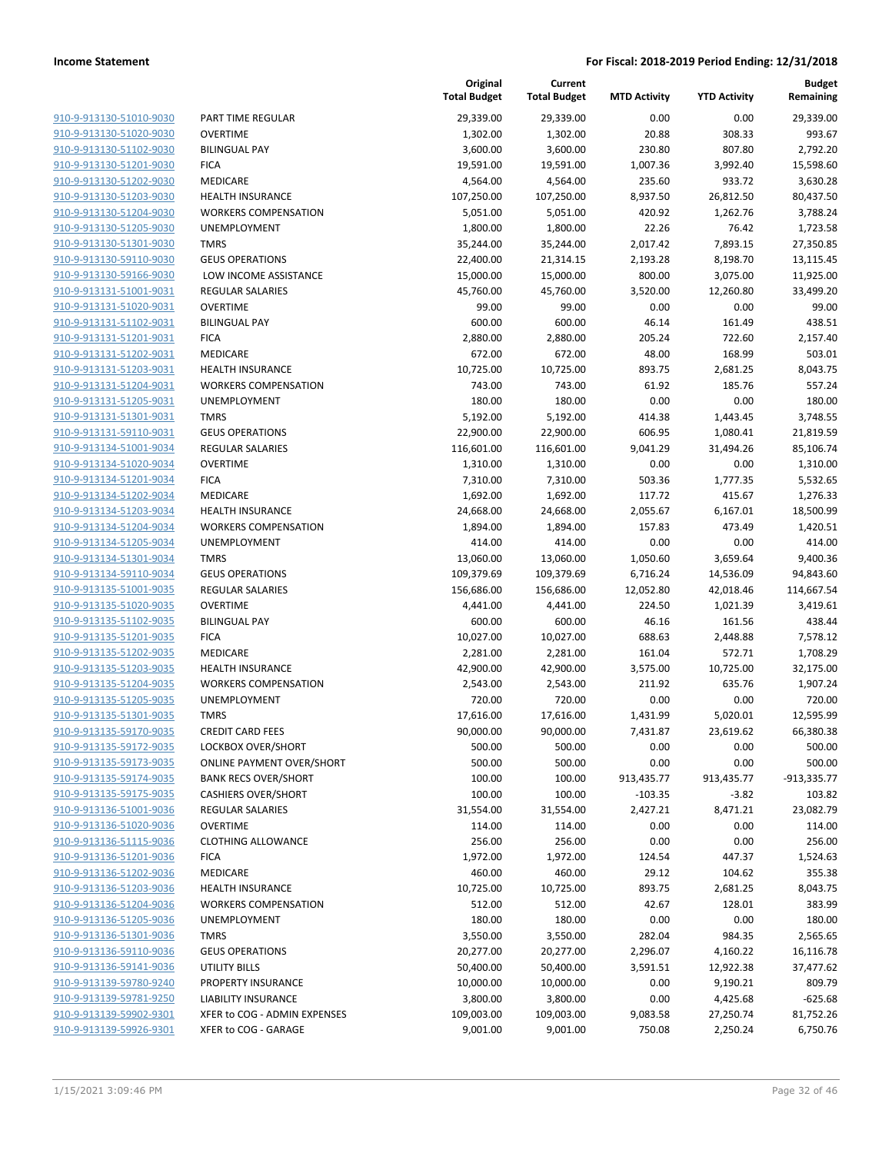| <u>910-9-913130-51010-9030</u>                            |
|-----------------------------------------------------------|
| 910-9-913130-51020-9030                                   |
| 910-9-913130-51102-9030                                   |
| 910-9-913130-51201-9030                                   |
| 910-9-913130-51202-9030                                   |
| 910-9-913130-51203-9030                                   |
| 910-9-913130-51204-9030                                   |
| 910-9-913130-51205-9030                                   |
| 910-9-913130-51301-9030                                   |
| 910-9-913130-59110-9030                                   |
| 910-9-913130-59166-9030                                   |
| 910-9-913131-51001-9031                                   |
| 910-9-913131-51020-9031                                   |
| 910-9-913131-51102-9031                                   |
| 910-9-913131-51201-9031                                   |
| <u>910-9-913131-51202-9031</u>                            |
|                                                           |
| <u>910-9-913131-51203-9031</u>                            |
| 910-9-913131-51204-9031                                   |
| 910-9-913131-51205-9031                                   |
| 910-9-913131-51301-9031                                   |
| <u>910-9-913131-59110-9031</u>                            |
| 910-9-913134-51001-9034                                   |
| 910-9-913134-51020-9034                                   |
| 910-9-913134-51201-9034                                   |
| 910-9-913134-51202-9034                                   |
| <u>910-9-913134-51203-9034</u>                            |
| 910-9-913134-51204-9034                                   |
| 910-9-913134-51205-9034                                   |
| 910-9-913134-51301-9034                                   |
| 910-9-913134-59110-9034                                   |
| 910-9-913135-51001-9035                                   |
| 910-9-913135-51020-9035                                   |
| 910-9-913135-51102-9035                                   |
| 910-9-913135-51201-9035                                   |
| 910-9-913135-51202-9035                                   |
| <u>910-9-913135-51203-9035</u>                            |
| 910-9-913135-51204-9035                                   |
| 910-9-913135-51205-9035                                   |
| 910-9-913135-51301-9035                                   |
| 910-9-913135-59170-9035                                   |
| 910-9-913135-59172-9035                                   |
| <u>910-9-913135-59173-9035</u>                            |
|                                                           |
| <u>910-9-913135-59174-9035</u>                            |
| 910-9-913135-59175-9035                                   |
| <u>910-9-913136-51001-9036</u>                            |
| 910-9-913136-51020-9036                                   |
| <u>910-9-913136-51115-9036</u>                            |
| <u>910-9-913136-51201-9036</u>                            |
| 910-9-913136-51202-9036                                   |
| <u>910-9-913136-51203-9036</u>                            |
| <u>910-9-913136-51204-9036</u>                            |
| <u>910-9-913136-51205-9036</u>                            |
| <u>910-9-913136-51301-9036</u>                            |
| 910-9-913136-59110-9036                                   |
| <u>910-9-913136-59141-9036</u>                            |
| <u>910-9-913139-59780-9240</u>                            |
| <u>910-9-913139-59781-9250</u>                            |
|                                                           |
|                                                           |
| <u>910-9-913139-59902-9301</u><br>910-9-913139-59926-9301 |

|                         |                                  | Original<br><b>Total Budget</b> | Current<br><b>Total Budget</b> | <b>MTD Activity</b> | <b>YTD Activity</b> | <b>Budget</b><br>Remaining |
|-------------------------|----------------------------------|---------------------------------|--------------------------------|---------------------|---------------------|----------------------------|
| 910-9-913130-51010-9030 | PART TIME REGULAR                | 29,339.00                       | 29,339.00                      | 0.00                | 0.00                | 29,339.00                  |
| 910-9-913130-51020-9030 | <b>OVERTIME</b>                  | 1,302.00                        | 1,302.00                       | 20.88               | 308.33              | 993.67                     |
| 910-9-913130-51102-9030 | <b>BILINGUAL PAY</b>             | 3,600.00                        | 3,600.00                       | 230.80              | 807.80              | 2,792.20                   |
| 910-9-913130-51201-9030 | <b>FICA</b>                      | 19,591.00                       | 19,591.00                      | 1,007.36            | 3,992.40            | 15,598.60                  |
| 910-9-913130-51202-9030 | MEDICARE                         | 4,564.00                        | 4,564.00                       | 235.60              | 933.72              | 3,630.28                   |
| 910-9-913130-51203-9030 | <b>HEALTH INSURANCE</b>          | 107,250.00                      | 107,250.00                     | 8,937.50            | 26,812.50           | 80,437.50                  |
| 910-9-913130-51204-9030 | <b>WORKERS COMPENSATION</b>      | 5,051.00                        | 5,051.00                       | 420.92              | 1,262.76            | 3,788.24                   |
| 910-9-913130-51205-9030 | <b>UNEMPLOYMENT</b>              | 1,800.00                        | 1,800.00                       | 22.26               | 76.42               | 1,723.58                   |
| 910-9-913130-51301-9030 | <b>TMRS</b>                      | 35,244.00                       | 35,244.00                      | 2,017.42            | 7,893.15            | 27,350.85                  |
| 910-9-913130-59110-9030 | <b>GEUS OPERATIONS</b>           | 22,400.00                       | 21,314.15                      | 2,193.28            | 8,198.70            | 13,115.45                  |
| 910-9-913130-59166-9030 | LOW INCOME ASSISTANCE            | 15,000.00                       | 15,000.00                      | 800.00              | 3,075.00            | 11,925.00                  |
| 910-9-913131-51001-9031 | <b>REGULAR SALARIES</b>          | 45,760.00                       | 45,760.00                      | 3,520.00            | 12,260.80           | 33,499.20                  |
| 910-9-913131-51020-9031 | <b>OVERTIME</b>                  | 99.00                           | 99.00                          | 0.00                | 0.00                | 99.00                      |
| 910-9-913131-51102-9031 | <b>BILINGUAL PAY</b>             | 600.00                          | 600.00                         | 46.14               | 161.49              | 438.51                     |
| 910-9-913131-51201-9031 | <b>FICA</b>                      | 2,880.00                        | 2,880.00                       | 205.24              | 722.60              | 2,157.40                   |
| 910-9-913131-51202-9031 | MEDICARE                         | 672.00                          | 672.00                         | 48.00               | 168.99              | 503.01                     |
| 910-9-913131-51203-9031 | <b>HEALTH INSURANCE</b>          | 10,725.00                       | 10,725.00                      | 893.75              | 2,681.25            | 8,043.75                   |
| 910-9-913131-51204-9031 | <b>WORKERS COMPENSATION</b>      | 743.00                          | 743.00                         | 61.92               | 185.76              | 557.24                     |
| 910-9-913131-51205-9031 | <b>UNEMPLOYMENT</b>              | 180.00                          | 180.00                         | 0.00                | 0.00                | 180.00                     |
| 910-9-913131-51301-9031 | <b>TMRS</b>                      | 5,192.00                        | 5,192.00                       | 414.38              | 1,443.45            | 3,748.55                   |
| 910-9-913131-59110-9031 | <b>GEUS OPERATIONS</b>           | 22,900.00                       | 22,900.00                      | 606.95              | 1,080.41            | 21,819.59                  |
| 910-9-913134-51001-9034 | <b>REGULAR SALARIES</b>          | 116,601.00                      | 116,601.00                     | 9,041.29            | 31,494.26           | 85,106.74                  |
| 910-9-913134-51020-9034 | <b>OVERTIME</b>                  | 1,310.00                        | 1,310.00                       | 0.00                | 0.00                | 1,310.00                   |
| 910-9-913134-51201-9034 | <b>FICA</b>                      | 7,310.00                        | 7,310.00                       | 503.36              | 1,777.35            | 5,532.65                   |
| 910-9-913134-51202-9034 | MEDICARE                         | 1,692.00                        | 1,692.00                       | 117.72              | 415.67              | 1,276.33                   |
| 910-9-913134-51203-9034 | <b>HEALTH INSURANCE</b>          | 24,668.00                       | 24,668.00                      | 2,055.67            | 6,167.01            | 18,500.99                  |
| 910-9-913134-51204-9034 | <b>WORKERS COMPENSATION</b>      | 1,894.00                        | 1,894.00                       | 157.83              | 473.49              | 1,420.51                   |
| 910-9-913134-51205-9034 | <b>UNEMPLOYMENT</b>              | 414.00                          | 414.00                         | 0.00                | 0.00                | 414.00                     |
| 910-9-913134-51301-9034 | <b>TMRS</b>                      | 13,060.00                       | 13,060.00                      | 1,050.60            | 3,659.64            | 9,400.36                   |
| 910-9-913134-59110-9034 | <b>GEUS OPERATIONS</b>           | 109,379.69                      | 109,379.69                     | 6,716.24            | 14,536.09           | 94,843.60                  |
| 910-9-913135-51001-9035 | REGULAR SALARIES                 | 156,686.00                      | 156,686.00                     | 12,052.80           | 42,018.46           | 114,667.54                 |
| 910-9-913135-51020-9035 | <b>OVERTIME</b>                  | 4,441.00                        | 4,441.00                       | 224.50              | 1,021.39            | 3,419.61                   |
| 910-9-913135-51102-9035 | <b>BILINGUAL PAY</b>             | 600.00                          | 600.00                         | 46.16               | 161.56              | 438.44                     |
| 910-9-913135-51201-9035 | <b>FICA</b>                      | 10,027.00                       | 10,027.00                      | 688.63              | 2,448.88            | 7,578.12                   |
| 910-9-913135-51202-9035 | MEDICARE                         | 2,281.00                        | 2,281.00                       | 161.04              | 572.71              | 1,708.29                   |
| 910-9-913135-51203-9035 | HEALTH INSURANCE                 | 42,900.00                       | 42,900.00                      | 3,575.00            | 10,725.00           | 32,175.00                  |
| 910-9-913135-51204-9035 | <b>WORKERS COMPENSATION</b>      | 2,543.00                        | 2,543.00                       | 211.92              | 635.76              | 1,907.24                   |
| 910-9-913135-51205-9035 | UNEMPLOYMENT                     | 720.00                          | 720.00                         | 0.00                | 0.00                | 720.00                     |
| 910-9-913135-51301-9035 | <b>TMRS</b>                      | 17,616.00                       | 17,616.00                      | 1,431.99            | 5,020.01            | 12,595.99                  |
| 910-9-913135-59170-9035 | <b>CREDIT CARD FEES</b>          | 90,000.00                       | 90,000.00                      | 7,431.87            | 23,619.62           | 66,380.38                  |
| 910-9-913135-59172-9035 | LOCKBOX OVER/SHORT               | 500.00                          | 500.00                         | 0.00                | 0.00                | 500.00                     |
| 910-9-913135-59173-9035 | <b>ONLINE PAYMENT OVER/SHORT</b> | 500.00                          | 500.00                         | 0.00                | 0.00                | 500.00                     |
| 910-9-913135-59174-9035 | <b>BANK RECS OVER/SHORT</b>      | 100.00                          | 100.00                         | 913,435.77          | 913,435.77          | -913,335.77                |
| 910-9-913135-59175-9035 | <b>CASHIERS OVER/SHORT</b>       | 100.00                          | 100.00                         | $-103.35$           | $-3.82$             | 103.82                     |
| 910-9-913136-51001-9036 | REGULAR SALARIES                 | 31,554.00                       | 31,554.00                      | 2,427.21            | 8,471.21            | 23,082.79                  |
| 910-9-913136-51020-9036 | <b>OVERTIME</b>                  | 114.00                          | 114.00                         | 0.00                | 0.00                | 114.00                     |
| 910-9-913136-51115-9036 | <b>CLOTHING ALLOWANCE</b>        | 256.00                          | 256.00                         | 0.00                | 0.00                | 256.00                     |
| 910-9-913136-51201-9036 | <b>FICA</b>                      | 1,972.00                        | 1,972.00                       | 124.54              | 447.37              | 1,524.63                   |
| 910-9-913136-51202-9036 | <b>MEDICARE</b>                  | 460.00                          | 460.00                         | 29.12               | 104.62              | 355.38                     |
| 910-9-913136-51203-9036 | <b>HEALTH INSURANCE</b>          | 10,725.00                       | 10,725.00                      | 893.75              | 2,681.25            | 8,043.75                   |
| 910-9-913136-51204-9036 | <b>WORKERS COMPENSATION</b>      | 512.00                          | 512.00                         | 42.67               | 128.01              | 383.99                     |
| 910-9-913136-51205-9036 | UNEMPLOYMENT                     | 180.00                          | 180.00                         | 0.00                | 0.00                | 180.00                     |
| 910-9-913136-51301-9036 | <b>TMRS</b>                      | 3,550.00                        | 3,550.00                       | 282.04              | 984.35              | 2,565.65                   |
| 910-9-913136-59110-9036 | <b>GEUS OPERATIONS</b>           | 20,277.00                       | 20,277.00                      | 2,296.07            | 4,160.22            | 16,116.78                  |
| 910-9-913136-59141-9036 | UTILITY BILLS                    | 50,400.00                       | 50,400.00                      | 3,591.51            | 12,922.38           | 37,477.62                  |
| 910-9-913139-59780-9240 | PROPERTY INSURANCE               | 10,000.00                       | 10,000.00                      | 0.00                | 9,190.21            | 809.79                     |
| 910-9-913139-59781-9250 | LIABILITY INSURANCE              | 3,800.00                        | 3,800.00                       | 0.00                | 4,425.68            | $-625.68$                  |
| 910-9-913139-59902-9301 | XFER to COG - ADMIN EXPENSES     | 109,003.00                      | 109,003.00                     | 9,083.58            | 27,250.74           | 81,752.26                  |
| 910-9-913139-59926-9301 | XFER to COG - GARAGE             | 9,001.00                        | 9,001.00                       | 750.08              | 2,250.24            | 6,750.76                   |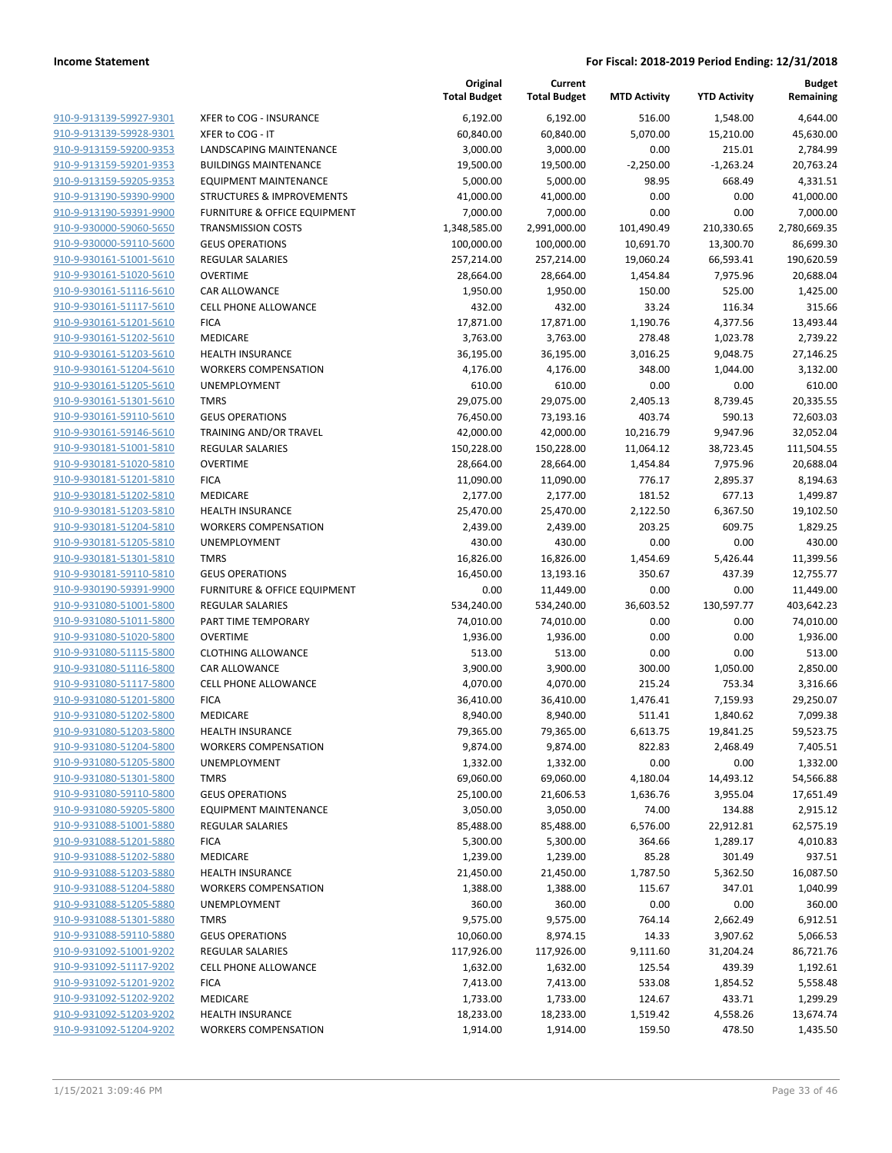|                                                    |                                         | Original<br><b>Total Budget</b> | Current<br><b>Total Budget</b> | <b>MTD Activity</b> | <b>YTD Activity</b>   | <b>Budget</b><br>Remaining |
|----------------------------------------------------|-----------------------------------------|---------------------------------|--------------------------------|---------------------|-----------------------|----------------------------|
| 910-9-913139-59927-9301                            | XFER to COG - INSURANCE                 | 6,192.00                        | 6,192.00                       | 516.00              | 1,548.00              | 4,644.00                   |
| 910-9-913139-59928-9301                            | XFER to COG - IT                        | 60,840.00                       | 60,840.00                      | 5,070.00            | 15,210.00             | 45,630.00                  |
| 910-9-913159-59200-9353                            | LANDSCAPING MAINTENANCE                 | 3,000.00                        | 3,000.00                       | 0.00                | 215.01                | 2,784.99                   |
| 910-9-913159-59201-9353                            | <b>BUILDINGS MAINTENANCE</b>            | 19,500.00                       | 19,500.00                      | $-2,250.00$         | $-1,263.24$           | 20,763.24                  |
| 910-9-913159-59205-9353                            | <b>EQUIPMENT MAINTENANCE</b>            | 5,000.00                        | 5,000.00                       | 98.95               | 668.49                | 4,331.51                   |
| 910-9-913190-59390-9900                            | <b>STRUCTURES &amp; IMPROVEMENTS</b>    | 41,000.00                       | 41,000.00                      | 0.00                | 0.00                  | 41,000.00                  |
| 910-9-913190-59391-9900                            | <b>FURNITURE &amp; OFFICE EQUIPMENT</b> | 7,000.00                        | 7,000.00                       | 0.00                | 0.00                  | 7,000.00                   |
| 910-9-930000-59060-5650                            | <b>TRANSMISSION COSTS</b>               | 1,348,585.00                    | 2,991,000.00                   | 101,490.49          | 210,330.65            | 2,780,669.35               |
| 910-9-930000-59110-5600                            | <b>GEUS OPERATIONS</b>                  | 100,000.00                      | 100,000.00                     | 10,691.70           | 13,300.70             | 86,699.30                  |
| 910-9-930161-51001-5610                            | <b>REGULAR SALARIES</b>                 | 257,214.00                      | 257,214.00                     | 19,060.24           | 66,593.41             | 190,620.59                 |
| 910-9-930161-51020-5610                            | <b>OVERTIME</b>                         | 28,664.00                       | 28,664.00                      | 1,454.84            | 7,975.96              | 20,688.04                  |
| 910-9-930161-51116-5610                            | CAR ALLOWANCE                           | 1,950.00                        | 1,950.00                       | 150.00              | 525.00                | 1,425.00                   |
| 910-9-930161-51117-5610                            | <b>CELL PHONE ALLOWANCE</b>             | 432.00                          | 432.00                         | 33.24               | 116.34                | 315.66                     |
| 910-9-930161-51201-5610                            | <b>FICA</b>                             | 17,871.00                       | 17,871.00                      | 1,190.76            | 4,377.56              | 13,493.44                  |
| 910-9-930161-51202-5610                            | MEDICARE                                | 3,763.00                        | 3,763.00                       | 278.48              | 1,023.78              | 2,739.22                   |
| 910-9-930161-51203-5610                            | <b>HEALTH INSURANCE</b>                 | 36,195.00                       | 36,195.00                      | 3,016.25            | 9,048.75              | 27,146.25                  |
| 910-9-930161-51204-5610                            | <b>WORKERS COMPENSATION</b>             | 4,176.00                        | 4,176.00                       | 348.00              | 1,044.00              | 3,132.00                   |
| 910-9-930161-51205-5610                            | UNEMPLOYMENT                            | 610.00                          | 610.00                         | 0.00                | 0.00                  | 610.00                     |
| 910-9-930161-51301-5610                            | <b>TMRS</b>                             | 29,075.00                       | 29,075.00                      | 2,405.13            | 8,739.45              | 20,335.55                  |
| 910-9-930161-59110-5610                            | <b>GEUS OPERATIONS</b>                  | 76,450.00                       | 73,193.16                      | 403.74              | 590.13                | 72,603.03                  |
| 910-9-930161-59146-5610                            | TRAINING AND/OR TRAVEL                  | 42,000.00                       | 42,000.00                      | 10,216.79           | 9,947.96              | 32,052.04                  |
| 910-9-930181-51001-5810                            | <b>REGULAR SALARIES</b>                 | 150,228.00                      | 150,228.00                     | 11,064.12           | 38,723.45             | 111,504.55                 |
| 910-9-930181-51020-5810                            | <b>OVERTIME</b>                         | 28,664.00                       | 28,664.00                      | 1,454.84            | 7,975.96              | 20,688.04                  |
| 910-9-930181-51201-5810                            | <b>FICA</b>                             | 11,090.00                       | 11,090.00                      | 776.17              | 2,895.37              | 8,194.63                   |
| 910-9-930181-51202-5810                            | MEDICARE                                | 2,177.00                        | 2,177.00                       | 181.52              | 677.13                | 1,499.87                   |
| 910-9-930181-51203-5810                            | <b>HEALTH INSURANCE</b>                 | 25,470.00                       | 25,470.00                      | 2,122.50            | 6,367.50              | 19,102.50                  |
| 910-9-930181-51204-5810                            | <b>WORKERS COMPENSATION</b>             | 2,439.00                        | 2,439.00                       | 203.25              | 609.75                | 1,829.25                   |
| 910-9-930181-51205-5810                            | UNEMPLOYMENT                            | 430.00                          | 430.00                         | 0.00                | 0.00                  | 430.00                     |
| 910-9-930181-51301-5810                            | <b>TMRS</b>                             | 16,826.00                       | 16,826.00                      | 1,454.69            | 5,426.44              | 11,399.56                  |
| 910-9-930181-59110-5810                            | <b>GEUS OPERATIONS</b>                  | 16,450.00                       | 13,193.16                      | 350.67              | 437.39                | 12,755.77                  |
| 910-9-930190-59391-9900                            | FURNITURE & OFFICE EQUIPMENT            | 0.00                            | 11,449.00                      | 0.00                | 0.00                  | 11,449.00                  |
| 910-9-931080-51001-5800                            | <b>REGULAR SALARIES</b>                 | 534,240.00                      | 534,240.00                     | 36,603.52           | 130,597.77            | 403,642.23                 |
| 910-9-931080-51011-5800                            | PART TIME TEMPORARY                     | 74,010.00                       | 74,010.00                      | 0.00                | 0.00                  | 74,010.00                  |
| 910-9-931080-51020-5800                            | <b>OVERTIME</b>                         | 1,936.00                        | 1,936.00                       | 0.00                | 0.00                  | 1,936.00                   |
| 910-9-931080-51115-5800                            | <b>CLOTHING ALLOWANCE</b>               | 513.00                          | 513.00                         | 0.00                | 0.00                  | 513.00                     |
| 910-9-931080-51116-5800<br>910-9-931080-51117-5800 | CAR ALLOWANCE                           | 3,900.00                        | 3,900.00                       | 300.00              | 1,050.00              | 2,850.00                   |
|                                                    | <b>CELL PHONE ALLOWANCE</b>             | 4,070.00                        | 4,070.00<br>36,410.00          | 215.24              | 753.34                | 3,316.66                   |
| 910-9-931080-51201-5800<br>910-9-931080-51202-5800 | <b>FICA</b><br><b>MEDICARE</b>          | 36,410.00                       |                                | 1,476.41            | 7,159.93              | 29,250.07                  |
| 910-9-931080-51203-5800                            | <b>HEALTH INSURANCE</b>                 | 8,940.00<br>79,365.00           | 8,940.00<br>79,365.00          | 511.41<br>6,613.75  | 1,840.62<br>19,841.25 | 7,099.38<br>59,523.75      |
| 910-9-931080-51204-5800                            | <b>WORKERS COMPENSATION</b>             | 9,874.00                        | 9,874.00                       | 822.83              | 2,468.49              | 7,405.51                   |
| 910-9-931080-51205-5800                            | <b>UNEMPLOYMENT</b>                     | 1,332.00                        | 1,332.00                       | 0.00                | 0.00                  | 1,332.00                   |
| 910-9-931080-51301-5800                            | <b>TMRS</b>                             | 69,060.00                       | 69,060.00                      | 4,180.04            | 14,493.12             | 54,566.88                  |
| 910-9-931080-59110-5800                            | <b>GEUS OPERATIONS</b>                  | 25,100.00                       | 21,606.53                      | 1,636.76            | 3,955.04              | 17,651.49                  |
| 910-9-931080-59205-5800                            | <b>EQUIPMENT MAINTENANCE</b>            | 3,050.00                        | 3,050.00                       | 74.00               | 134.88                | 2,915.12                   |
| 910-9-931088-51001-5880                            | <b>REGULAR SALARIES</b>                 | 85,488.00                       | 85,488.00                      | 6,576.00            | 22,912.81             | 62,575.19                  |
| 910-9-931088-51201-5880                            | <b>FICA</b>                             | 5,300.00                        | 5,300.00                       | 364.66              | 1,289.17              | 4,010.83                   |
| 910-9-931088-51202-5880                            | MEDICARE                                | 1,239.00                        | 1,239.00                       | 85.28               | 301.49                | 937.51                     |
| 910-9-931088-51203-5880                            | <b>HEALTH INSURANCE</b>                 | 21,450.00                       | 21,450.00                      | 1,787.50            | 5,362.50              | 16,087.50                  |
| 910-9-931088-51204-5880                            | <b>WORKERS COMPENSATION</b>             | 1,388.00                        | 1,388.00                       | 115.67              | 347.01                | 1,040.99                   |
| 910-9-931088-51205-5880                            | UNEMPLOYMENT                            | 360.00                          | 360.00                         | 0.00                | 0.00                  | 360.00                     |
| 910-9-931088-51301-5880                            | <b>TMRS</b>                             | 9,575.00                        | 9,575.00                       | 764.14              | 2,662.49              | 6,912.51                   |
| 910-9-931088-59110-5880                            | <b>GEUS OPERATIONS</b>                  | 10,060.00                       | 8,974.15                       | 14.33               | 3,907.62              | 5,066.53                   |
| 910-9-931092-51001-9202                            | <b>REGULAR SALARIES</b>                 | 117,926.00                      | 117,926.00                     | 9,111.60            | 31,204.24             | 86,721.76                  |
| 910-9-931092-51117-9202                            | <b>CELL PHONE ALLOWANCE</b>             | 1,632.00                        | 1,632.00                       | 125.54              | 439.39                | 1,192.61                   |
| 910-9-931092-51201-9202                            | <b>FICA</b>                             | 7,413.00                        | 7,413.00                       | 533.08              | 1,854.52              | 5,558.48                   |
| 910-9-931092-51202-9202                            | MEDICARE                                | 1,733.00                        | 1,733.00                       | 124.67              | 433.71                | 1,299.29                   |
| 910-9-931092-51203-9202                            | <b>HEALTH INSURANCE</b>                 | 18,233.00                       | 18,233.00                      | 1,519.42            | 4,558.26              | 13,674.74                  |
| 910-9-931092-51204-9202                            | <b>WORKERS COMPENSATION</b>             | 1,914.00                        | 1,914.00                       | 159.50              | 478.50                | 1,435.50                   |
|                                                    |                                         |                                 |                                |                     |                       |                            |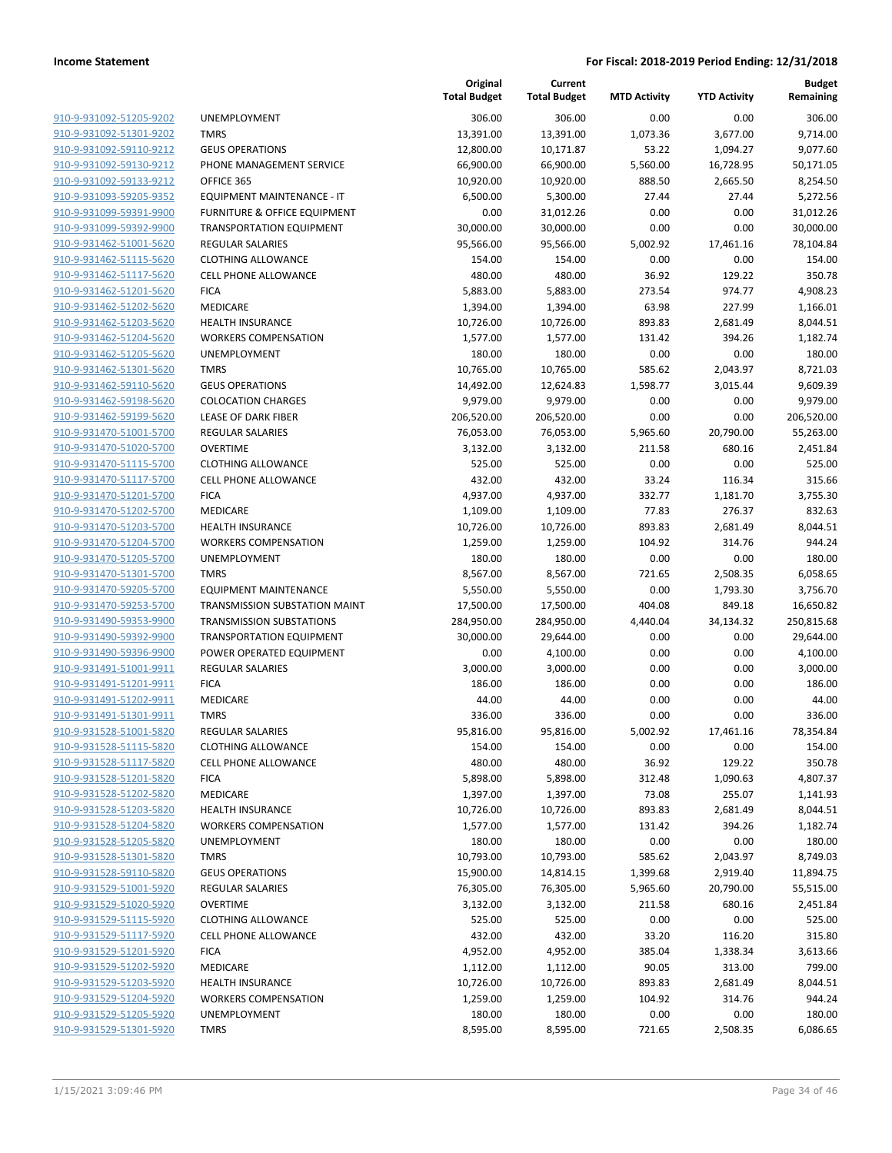|                                                    |                                                        | Original<br><b>Total Budget</b> | Current<br><b>Total Budget</b> | <b>MTD Activity</b> | <b>YTD Activity</b> | <b>Budget</b><br>Remaining |
|----------------------------------------------------|--------------------------------------------------------|---------------------------------|--------------------------------|---------------------|---------------------|----------------------------|
| 910-9-931092-51205-9202                            | UNEMPLOYMENT                                           | 306.00                          | 306.00                         | 0.00                | 0.00                | 306.00                     |
| 910-9-931092-51301-9202                            | <b>TMRS</b>                                            | 13,391.00                       | 13,391.00                      | 1,073.36            | 3,677.00            | 9,714.00                   |
| 910-9-931092-59110-9212                            | <b>GEUS OPERATIONS</b>                                 | 12,800.00                       | 10,171.87                      | 53.22               | 1,094.27            | 9,077.60                   |
| 910-9-931092-59130-9212                            | PHONE MANAGEMENT SERVICE                               | 66,900.00                       | 66,900.00                      | 5,560.00            | 16,728.95           | 50,171.05                  |
| 910-9-931092-59133-9212                            | OFFICE 365                                             | 10,920.00                       | 10,920.00                      | 888.50              | 2,665.50            | 8,254.50                   |
| 910-9-931093-59205-9352                            | EQUIPMENT MAINTENANCE - IT                             | 6,500.00                        | 5,300.00                       | 27.44               | 27.44               | 5,272.56                   |
| 910-9-931099-59391-9900                            | FURNITURE & OFFICE EQUIPMENT                           | 0.00                            | 31,012.26                      | 0.00                | 0.00                | 31,012.26                  |
| 910-9-931099-59392-9900                            | <b>TRANSPORTATION EQUIPMENT</b>                        | 30,000.00                       | 30,000.00                      | 0.00                | 0.00                | 30,000.00                  |
| 910-9-931462-51001-5620                            | <b>REGULAR SALARIES</b>                                | 95,566.00                       | 95,566.00                      | 5,002.92            | 17,461.16           | 78,104.84                  |
| 910-9-931462-51115-5620                            | <b>CLOTHING ALLOWANCE</b>                              | 154.00                          | 154.00                         | 0.00                | 0.00                | 154.00                     |
| 910-9-931462-51117-5620                            | <b>CELL PHONE ALLOWANCE</b>                            | 480.00                          | 480.00                         | 36.92               | 129.22              | 350.78                     |
| 910-9-931462-51201-5620                            | <b>FICA</b>                                            | 5,883.00                        | 5,883.00                       | 273.54              | 974.77              | 4,908.23                   |
| 910-9-931462-51202-5620                            | MEDICARE                                               | 1,394.00                        | 1,394.00                       | 63.98               | 227.99              | 1,166.01                   |
| 910-9-931462-51203-5620                            | <b>HEALTH INSURANCE</b>                                | 10,726.00                       | 10,726.00                      | 893.83              | 2,681.49            | 8,044.51                   |
| 910-9-931462-51204-5620                            | <b>WORKERS COMPENSATION</b>                            | 1,577.00                        | 1,577.00                       | 131.42              | 394.26              | 1,182.74                   |
| 910-9-931462-51205-5620                            | <b>UNEMPLOYMENT</b>                                    | 180.00                          | 180.00                         | 0.00                | 0.00                | 180.00                     |
| 910-9-931462-51301-5620                            | <b>TMRS</b>                                            | 10,765.00                       | 10,765.00                      | 585.62              | 2,043.97            | 8,721.03                   |
| 910-9-931462-59110-5620                            | <b>GEUS OPERATIONS</b>                                 | 14,492.00                       | 12,624.83                      | 1,598.77            | 3,015.44            | 9,609.39                   |
| 910-9-931462-59198-5620                            | <b>COLOCATION CHARGES</b>                              | 9,979.00                        | 9,979.00                       | 0.00                | 0.00                | 9,979.00                   |
| 910-9-931462-59199-5620                            | <b>LEASE OF DARK FIBER</b>                             | 206,520.00                      | 206,520.00                     | 0.00                | 0.00                | 206,520.00                 |
| 910-9-931470-51001-5700                            | <b>REGULAR SALARIES</b>                                | 76,053.00                       | 76,053.00                      | 5,965.60            | 20,790.00           | 55,263.00                  |
| 910-9-931470-51020-5700                            | <b>OVERTIME</b>                                        | 3,132.00                        | 3,132.00                       | 211.58              | 680.16              | 2,451.84                   |
| 910-9-931470-51115-5700                            | <b>CLOTHING ALLOWANCE</b>                              | 525.00                          | 525.00                         | 0.00                | 0.00                | 525.00                     |
| 910-9-931470-51117-5700                            | <b>CELL PHONE ALLOWANCE</b>                            | 432.00                          | 432.00                         | 33.24               | 116.34              | 315.66                     |
| 910-9-931470-51201-5700                            | <b>FICA</b>                                            | 4,937.00                        | 4,937.00                       | 332.77              | 1,181.70            | 3,755.30                   |
| 910-9-931470-51202-5700                            | <b>MEDICARE</b>                                        | 1,109.00                        | 1,109.00                       | 77.83               | 276.37              | 832.63                     |
| 910-9-931470-51203-5700                            | <b>HEALTH INSURANCE</b>                                | 10,726.00                       | 10,726.00                      | 893.83              | 2,681.49            | 8,044.51                   |
| 910-9-931470-51204-5700                            | <b>WORKERS COMPENSATION</b>                            | 1,259.00                        | 1,259.00                       | 104.92              | 314.76              | 944.24                     |
| 910-9-931470-51205-5700                            | <b>UNEMPLOYMENT</b>                                    | 180.00                          | 180.00                         | 0.00                | 0.00                | 180.00                     |
| 910-9-931470-51301-5700                            | <b>TMRS</b>                                            | 8,567.00                        | 8,567.00                       | 721.65              | 2,508.35            | 6,058.65                   |
| 910-9-931470-59205-5700<br>910-9-931470-59253-5700 | EQUIPMENT MAINTENANCE<br>TRANSMISSION SUBSTATION MAINT | 5,550.00                        | 5,550.00                       | 0.00                | 1,793.30            | 3,756.70                   |
| 910-9-931490-59353-9900                            | <b>TRANSMISSION SUBSTATIONS</b>                        | 17,500.00                       | 17,500.00                      | 404.08              | 849.18              | 16,650.82                  |
| 910-9-931490-59392-9900                            | <b>TRANSPORTATION EQUIPMENT</b>                        | 284,950.00<br>30,000.00         | 284,950.00<br>29,644.00        | 4,440.04<br>0.00    | 34,134.32<br>0.00   | 250,815.68<br>29,644.00    |
| 910-9-931490-59396-9900                            | POWER OPERATED EQUIPMENT                               | 0.00                            | 4,100.00                       | 0.00                | 0.00                | 4,100.00                   |
| 910-9-931491-51001-9911                            | <b>REGULAR SALARIES</b>                                | 3,000.00                        | 3,000.00                       | 0.00                | 0.00                | 3,000.00                   |
| 910-9-931491-51201-9911                            | <b>FICA</b>                                            | 186.00                          | 186.00                         | 0.00                | 0.00                | 186.00                     |
| 910-9-931491-51202-9911                            | MEDICARE                                               | 44.00                           | 44.00                          | 0.00                | 0.00                | 44.00                      |
| 910-9-931491-51301-9911                            | <b>TMRS</b>                                            | 336.00                          | 336.00                         | 0.00                | 0.00                | 336.00                     |
| 910-9-931528-51001-5820                            | <b>REGULAR SALARIES</b>                                | 95,816.00                       | 95,816.00                      | 5,002.92            | 17,461.16           | 78,354.84                  |
| 910-9-931528-51115-5820                            | <b>CLOTHING ALLOWANCE</b>                              | 154.00                          | 154.00                         | 0.00                | 0.00                | 154.00                     |
| 910-9-931528-51117-5820                            | <b>CELL PHONE ALLOWANCE</b>                            | 480.00                          | 480.00                         | 36.92               | 129.22              | 350.78                     |
| 910-9-931528-51201-5820                            | <b>FICA</b>                                            | 5,898.00                        | 5,898.00                       | 312.48              | 1,090.63            | 4,807.37                   |
| 910-9-931528-51202-5820                            | MEDICARE                                               | 1,397.00                        | 1,397.00                       | 73.08               | 255.07              | 1,141.93                   |
| 910-9-931528-51203-5820                            | <b>HEALTH INSURANCE</b>                                | 10,726.00                       | 10,726.00                      | 893.83              | 2,681.49            | 8,044.51                   |
| 910-9-931528-51204-5820                            | <b>WORKERS COMPENSATION</b>                            | 1,577.00                        | 1,577.00                       | 131.42              | 394.26              | 1,182.74                   |
| 910-9-931528-51205-5820                            | <b>UNEMPLOYMENT</b>                                    | 180.00                          | 180.00                         | 0.00                | 0.00                | 180.00                     |
| 910-9-931528-51301-5820                            | <b>TMRS</b>                                            | 10,793.00                       | 10,793.00                      | 585.62              | 2,043.97            | 8,749.03                   |
| 910-9-931528-59110-5820                            | <b>GEUS OPERATIONS</b>                                 | 15,900.00                       | 14,814.15                      | 1,399.68            | 2,919.40            | 11,894.75                  |
| 910-9-931529-51001-5920                            | REGULAR SALARIES                                       | 76,305.00                       | 76,305.00                      | 5,965.60            | 20,790.00           | 55,515.00                  |
| 910-9-931529-51020-5920                            | <b>OVERTIME</b>                                        | 3,132.00                        | 3,132.00                       | 211.58              | 680.16              | 2,451.84                   |
| 910-9-931529-51115-5920                            | <b>CLOTHING ALLOWANCE</b>                              | 525.00                          | 525.00                         | 0.00                | 0.00                | 525.00                     |
| 910-9-931529-51117-5920                            | <b>CELL PHONE ALLOWANCE</b>                            | 432.00                          | 432.00                         | 33.20               | 116.20              | 315.80                     |
| 910-9-931529-51201-5920                            | <b>FICA</b>                                            | 4,952.00                        | 4,952.00                       | 385.04              | 1,338.34            | 3,613.66                   |
| 910-9-931529-51202-5920                            | MEDICARE                                               | 1,112.00                        | 1,112.00                       | 90.05               | 313.00              | 799.00                     |
| 910-9-931529-51203-5920                            | <b>HEALTH INSURANCE</b>                                | 10,726.00                       | 10,726.00                      | 893.83              | 2,681.49            | 8,044.51                   |
| 910-9-931529-51204-5920                            | <b>WORKERS COMPENSATION</b>                            | 1,259.00                        | 1,259.00                       | 104.92              | 314.76              | 944.24                     |
| 910-9-931529-51205-5920                            | <b>UNEMPLOYMENT</b>                                    | 180.00                          | 180.00                         | 0.00                | 0.00                | 180.00                     |
| 910-9-931529-51301-5920                            | <b>TMRS</b>                                            | 8,595.00                        | 8,595.00                       | 721.65              | 2,508.35            | 6,086.65                   |
|                                                    |                                                        |                                 |                                |                     |                     |                            |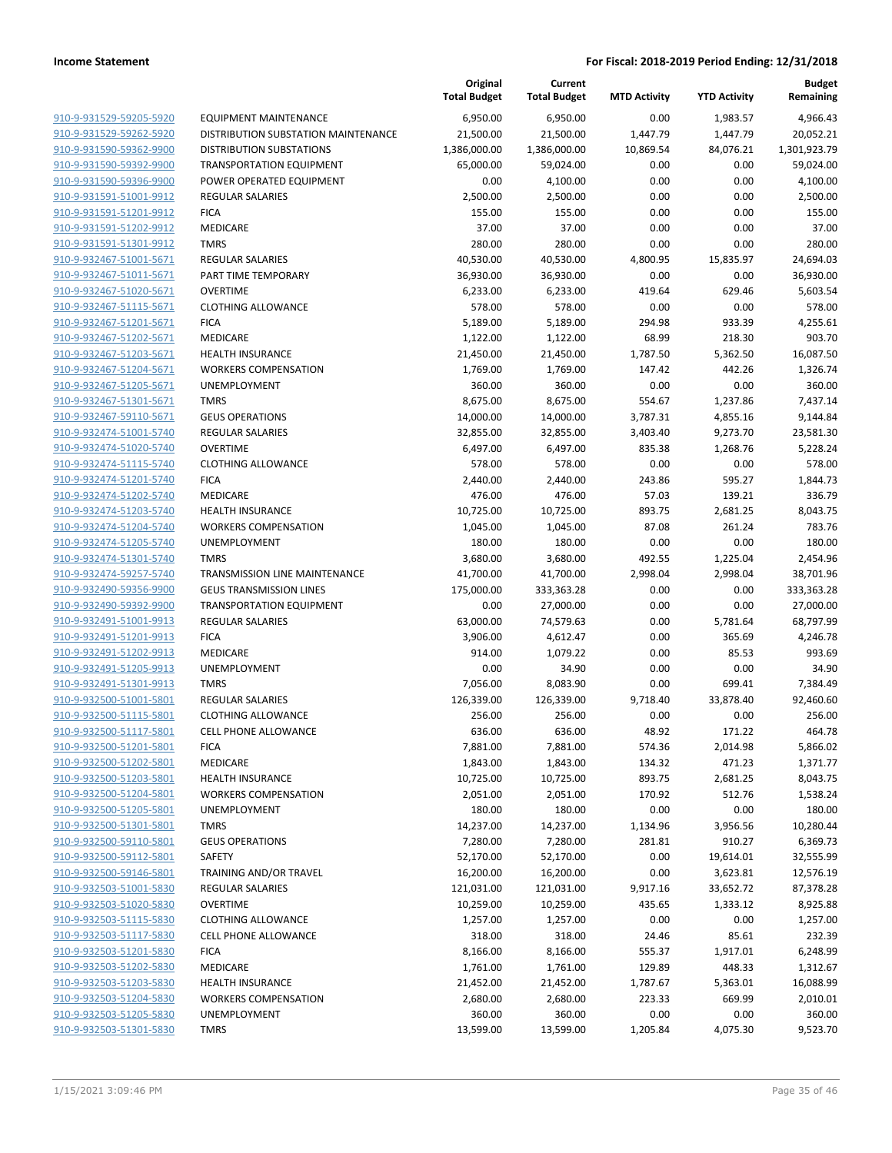|                                                    |                                            | Original<br><b>Total Budget</b> | Current<br><b>Total Budget</b> | <b>MTD Activity</b> | <b>YTD Activity</b> | <b>Budget</b><br>Remaining |
|----------------------------------------------------|--------------------------------------------|---------------------------------|--------------------------------|---------------------|---------------------|----------------------------|
| 910-9-931529-59205-5920                            | <b>EQUIPMENT MAINTENANCE</b>               | 6,950.00                        | 6,950.00                       | 0.00                | 1,983.57            | 4,966.43                   |
| 910-9-931529-59262-5920                            | DISTRIBUTION SUBSTATION MAINTENANCE        | 21,500.00                       | 21,500.00                      | 1,447.79            | 1,447.79            | 20,052.21                  |
| 910-9-931590-59362-9900                            | <b>DISTRIBUTION SUBSTATIONS</b>            | 1,386,000.00                    | 1,386,000.00                   | 10,869.54           | 84,076.21           | 1,301,923.79               |
| 910-9-931590-59392-9900                            | <b>TRANSPORTATION EQUIPMENT</b>            | 65,000.00                       | 59,024.00                      | 0.00                | 0.00                | 59,024.00                  |
| 910-9-931590-59396-9900                            | POWER OPERATED EQUIPMENT                   | 0.00                            | 4,100.00                       | 0.00                | 0.00                | 4,100.00                   |
| 910-9-931591-51001-9912                            | <b>REGULAR SALARIES</b>                    | 2,500.00                        | 2,500.00                       | 0.00                | 0.00                | 2,500.00                   |
| 910-9-931591-51201-9912                            | <b>FICA</b>                                | 155.00                          | 155.00                         | 0.00                | 0.00                | 155.00                     |
| 910-9-931591-51202-9912                            | MEDICARE                                   | 37.00                           | 37.00                          | 0.00                | 0.00                | 37.00                      |
| 910-9-931591-51301-9912                            | <b>TMRS</b>                                | 280.00                          | 280.00                         | 0.00                | 0.00                | 280.00                     |
| 910-9-932467-51001-5671                            | <b>REGULAR SALARIES</b>                    | 40,530.00                       | 40,530.00                      | 4,800.95            | 15,835.97           | 24,694.03                  |
| 910-9-932467-51011-5671                            | PART TIME TEMPORARY                        | 36,930.00                       | 36,930.00                      | 0.00                | 0.00                | 36,930.00                  |
| 910-9-932467-51020-5671                            | <b>OVERTIME</b>                            | 6,233.00                        | 6,233.00                       | 419.64              | 629.46              | 5,603.54                   |
| 910-9-932467-51115-5671                            | <b>CLOTHING ALLOWANCE</b>                  | 578.00                          | 578.00                         | 0.00                | 0.00                | 578.00                     |
| 910-9-932467-51201-5671                            | <b>FICA</b>                                | 5,189.00                        | 5,189.00                       | 294.98              | 933.39              | 4,255.61                   |
| 910-9-932467-51202-5671                            | MEDICARE                                   | 1,122.00                        | 1,122.00                       | 68.99               | 218.30              | 903.70                     |
| 910-9-932467-51203-5671                            | <b>HEALTH INSURANCE</b>                    | 21,450.00                       | 21,450.00                      | 1,787.50            | 5,362.50            | 16,087.50                  |
| 910-9-932467-51204-5671                            | <b>WORKERS COMPENSATION</b>                | 1,769.00                        | 1,769.00                       | 147.42              | 442.26              | 1,326.74                   |
| 910-9-932467-51205-5671                            | UNEMPLOYMENT                               | 360.00                          | 360.00                         | 0.00                | 0.00                | 360.00                     |
| 910-9-932467-51301-5671                            | <b>TMRS</b>                                | 8,675.00                        | 8,675.00                       | 554.67              | 1,237.86            | 7,437.14                   |
| 910-9-932467-59110-5671                            | <b>GEUS OPERATIONS</b>                     | 14,000.00                       | 14,000.00                      | 3,787.31            | 4,855.16            | 9,144.84                   |
| 910-9-932474-51001-5740                            | <b>REGULAR SALARIES</b>                    | 32,855.00                       | 32,855.00                      | 3,403.40            | 9,273.70            | 23,581.30                  |
| 910-9-932474-51020-5740                            | <b>OVERTIME</b>                            | 6,497.00                        | 6,497.00                       | 835.38              | 1,268.76            | 5,228.24                   |
| 910-9-932474-51115-5740                            | <b>CLOTHING ALLOWANCE</b>                  | 578.00                          | 578.00                         | 0.00                | 0.00                | 578.00                     |
| 910-9-932474-51201-5740                            | <b>FICA</b>                                | 2,440.00                        | 2,440.00                       | 243.86              | 595.27              | 1,844.73                   |
| 910-9-932474-51202-5740                            | MEDICARE                                   | 476.00                          | 476.00                         | 57.03               | 139.21              | 336.79                     |
| 910-9-932474-51203-5740                            | <b>HEALTH INSURANCE</b>                    | 10,725.00                       | 10,725.00                      | 893.75              | 2,681.25            | 8,043.75                   |
| 910-9-932474-51204-5740                            | <b>WORKERS COMPENSATION</b>                | 1,045.00                        | 1,045.00                       | 87.08               | 261.24              | 783.76                     |
| 910-9-932474-51205-5740                            | UNEMPLOYMENT                               | 180.00                          | 180.00                         | 0.00                | 0.00                | 180.00                     |
| 910-9-932474-51301-5740                            | <b>TMRS</b>                                | 3,680.00                        | 3,680.00                       | 492.55              | 1,225.04            | 2,454.96                   |
| 910-9-932474-59257-5740                            | TRANSMISSION LINE MAINTENANCE              | 41,700.00                       | 41,700.00                      | 2,998.04            | 2,998.04            | 38,701.96                  |
| 910-9-932490-59356-9900                            | <b>GEUS TRANSMISSION LINES</b>             | 175,000.00                      | 333,363.28                     | 0.00                | 0.00                | 333,363.28                 |
| 910-9-932490-59392-9900                            | <b>TRANSPORTATION EQUIPMENT</b>            | 0.00                            | 27,000.00                      | 0.00                | 0.00                | 27,000.00                  |
| 910-9-932491-51001-9913                            | <b>REGULAR SALARIES</b>                    | 63,000.00                       | 74,579.63                      | 0.00                | 5,781.64            | 68,797.99                  |
| 910-9-932491-51201-9913                            | <b>FICA</b>                                | 3,906.00                        | 4,612.47                       | 0.00                | 365.69              | 4,246.78                   |
| 910-9-932491-51202-9913                            | MEDICARE<br><b>UNEMPLOYMENT</b>            | 914.00                          | 1,079.22                       | 0.00                | 85.53               | 993.69                     |
| 910-9-932491-51205-9913                            |                                            | 0.00                            | 34.90                          | 0.00                | 0.00                | 34.90                      |
| 910-9-932491-51301-9913<br>910-9-932500-51001-5801 | <b>TMRS</b><br><b>REGULAR SALARIES</b>     | 7,056.00                        | 8,083.90<br>126,339.00         | 0.00                | 699.41<br>33,878.40 | 7,384.49                   |
| 910-9-932500-51115-5801                            | <b>CLOTHING ALLOWANCE</b>                  | 126,339.00<br>256.00            | 256.00                         | 9,718.40<br>0.00    | 0.00                | 92,460.60<br>256.00        |
| 910-9-932500-51117-5801                            |                                            | 636.00                          | 636.00                         | 48.92               | 171.22              |                            |
|                                                    | <b>CELL PHONE ALLOWANCE</b><br><b>FICA</b> |                                 |                                |                     |                     | 464.78                     |
| 910-9-932500-51201-5801<br>910-9-932500-51202-5801 | MEDICARE                                   | 7,881.00<br>1,843.00            | 7,881.00<br>1,843.00           | 574.36<br>134.32    | 2,014.98<br>471.23  | 5,866.02<br>1,371.77       |
| 910-9-932500-51203-5801                            | <b>HEALTH INSURANCE</b>                    | 10,725.00                       | 10,725.00                      | 893.75              | 2,681.25            | 8,043.75                   |
| 910-9-932500-51204-5801                            | <b>WORKERS COMPENSATION</b>                | 2,051.00                        | 2,051.00                       | 170.92              | 512.76              | 1,538.24                   |
| 910-9-932500-51205-5801                            | <b>UNEMPLOYMENT</b>                        | 180.00                          | 180.00                         | 0.00                | 0.00                | 180.00                     |
| 910-9-932500-51301-5801                            | <b>TMRS</b>                                | 14,237.00                       | 14,237.00                      | 1,134.96            | 3,956.56            | 10,280.44                  |
| 910-9-932500-59110-5801                            | <b>GEUS OPERATIONS</b>                     | 7,280.00                        | 7,280.00                       | 281.81              | 910.27              | 6,369.73                   |
| 910-9-932500-59112-5801                            | SAFETY                                     | 52,170.00                       | 52,170.00                      | 0.00                | 19,614.01           | 32,555.99                  |
| 910-9-932500-59146-5801                            | TRAINING AND/OR TRAVEL                     | 16,200.00                       | 16,200.00                      | 0.00                | 3,623.81            | 12,576.19                  |
| 910-9-932503-51001-5830                            | REGULAR SALARIES                           | 121,031.00                      | 121,031.00                     | 9,917.16            | 33,652.72           | 87,378.28                  |
| 910-9-932503-51020-5830                            | <b>OVERTIME</b>                            | 10,259.00                       | 10,259.00                      | 435.65              | 1,333.12            | 8,925.88                   |
| 910-9-932503-51115-5830                            | <b>CLOTHING ALLOWANCE</b>                  | 1,257.00                        | 1,257.00                       | 0.00                | 0.00                | 1,257.00                   |
| 910-9-932503-51117-5830                            | <b>CELL PHONE ALLOWANCE</b>                | 318.00                          | 318.00                         | 24.46               | 85.61               | 232.39                     |
| 910-9-932503-51201-5830                            | <b>FICA</b>                                | 8,166.00                        | 8,166.00                       | 555.37              | 1,917.01            | 6,248.99                   |
| 910-9-932503-51202-5830                            | MEDICARE                                   | 1,761.00                        | 1,761.00                       | 129.89              | 448.33              | 1,312.67                   |
| 910-9-932503-51203-5830                            | <b>HEALTH INSURANCE</b>                    | 21,452.00                       | 21,452.00                      | 1,787.67            | 5,363.01            | 16,088.99                  |
| 910-9-932503-51204-5830                            | <b>WORKERS COMPENSATION</b>                | 2,680.00                        | 2,680.00                       | 223.33              | 669.99              | 2,010.01                   |
| 910-9-932503-51205-5830                            | UNEMPLOYMENT                               | 360.00                          | 360.00                         | 0.00                | 0.00                | 360.00                     |
| 910-9-932503-51301-5830                            | <b>TMRS</b>                                | 13,599.00                       | 13,599.00                      | 1,205.84            | 4,075.30            | 9,523.70                   |
|                                                    |                                            |                                 |                                |                     |                     |                            |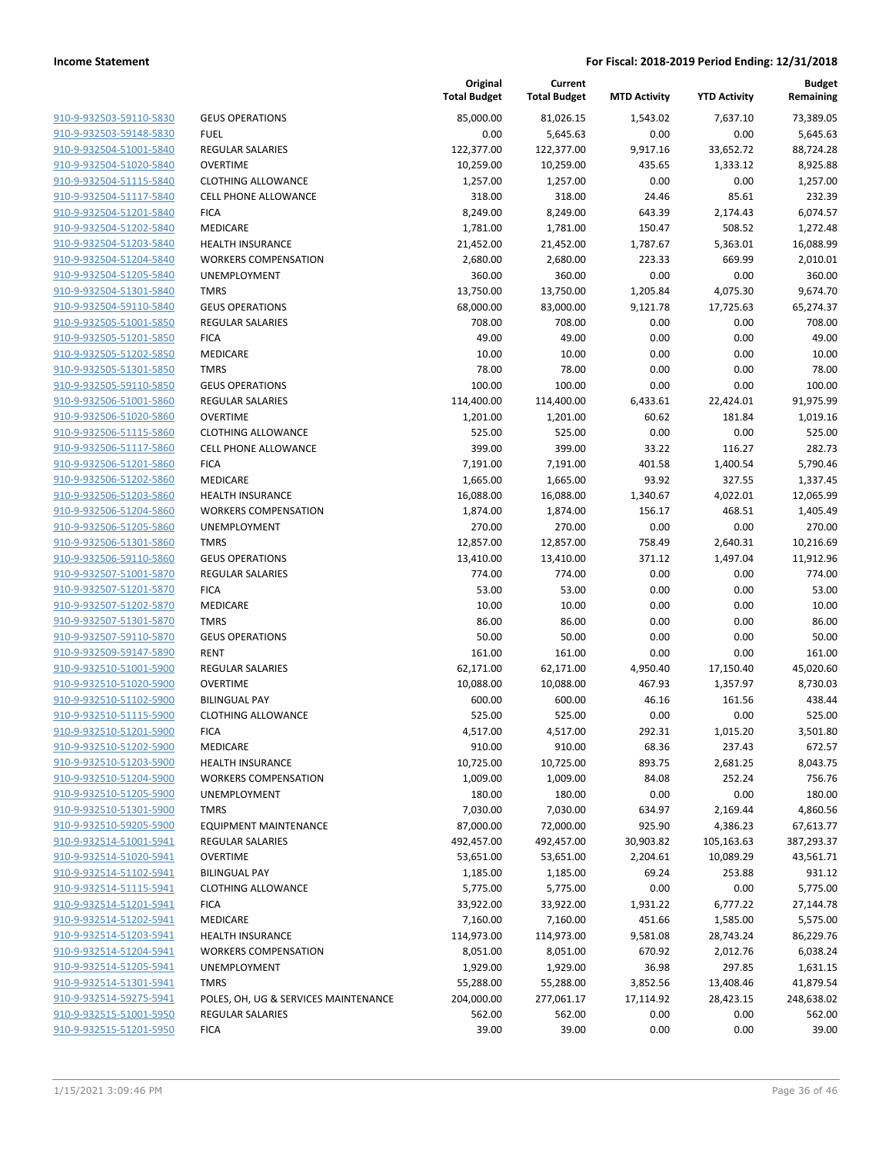| <u>910-9-932503-59110-5830</u>                     |
|----------------------------------------------------|
| 910-9-932503-59148-5830                            |
| 910-9-932504-51001-5840                            |
| 910-9-932504-51020-5840                            |
| 910-9-932504-51115-5840                            |
| 910-9-932504-51117-5840                            |
| 910-9-932504-51201-5840                            |
| 910-9-932504-51202-5840                            |
| 910-9-932504-51203-5840                            |
| 910-9-932504-51204-5840                            |
| 910-9-932504-51205-5840                            |
| 910-9-932504-51301-5840                            |
| 910-9-932504-59110-5840                            |
| 910-9-932505-51001-5850                            |
| 910-9-932505-51201-5850                            |
| 910-9-932505-51202-5850                            |
| 910-9-932505-51301-5850                            |
| 910-9-932505-59110-5850                            |
| 910-9-932506-51001-5860                            |
| 910-9-932506-51020-5860                            |
| 910-9-932506-51115-5860                            |
| 910-9-932506-51117-5860                            |
| 910-9-932506-51201-5860                            |
| 910-9-932506-51202-5860                            |
| 910-9-932506-51203-5860                            |
| 910-9-932506-51204-5860                            |
| 910-9-932506-51205-5860                            |
| 910-9-932506-51301-5860                            |
| 910-9-932506-59110-5860                            |
| 910-9-932507-51001-5870                            |
| 910-9-932507-51201-5870                            |
| 910-9-932507-51202-5870                            |
| 910-9-932507-51301-5870                            |
| 910-9-932507-59110-5870                            |
| 910-9-932509-59147-5890                            |
| 910-9-932510-51001-5900                            |
|                                                    |
| 910-9-932510-51020-5900                            |
| 910-9-932510-51102-5900<br>910-9-932510-51115-5900 |
|                                                    |
| 910-9-932510-51201-5900                            |
| 910-9-932510-51202-5900                            |
| 910-9-932510-51203-5900                            |
| 910-9-932510-51204-5900                            |
| 910-9-932510-51205-5900                            |
| 910-9-932510-51301-5900                            |
| 910-9-932510-59205-5900                            |
| 910-9-932514-51001-5941                            |
| 910-9-932514-51020-5941                            |
| 910-9-932514-51102-5941                            |
| 910-9-932514-51115-5941                            |
| 910-9-932514-51201-5941                            |
| 910-9-932514-51202-5941                            |
| 910-9-932514-51203-5941                            |
| 910-9-932514-51204-5941                            |
| 910-9-932514-51205-5941                            |
| 910-9-932514-51301-5941                            |
| 910-9-932514-59275-5941                            |
| 910-9-932515-51001-5950                            |
| 910-9-932515-51201-5950                            |
|                                                    |

|                         |                                      | Original<br><b>Total Budget</b> | Current<br><b>Total Budget</b> | <b>MTD Activity</b> | <b>YTD Activity</b> | <b>Budget</b><br>Remaining |
|-------------------------|--------------------------------------|---------------------------------|--------------------------------|---------------------|---------------------|----------------------------|
| 910-9-932503-59110-5830 | <b>GEUS OPERATIONS</b>               | 85,000.00                       | 81,026.15                      | 1.543.02            | 7.637.10            | 73,389.05                  |
| 910-9-932503-59148-5830 | <b>FUEL</b>                          | 0.00                            | 5,645.63                       | 0.00                | 0.00                | 5,645.63                   |
| 910-9-932504-51001-5840 | <b>REGULAR SALARIES</b>              | 122,377.00                      | 122,377.00                     | 9,917.16            | 33,652.72           | 88,724.28                  |
| 910-9-932504-51020-5840 | <b>OVERTIME</b>                      | 10,259.00                       | 10,259.00                      | 435.65              | 1,333.12            | 8,925.88                   |
| 910-9-932504-51115-5840 | <b>CLOTHING ALLOWANCE</b>            | 1,257.00                        | 1,257.00                       | 0.00                | 0.00                | 1,257.00                   |
| 910-9-932504-51117-5840 | <b>CELL PHONE ALLOWANCE</b>          | 318.00                          | 318.00                         | 24.46               | 85.61               | 232.39                     |
| 910-9-932504-51201-5840 | <b>FICA</b>                          | 8,249.00                        | 8,249.00                       | 643.39              | 2,174.43            | 6,074.57                   |
| 910-9-932504-51202-5840 | MEDICARE                             | 1,781.00                        | 1,781.00                       | 150.47              | 508.52              | 1,272.48                   |
| 910-9-932504-51203-5840 | <b>HEALTH INSURANCE</b>              | 21,452.00                       | 21,452.00                      | 1,787.67            | 5,363.01            | 16,088.99                  |
| 910-9-932504-51204-5840 | <b>WORKERS COMPENSATION</b>          | 2,680.00                        | 2,680.00                       | 223.33              | 669.99              | 2,010.01                   |
| 910-9-932504-51205-5840 | UNEMPLOYMENT                         | 360.00                          | 360.00                         | 0.00                | 0.00                | 360.00                     |
| 910-9-932504-51301-5840 | <b>TMRS</b>                          | 13,750.00                       | 13,750.00                      | 1,205.84            | 4,075.30            | 9,674.70                   |
| 910-9-932504-59110-5840 | <b>GEUS OPERATIONS</b>               | 68,000.00                       | 83,000.00                      | 9,121.78            | 17,725.63           | 65,274.37                  |
| 910-9-932505-51001-5850 | REGULAR SALARIES                     | 708.00                          | 708.00                         | 0.00                | 0.00                | 708.00                     |
| 910-9-932505-51201-5850 | <b>FICA</b>                          | 49.00                           | 49.00                          | 0.00                | 0.00                | 49.00                      |
| 910-9-932505-51202-5850 | MEDICARE                             | 10.00                           | 10.00                          | 0.00                | 0.00                | 10.00                      |
| 910-9-932505-51301-5850 | <b>TMRS</b>                          | 78.00                           | 78.00                          | 0.00                | 0.00                | 78.00                      |
| 910-9-932505-59110-5850 | <b>GEUS OPERATIONS</b>               | 100.00                          | 100.00                         | 0.00                | 0.00                | 100.00                     |
| 910-9-932506-51001-5860 | <b>REGULAR SALARIES</b>              | 114,400.00                      | 114,400.00                     | 6,433.61            | 22,424.01           | 91,975.99                  |
| 910-9-932506-51020-5860 | <b>OVERTIME</b>                      | 1,201.00                        | 1,201.00                       | 60.62               | 181.84              | 1,019.16                   |
| 910-9-932506-51115-5860 | <b>CLOTHING ALLOWANCE</b>            | 525.00                          | 525.00                         | 0.00                | 0.00                | 525.00                     |
| 910-9-932506-51117-5860 | <b>CELL PHONE ALLOWANCE</b>          | 399.00                          | 399.00                         | 33.22               | 116.27              | 282.73                     |
| 910-9-932506-51201-5860 | <b>FICA</b>                          | 7,191.00                        | 7,191.00                       | 401.58              | 1,400.54            | 5,790.46                   |
| 910-9-932506-51202-5860 | <b>MEDICARE</b>                      | 1,665.00                        | 1,665.00                       | 93.92               | 327.55              | 1,337.45                   |
| 910-9-932506-51203-5860 | <b>HEALTH INSURANCE</b>              | 16,088.00                       | 16,088.00                      | 1,340.67            | 4,022.01            | 12,065.99                  |
| 910-9-932506-51204-5860 | <b>WORKERS COMPENSATION</b>          | 1,874.00                        | 1,874.00                       | 156.17              | 468.51              | 1,405.49                   |
| 910-9-932506-51205-5860 | UNEMPLOYMENT                         | 270.00                          | 270.00                         | 0.00                | 0.00                | 270.00                     |
| 910-9-932506-51301-5860 | <b>TMRS</b>                          | 12,857.00                       | 12,857.00                      | 758.49              | 2,640.31            | 10,216.69                  |
| 910-9-932506-59110-5860 | <b>GEUS OPERATIONS</b>               | 13,410.00                       | 13,410.00                      | 371.12              | 1,497.04            | 11,912.96                  |
| 910-9-932507-51001-5870 | REGULAR SALARIES                     | 774.00                          | 774.00                         | 0.00                | 0.00                | 774.00                     |
| 910-9-932507-51201-5870 | <b>FICA</b>                          | 53.00                           | 53.00                          | 0.00                | 0.00                | 53.00                      |
| 910-9-932507-51202-5870 | <b>MEDICARE</b>                      | 10.00                           | 10.00                          | 0.00                | 0.00                | 10.00                      |
| 910-9-932507-51301-5870 | <b>TMRS</b>                          | 86.00                           | 86.00                          | 0.00                | 0.00                | 86.00                      |
| 910-9-932507-59110-5870 | <b>GEUS OPERATIONS</b>               | 50.00                           | 50.00                          | 0.00                | 0.00                | 50.00                      |
| 910-9-932509-59147-5890 | <b>RENT</b>                          | 161.00                          | 161.00                         | 0.00                | 0.00                | 161.00                     |
| 910-9-932510-51001-5900 | REGULAR SALARIES                     | 62,171.00                       | 62,171.00                      | 4,950.40            | 17,150.40           | 45,020.60                  |
| 910-9-932510-51020-5900 | <b>OVERTIME</b>                      | 10,088.00                       | 10,088.00                      | 467.93              | 1,357.97            | 8,730.03                   |
| 910-9-932510-51102-5900 | <b>BILINGUAL PAY</b>                 | 600.00                          | 600.00                         | 46.16               | 161.56              | 438.44                     |
| 910-9-932510-51115-5900 | <b>CLOTHING ALLOWANCE</b>            | 525.00                          | 525.00                         | 0.00                | 0.00                | 525.00                     |
| 910-9-932510-51201-5900 | <b>FICA</b>                          | 4,517.00                        | 4,517.00                       | 292.31              | 1,015.20            | 3,501.80                   |
| 910-9-932510-51202-5900 | MEDICARE                             | 910.00                          | 910.00                         | 68.36               | 237.43              | 672.57                     |
| 910-9-932510-51203-5900 | <b>HEALTH INSURANCE</b>              | 10,725.00                       | 10,725.00                      | 893.75              | 2,681.25            | 8,043.75                   |
| 910-9-932510-51204-5900 | <b>WORKERS COMPENSATION</b>          | 1,009.00                        | 1,009.00                       | 84.08               | 252.24              | 756.76                     |
| 910-9-932510-51205-5900 | UNEMPLOYMENT                         | 180.00                          | 180.00                         | 0.00                | 0.00                | 180.00                     |
| 910-9-932510-51301-5900 | <b>TMRS</b>                          | 7,030.00                        | 7,030.00                       | 634.97              | 2,169.44            | 4,860.56                   |
| 910-9-932510-59205-5900 | <b>EQUIPMENT MAINTENANCE</b>         | 87,000.00                       | 72,000.00                      | 925.90              | 4,386.23            | 67,613.77                  |
| 910-9-932514-51001-5941 | REGULAR SALARIES                     | 492,457.00                      | 492,457.00                     | 30,903.82           | 105,163.63          | 387,293.37                 |
| 910-9-932514-51020-5941 | <b>OVERTIME</b>                      | 53,651.00                       | 53,651.00                      | 2,204.61            | 10,089.29           | 43,561.71                  |
| 910-9-932514-51102-5941 | <b>BILINGUAL PAY</b>                 | 1,185.00                        | 1,185.00                       | 69.24               | 253.88              | 931.12                     |
| 910-9-932514-51115-5941 | <b>CLOTHING ALLOWANCE</b>            | 5,775.00                        | 5,775.00                       | 0.00                | 0.00                | 5,775.00                   |
| 910-9-932514-51201-5941 | <b>FICA</b>                          | 33,922.00                       | 33,922.00                      | 1,931.22            | 6,777.22            | 27,144.78                  |
| 910-9-932514-51202-5941 | MEDICARE                             | 7,160.00                        | 7,160.00                       | 451.66              | 1,585.00            | 5,575.00                   |
| 910-9-932514-51203-5941 | <b>HEALTH INSURANCE</b>              | 114,973.00                      | 114,973.00                     | 9,581.08            | 28,743.24           | 86,229.76                  |
| 910-9-932514-51204-5941 | <b>WORKERS COMPENSATION</b>          | 8,051.00                        | 8,051.00                       | 670.92              | 2,012.76            | 6,038.24                   |
| 910-9-932514-51205-5941 | UNEMPLOYMENT                         | 1,929.00                        | 1,929.00                       | 36.98               | 297.85              | 1,631.15                   |
| 910-9-932514-51301-5941 | <b>TMRS</b>                          | 55,288.00                       | 55,288.00                      | 3,852.56            | 13,408.46           | 41,879.54                  |
| 910-9-932514-59275-5941 | POLES, OH, UG & SERVICES MAINTENANCE | 204,000.00                      | 277,061.17                     | 17,114.92           | 28,423.15           | 248,638.02                 |
| 910-9-932515-51001-5950 | REGULAR SALARIES                     | 562.00                          | 562.00                         | 0.00                | 0.00                | 562.00                     |
| 910-9-932515-51201-5950 | <b>FICA</b>                          | 39.00                           | 39.00                          | 0.00                | 0.00                | 39.00                      |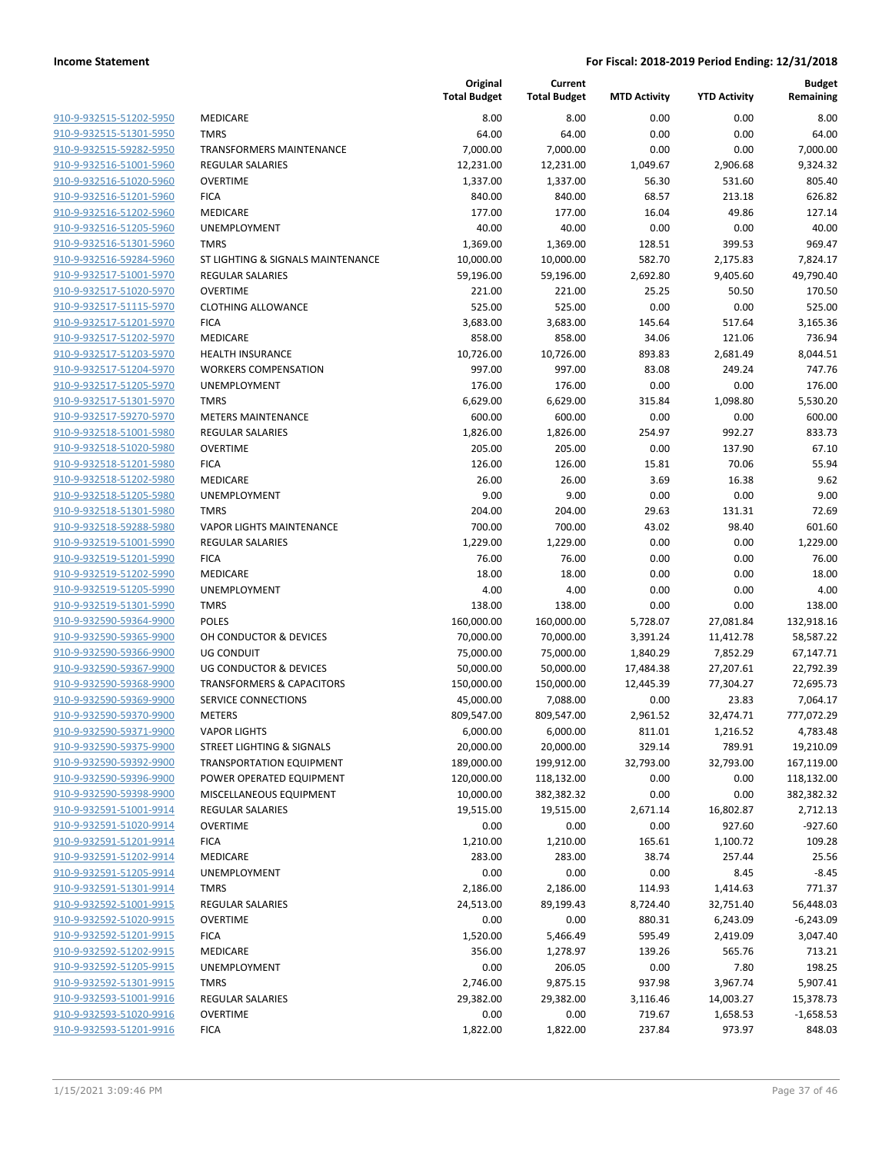|                                                    |                                      | Original<br><b>Total Budget</b> | Current<br><b>Total Budget</b> | <b>MTD Activity</b> | <b>YTD Activity</b> | <b>Budget</b><br>Remaining |
|----------------------------------------------------|--------------------------------------|---------------------------------|--------------------------------|---------------------|---------------------|----------------------------|
| 910-9-932515-51202-5950                            | MEDICARE                             | 8.00                            | 8.00                           | 0.00                | 0.00                | 8.00                       |
| 910-9-932515-51301-5950                            | <b>TMRS</b>                          | 64.00                           | 64.00                          | 0.00                | 0.00                | 64.00                      |
| 910-9-932515-59282-5950                            | <b>TRANSFORMERS MAINTENANCE</b>      | 7,000.00                        | 7,000.00                       | 0.00                | 0.00                | 7,000.00                   |
| 910-9-932516-51001-5960                            | <b>REGULAR SALARIES</b>              | 12,231.00                       | 12,231.00                      | 1,049.67            | 2,906.68            | 9,324.32                   |
| 910-9-932516-51020-5960                            | <b>OVERTIME</b>                      | 1,337.00                        | 1,337.00                       | 56.30               | 531.60              | 805.40                     |
| 910-9-932516-51201-5960                            | <b>FICA</b>                          | 840.00                          | 840.00                         | 68.57               | 213.18              | 626.82                     |
| 910-9-932516-51202-5960                            | MEDICARE                             | 177.00                          | 177.00                         | 16.04               | 49.86               | 127.14                     |
| 910-9-932516-51205-5960                            | <b>UNEMPLOYMENT</b>                  | 40.00                           | 40.00                          | 0.00                | 0.00                | 40.00                      |
| 910-9-932516-51301-5960                            | <b>TMRS</b>                          | 1,369.00                        | 1,369.00                       | 128.51              | 399.53              | 969.47                     |
| 910-9-932516-59284-5960                            | ST LIGHTING & SIGNALS MAINTENANCE    | 10,000.00                       | 10,000.00                      | 582.70              | 2,175.83            | 7,824.17                   |
| 910-9-932517-51001-5970                            | <b>REGULAR SALARIES</b>              | 59,196.00                       | 59,196.00                      | 2,692.80            | 9,405.60            | 49,790.40                  |
| 910-9-932517-51020-5970                            | <b>OVERTIME</b>                      | 221.00                          | 221.00                         | 25.25               | 50.50               | 170.50                     |
| 910-9-932517-51115-5970                            | <b>CLOTHING ALLOWANCE</b>            | 525.00                          | 525.00                         | 0.00                | 0.00                | 525.00                     |
| 910-9-932517-51201-5970                            | <b>FICA</b>                          | 3,683.00                        | 3,683.00                       | 145.64              | 517.64              | 3,165.36                   |
| 910-9-932517-51202-5970                            | MEDICARE                             | 858.00                          | 858.00                         | 34.06               | 121.06              | 736.94                     |
| 910-9-932517-51203-5970                            | <b>HEALTH INSURANCE</b>              | 10,726.00                       | 10,726.00                      | 893.83              | 2,681.49            | 8,044.51                   |
| 910-9-932517-51204-5970                            | <b>WORKERS COMPENSATION</b>          | 997.00                          | 997.00                         | 83.08               | 249.24              | 747.76                     |
| 910-9-932517-51205-5970                            | UNEMPLOYMENT                         | 176.00                          | 176.00                         | 0.00                | 0.00                | 176.00                     |
| 910-9-932517-51301-5970                            | <b>TMRS</b>                          | 6,629.00                        | 6,629.00                       | 315.84              | 1,098.80            | 5,530.20                   |
| 910-9-932517-59270-5970                            | <b>METERS MAINTENANCE</b>            | 600.00                          | 600.00                         | 0.00                | 0.00                | 600.00                     |
| 910-9-932518-51001-5980                            | <b>REGULAR SALARIES</b>              | 1,826.00                        | 1,826.00                       | 254.97              | 992.27              | 833.73                     |
| 910-9-932518-51020-5980                            | <b>OVERTIME</b>                      | 205.00                          | 205.00                         | 0.00                | 137.90              | 67.10                      |
| 910-9-932518-51201-5980                            | <b>FICA</b>                          | 126.00                          | 126.00                         | 15.81               | 70.06               | 55.94                      |
| 910-9-932518-51202-5980                            | MEDICARE                             | 26.00                           | 26.00                          | 3.69                | 16.38               | 9.62                       |
| 910-9-932518-51205-5980                            | <b>UNEMPLOYMENT</b>                  | 9.00                            | 9.00                           | 0.00                | 0.00                | 9.00                       |
| 910-9-932518-51301-5980                            | <b>TMRS</b>                          | 204.00                          | 204.00                         | 29.63               | 131.31              | 72.69                      |
| 910-9-932518-59288-5980                            | <b>VAPOR LIGHTS MAINTENANCE</b>      | 700.00                          | 700.00                         | 43.02               | 98.40               | 601.60                     |
| 910-9-932519-51001-5990                            | <b>REGULAR SALARIES</b>              | 1,229.00                        | 1,229.00                       | 0.00                | 0.00                | 1,229.00                   |
| 910-9-932519-51201-5990<br>910-9-932519-51202-5990 | <b>FICA</b>                          | 76.00                           | 76.00                          | 0.00                | 0.00                | 76.00                      |
|                                                    | MEDICARE                             | 18.00                           | 18.00                          | 0.00                | 0.00                | 18.00                      |
| 910-9-932519-51205-5990<br>910-9-932519-51301-5990 | UNEMPLOYMENT<br><b>TMRS</b>          | 4.00                            | 4.00                           | 0.00                | 0.00                | 4.00                       |
| 910-9-932590-59364-9900                            | <b>POLES</b>                         | 138.00<br>160,000.00            | 138.00<br>160,000.00           | 0.00<br>5,728.07    | 0.00<br>27,081.84   | 138.00<br>132,918.16       |
| 910-9-932590-59365-9900                            | OH CONDUCTOR & DEVICES               | 70,000.00                       | 70,000.00                      | 3,391.24            | 11,412.78           | 58,587.22                  |
| 910-9-932590-59366-9900                            | <b>UG CONDUIT</b>                    | 75,000.00                       | 75,000.00                      | 1,840.29            | 7,852.29            | 67,147.71                  |
| 910-9-932590-59367-9900                            | <b>UG CONDUCTOR &amp; DEVICES</b>    | 50,000.00                       | 50,000.00                      | 17,484.38           | 27,207.61           | 22,792.39                  |
| 910-9-932590-59368-9900                            | <b>TRANSFORMERS &amp; CAPACITORS</b> | 150,000.00                      | 150,000.00                     | 12,445.39           | 77,304.27           | 72,695.73                  |
| 910-9-932590-59369-9900                            | SERVICE CONNECTIONS                  | 45,000.00                       | 7,088.00                       | 0.00                | 23.83               | 7,064.17                   |
| 910-9-932590-59370-9900                            | <b>METERS</b>                        | 809,547.00                      | 809,547.00                     | 2,961.52            | 32,474.71           | 777,072.29                 |
| 910-9-932590-59371-9900                            | <b>VAPOR LIGHTS</b>                  | 6,000.00                        | 6,000.00                       | 811.01              | 1,216.52            | 4,783.48                   |
| 910-9-932590-59375-9900                            | STREET LIGHTING & SIGNALS            | 20,000.00                       | 20,000.00                      | 329.14              | 789.91              | 19,210.09                  |
| 910-9-932590-59392-9900                            | <b>TRANSPORTATION EQUIPMENT</b>      | 189,000.00                      | 199,912.00                     | 32,793.00           | 32,793.00           | 167,119.00                 |
| 910-9-932590-59396-9900                            | POWER OPERATED EQUIPMENT             | 120,000.00                      | 118,132.00                     | 0.00                | 0.00                | 118,132.00                 |
| 910-9-932590-59398-9900                            | MISCELLANEOUS EQUIPMENT              | 10,000.00                       | 382,382.32                     | 0.00                | 0.00                | 382,382.32                 |
| 910-9-932591-51001-9914                            | <b>REGULAR SALARIES</b>              | 19,515.00                       | 19,515.00                      | 2,671.14            | 16,802.87           | 2,712.13                   |
| 910-9-932591-51020-9914                            | <b>OVERTIME</b>                      | 0.00                            | 0.00                           | 0.00                | 927.60              | $-927.60$                  |
| 910-9-932591-51201-9914                            | <b>FICA</b>                          | 1,210.00                        | 1,210.00                       | 165.61              | 1,100.72            | 109.28                     |
| 910-9-932591-51202-9914                            | MEDICARE                             | 283.00                          | 283.00                         | 38.74               | 257.44              | 25.56                      |
| 910-9-932591-51205-9914                            | UNEMPLOYMENT                         | 0.00                            | 0.00                           | 0.00                | 8.45                | $-8.45$                    |
| 910-9-932591-51301-9914                            | <b>TMRS</b>                          | 2,186.00                        | 2,186.00                       | 114.93              | 1,414.63            | 771.37                     |
| 910-9-932592-51001-9915                            | <b>REGULAR SALARIES</b>              | 24,513.00                       | 89,199.43                      | 8,724.40            | 32,751.40           | 56,448.03                  |
| 910-9-932592-51020-9915                            | <b>OVERTIME</b>                      | 0.00                            | 0.00                           | 880.31              | 6,243.09            | $-6,243.09$                |
| 910-9-932592-51201-9915                            | <b>FICA</b>                          | 1,520.00                        | 5,466.49                       | 595.49              | 2,419.09            | 3,047.40                   |
| 910-9-932592-51202-9915                            | MEDICARE                             | 356.00                          | 1,278.97                       | 139.26              | 565.76              | 713.21                     |
| 910-9-932592-51205-9915                            | UNEMPLOYMENT                         | 0.00                            | 206.05                         | 0.00                | 7.80                | 198.25                     |
| 910-9-932592-51301-9915                            | <b>TMRS</b>                          | 2,746.00                        | 9,875.15                       | 937.98              | 3,967.74            | 5,907.41                   |
| 910-9-932593-51001-9916                            | <b>REGULAR SALARIES</b>              | 29,382.00                       | 29,382.00                      | 3,116.46            | 14,003.27           | 15,378.73                  |
| 910-9-932593-51020-9916                            | <b>OVERTIME</b>                      | 0.00                            | 0.00                           | 719.67              | 1,658.53            | $-1,658.53$                |
| 910-9-932593-51201-9916                            | <b>FICA</b>                          | 1,822.00                        | 1,822.00                       | 237.84              | 973.97              | 848.03                     |
|                                                    |                                      |                                 |                                |                     |                     |                            |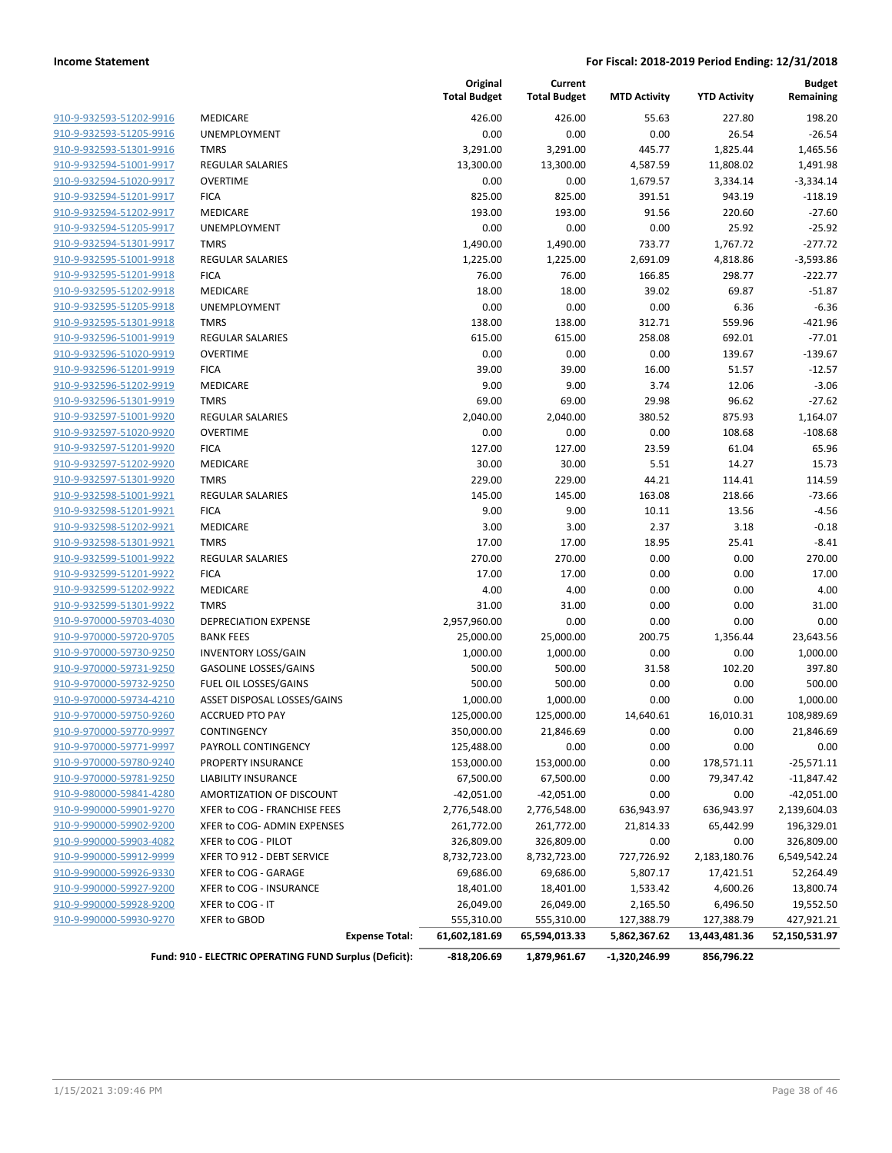|                         |                                                        | Original<br><b>Total Budget</b> | Current<br><b>Total Budget</b> | <b>MTD Activity</b> | <b>YTD Activity</b> | <b>Budget</b><br>Remaining |
|-------------------------|--------------------------------------------------------|---------------------------------|--------------------------------|---------------------|---------------------|----------------------------|
| 910-9-932593-51202-9916 | MEDICARE                                               | 426.00                          | 426.00                         | 55.63               | 227.80              | 198.20                     |
| 910-9-932593-51205-9916 | UNEMPLOYMENT                                           | 0.00                            | 0.00                           | 0.00                | 26.54               | $-26.54$                   |
| 910-9-932593-51301-9916 | <b>TMRS</b>                                            | 3,291.00                        | 3,291.00                       | 445.77              | 1,825.44            | 1,465.56                   |
| 910-9-932594-51001-9917 | <b>REGULAR SALARIES</b>                                | 13,300.00                       | 13,300.00                      | 4,587.59            | 11,808.02           | 1,491.98                   |
| 910-9-932594-51020-9917 | <b>OVERTIME</b>                                        | 0.00                            | 0.00                           | 1,679.57            | 3,334.14            | $-3,334.14$                |
| 910-9-932594-51201-9917 | <b>FICA</b>                                            | 825.00                          | 825.00                         | 391.51              | 943.19              | $-118.19$                  |
| 910-9-932594-51202-9917 | MEDICARE                                               | 193.00                          | 193.00                         | 91.56               | 220.60              | $-27.60$                   |
| 910-9-932594-51205-9917 | UNEMPLOYMENT                                           | 0.00                            | 0.00                           | 0.00                | 25.92               | $-25.92$                   |
| 910-9-932594-51301-9917 | <b>TMRS</b>                                            | 1,490.00                        | 1,490.00                       | 733.77              | 1,767.72            | $-277.72$                  |
| 910-9-932595-51001-9918 | <b>REGULAR SALARIES</b>                                | 1,225.00                        | 1,225.00                       | 2,691.09            | 4,818.86            | $-3,593.86$                |
| 910-9-932595-51201-9918 | <b>FICA</b>                                            | 76.00                           | 76.00                          | 166.85              | 298.77              | $-222.77$                  |
| 910-9-932595-51202-9918 | MEDICARE                                               | 18.00                           | 18.00                          | 39.02               | 69.87               | $-51.87$                   |
| 910-9-932595-51205-9918 | UNEMPLOYMENT                                           | 0.00                            | 0.00                           | 0.00                | 6.36                | $-6.36$                    |
| 910-9-932595-51301-9918 | <b>TMRS</b>                                            | 138.00                          | 138.00                         | 312.71              | 559.96              | $-421.96$                  |
| 910-9-932596-51001-9919 | <b>REGULAR SALARIES</b>                                | 615.00                          | 615.00                         | 258.08              | 692.01              | $-77.01$                   |
| 910-9-932596-51020-9919 | <b>OVERTIME</b>                                        | 0.00                            | 0.00                           | 0.00                | 139.67              | $-139.67$                  |
| 910-9-932596-51201-9919 | <b>FICA</b>                                            | 39.00                           | 39.00                          | 16.00               | 51.57               | $-12.57$                   |
| 910-9-932596-51202-9919 | MEDICARE                                               | 9.00                            | 9.00                           | 3.74                | 12.06               | $-3.06$                    |
| 910-9-932596-51301-9919 | <b>TMRS</b>                                            | 69.00                           | 69.00                          | 29.98               | 96.62               | $-27.62$                   |
| 910-9-932597-51001-9920 | <b>REGULAR SALARIES</b>                                | 2,040.00                        | 2,040.00                       | 380.52              | 875.93              | 1,164.07                   |
| 910-9-932597-51020-9920 | <b>OVERTIME</b>                                        | 0.00                            | 0.00                           | 0.00                | 108.68              | $-108.68$                  |
| 910-9-932597-51201-9920 | <b>FICA</b>                                            | 127.00                          | 127.00                         | 23.59               | 61.04               | 65.96                      |
| 910-9-932597-51202-9920 | MEDICARE                                               | 30.00                           | 30.00                          | 5.51                | 14.27               | 15.73                      |
| 910-9-932597-51301-9920 | <b>TMRS</b>                                            | 229.00                          | 229.00                         | 44.21               | 114.41              | 114.59                     |
| 910-9-932598-51001-9921 | <b>REGULAR SALARIES</b>                                | 145.00                          | 145.00                         | 163.08              | 218.66              | $-73.66$                   |
| 910-9-932598-51201-9921 | <b>FICA</b>                                            | 9.00                            | 9.00                           | 10.11               | 13.56               | $-4.56$                    |
| 910-9-932598-51202-9921 | MEDICARE                                               | 3.00                            | 3.00                           | 2.37                | 3.18                | $-0.18$                    |
| 910-9-932598-51301-9921 | <b>TMRS</b>                                            | 17.00                           | 17.00                          | 18.95               | 25.41               | $-8.41$                    |
| 910-9-932599-51001-9922 | <b>REGULAR SALARIES</b>                                | 270.00                          | 270.00                         | 0.00                | 0.00                | 270.00                     |
| 910-9-932599-51201-9922 | <b>FICA</b>                                            | 17.00                           | 17.00                          | 0.00                | 0.00                | 17.00                      |
| 910-9-932599-51202-9922 | <b>MEDICARE</b>                                        | 4.00                            | 4.00                           | 0.00                | 0.00                | 4.00                       |
| 910-9-932599-51301-9922 | <b>TMRS</b>                                            | 31.00                           | 31.00                          | 0.00                | 0.00                | 31.00                      |
| 910-9-970000-59703-4030 | <b>DEPRECIATION EXPENSE</b>                            | 2,957,960.00                    | 0.00                           | 0.00                | 0.00                | 0.00                       |
| 910-9-970000-59720-9705 | <b>BANK FEES</b>                                       | 25,000.00                       | 25,000.00                      | 200.75              | 1,356.44            | 23,643.56                  |
| 910-9-970000-59730-9250 | <b>INVENTORY LOSS/GAIN</b>                             | 1,000.00                        | 1,000.00                       | 0.00                | 0.00                | 1,000.00                   |
| 910-9-970000-59731-9250 | <b>GASOLINE LOSSES/GAINS</b>                           | 500.00                          | 500.00                         | 31.58               | 102.20              | 397.80                     |
| 910-9-970000-59732-9250 | FUEL OIL LOSSES/GAINS                                  | 500.00                          | 500.00                         | 0.00                | 0.00                | 500.00                     |
| 910-9-970000-59734-4210 | ASSET DISPOSAL LOSSES/GAINS                            | 1,000.00                        | 1,000.00                       | 0.00                | 0.00                | 1,000.00                   |
| 910-9-970000-59750-9260 | <b>ACCRUED PTO PAY</b>                                 | 125,000.00                      | 125,000.00                     | 14,640.61           | 16,010.31           | 108,989.69                 |
| 910-9-970000-59770-9997 | CONTINGENCY                                            | 350,000.00                      | 21,846.69                      | 0.00                | 0.00                | 21,846.69                  |
| 910-9-970000-59771-9997 | PAYROLL CONTINGENCY                                    | 125,488.00                      | 0.00                           | 0.00                | 0.00                | 0.00                       |
| 910-9-970000-59780-9240 | PROPERTY INSURANCE                                     | 153,000.00                      | 153,000.00                     | 0.00                | 178,571.11          | $-25,571.11$               |
| 910-9-970000-59781-9250 | LIABILITY INSURANCE                                    | 67,500.00                       | 67,500.00                      | 0.00                | 79,347.42           | $-11,847.42$               |
| 910-9-980000-59841-4280 | AMORTIZATION OF DISCOUNT                               | $-42,051.00$                    | $-42,051.00$                   | 0.00                | 0.00                | $-42,051.00$               |
| 910-9-990000-59901-9270 | XFER to COG - FRANCHISE FEES                           | 2,776,548.00                    | 2,776,548.00                   | 636,943.97          | 636,943.97          | 2,139,604.03               |
| 910-9-990000-59902-9200 | XFER to COG- ADMIN EXPENSES                            | 261,772.00                      | 261,772.00                     | 21,814.33           | 65,442.99           | 196,329.01                 |
| 910-9-990000-59903-4082 | XFER to COG - PILOT                                    | 326,809.00                      | 326,809.00                     | 0.00                | 0.00                | 326,809.00                 |
| 910-9-990000-59912-9999 | XFER TO 912 - DEBT SERVICE                             | 8,732,723.00                    | 8,732,723.00                   | 727,726.92          | 2,183,180.76        | 6,549,542.24               |
| 910-9-990000-59926-9330 | XFER to COG - GARAGE                                   | 69,686.00                       | 69,686.00                      | 5,807.17            | 17,421.51           | 52,264.49                  |
| 910-9-990000-59927-9200 | XFER to COG - INSURANCE                                | 18,401.00                       | 18,401.00                      | 1,533.42            | 4,600.26            | 13,800.74                  |
| 910-9-990000-59928-9200 | XFER to COG - IT                                       | 26,049.00                       | 26,049.00                      | 2,165.50            | 6,496.50            | 19,552.50                  |
| 910-9-990000-59930-9270 | XFER to GBOD                                           | 555,310.00                      | 555,310.00                     | 127,388.79          | 127,388.79          | 427,921.21                 |
|                         | <b>Expense Total:</b>                                  | 61,602,181.69                   | 65,594,013.33                  | 5,862,367.62        | 13,443,481.36       | 52,150,531.97              |
|                         |                                                        |                                 |                                |                     |                     |                            |
|                         | Fund: 910 - ELECTRIC OPERATING FUND Surplus (Deficit): | -818,206.69                     | 1,879,961.67                   | -1,320,246.99       | 856,796.22          |                            |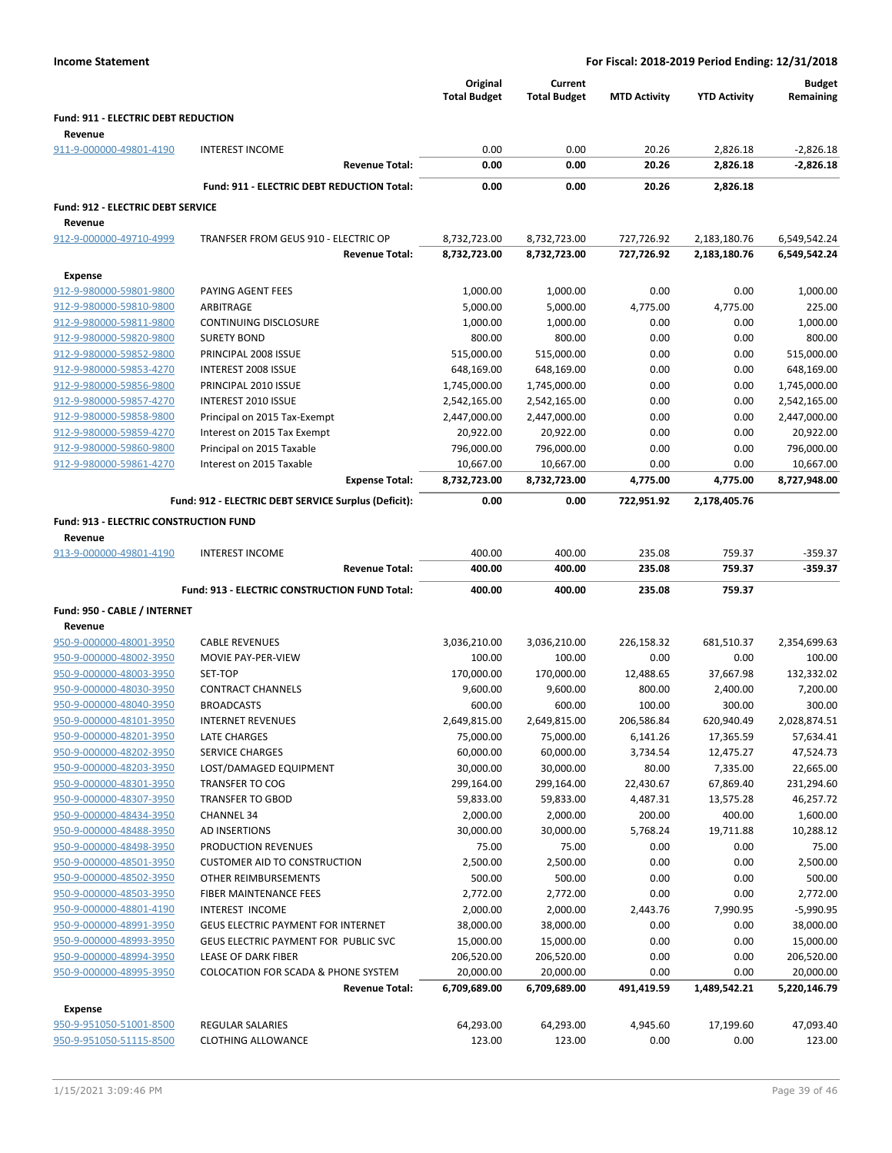| <b>Income Statement</b>                            |                                                      | For Fiscal: 2018-2019 Period Ending: 12/31/2018 |                                |                     |                     |                            |
|----------------------------------------------------|------------------------------------------------------|-------------------------------------------------|--------------------------------|---------------------|---------------------|----------------------------|
|                                                    |                                                      | Original<br><b>Total Budget</b>                 | Current<br><b>Total Budget</b> | <b>MTD Activity</b> | <b>YTD Activity</b> | <b>Budget</b><br>Remaining |
| Fund: 911 - ELECTRIC DEBT REDUCTION<br>Revenue     |                                                      |                                                 |                                |                     |                     |                            |
| 911-9-000000-49801-4190                            | <b>INTEREST INCOME</b>                               | 0.00                                            | 0.00                           | 20.26               | 2,826.18            | $-2,826.18$                |
|                                                    | <b>Revenue Total:</b>                                | 0.00                                            | 0.00                           | 20.26               | 2,826.18            | $-2,826.18$                |
|                                                    | Fund: 911 - ELECTRIC DEBT REDUCTION Total:           | 0.00                                            | 0.00                           | 20.26               | 2,826.18            |                            |
| Fund: 912 - ELECTRIC DEBT SERVICE                  |                                                      |                                                 |                                |                     |                     |                            |
| Revenue                                            |                                                      |                                                 |                                |                     |                     |                            |
| 912-9-000000-49710-4999                            | TRANFSER FROM GEUS 910 - ELECTRIC OP                 | 8,732,723.00                                    | 8,732,723.00                   | 727,726.92          | 2,183,180.76        | 6,549,542.24               |
|                                                    | <b>Revenue Total:</b>                                | 8,732,723.00                                    | 8,732,723.00                   | 727,726.92          | 2,183,180.76        | 6,549,542.24               |
|                                                    |                                                      |                                                 |                                |                     |                     |                            |
| <b>Expense</b>                                     |                                                      |                                                 |                                |                     |                     |                            |
| 912-9-980000-59801-9800                            | PAYING AGENT FEES                                    | 1,000.00                                        | 1,000.00                       | 0.00                | 0.00                | 1,000.00                   |
| 912-9-980000-59810-9800                            | ARBITRAGE                                            | 5,000.00                                        | 5,000.00                       | 4,775.00            | 4,775.00            | 225.00                     |
| 912-9-980000-59811-9800                            | CONTINUING DISCLOSURE<br><b>SURETY BOND</b>          | 1,000.00<br>800.00                              | 1,000.00                       | 0.00<br>0.00        | 0.00<br>0.00        | 1,000.00<br>800.00         |
| 912-9-980000-59820-9800<br>912-9-980000-59852-9800 | PRINCIPAL 2008 ISSUE                                 |                                                 | 800.00                         |                     |                     | 515,000.00                 |
| 912-9-980000-59853-4270                            |                                                      | 515,000.00<br>648,169.00                        | 515,000.00                     | 0.00                | 0.00                |                            |
|                                                    | INTEREST 2008 ISSUE<br>PRINCIPAL 2010 ISSUE          |                                                 | 648,169.00                     | 0.00                | 0.00                | 648,169.00                 |
| 912-9-980000-59856-9800                            |                                                      | 1,745,000.00                                    | 1,745,000.00                   | 0.00                | 0.00                | 1,745,000.00               |
| 912-9-980000-59857-4270                            | <b>INTEREST 2010 ISSUE</b>                           | 2,542,165.00                                    | 2,542,165.00                   | 0.00                | 0.00                | 2,542,165.00               |
| 912-9-980000-59858-9800                            | Principal on 2015 Tax-Exempt                         | 2,447,000.00                                    | 2,447,000.00                   | 0.00                | 0.00                | 2,447,000.00               |
| 912-9-980000-59859-4270                            | Interest on 2015 Tax Exempt                          | 20,922.00                                       | 20,922.00                      | 0.00                | 0.00                | 20,922.00                  |
| 912-9-980000-59860-9800                            | Principal on 2015 Taxable                            | 796,000.00                                      | 796,000.00                     | 0.00                | 0.00                | 796,000.00                 |
| 912-9-980000-59861-4270                            | Interest on 2015 Taxable                             | 10,667.00                                       | 10,667.00                      | 0.00                | 0.00                | 10,667.00                  |
|                                                    | <b>Expense Total:</b>                                | 8,732,723.00                                    | 8,732,723.00                   | 4,775.00            | 4,775.00            | 8,727,948.00               |
|                                                    | Fund: 912 - ELECTRIC DEBT SERVICE Surplus (Deficit): | 0.00                                            | 0.00                           | 722,951.92          | 2,178,405.76        |                            |
| <b>Fund: 913 - ELECTRIC CONSTRUCTION FUND</b>      |                                                      |                                                 |                                |                     |                     |                            |
| Revenue                                            |                                                      |                                                 |                                |                     |                     |                            |
| 913-9-000000-49801-4190                            | <b>INTEREST INCOME</b>                               | 400.00                                          | 400.00                         | 235.08              | 759.37              | $-359.37$                  |
|                                                    | <b>Revenue Total:</b>                                | 400.00                                          | 400.00                         | 235.08              | 759.37              | -359.37                    |
|                                                    | Fund: 913 - ELECTRIC CONSTRUCTION FUND Total:        | 400.00                                          | 400.00                         | 235.08              | 759.37              |                            |
| Fund: 950 - CABLE / INTERNET                       |                                                      |                                                 |                                |                     |                     |                            |
| Revenue                                            |                                                      |                                                 |                                |                     |                     |                            |
| 950-9-000000-48001-3950                            | <b>CABLE REVENUES</b>                                | 3,036,210.00                                    | 3,036,210.00                   | 226,158.32          | 681,510.37          | 2,354,699.63               |
| 950-9-000000-48002-3950                            | MOVIE PAY-PER-VIEW                                   | 100.00                                          | 100.00                         | 0.00                | 0.00                | 100.00                     |
| 950-9-000000-48003-3950                            | SET-TOP                                              | 170,000.00                                      | 170,000.00                     | 12,488.65           | 37,667.98           | 132,332.02                 |
| 950-9-000000-48030-3950                            | <b>CONTRACT CHANNELS</b>                             | 9,600.00                                        | 9,600.00                       | 800.00              | 2,400.00            | 7,200.00                   |
| 950-9-000000-48040-3950                            | <b>BROADCASTS</b>                                    | 600.00                                          | 600.00                         | 100.00              | 300.00              | 300.00                     |
| 950-9-000000-48101-3950                            | <b>INTERNET REVENUES</b>                             | 2,649,815.00                                    | 2,649,815.00                   | 206,586.84          | 620,940.49          | 2,028,874.51               |
| 950-9-000000-48201-3950                            | LATE CHARGES                                         | 75,000.00                                       | 75,000.00                      | 6,141.26            | 17,365.59           | 57,634.41                  |
| 950-9-000000-48202-3950                            | <b>SERVICE CHARGES</b>                               | 60,000.00                                       | 60,000.00                      | 3,734.54            | 12,475.27           | 47,524.73                  |
| 950-9-000000-48203-3950                            | LOST/DAMAGED EQUIPMENT                               | 30,000.00                                       | 30,000.00                      | 80.00               | 7,335.00            | 22,665.00                  |
| 950-9-000000-48301-3950                            | <b>TRANSFER TO COG</b>                               | 299,164.00                                      | 299,164.00                     | 22,430.67           | 67,869.40           | 231,294.60                 |
| 950-9-000000-48307-3950                            | <b>TRANSFER TO GBOD</b>                              | 59,833.00                                       | 59,833.00                      | 4,487.31            | 13,575.28           | 46,257.72                  |
| 950-9-000000-48434-3950                            | <b>CHANNEL 34</b>                                    | 2,000.00                                        | 2,000.00                       | 200.00              | 400.00              | 1,600.00                   |
| 950-9-000000-48488-3950                            | AD INSERTIONS                                        | 30,000.00                                       | 30,000.00                      | 5,768.24            | 19,711.88           | 10,288.12                  |
| 950-9-000000-48498-3950                            | PRODUCTION REVENUES                                  | 75.00                                           | 75.00                          | 0.00                | 0.00                | 75.00                      |
| 950-9-000000-48501-3950                            | <b>CUSTOMER AID TO CONSTRUCTION</b>                  | 2,500.00                                        | 2,500.00                       | 0.00                | 0.00                | 2,500.00                   |
| 950-9-000000-48502-3950                            | OTHER REIMBURSEMENTS                                 | 500.00                                          | 500.00                         | 0.00                | 0.00                | 500.00                     |
| 950-9-000000-48503-3950                            | FIBER MAINTENANCE FEES                               | 2,772.00                                        | 2,772.00                       | 0.00                | 0.00                | 2,772.00                   |
| 950-9-000000-48801-4190                            | INTEREST INCOME                                      | 2,000.00                                        | 2,000.00                       | 2,443.76            | 7,990.95            | $-5,990.95$                |
| 950-9-000000-48991-3950                            | <b>GEUS ELECTRIC PAYMENT FOR INTERNET</b>            | 38,000.00                                       | 38,000.00                      | 0.00                | 0.00                | 38,000.00                  |
| 950-9-000000-48993-3950                            | GEUS ELECTRIC PAYMENT FOR PUBLIC SVC                 | 15,000.00                                       | 15,000.00                      | 0.00                | 0.00                | 15,000.00                  |
|                                                    | LEASE OF DARK FIBER                                  | 206,520.00                                      | 206,520.00                     | 0.00                | 0.00                | 206,520.00                 |

# **Expense**

| <b>LAPEIISE</b>         |                    |           |           |          |           |           |
|-------------------------|--------------------|-----------|-----------|----------|-----------|-----------|
| 950-9-951050-51001-8500 | REGULAR SALARIES   | 64.293.00 | 64.293.00 | 4.945.60 | 17.199.60 | 47.093.40 |
| 950-9-951050-51115-8500 | CLOTHING ALLOWANCE | 123.00    | 123.00    | 0.00     | 0.00      | 123.00    |
|                         |                    |           |           |          |           |           |

950-9-000000-48995-3950 COLOCATION FOR SCADA & PHONE SYSTEM 20,000.00 20,000.00 0.00 0.00 20,000.00

**Revenue Total: 6,709,689.00 6,709,689.00 491,419.59 1,489,542.21 5,220,146.79**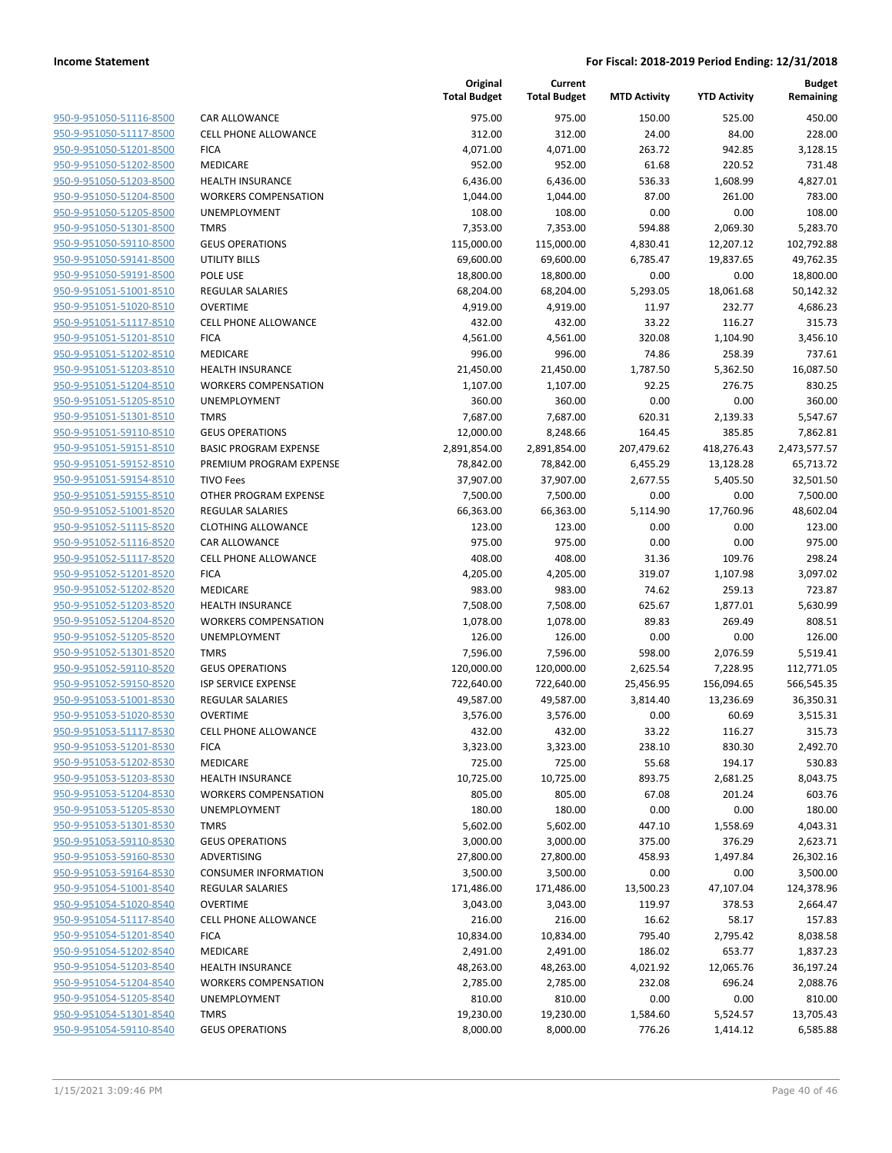| 950-9-951050-51116-8500        |
|--------------------------------|
| 950-9-951050-51117-8500        |
| 950-9-951050-51201-8500        |
| 950-9-951050-51202-8500        |
| <u>950-9-951050-51203-8500</u> |
| 950-9-951050-51204-8500        |
| 950-9-951050-51205-8500        |
| 950-9-951050-51301-8500        |
| 950-9-951050-59110-8500        |
| 950-9-951050-59141-8500        |
| 950-9-951050-59191-8500        |
| <u>950-9-951051-51001-8510</u> |
| 950-9-951051-51020-8510        |
| <u>950-9-951051-51117-8510</u> |
| <u>950-9-951051-51201-8510</u> |
| 950-9-951051-51202-8510        |
| 950-9-951051-51203-8510        |
| 950-9-951051-51204-8510        |
| 950-9-951051-51205-8510        |
| <u>950-9-951051-51301-8510</u> |
| 950-9-951051-59110-8510        |
| <u>950-9-951051-59151-8510</u> |
| 950-9-951051-59152-8510        |
| 950-9-951051-59154-8510        |
| <u>950-9-951051-59155-8510</u> |
| 950-9-951052-51001-8520        |
| 950-9-951052-51115-8520        |
| 950-9-951052-51116-8520        |
| 950-9-951052-51117-8520        |
| 950-9-951052-51201-8520        |
| 950-9-951052-51202-8520        |
| 950-9-951052-51203-8520        |
| 950-9-951052-51204-8520        |
|                                |
| <u>950-9-951052-51205-8520</u> |
| <u>950-9-951052-51301-8520</u> |
| <u>950-9-951052-59110-8520</u> |
| 950-9-951052-59150-8520        |
| 950-9-951053-51001-8530        |
| 950-9-951053-51020-8530        |
| 950-9-951053-51117-8530        |
| <u>950-9-951053-51201-8530</u> |
| 950-9-951053-51202-8530        |
| 950-9-951053-51203-8530        |
| <u>950-9-951053-51204-8530</u> |
| 950-9-951053-51205-8530        |
| 950-9-951053-51301-8530        |
| 950-9-951053-59110-8530        |
| 950-9-951053-59160-8530        |
| 950-9-951053-59164-8530        |
| <u>950-9-951054-51001-8540</u> |
| <u>950-9-951054-51020-8540</u> |
| 950-9-951054-51117-8540        |
| 950-9-951054-51201-8540        |
| <u>950-9-951054-51202-8540</u> |
| 950-9-951054-51203-8540        |
| 950-9-951054-51204-8540        |
| 950-9-951054-51205-8540        |
| 950-9-951054-51301-8540        |
| 950-9-951054-59110-8540        |
|                                |

|                         |                              | Original<br><b>Total Budget</b> | Current<br><b>Total Budget</b> | <b>MTD Activity</b> | <b>YTD Activity</b> | <b>Budget</b><br>Remaining |
|-------------------------|------------------------------|---------------------------------|--------------------------------|---------------------|---------------------|----------------------------|
| 950-9-951050-51116-8500 | CAR ALLOWANCE                | 975.00                          | 975.00                         | 150.00              | 525.00              | 450.00                     |
| 950-9-951050-51117-8500 | <b>CELL PHONE ALLOWANCE</b>  | 312.00                          | 312.00                         | 24.00               | 84.00               | 228.00                     |
| 950-9-951050-51201-8500 | <b>FICA</b>                  | 4,071.00                        | 4,071.00                       | 263.72              | 942.85              | 3,128.15                   |
| 950-9-951050-51202-8500 | MEDICARE                     | 952.00                          | 952.00                         | 61.68               | 220.52              | 731.48                     |
| 950-9-951050-51203-8500 | <b>HEALTH INSURANCE</b>      | 6,436.00                        | 6,436.00                       | 536.33              | 1,608.99            | 4,827.01                   |
| 950-9-951050-51204-8500 | <b>WORKERS COMPENSATION</b>  | 1,044.00                        | 1,044.00                       | 87.00               | 261.00              | 783.00                     |
| 950-9-951050-51205-8500 | UNEMPLOYMENT                 | 108.00                          | 108.00                         | 0.00                | 0.00                | 108.00                     |
| 950-9-951050-51301-8500 | <b>TMRS</b>                  | 7,353.00                        | 7,353.00                       | 594.88              | 2,069.30            | 5,283.70                   |
| 950-9-951050-59110-8500 | <b>GEUS OPERATIONS</b>       | 115,000.00                      | 115,000.00                     | 4,830.41            | 12,207.12           | 102,792.88                 |
| 950-9-951050-59141-8500 | <b>UTILITY BILLS</b>         | 69,600.00                       | 69,600.00                      | 6,785.47            | 19,837.65           | 49,762.35                  |
| 950-9-951050-59191-8500 | POLE USE                     | 18,800.00                       | 18,800.00                      | 0.00                | 0.00                | 18,800.00                  |
| 950-9-951051-51001-8510 | <b>REGULAR SALARIES</b>      | 68,204.00                       | 68,204.00                      | 5,293.05            | 18,061.68           | 50,142.32                  |
| 950-9-951051-51020-8510 | <b>OVERTIME</b>              | 4,919.00                        | 4,919.00                       | 11.97               | 232.77              | 4,686.23                   |
| 950-9-951051-51117-8510 | <b>CELL PHONE ALLOWANCE</b>  | 432.00                          | 432.00                         | 33.22               | 116.27              | 315.73                     |
| 950-9-951051-51201-8510 | <b>FICA</b>                  | 4,561.00                        | 4,561.00                       | 320.08              | 1,104.90            | 3,456.10                   |
| 950-9-951051-51202-8510 | MEDICARE                     | 996.00                          | 996.00                         | 74.86               | 258.39              | 737.61                     |
| 950-9-951051-51203-8510 | <b>HEALTH INSURANCE</b>      | 21,450.00                       | 21,450.00                      | 1,787.50            | 5,362.50            | 16,087.50                  |
| 950-9-951051-51204-8510 | <b>WORKERS COMPENSATION</b>  | 1,107.00                        | 1,107.00                       | 92.25               | 276.75              | 830.25                     |
| 950-9-951051-51205-8510 | UNEMPLOYMENT                 | 360.00                          | 360.00                         | 0.00                | 0.00                | 360.00                     |
| 950-9-951051-51301-8510 | <b>TMRS</b>                  | 7,687.00                        | 7,687.00                       | 620.31              | 2,139.33            | 5,547.67                   |
| 950-9-951051-59110-8510 | <b>GEUS OPERATIONS</b>       | 12,000.00                       | 8,248.66                       | 164.45              | 385.85              | 7,862.81                   |
| 950-9-951051-59151-8510 | <b>BASIC PROGRAM EXPENSE</b> | 2,891,854.00                    | 2,891,854.00                   | 207,479.62          | 418,276.43          | 2,473,577.57               |
| 950-9-951051-59152-8510 | PREMIUM PROGRAM EXPENSE      | 78,842.00                       | 78,842.00                      | 6,455.29            | 13,128.28           | 65,713.72                  |
| 950-9-951051-59154-8510 | <b>TIVO Fees</b>             | 37,907.00                       | 37,907.00                      | 2,677.55            | 5,405.50            | 32,501.50                  |
| 950-9-951051-59155-8510 | OTHER PROGRAM EXPENSE        | 7,500.00                        | 7,500.00                       | 0.00                | 0.00                | 7,500.00                   |
| 950-9-951052-51001-8520 | REGULAR SALARIES             | 66,363.00                       | 66,363.00                      | 5,114.90            | 17,760.96           | 48,602.04                  |
| 950-9-951052-51115-8520 | <b>CLOTHING ALLOWANCE</b>    | 123.00                          | 123.00                         | 0.00                | 0.00                | 123.00                     |
| 950-9-951052-51116-8520 | CAR ALLOWANCE                | 975.00                          | 975.00                         | 0.00                | 0.00                | 975.00                     |
| 950-9-951052-51117-8520 | <b>CELL PHONE ALLOWANCE</b>  | 408.00                          | 408.00                         | 31.36               | 109.76              | 298.24                     |
| 950-9-951052-51201-8520 | <b>FICA</b>                  | 4,205.00                        | 4,205.00                       | 319.07              | 1,107.98            | 3,097.02                   |
| 950-9-951052-51202-8520 | MEDICARE                     | 983.00                          | 983.00                         | 74.62               | 259.13              | 723.87                     |
| 950-9-951052-51203-8520 | <b>HEALTH INSURANCE</b>      | 7,508.00                        | 7,508.00                       | 625.67              | 1,877.01            | 5,630.99                   |
| 950-9-951052-51204-8520 | <b>WORKERS COMPENSATION</b>  | 1,078.00                        | 1,078.00                       | 89.83               | 269.49              | 808.51                     |
| 950-9-951052-51205-8520 | UNEMPLOYMENT                 | 126.00                          | 126.00                         | 0.00                | 0.00                | 126.00                     |
| 950-9-951052-51301-8520 | <b>TMRS</b>                  | 7,596.00                        | 7,596.00                       | 598.00              | 2,076.59            | 5,519.41                   |
| 950-9-951052-59110-8520 | <b>GEUS OPERATIONS</b>       | 120,000.00                      | 120,000.00                     | 2,625.54            | 7,228.95            | 112,771.05                 |
| 950-9-951052-59150-8520 | <b>ISP SERVICE EXPENSE</b>   | 722,640.00                      | 722,640.00                     | 25,456.95           | 156,094.65          | 566,545.35                 |
| 950-9-951053-51001-8530 | <b>REGULAR SALARIES</b>      | 49,587.00                       | 49,587.00                      | 3,814.40            | 13,236.69           | 36,350.31                  |
| 950-9-951053-51020-8530 | <b>OVERTIME</b>              | 3,576.00                        | 3,576.00                       | 0.00                | 60.69               | 3,515.31                   |
| 950-9-951053-51117-8530 | CELL PHONE ALLOWANCE         | 432.00                          | 432.00                         | 33.22               | 116.27              | 315.73                     |
| 950-9-951053-51201-8530 | <b>FICA</b>                  | 3,323.00                        | 3,323.00                       | 238.10              | 830.30              | 2,492.70                   |
| 950-9-951053-51202-8530 | <b>MEDICARE</b>              | 725.00                          | 725.00                         | 55.68               | 194.17              | 530.83                     |
| 950-9-951053-51203-8530 | <b>HEALTH INSURANCE</b>      | 10,725.00                       | 10,725.00                      | 893.75              | 2,681.25            | 8,043.75                   |
| 950-9-951053-51204-8530 | <b>WORKERS COMPENSATION</b>  | 805.00                          | 805.00                         | 67.08               | 201.24              | 603.76                     |
| 950-9-951053-51205-8530 | UNEMPLOYMENT                 | 180.00                          | 180.00                         | 0.00                | 0.00                | 180.00                     |
| 950-9-951053-51301-8530 | <b>TMRS</b>                  | 5,602.00                        | 5,602.00                       | 447.10              | 1,558.69            | 4,043.31                   |
| 950-9-951053-59110-8530 | <b>GEUS OPERATIONS</b>       | 3,000.00                        | 3,000.00                       | 375.00              | 376.29              | 2,623.71                   |
| 950-9-951053-59160-8530 | <b>ADVERTISING</b>           | 27,800.00                       | 27,800.00                      | 458.93              | 1,497.84            | 26,302.16                  |
| 950-9-951053-59164-8530 | <b>CONSUMER INFORMATION</b>  | 3,500.00                        | 3,500.00                       | 0.00                | 0.00                | 3,500.00                   |
| 950-9-951054-51001-8540 | <b>REGULAR SALARIES</b>      | 171,486.00                      | 171,486.00                     | 13,500.23           | 47,107.04           | 124,378.96                 |
| 950-9-951054-51020-8540 | <b>OVERTIME</b>              | 3,043.00                        | 3,043.00                       | 119.97              | 378.53              | 2,664.47                   |
| 950-9-951054-51117-8540 | <b>CELL PHONE ALLOWANCE</b>  | 216.00                          | 216.00                         | 16.62               | 58.17               | 157.83                     |
| 950-9-951054-51201-8540 | <b>FICA</b>                  | 10,834.00                       | 10,834.00                      | 795.40              | 2,795.42            | 8,038.58                   |
| 950-9-951054-51202-8540 | MEDICARE                     | 2,491.00                        | 2,491.00                       | 186.02              | 653.77              | 1,837.23                   |
| 950-9-951054-51203-8540 | <b>HEALTH INSURANCE</b>      | 48,263.00                       | 48,263.00                      | 4,021.92            | 12,065.76           | 36,197.24                  |
| 950-9-951054-51204-8540 | <b>WORKERS COMPENSATION</b>  | 2,785.00                        | 2,785.00                       | 232.08              | 696.24              | 2,088.76                   |
| 950-9-951054-51205-8540 | UNEMPLOYMENT                 | 810.00                          | 810.00                         | 0.00                | 0.00                | 810.00                     |
| 950-9-951054-51301-8540 | <b>TMRS</b>                  | 19,230.00                       | 19,230.00                      | 1,584.60            | 5,524.57            | 13,705.43                  |
| 950-9-951054-59110-8540 | <b>GEUS OPERATIONS</b>       | 8,000.00                        | 8,000.00                       | 776.26              | 1,414.12            | 6,585.88                   |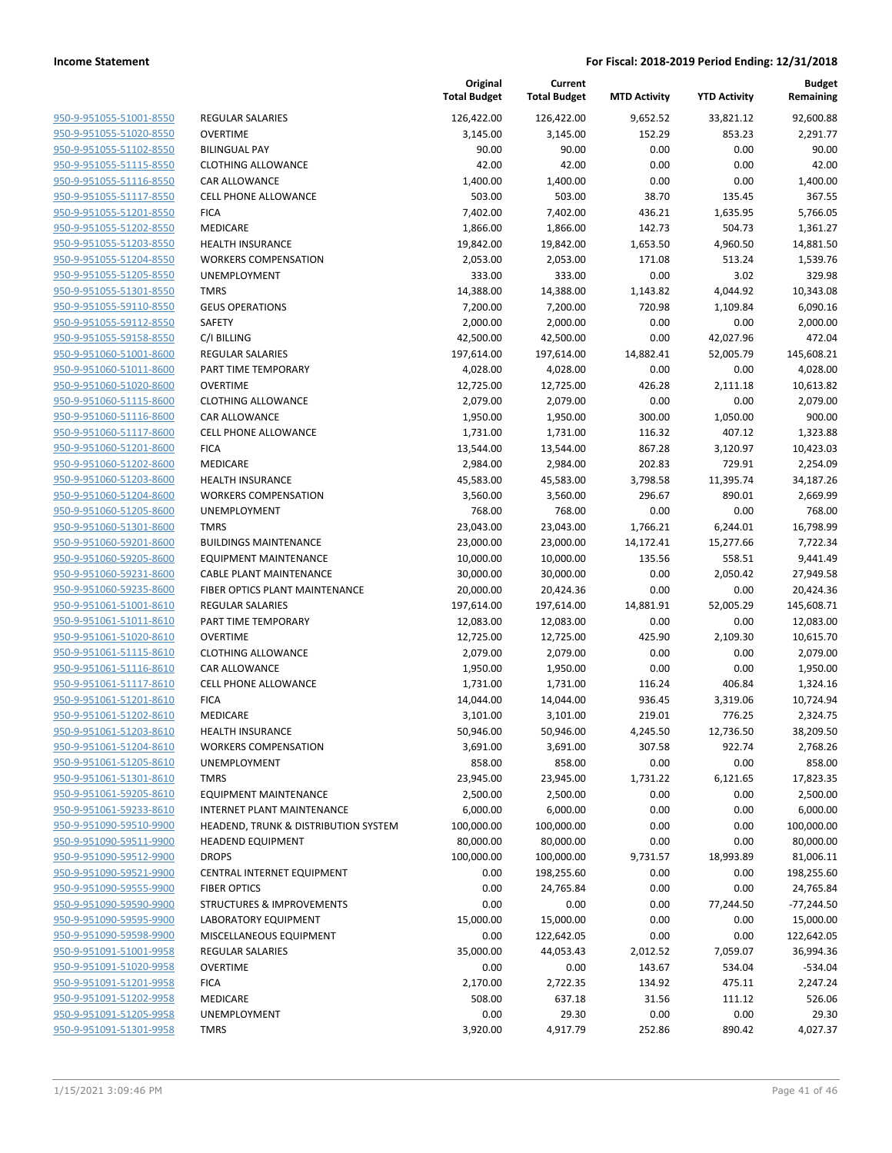| 950-9-951055-51001-8550        |
|--------------------------------|
| 950-9-951055-51020-8550        |
| 950-9-951055-51102-8550        |
| 950-9-951055-51115-8550        |
| <u>950-9-951055-51116-8550</u> |
| 950-9-951055-51117-8550        |
| 950-9-951055-51201-8550        |
| 950-9-951055-51202-8550        |
| 950-9-951055-51203-8550        |
| 950-9-951055-51204-8550        |
| 950-9-951055-51205-8550        |
| <u>950-9-951055-51301-8550</u> |
| 950-9-951055-59110-8550        |
|                                |
| 950-9-951055-59112-8550        |
| <u>950-9-951055-59158-8550</u> |
| 950-9-951060-51001-8600        |
| 950-9-951060-51011-8600        |
| 950-9-951060-51020-8600        |
| 950-9-951060-51115-8600        |
| <u>950-9-951060-51116-8600</u> |
| 950-9-951060-51117-8600        |
| 950-9-951060-51201-8600        |
| 950-9-951060-51202-8600        |
| 950-9-951060-51203-8600        |
| <u>950-9-951060-51204-8600</u> |
| 950-9-951060-51205-8600        |
| 950-9-951060-51301-8600        |
| 950-9-951060-59201-8600        |
| <u>950-9-951060-59205-8600</u> |
| <u>950-9-951060-59231-8600</u> |
| 950-9-951060-59235-8600        |
| 950-9-951061-51001-8610        |
| 950-9-951061-51011-8610        |
|                                |
| 950-9-951061-51020-8610        |
| <u>950-9-951061-51115-8610</u> |
| 950-9-951061-51116-8610        |
| 950-9-951061-51117-8610        |
| 950-9-951061-51201-8610        |
| <u>950-9-951061-51202-8610</u> |
| 950-9-951061-51203-8610        |
| 950-9-951061-51204-8610        |
| <u>950-9-951061-51205-8610</u> |
| 950-9-951061-51301-8610        |
| 950-9-951061-59205-8610        |
| <u>950-9-951061-59233-8610</u> |
| <u>950-9-951090-59510-9900</u> |
| <u>950-9-951090-59511-9900</u> |
| 950-9-951090-59512-9900        |
| 950-9-951090-59521-9900        |
| <u>950-9-951090-59555-9900</u> |
| 950-9-951090-59590-9900        |
| <u>950-9-951090-59595-9900</u> |
| 950-9-951090-59598-9900        |
|                                |
| 950-9-951091-51001-9958        |
| <u>950-9-951091-51020-9958</u> |
| <u>950-9-951091-51201-9958</u> |
| <u>950-9-951091-51202-9958</u> |
| 950-9-951091-51205-9958        |
| <u>950-9-951091-51301-9958</u> |
|                                |

|                                                    |                                                        | Original<br><b>Total Budget</b> | Current<br><b>Total Budget</b> | <b>MTD Activity</b> | <b>YTD Activity</b> | <b>Budget</b><br>Remaining |
|----------------------------------------------------|--------------------------------------------------------|---------------------------------|--------------------------------|---------------------|---------------------|----------------------------|
| 950-9-951055-51001-8550                            | <b>REGULAR SALARIES</b>                                | 126,422.00                      | 126,422.00                     | 9,652.52            | 33,821.12           | 92,600.88                  |
| 950-9-951055-51020-8550                            | <b>OVERTIME</b>                                        | 3,145.00                        | 3,145.00                       | 152.29              | 853.23              | 2,291.77                   |
| 950-9-951055-51102-8550                            | <b>BILINGUAL PAY</b>                                   | 90.00                           | 90.00                          | 0.00                | 0.00                | 90.00                      |
| 950-9-951055-51115-8550                            | <b>CLOTHING ALLOWANCE</b>                              | 42.00                           | 42.00                          | 0.00                | 0.00                | 42.00                      |
| 950-9-951055-51116-8550                            | <b>CAR ALLOWANCE</b>                                   | 1,400.00                        | 1,400.00                       | 0.00                | 0.00                | 1,400.00                   |
| 950-9-951055-51117-8550                            | <b>CELL PHONE ALLOWANCE</b>                            | 503.00                          | 503.00                         | 38.70               | 135.45              | 367.55                     |
| 950-9-951055-51201-8550                            | <b>FICA</b>                                            | 7,402.00                        | 7,402.00                       | 436.21              | 1,635.95            | 5,766.05                   |
| 950-9-951055-51202-8550                            | <b>MEDICARE</b>                                        | 1,866.00                        | 1,866.00                       | 142.73              | 504.73              | 1,361.27                   |
| 950-9-951055-51203-8550                            | <b>HEALTH INSURANCE</b>                                | 19,842.00                       | 19,842.00                      | 1,653.50            | 4,960.50            | 14,881.50                  |
| 950-9-951055-51204-8550                            | <b>WORKERS COMPENSATION</b>                            | 2,053.00                        | 2,053.00                       | 171.08              | 513.24              | 1,539.76                   |
| 950-9-951055-51205-8550                            | UNEMPLOYMENT                                           | 333.00                          | 333.00                         | 0.00                | 3.02                | 329.98                     |
| 950-9-951055-51301-8550                            | <b>TMRS</b>                                            | 14,388.00                       | 14,388.00                      | 1,143.82            | 4,044.92            | 10,343.08                  |
| 950-9-951055-59110-8550                            | <b>GEUS OPERATIONS</b>                                 | 7,200.00                        | 7,200.00                       | 720.98              | 1,109.84            | 6,090.16                   |
| 950-9-951055-59112-8550                            | SAFETY                                                 | 2,000.00                        | 2,000.00                       | 0.00                | 0.00                | 2,000.00                   |
| 950-9-951055-59158-8550                            | C/I BILLING                                            | 42,500.00                       | 42,500.00                      | 0.00                | 42,027.96           | 472.04                     |
| 950-9-951060-51001-8600                            | <b>REGULAR SALARIES</b>                                | 197,614.00                      | 197,614.00                     | 14,882.41           | 52,005.79           | 145,608.21                 |
| 950-9-951060-51011-8600                            | PART TIME TEMPORARY                                    | 4,028.00                        | 4,028.00                       | 0.00                | 0.00                | 4,028.00                   |
| 950-9-951060-51020-8600                            | <b>OVERTIME</b>                                        | 12,725.00                       | 12,725.00                      | 426.28              | 2,111.18            | 10,613.82                  |
| 950-9-951060-51115-8600                            | <b>CLOTHING ALLOWANCE</b>                              | 2,079.00                        | 2,079.00                       | 0.00                | 0.00                | 2,079.00                   |
| 950-9-951060-51116-8600                            | <b>CAR ALLOWANCE</b>                                   | 1,950.00                        | 1,950.00                       | 300.00              | 1,050.00            | 900.00                     |
| 950-9-951060-51117-8600                            | <b>CELL PHONE ALLOWANCE</b>                            | 1,731.00                        | 1,731.00                       | 116.32              | 407.12              | 1,323.88                   |
| 950-9-951060-51201-8600                            | <b>FICA</b>                                            | 13,544.00                       | 13,544.00                      | 867.28              | 3,120.97            | 10,423.03                  |
| 950-9-951060-51202-8600                            | MEDICARE                                               | 2,984.00                        | 2,984.00                       | 202.83              | 729.91              | 2,254.09                   |
| 950-9-951060-51203-8600<br>950-9-951060-51204-8600 | <b>HEALTH INSURANCE</b><br><b>WORKERS COMPENSATION</b> | 45,583.00                       | 45,583.00                      | 3,798.58<br>296.67  | 11,395.74           | 34,187.26                  |
| 950-9-951060-51205-8600                            | UNEMPLOYMENT                                           | 3,560.00<br>768.00              | 3,560.00<br>768.00             | 0.00                | 890.01<br>0.00      | 2,669.99<br>768.00         |
| 950-9-951060-51301-8600                            | <b>TMRS</b>                                            | 23,043.00                       | 23,043.00                      | 1,766.21            | 6,244.01            | 16,798.99                  |
| 950-9-951060-59201-8600                            | <b>BUILDINGS MAINTENANCE</b>                           | 23,000.00                       | 23,000.00                      | 14,172.41           | 15,277.66           | 7,722.34                   |
| 950-9-951060-59205-8600                            | <b>EQUIPMENT MAINTENANCE</b>                           | 10,000.00                       | 10,000.00                      | 135.56              | 558.51              | 9,441.49                   |
| 950-9-951060-59231-8600                            | CABLE PLANT MAINTENANCE                                | 30,000.00                       | 30,000.00                      | 0.00                | 2,050.42            | 27,949.58                  |
| 950-9-951060-59235-8600                            | FIBER OPTICS PLANT MAINTENANCE                         | 20,000.00                       | 20,424.36                      | 0.00                | 0.00                | 20,424.36                  |
| 950-9-951061-51001-8610                            | REGULAR SALARIES                                       | 197,614.00                      | 197,614.00                     | 14,881.91           | 52,005.29           | 145,608.71                 |
| 950-9-951061-51011-8610                            | PART TIME TEMPORARY                                    | 12,083.00                       | 12,083.00                      | 0.00                | 0.00                | 12,083.00                  |
| 950-9-951061-51020-8610                            | <b>OVERTIME</b>                                        | 12,725.00                       | 12,725.00                      | 425.90              | 2,109.30            | 10,615.70                  |
| 950-9-951061-51115-8610                            | <b>CLOTHING ALLOWANCE</b>                              | 2,079.00                        | 2,079.00                       | 0.00                | 0.00                | 2,079.00                   |
| 950-9-951061-51116-8610                            | <b>CAR ALLOWANCE</b>                                   | 1,950.00                        | 1,950.00                       | 0.00                | 0.00                | 1,950.00                   |
| 950-9-951061-51117-8610                            | CELL PHONE ALLOWANCE                                   | 1,731.00                        | 1,731.00                       | 116.24              | 406.84              | 1,324.16                   |
| 950-9-951061-51201-8610                            | <b>FICA</b>                                            | 14,044.00                       | 14,044.00                      | 936.45              | 3,319.06            | 10,724.94                  |
| 950-9-951061-51202-8610                            | MEDICARE                                               | 3,101.00                        | 3,101.00                       | 219.01              | 776.25              | 2,324.75                   |
| 950-9-951061-51203-8610                            | <b>HEALTH INSURANCE</b>                                | 50,946.00                       | 50,946.00                      | 4,245.50            | 12,736.50           | 38,209.50                  |
| 950-9-951061-51204-8610                            | <b>WORKERS COMPENSATION</b>                            | 3,691.00                        | 3,691.00                       | 307.58              | 922.74              | 2,768.26                   |
| 950-9-951061-51205-8610                            | UNEMPLOYMENT                                           | 858.00                          | 858.00                         | 0.00                | 0.00                | 858.00                     |
| 950-9-951061-51301-8610                            | <b>TMRS</b>                                            | 23,945.00                       | 23,945.00                      | 1,731.22            | 6,121.65            | 17,823.35                  |
| 950-9-951061-59205-8610                            | <b>EQUIPMENT MAINTENANCE</b>                           | 2,500.00                        | 2,500.00                       | 0.00                | 0.00                | 2,500.00                   |
| 950-9-951061-59233-8610                            | <b>INTERNET PLANT MAINTENANCE</b>                      | 6,000.00                        | 6,000.00                       | 0.00                | 0.00                | 6,000.00                   |
| 950-9-951090-59510-9900                            | HEADEND, TRUNK & DISTRIBUTION SYSTEM                   | 100,000.00                      | 100,000.00                     | 0.00                | 0.00                | 100,000.00                 |
| 950-9-951090-59511-9900                            | <b>HEADEND EQUIPMENT</b>                               | 80,000.00                       | 80,000.00                      | 0.00                | 0.00                | 80,000.00                  |
| 950-9-951090-59512-9900                            | <b>DROPS</b>                                           | 100,000.00                      | 100,000.00                     | 9,731.57            | 18,993.89           | 81,006.11                  |
| 950-9-951090-59521-9900                            | CENTRAL INTERNET EQUIPMENT                             | 0.00                            | 198,255.60                     | 0.00                | 0.00                | 198,255.60                 |
| 950-9-951090-59555-9900                            | <b>FIBER OPTICS</b>                                    | 0.00                            | 24,765.84                      | 0.00                | 0.00                | 24,765.84                  |
| 950-9-951090-59590-9900                            | <b>STRUCTURES &amp; IMPROVEMENTS</b>                   | 0.00                            | 0.00                           | 0.00                | 77,244.50           | $-77,244.50$               |
| 950-9-951090-59595-9900                            | LABORATORY EQUIPMENT                                   | 15,000.00                       | 15,000.00                      | 0.00                | 0.00                | 15,000.00                  |
| 950-9-951090-59598-9900                            | MISCELLANEOUS EQUIPMENT                                | 0.00                            | 122,642.05                     | 0.00                | 0.00                | 122,642.05                 |
| 950-9-951091-51001-9958                            | REGULAR SALARIES                                       | 35,000.00                       | 44,053.43                      | 2,012.52            | 7,059.07            | 36,994.36                  |
| 950-9-951091-51020-9958                            | <b>OVERTIME</b>                                        | 0.00                            | 0.00                           | 143.67              | 534.04              | $-534.04$                  |
| 950-9-951091-51201-9958<br>950-9-951091-51202-9958 | <b>FICA</b>                                            | 2,170.00                        | 2,722.35                       | 134.92              | 475.11              | 2,247.24                   |
| 950-9-951091-51205-9958                            | MEDICARE<br>UNEMPLOYMENT                               | 508.00<br>0.00                  | 637.18<br>29.30                | 31.56<br>0.00       | 111.12<br>0.00      | 526.06<br>29.30            |
| 950-9-951091-51301-9958                            | <b>TMRS</b>                                            | 3,920.00                        | 4,917.79                       | 252.86              | 890.42              | 4,027.37                   |
|                                                    |                                                        |                                 |                                |                     |                     |                            |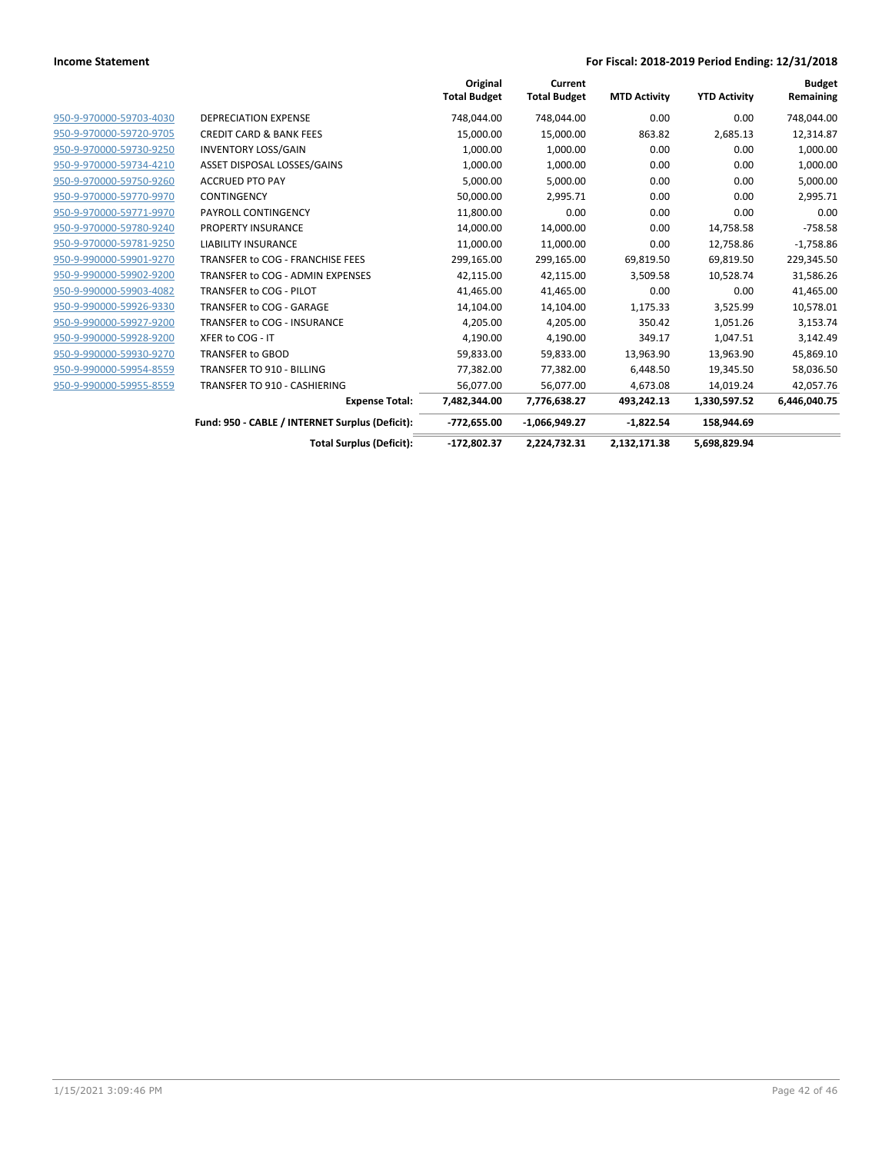|                         |                                                 | Original<br><b>Total Budget</b> | Current<br><b>Total Budget</b> | <b>MTD Activity</b> | <b>YTD Activity</b> | <b>Budget</b><br>Remaining |
|-------------------------|-------------------------------------------------|---------------------------------|--------------------------------|---------------------|---------------------|----------------------------|
| 950-9-970000-59703-4030 | <b>DEPRECIATION EXPENSE</b>                     | 748,044.00                      | 748,044.00                     | 0.00                | 0.00                | 748,044.00                 |
| 950-9-970000-59720-9705 | <b>CREDIT CARD &amp; BANK FEES</b>              | 15,000.00                       | 15,000.00                      | 863.82              | 2,685.13            | 12,314.87                  |
| 950-9-970000-59730-9250 | <b>INVENTORY LOSS/GAIN</b>                      | 1,000.00                        | 1,000.00                       | 0.00                | 0.00                | 1,000.00                   |
| 950-9-970000-59734-4210 | ASSET DISPOSAL LOSSES/GAINS                     | 1,000.00                        | 1,000.00                       | 0.00                | 0.00                | 1,000.00                   |
| 950-9-970000-59750-9260 | <b>ACCRUED PTO PAY</b>                          | 5,000.00                        | 5,000.00                       | 0.00                | 0.00                | 5,000.00                   |
| 950-9-970000-59770-9970 | CONTINGENCY                                     | 50,000.00                       | 2,995.71                       | 0.00                | 0.00                | 2,995.71                   |
| 950-9-970000-59771-9970 | PAYROLL CONTINGENCY                             | 11,800.00                       | 0.00                           | 0.00                | 0.00                | 0.00                       |
| 950-9-970000-59780-9240 | PROPERTY INSURANCE                              | 14,000.00                       | 14,000.00                      | 0.00                | 14,758.58           | $-758.58$                  |
| 950-9-970000-59781-9250 | <b>LIABILITY INSURANCE</b>                      | 11,000.00                       | 11,000.00                      | 0.00                | 12,758.86           | $-1,758.86$                |
| 950-9-990000-59901-9270 | TRANSFER to COG - FRANCHISE FEES                | 299,165.00                      | 299,165.00                     | 69,819.50           | 69,819.50           | 229,345.50                 |
| 950-9-990000-59902-9200 | TRANSFER to COG - ADMIN EXPENSES                | 42,115.00                       | 42,115.00                      | 3,509.58            | 10,528.74           | 31,586.26                  |
| 950-9-990000-59903-4082 | TRANSFER to COG - PILOT                         | 41,465.00                       | 41,465.00                      | 0.00                | 0.00                | 41,465.00                  |
| 950-9-990000-59926-9330 | TRANSFER to COG - GARAGE                        | 14,104.00                       | 14,104.00                      | 1,175.33            | 3,525.99            | 10,578.01                  |
| 950-9-990000-59927-9200 | TRANSFER to COG - INSURANCE                     | 4,205.00                        | 4,205.00                       | 350.42              | 1,051.26            | 3,153.74                   |
| 950-9-990000-59928-9200 | XFER to COG - IT                                | 4,190.00                        | 4,190.00                       | 349.17              | 1,047.51            | 3,142.49                   |
| 950-9-990000-59930-9270 | <b>TRANSFER to GBOD</b>                         | 59,833.00                       | 59,833.00                      | 13,963.90           | 13,963.90           | 45,869.10                  |
| 950-9-990000-59954-8559 | TRANSFER TO 910 - BILLING                       | 77,382.00                       | 77,382.00                      | 6,448.50            | 19,345.50           | 58,036.50                  |
| 950-9-990000-59955-8559 | TRANSFER TO 910 - CASHIERING                    | 56,077.00                       | 56,077.00                      | 4,673.08            | 14,019.24           | 42,057.76                  |
|                         | <b>Expense Total:</b>                           | 7,482,344.00                    | 7,776,638.27                   | 493,242.13          | 1,330,597.52        | 6,446,040.75               |
|                         | Fund: 950 - CABLE / INTERNET Surplus (Deficit): | $-772,655.00$                   | $-1,066,949.27$                | $-1,822.54$         | 158,944.69          |                            |
|                         | <b>Total Surplus (Deficit):</b>                 | $-172,802.37$                   | 2,224,732.31                   | 2,132,171.38        | 5,698,829.94        |                            |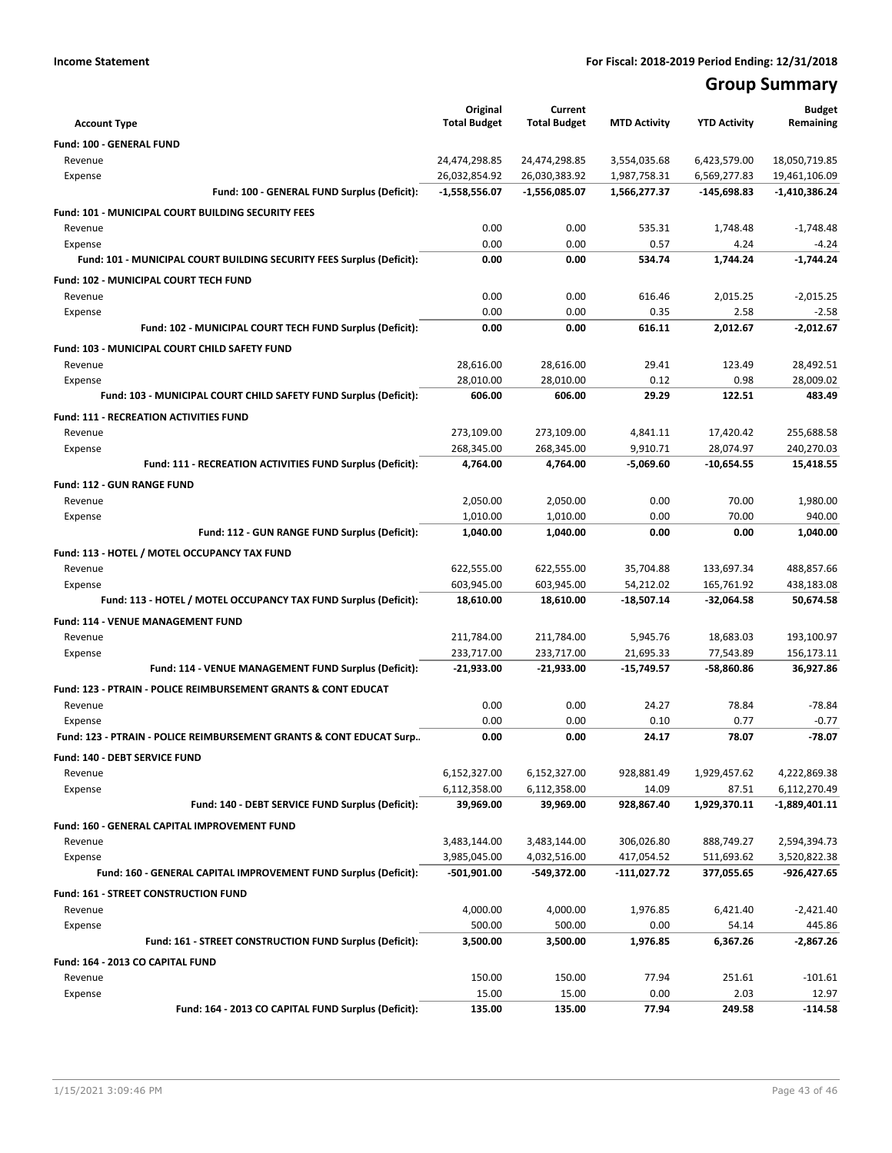# **Group Summary**

| <b>Account Type</b>                                                   | Original<br><b>Total Budget</b> | Current<br><b>Total Budget</b> | <b>MTD Activity</b> | <b>YTD Activity</b> | <b>Budget</b><br>Remaining |
|-----------------------------------------------------------------------|---------------------------------|--------------------------------|---------------------|---------------------|----------------------------|
| Fund: 100 - GENERAL FUND                                              |                                 |                                |                     |                     |                            |
| Revenue                                                               | 24,474,298.85                   | 24,474,298.85                  | 3,554,035.68        | 6,423,579.00        | 18,050,719.85              |
| Expense                                                               | 26,032,854.92                   | 26,030,383.92                  | 1,987,758.31        | 6,569,277.83        | 19,461,106.09              |
| Fund: 100 - GENERAL FUND Surplus (Deficit):                           | -1,558,556.07                   | $-1,556,085.07$                | 1,566,277.37        | -145,698.83         | $-1,410,386.24$            |
| <b>Fund: 101 - MUNICIPAL COURT BUILDING SECURITY FEES</b>             |                                 |                                |                     |                     |                            |
| Revenue                                                               | 0.00                            | 0.00                           | 535.31              | 1,748.48            | $-1,748.48$                |
| Expense                                                               | 0.00                            | 0.00                           | 0.57                | 4.24                | $-4.24$                    |
| Fund: 101 - MUNICIPAL COURT BUILDING SECURITY FEES Surplus (Deficit): | 0.00                            | 0.00                           | 534.74              | 1,744.24            | $-1.744.24$                |
| <b>Fund: 102 - MUNICIPAL COURT TECH FUND</b>                          |                                 |                                |                     |                     |                            |
| Revenue                                                               | 0.00                            | 0.00                           | 616.46              | 2.015.25            | $-2.015.25$                |
| Expense                                                               | 0.00                            | 0.00                           | 0.35                | 2.58                | $-2.58$                    |
| Fund: 102 - MUNICIPAL COURT TECH FUND Surplus (Deficit):              | 0.00                            | 0.00                           | 616.11              | 2,012.67            | $-2,012.67$                |
| <b>Fund: 103 - MUNICIPAL COURT CHILD SAFETY FUND</b>                  |                                 |                                |                     |                     |                            |
| Revenue                                                               | 28,616.00                       | 28,616.00                      | 29.41               | 123.49              | 28,492.51                  |
| Expense                                                               | 28,010.00                       | 28,010.00                      | 0.12                | 0.98                | 28,009.02                  |
| Fund: 103 - MUNICIPAL COURT CHILD SAFETY FUND Surplus (Deficit):      | 606.00                          | 606.00                         | 29.29               | 122.51              | 483.49                     |
| <b>Fund: 111 - RECREATION ACTIVITIES FUND</b>                         |                                 |                                |                     |                     |                            |
| Revenue                                                               | 273,109.00                      | 273,109.00                     | 4,841.11            | 17,420.42           | 255,688.58                 |
| Expense                                                               | 268.345.00                      | 268,345.00                     | 9,910.71            | 28,074.97           | 240,270.03                 |
| Fund: 111 - RECREATION ACTIVITIES FUND Surplus (Deficit):             | 4,764.00                        | 4,764.00                       | $-5,069.60$         | -10,654.55          | 15,418.55                  |
| Fund: 112 - GUN RANGE FUND                                            |                                 |                                |                     |                     |                            |
| Revenue                                                               | 2,050.00                        | 2,050.00                       | 0.00                | 70.00               | 1,980.00                   |
| Expense                                                               | 1,010.00                        | 1,010.00                       | 0.00                | 70.00               | 940.00                     |
| Fund: 112 - GUN RANGE FUND Surplus (Deficit):                         | 1,040.00                        | 1,040.00                       | 0.00                | 0.00                | 1,040.00                   |
| Fund: 113 - HOTEL / MOTEL OCCUPANCY TAX FUND                          |                                 |                                |                     |                     |                            |
| Revenue                                                               | 622,555.00                      | 622,555.00                     | 35,704.88           | 133,697.34          | 488,857.66                 |
| Expense                                                               | 603,945.00                      | 603,945.00                     | 54,212.02           | 165,761.92          | 438,183.08                 |
| Fund: 113 - HOTEL / MOTEL OCCUPANCY TAX FUND Surplus (Deficit):       | 18,610.00                       | 18,610.00                      | -18,507.14          | -32,064.58          | 50,674.58                  |
| Fund: 114 - VENUE MANAGEMENT FUND                                     |                                 |                                |                     |                     |                            |
| Revenue                                                               | 211,784.00                      | 211,784.00                     | 5,945.76            | 18,683.03           | 193,100.97                 |
| Expense                                                               | 233,717.00                      | 233,717.00                     | 21,695.33           | 77,543.89           | 156,173.11                 |
| Fund: 114 - VENUE MANAGEMENT FUND Surplus (Deficit):                  | $-21,933.00$                    | $-21,933.00$                   | $-15,749.57$        | -58,860.86          | 36,927.86                  |
| Fund: 123 - PTRAIN - POLICE REIMBURSEMENT GRANTS & CONT EDUCAT        |                                 |                                |                     |                     |                            |
| Revenue                                                               | 0.00                            | 0.00                           | 24.27               | 78.84               | $-78.84$                   |
| Expense                                                               | 0.00                            | 0.00                           | 0.10                | 0.77                | $-0.77$                    |
| Fund: 123 - PTRAIN - POLICE REIMBURSEMENT GRANTS & CONT EDUCAT Surp   | 0.00                            | 0.00                           | 24.17               | 78.07               | $-78.07$                   |
| Fund: 140 - DEBT SERVICE FUND                                         |                                 |                                |                     |                     |                            |
| Revenue                                                               | 6,152,327.00                    | 6,152,327.00                   | 928,881.49          | 1,929,457.62        | 4,222,869.38               |
| Expense                                                               | 6,112,358.00                    | 6,112,358.00                   | 14.09               | 87.51               | 6,112,270.49               |
| Fund: 140 - DEBT SERVICE FUND Surplus (Deficit):                      | 39,969.00                       | 39,969.00                      | 928,867.40          | 1,929,370.11        | -1,889,401.11              |
| Fund: 160 - GENERAL CAPITAL IMPROVEMENT FUND                          |                                 |                                |                     |                     |                            |
| Revenue                                                               | 3,483,144.00                    | 3,483,144.00                   | 306,026.80          | 888,749.27          | 2,594,394.73               |
| Expense                                                               | 3,985,045.00                    | 4,032,516.00                   | 417,054.52          | 511,693.62          | 3,520,822.38               |
| Fund: 160 - GENERAL CAPITAL IMPROVEMENT FUND Surplus (Deficit):       | -501,901.00                     | -549,372.00                    | -111,027.72         | 377,055.65          | -926,427.65                |
| Fund: 161 - STREET CONSTRUCTION FUND                                  |                                 |                                |                     |                     |                            |
| Revenue                                                               | 4,000.00                        | 4,000.00                       | 1,976.85            | 6,421.40            | $-2,421.40$                |
| Expense                                                               | 500.00                          | 500.00                         | 0.00                | 54.14               | 445.86                     |
| Fund: 161 - STREET CONSTRUCTION FUND Surplus (Deficit):               | 3,500.00                        | 3,500.00                       | 1,976.85            | 6,367.26            | -2,867.26                  |
| Fund: 164 - 2013 CO CAPITAL FUND                                      |                                 |                                |                     |                     |                            |
| Revenue                                                               | 150.00                          | 150.00                         | 77.94               | 251.61              | $-101.61$                  |
| Expense                                                               | 15.00                           | 15.00                          | 0.00                | 2.03                | 12.97                      |
| Fund: 164 - 2013 CO CAPITAL FUND Surplus (Deficit):                   | 135.00                          | 135.00                         | 77.94               | 249.58              | $-114.58$                  |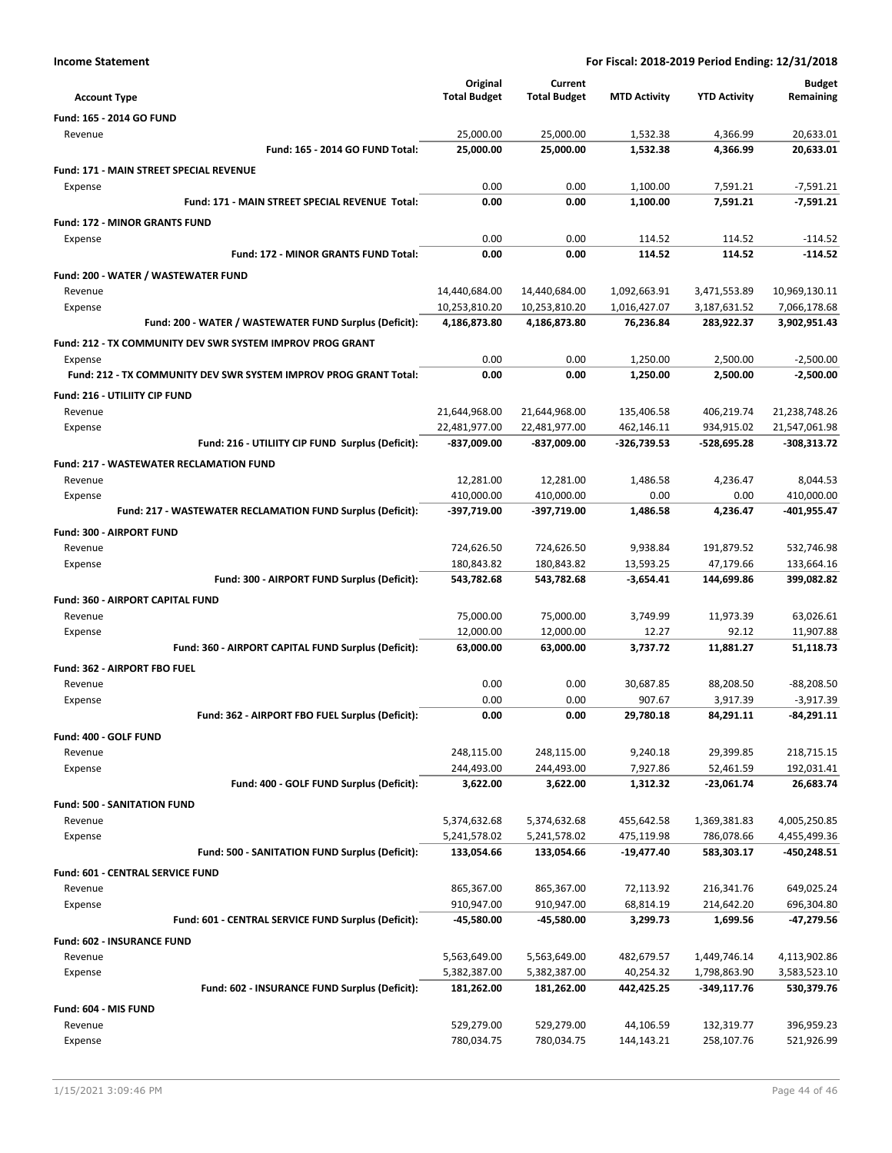| <b>Account Type</b>                                              | Original<br><b>Total Budget</b> | Current<br><b>Total Budget</b> | <b>MTD Activity</b>       | <b>YTD Activity</b>       | <b>Budget</b><br>Remaining   |
|------------------------------------------------------------------|---------------------------------|--------------------------------|---------------------------|---------------------------|------------------------------|
| Fund: 165 - 2014 GO FUND                                         |                                 |                                |                           |                           |                              |
| Revenue                                                          | 25,000.00                       | 25,000.00                      | 1,532.38                  | 4,366.99                  | 20,633.01                    |
| Fund: 165 - 2014 GO FUND Total:                                  | 25,000.00                       | 25,000.00                      | 1,532.38                  | 4,366.99                  | 20,633.01                    |
| <b>Fund: 171 - MAIN STREET SPECIAL REVENUE</b>                   |                                 |                                |                           |                           |                              |
| Expense                                                          | 0.00                            | 0.00                           | 1,100.00                  | 7,591.21                  | $-7,591.21$                  |
| Fund: 171 - MAIN STREET SPECIAL REVENUE Total:                   | 0.00                            | 0.00                           | 1,100.00                  | 7,591.21                  | $-7,591.21$                  |
| <b>Fund: 172 - MINOR GRANTS FUND</b>                             |                                 |                                |                           |                           |                              |
| Expense                                                          | 0.00                            | 0.00                           | 114.52                    | 114.52                    | $-114.52$                    |
| Fund: 172 - MINOR GRANTS FUND Total:                             | 0.00                            | 0.00                           | 114.52                    | 114.52                    | $-114.52$                    |
| Fund: 200 - WATER / WASTEWATER FUND                              |                                 |                                |                           |                           |                              |
| Revenue                                                          | 14,440,684.00                   | 14,440,684.00                  | 1,092,663.91              | 3,471,553.89              | 10,969,130.11                |
| Expense                                                          | 10,253,810.20                   | 10,253,810.20                  | 1,016,427.07              | 3,187,631.52              | 7,066,178.68                 |
| Fund: 200 - WATER / WASTEWATER FUND Surplus (Deficit):           | 4,186,873.80                    | 4,186,873.80                   | 76,236.84                 | 283,922.37                | 3,902,951.43                 |
| Fund: 212 - TX COMMUNITY DEV SWR SYSTEM IMPROV PROG GRANT        |                                 |                                |                           |                           |                              |
| Expense                                                          | 0.00                            | 0.00                           | 1,250.00                  | 2,500.00                  | $-2,500.00$                  |
| Fund: 212 - TX COMMUNITY DEV SWR SYSTEM IMPROV PROG GRANT Total: | 0.00                            | 0.00                           | 1.250.00                  | 2,500.00                  | $-2,500.00$                  |
| <b>Fund: 216 - UTILIITY CIP FUND</b>                             |                                 |                                |                           |                           |                              |
| Revenue                                                          | 21,644,968.00                   | 21,644,968.00                  | 135,406.58                | 406,219.74                | 21,238,748.26                |
| Expense<br>Fund: 216 - UTILIITY CIP FUND Surplus (Deficit):      | 22,481,977.00<br>-837,009.00    | 22,481,977.00<br>-837,009.00   | 462,146.11<br>-326,739.53 | 934,915.02<br>-528,695.28 | 21,547,061.98<br>-308,313.72 |
|                                                                  |                                 |                                |                           |                           |                              |
| <b>Fund: 217 - WASTEWATER RECLAMATION FUND</b>                   |                                 |                                |                           |                           |                              |
| Revenue<br>Expense                                               | 12,281.00<br>410,000.00         | 12,281.00<br>410,000.00        | 1,486.58<br>0.00          | 4,236.47<br>0.00          | 8,044.53<br>410,000.00       |
| Fund: 217 - WASTEWATER RECLAMATION FUND Surplus (Deficit):       | -397,719.00                     | -397,719.00                    | 1,486.58                  | 4,236.47                  | -401,955.47                  |
|                                                                  |                                 |                                |                           |                           |                              |
| Fund: 300 - AIRPORT FUND<br>Revenue                              | 724,626.50                      | 724,626.50                     | 9,938.84                  | 191,879.52                | 532,746.98                   |
| Expense                                                          | 180,843.82                      | 180,843.82                     | 13,593.25                 | 47,179.66                 | 133,664.16                   |
| Fund: 300 - AIRPORT FUND Surplus (Deficit):                      | 543,782.68                      | 543,782.68                     | $-3,654.41$               | 144,699.86                | 399,082.82                   |
| Fund: 360 - AIRPORT CAPITAL FUND                                 |                                 |                                |                           |                           |                              |
| Revenue                                                          | 75,000.00                       | 75,000.00                      | 3,749.99                  | 11,973.39                 | 63,026.61                    |
| Expense                                                          | 12,000.00                       | 12,000.00                      | 12.27                     | 92.12                     | 11,907.88                    |
| Fund: 360 - AIRPORT CAPITAL FUND Surplus (Deficit):              | 63,000.00                       | 63,000.00                      | 3,737.72                  | 11,881.27                 | 51,118.73                    |
| Fund: 362 - AIRPORT FBO FUEL                                     |                                 |                                |                           |                           |                              |
| Revenue                                                          | 0.00                            | 0.00                           | 30,687.85                 | 88,208.50                 | -88,208.50                   |
| Expense                                                          | 0.00                            | 0.00                           | 907.67                    | 3,917.39                  | $-3,917.39$                  |
| Fund: 362 - AIRPORT FBO FUEL Surplus (Deficit):                  | 0.00                            | 0.00                           | 29,780.18                 | 84.291.11                 | $-84,291.11$                 |
| Fund: 400 - GOLF FUND                                            |                                 |                                |                           |                           |                              |
| Revenue                                                          | 248,115.00                      | 248,115.00                     | 9,240.18                  | 29,399.85                 | 218,715.15                   |
| Expense                                                          | 244,493.00                      | 244,493.00                     | 7,927.86                  | 52,461.59                 | 192,031.41                   |
| Fund: 400 - GOLF FUND Surplus (Deficit):                         | 3,622.00                        | 3,622.00                       | 1,312.32                  | -23,061.74                | 26,683.74                    |
| <b>Fund: 500 - SANITATION FUND</b>                               |                                 |                                |                           |                           |                              |
| Revenue                                                          | 5,374,632.68                    | 5,374,632.68                   | 455,642.58                | 1,369,381.83              | 4,005,250.85                 |
| Expense                                                          | 5,241,578.02                    | 5,241,578.02                   | 475,119.98                | 786,078.66                | 4,455,499.36                 |
| Fund: 500 - SANITATION FUND Surplus (Deficit):                   | 133,054.66                      | 133,054.66                     | -19,477.40                | 583,303.17                | $-450,248.51$                |
| Fund: 601 - CENTRAL SERVICE FUND                                 |                                 |                                |                           |                           |                              |
| Revenue                                                          | 865,367.00                      | 865,367.00                     | 72,113.92                 | 216,341.76                | 649,025.24                   |
| Expense                                                          | 910,947.00                      | 910,947.00                     | 68,814.19                 | 214,642.20                | 696,304.80                   |
| Fund: 601 - CENTRAL SERVICE FUND Surplus (Deficit):              | -45,580.00                      | -45,580.00                     | 3,299.73                  | 1,699.56                  | -47,279.56                   |
| Fund: 602 - INSURANCE FUND                                       |                                 |                                |                           |                           |                              |
| Revenue                                                          | 5,563,649.00                    | 5,563,649.00                   | 482,679.57                | 1,449,746.14              | 4,113,902.86                 |
| Expense                                                          | 5,382,387.00                    | 5,382,387.00                   | 40,254.32                 | 1,798,863.90              | 3,583,523.10                 |
| Fund: 602 - INSURANCE FUND Surplus (Deficit):                    | 181,262.00                      | 181,262.00                     | 442,425.25                | $-349,117.76$             | 530,379.76                   |
| Fund: 604 - MIS FUND                                             |                                 |                                |                           |                           |                              |
| Revenue                                                          | 529,279.00                      | 529,279.00                     | 44,106.59                 | 132,319.77                | 396,959.23                   |
| Expense                                                          | 780,034.75                      | 780,034.75                     | 144,143.21                | 258,107.76                | 521,926.99                   |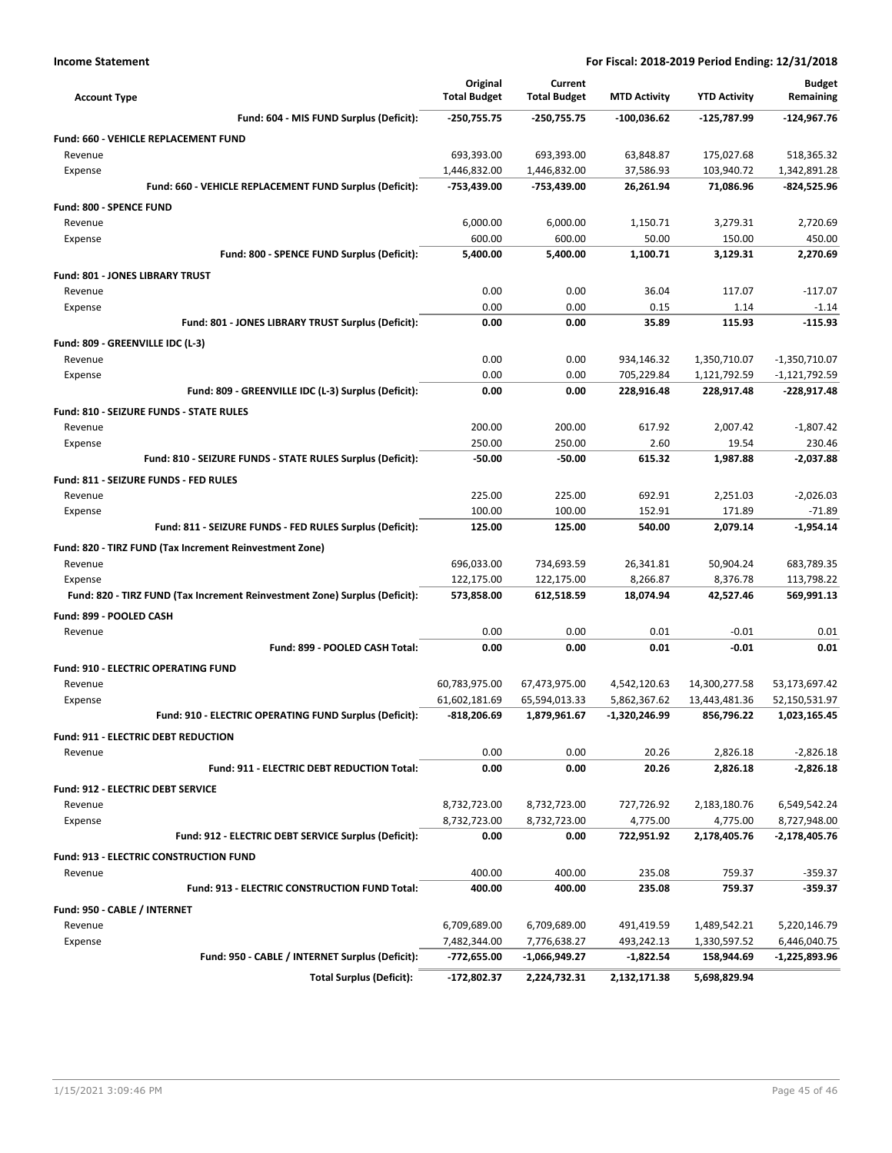| <b>Account Type</b>                                                        | Original<br><b>Total Budget</b> | Current<br><b>Total Budget</b> | <b>MTD Activity</b>          | <b>YTD Activity</b>            | <b>Budget</b><br>Remaining     |
|----------------------------------------------------------------------------|---------------------------------|--------------------------------|------------------------------|--------------------------------|--------------------------------|
| Fund: 604 - MIS FUND Surplus (Deficit):                                    | -250,755.75                     | -250,755.75                    | $-100,036.62$                | -125,787.99                    | $-124,967.76$                  |
| <b>Fund: 660 - VEHICLE REPLACEMENT FUND</b>                                |                                 |                                |                              |                                |                                |
| Revenue                                                                    | 693,393.00                      | 693,393.00                     | 63,848.87                    | 175,027.68                     | 518,365.32                     |
| Expense                                                                    | 1,446,832.00                    | 1,446,832.00                   | 37,586.93                    | 103,940.72                     | 1,342,891.28                   |
| Fund: 660 - VEHICLE REPLACEMENT FUND Surplus (Deficit):                    | -753,439.00                     | -753,439.00                    | 26,261.94                    | 71,086.96                      | -824,525.96                    |
| <b>Fund: 800 - SPENCE FUND</b>                                             |                                 |                                |                              |                                |                                |
| Revenue                                                                    | 6,000.00                        | 6,000.00                       | 1,150.71                     | 3,279.31                       | 2,720.69                       |
| Expense                                                                    | 600.00                          | 600.00                         | 50.00                        | 150.00                         | 450.00                         |
| Fund: 800 - SPENCE FUND Surplus (Deficit):                                 | 5,400.00                        | 5,400.00                       | 1.100.71                     | 3.129.31                       | 2,270.69                       |
| Fund: 801 - JONES LIBRARY TRUST                                            |                                 |                                |                              |                                |                                |
| Revenue                                                                    | 0.00                            | 0.00                           | 36.04                        | 117.07                         | $-117.07$                      |
| Expense                                                                    | 0.00                            | 0.00                           | 0.15                         | 1.14                           | $-1.14$                        |
| Fund: 801 - JONES LIBRARY TRUST Surplus (Deficit):                         | 0.00                            | 0.00                           | 35.89                        | 115.93                         | $-115.93$                      |
| Fund: 809 - GREENVILLE IDC (L-3)                                           |                                 |                                |                              |                                |                                |
| Revenue                                                                    | 0.00                            | 0.00                           | 934,146.32                   | 1,350,710.07                   | $-1,350,710.07$                |
| Expense                                                                    | 0.00                            | 0.00                           | 705,229.84                   | 1,121,792.59                   | $-1,121,792.59$                |
| Fund: 809 - GREENVILLE IDC (L-3) Surplus (Deficit):                        | 0.00                            | 0.00                           | 228,916.48                   | 228,917.48                     | $-228,917.48$                  |
| <b>Fund: 810 - SEIZURE FUNDS - STATE RULES</b>                             |                                 |                                |                              |                                |                                |
| Revenue                                                                    | 200.00                          | 200.00                         | 617.92                       | 2,007.42                       | $-1,807.42$                    |
| Expense                                                                    | 250.00                          | 250.00                         | 2.60                         | 19.54                          | 230.46                         |
| Fund: 810 - SEIZURE FUNDS - STATE RULES Surplus (Deficit):                 | $-50.00$                        | $-50.00$                       | 615.32                       | 1,987.88                       | $-2,037.88$                    |
| Fund: 811 - SEIZURE FUNDS - FED RULES                                      |                                 |                                |                              |                                |                                |
| Revenue                                                                    | 225.00                          | 225.00                         | 692.91                       | 2,251.03                       | $-2,026.03$                    |
| Expense                                                                    | 100.00                          | 100.00                         | 152.91                       | 171.89                         | $-71.89$                       |
| Fund: 811 - SEIZURE FUNDS - FED RULES Surplus (Deficit):                   | 125.00                          | 125.00                         | 540.00                       | 2,079.14                       | $-1,954.14$                    |
| Fund: 820 - TIRZ FUND (Tax Increment Reinvestment Zone)                    |                                 |                                |                              |                                |                                |
| Revenue                                                                    | 696,033.00                      | 734,693.59                     | 26,341.81                    | 50,904.24                      | 683,789.35                     |
| Expense                                                                    | 122,175.00                      | 122,175.00                     | 8,266.87                     | 8,376.78                       | 113,798.22                     |
| Fund: 820 - TIRZ FUND (Tax Increment Reinvestment Zone) Surplus (Deficit): | 573,858.00                      | 612,518.59                     | 18,074.94                    | 42,527.46                      | 569,991.13                     |
| Fund: 899 - POOLED CASH                                                    |                                 |                                |                              |                                |                                |
| Revenue                                                                    | 0.00                            | 0.00                           | 0.01                         | $-0.01$                        | 0.01                           |
| Fund: 899 - POOLED CASH Total:                                             | 0.00                            | 0.00                           | 0.01                         | $-0.01$                        | 0.01                           |
|                                                                            |                                 |                                |                              |                                |                                |
| <b>Fund: 910 - ELECTRIC OPERATING FUND</b>                                 |                                 |                                |                              |                                |                                |
| Revenue<br>Expense                                                         | 60,783,975.00<br>61,602,181.69  | 67,473,975.00<br>65,594,013.33 | 4,542,120.63<br>5,862,367.62 | 14,300,277.58<br>13,443,481.36 | 53,173,697.42<br>52,150,531.97 |
| Fund: 910 - ELECTRIC OPERATING FUND Surplus (Deficit):                     | -818,206.69                     | 1,879,961.67                   | -1,320,246.99                | 856,796.22                     | 1,023,165.45                   |
|                                                                            |                                 |                                |                              |                                |                                |
| Fund: 911 - ELECTRIC DEBT REDUCTION                                        | 0.00                            | 0.00                           |                              |                                |                                |
| Revenue<br>Fund: 911 - ELECTRIC DEBT REDUCTION Total:                      | 0.00                            | 0.00                           | 20.26<br>20.26               | 2,826.18<br>2,826.18           | -2,826.18<br>$-2,826.18$       |
|                                                                            |                                 |                                |                              |                                |                                |
| Fund: 912 - ELECTRIC DEBT SERVICE                                          |                                 |                                |                              |                                |                                |
| Revenue                                                                    | 8,732,723.00                    | 8,732,723.00                   | 727,726.92                   | 2,183,180.76                   | 6,549,542.24                   |
| Expense<br>Fund: 912 - ELECTRIC DEBT SERVICE Surplus (Deficit):            | 8,732,723.00<br>0.00            | 8,732,723.00<br>0.00           | 4,775.00<br>722,951.92       | 4,775.00<br>2,178,405.76       | 8,727,948.00<br>-2,178,405.76  |
|                                                                            |                                 |                                |                              |                                |                                |
| <b>Fund: 913 - ELECTRIC CONSTRUCTION FUND</b>                              |                                 |                                |                              |                                |                                |
| Revenue                                                                    | 400.00                          | 400.00                         | 235.08                       | 759.37                         | $-359.37$                      |
| Fund: 913 - ELECTRIC CONSTRUCTION FUND Total:                              | 400.00                          | 400.00                         | 235.08                       | 759.37                         | -359.37                        |
| Fund: 950 - CABLE / INTERNET                                               |                                 |                                |                              |                                |                                |
| Revenue                                                                    | 6,709,689.00                    | 6,709,689.00                   | 491,419.59                   | 1,489,542.21                   | 5,220,146.79                   |
| Expense                                                                    | 7,482,344.00                    | 7,776,638.27                   | 493,242.13                   | 1,330,597.52                   | 6,446,040.75                   |
| Fund: 950 - CABLE / INTERNET Surplus (Deficit):                            | -772,655.00                     | -1,066,949.27                  | -1,822.54                    | 158,944.69                     | -1,225,893.96                  |
| <b>Total Surplus (Deficit):</b>                                            | -172,802.37                     | 2,224,732.31                   | 2,132,171.38                 | 5,698,829.94                   |                                |